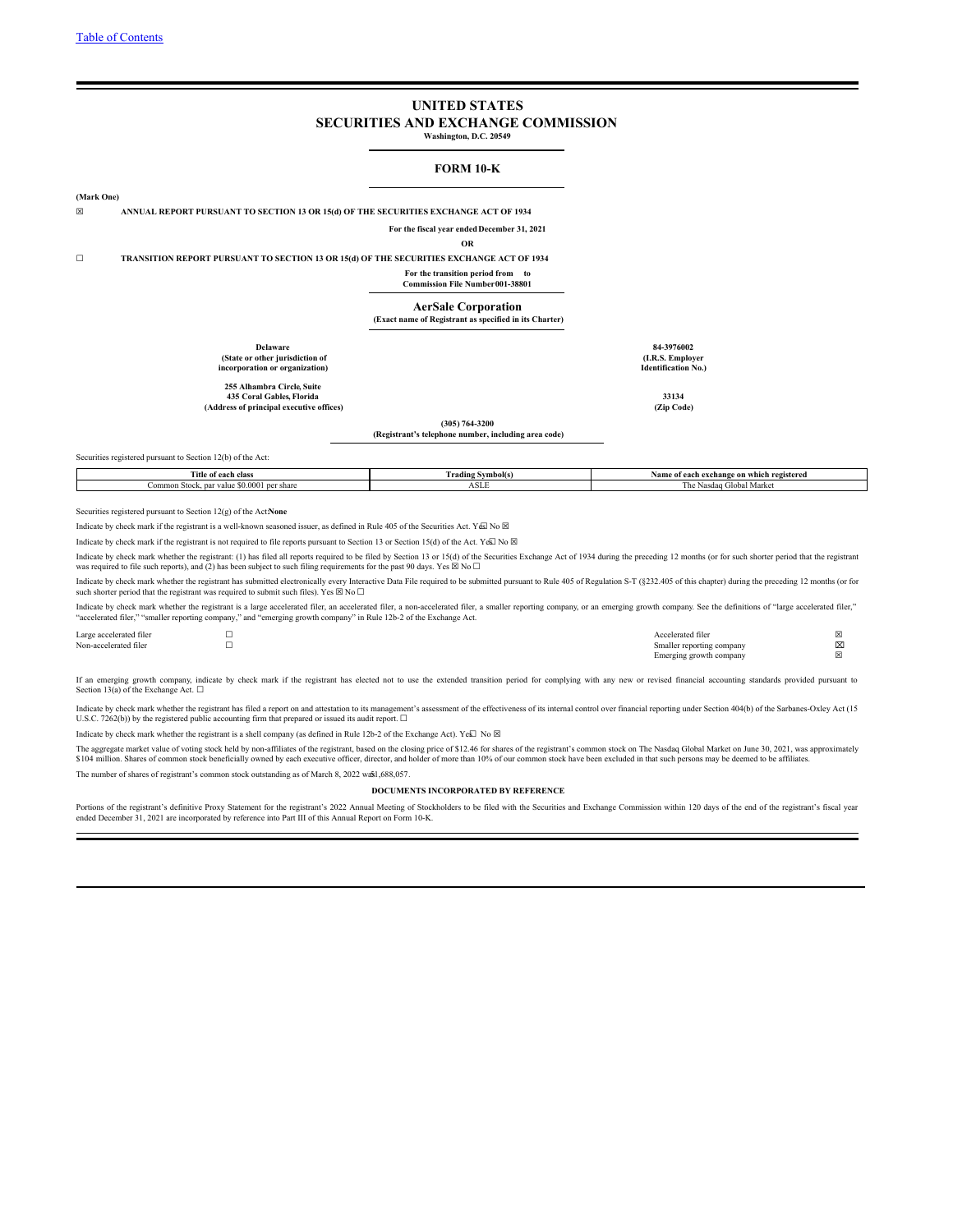# **UNITED STATES SECURITIES AND EXCHANGE COMMISSION**

**Washington, D.C. 20549**

# **FORM 10-K**

<span id="page-0-0"></span>**(Mark One)**

☒ **ANNUAL REPORT PURSUANT TO SECTION 13 OR 15(d) OF THE SECURITIES EXCHANGE ACT OF 1934**

**For the fiscal year endedDecember 31, 2021**

**OR**

**☐ TRANSITION REPORT PURSUANT TO SECTION 13 OR 15(d) OF THE SECURITIES EXCHANGE ACT OF 1934**

**For the transition period from to Commission File Number001-38801**

**AerSale Corporation (Exact name of Registrant as specified in its Charter)**

**Delaware 84-3976002 (State or other jurisdiction of (I.R.S. Employer incorporation or organization) Identification No.) 255 Alhambra Circle, Suite**

**(Address of principal executive offices) (Zip Code)**

**435 Coral Gables, Florida 33134**

Smaller reporting company  $\boxtimes$ <br>Emerging growth company  $\boxtimes$ 

Emerging growth company

**(305) 764-3200**

**(Registrant's telephone number, including area code)**

Securities registered pursuant to Section 12(b) of the Act:

| <b>Title</b><br>ാf each പ<br>class | - - -<br>! Svmbol(s)<br>Trading | e of each exchange on which registered |  |  |
|------------------------------------|---------------------------------|----------------------------------------|--|--|
| value \$0,0001 per share           | 10T                             | : Nasdaq Global Market                 |  |  |
| Common Stock, par                  | ASLE                            | $\pm$ he $\pm$                         |  |  |

Securities registered pursuant to Section 12(g) of the Act:**None**

Indicate by check mark if the registrant is a well-known seasoned issuer, as defined in Rule 405 of the Securities Act. Yess No  $\boxtimes$ 

Indicate by check mark if the registrant is not required to file reports pursuant to Section 13 or Section 15(d) of the Act. Ye

Indicate by check mark whether the registrant: (1) has filed all reports required to be filed by Section 13 or 15(d) of the Securities Exchange Act of 1934 during the preceding 12 months (or for such shorter period that t

Indicate by check mark whether the registrant has submitted electronically every Interactive Data File required to be submitted pursuant to Rule 405 of Regulation S-T (§232.405 of this chapter) during the preceding 12 mont such shorter period that the registrant was required to submit such files). Yes  $\boxtimes$  No  $\Box$ 

Indicate by check mark whether the registrant is a large accelerated filer, an accelerated filer, a mon-accelerated filer, a smaller reporting company, or an emerging growth company. See the definitions of "large accelerat "accelerated filer," "smaller reporting company," and "emerging growth company" in Rule 12b-2 of the Exchange Act.

| Large accelerated filer | Accelerated filer         | $-$ |
|-------------------------|---------------------------|-----|
| Non-accelerated filer   | Smaller reporting company | 冈   |

If an emerging growth company, indicate by check mark if the registrant has elected not to use the extended transition period for complying with any new or revised financial accounting standards provided pursuant to Section 13(a) of the Exchange Act.  $□$ 

Indicate by check mark whether the registrant has filed a report on and attestation to its management's assessment of the effectiveness of its internal control over financial reporting under Section 404(b) of the Sarbanes

Indicate by check mark whether the registrant is a shell company (as defined in Rule 12b-2 of the Exchange Act). Ye $\Box$  No  $\Box$ 

The aggregate market value of voting stock held by non-affiliates of the registrant, based on the closing price of \$12.46 for shares of the registrant's common stock on The Nasdaq Global Market on June 30, 2021, was approx \$104 million. Shares of common stock beneficially owned by each executive officer, director, and holder of more than 10% of our common stock have been excluded in that such persons may be deemed to be affiliates. The number of shares of registrant's common stock outstanding as of March 8, 2022 wa5l, 688, 057.

**DOCUMENTS INCORPORATED BY REFERENCE**

Portions of the registrant's definitive Proxy Statement for the registrant's 2022 Annual Meeting of Stockholders to be filed with the Securities and Exchange Commission within 120 days of the end of the registrant's fiscal ended December 31, 2021 are incorporated by reference into Part III of this Annual Report on Form 10-K.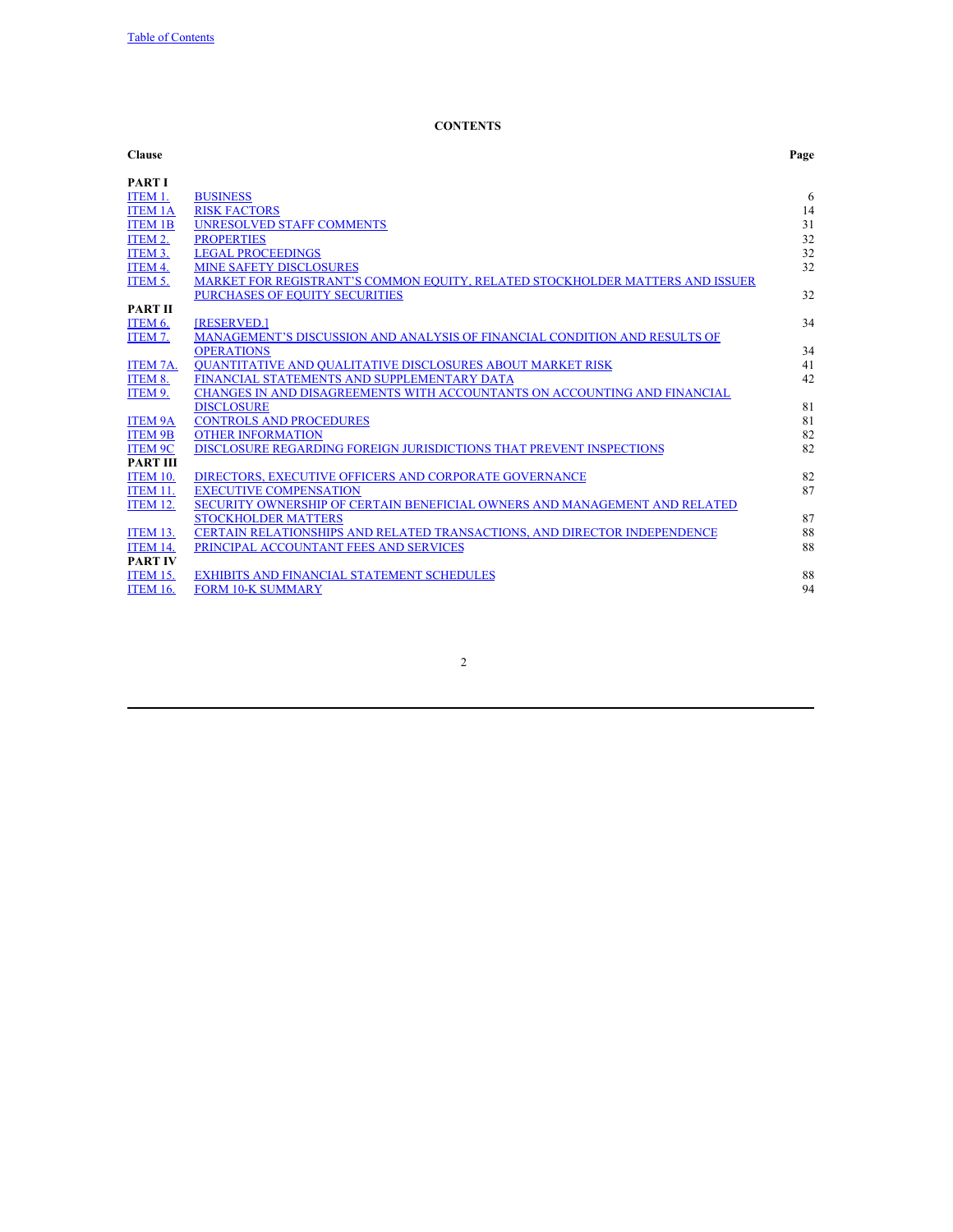# **CONTENTS**

| <b>Clause</b>   |                                                                               | Page |
|-----------------|-------------------------------------------------------------------------------|------|
| <b>PART I</b>   |                                                                               |      |
| ITEM 1.         | <b>BUSINESS</b>                                                               | 6    |
| <b>ITEM 1A</b>  | <b>RISK FACTORS</b>                                                           | 14   |
| <b>ITEM 1B</b>  | UNRESOLVED STAFF COMMENTS                                                     | 31   |
| ITEM 2.         | <b>PROPERTIES</b>                                                             | 32   |
| ITEM 3.         | <b>LEGAL PROCEEDINGS</b>                                                      | 32   |
| ITEM 4.         | <b>MINE SAFETY DISCLOSURES</b>                                                | 32   |
| ITEM 5.         | MARKET FOR REGISTRANT'S COMMON EOUITY. RELATED STOCKHOLDER MATTERS AND ISSUER |      |
|                 | <b>PURCHASES OF EOUITY SECURITIES</b>                                         | 32   |
| <b>PART II</b>  |                                                                               |      |
| ITEM 6.         | [RESERVED.]                                                                   | 34   |
| ITEM 7.         | MANAGEMENT'S DISCUSSION AND ANALYSIS OF FINANCIAL CONDITION AND RESULTS OF    |      |
|                 | <b>OPERATIONS</b>                                                             | 34   |
| ITEM 7A.        | <b>OUANTITATIVE AND OUALITATIVE DISCLOSURES ABOUT MARKET RISK</b>             | 41   |
| ITEM 8.         | FINANCIAL STATEMENTS AND SUPPLEMENTARY DATA                                   | 42   |
| ITEM 9.         | CHANGES IN AND DISAGREEMENTS WITH ACCOUNTANTS ON ACCOUNTING AND FINANCIAL     |      |
|                 | <b>DISCLOSURE</b>                                                             | 81   |
| <b>ITEM 9A</b>  | <b>CONTROLS AND PROCEDURES</b>                                                | 81   |
| <b>ITEM 9B</b>  | <b>OTHER INFORMATION</b>                                                      | 82   |
| <b>ITEM 9C</b>  | DISCLOSURE REGARDING FOREIGN JURISDICTIONS THAT PREVENT INSPECTIONS           | 82   |
| <b>PART III</b> |                                                                               |      |
| <b>ITEM 10.</b> | DIRECTORS. EXECUTIVE OFFICERS AND CORPORATE GOVERNANCE                        | 82   |
| <b>ITEM 11.</b> | <b>EXECUTIVE COMPENSATION</b>                                                 | 87   |
| <b>ITEM 12.</b> | SECURITY OWNERSHIP OF CERTAIN BENEFICIAL OWNERS AND MANAGEMENT AND RELATED    |      |
|                 | <b>STOCKHOLDER MATTERS</b>                                                    | 87   |
| <b>ITEM 13.</b> | CERTAIN RELATIONSHIPS AND RELATED TRANSACTIONS. AND DIRECTOR INDEPENDENCE     | 88   |
| <b>ITEM 14.</b> | PRINCIPAL ACCOUNTANT FEES AND SERVICES                                        | 88   |
| <b>PART IV</b>  |                                                                               |      |
| <b>ITEM 15.</b> | <b>EXHIBITS AND FINANCIAL STATEMENT SCHEDULES</b>                             | 88   |
| <b>ITEM 16.</b> | <b>FORM 10-K SUMMARY</b>                                                      | 94   |
|                 |                                                                               |      |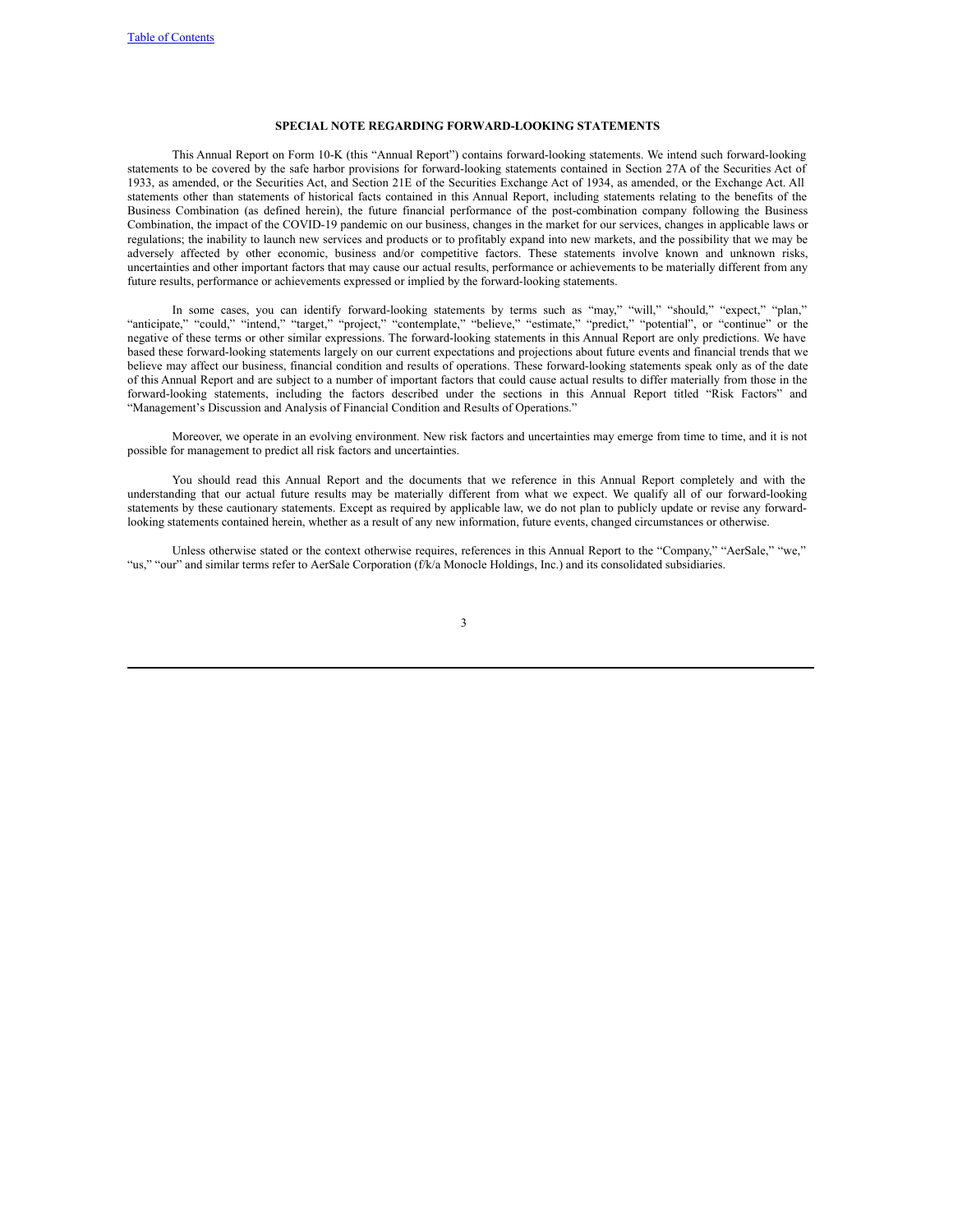## **SPECIAL NOTE REGARDING FORWARD-LOOKING STATEMENTS**

This Annual Report on Form 10-K (this "Annual Report") contains forward-looking statements. We intend such forward-looking statements to be covered by the safe harbor provisions for forward-looking statements contained in Section 27A of the Securities Act of 1933, as amended, or the Securities Act, and Section 21E of the Securities Exchange Act of 1934, as amended, or the Exchange Act. All statements other than statements of historical facts contained in this Annual Report, including statements relating to the benefits of the Business Combination (as defined herein), the future financial performance of the post-combination company following the Business Combination, the impact of the COVID-19 pandemic on our business, changes in the market for our services, changes in applicable laws or regulations; the inability to launch new services and products or to profitably expand into new markets, and the possibility that we may be adversely affected by other economic, business and/or competitive factors. These statements involve known and unknown risks, uncertainties and other important factors that may cause our actual results, performance or achievements to be materially different from any future results, performance or achievements expressed or implied by the forward-looking statements.

In some cases, you can identify forward-looking statements by terms such as "may," "will," "should," "expect," "plan," "anticipate," "could," "intend," "target," "project," "contemplate," "believe," "estimate," "predict," "potential", or "continue" or the negative of these terms or other similar expressions. The forward-looking statements in this Annual Report are only predictions. We have based these forward-looking statements largely on our current expectations and projections about future events and financial trends that we believe may affect our business, financial condition and results of operations. These forward-looking statements speak only as of the date of this Annual Report and are subject to a number of important factors that could cause actual results to differ materially from those in the forward-looking statements, including the factors described under the sections in this Annual Report titled "Risk Factors" and "Management's Discussion and Analysis of Financial Condition and Results of Operations."

Moreover, we operate in an evolving environment. New risk factors and uncertainties may emerge from time to time, and it is not possible for management to predict all risk factors and uncertainties.

You should read this Annual Report and the documents that we reference in this Annual Report completely and with the understanding that our actual future results may be materially different from what we expect. We qualify all of our forward-looking statements by these cautionary statements. Except as required by applicable law, we do not plan to publicly update or revise any forwardlooking statements contained herein, whether as a result of any new information, future events, changed circumstances or otherwise.

Unless otherwise stated or the context otherwise requires, references in this Annual Report to the "Company," "AerSale," "we," "us," "our" and similar terms refer to AerSale Corporation (f/k/a Monocle Holdings, Inc.) and its consolidated subsidiaries.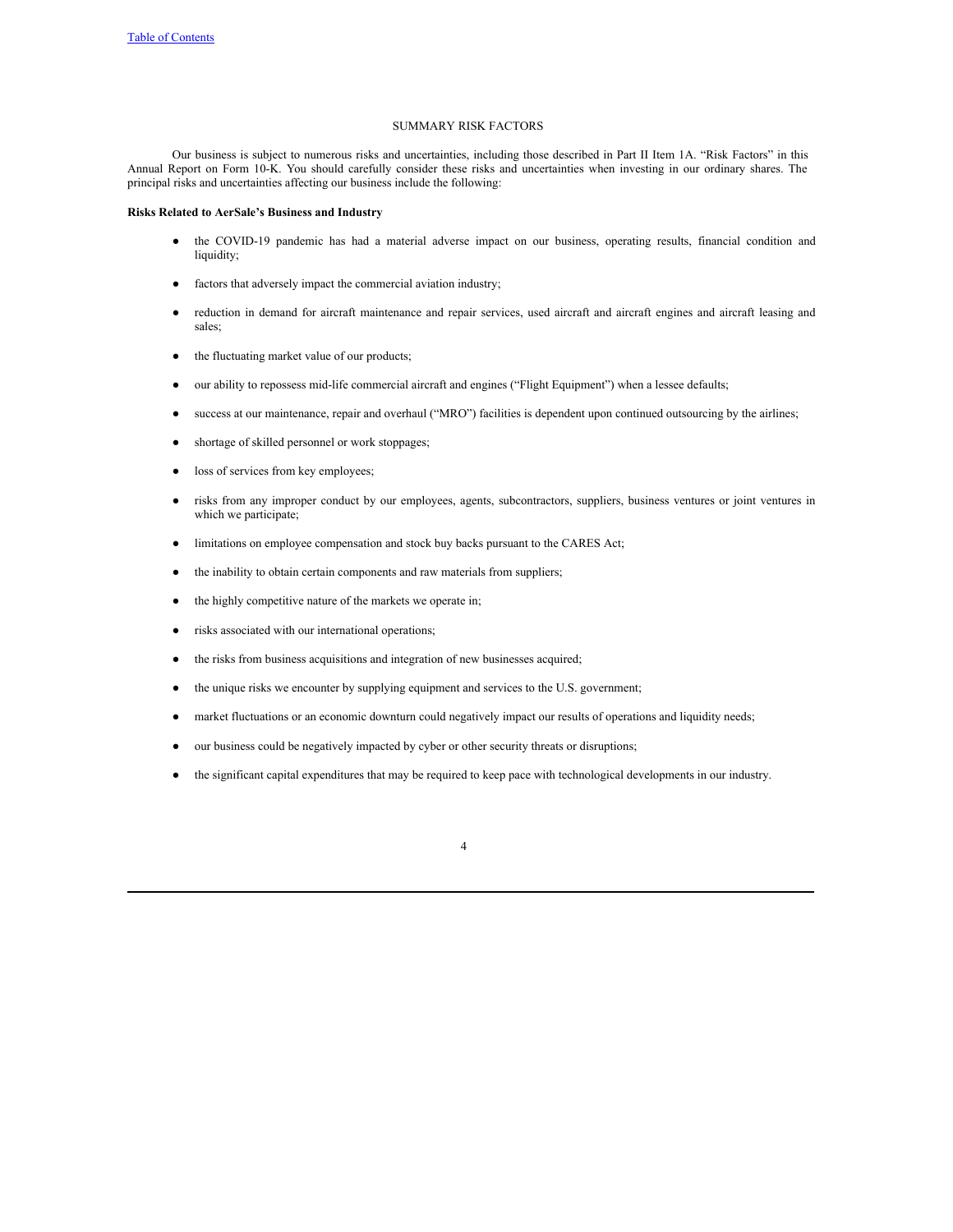# SUMMARY RISK FACTORS

Our business is subject to numerous risks and uncertainties, including those described in Part II Item 1A. "Risk Factors" in this Annual Report on Form 10-K. You should carefully consider these risks and uncertainties when investing in our ordinary shares. The principal risks and uncertainties affecting our business include the following:

## **Risks Related to AerSale's Business and Industry**

- the COVID-19 pandemic has had a material adverse impact on our business, operating results, financial condition and liquidity;
- factors that adversely impact the commercial aviation industry;
- reduction in demand for aircraft maintenance and repair services, used aircraft and aircraft engines and aircraft leasing and sales;
- the fluctuating market value of our products;
- our ability to repossess mid-life commercial aircraft and engines ("Flight Equipment") when a lessee defaults;
- success at our maintenance, repair and overhaul ("MRO") facilities is dependent upon continued outsourcing by the airlines;
- shortage of skilled personnel or work stoppages;
- loss of services from key employees;
- risks from any improper conduct by our employees, agents, subcontractors, suppliers, business ventures or joint ventures in which we participate;
- limitations on employee compensation and stock buy backs pursuant to the CARES Act;
- the inability to obtain certain components and raw materials from suppliers;
- the highly competitive nature of the markets we operate in;
- risks associated with our international operations;
- the risks from business acquisitions and integration of new businesses acquired;
- the unique risks we encounter by supplying equipment and services to the U.S. government;
- market fluctuations or an economic downturn could negatively impact our results of operations and liquidity needs;
- our business could be negatively impacted by cyber or other security threats or disruptions;
- the significant capital expenditures that may be required to keep pace with technological developments in our industry.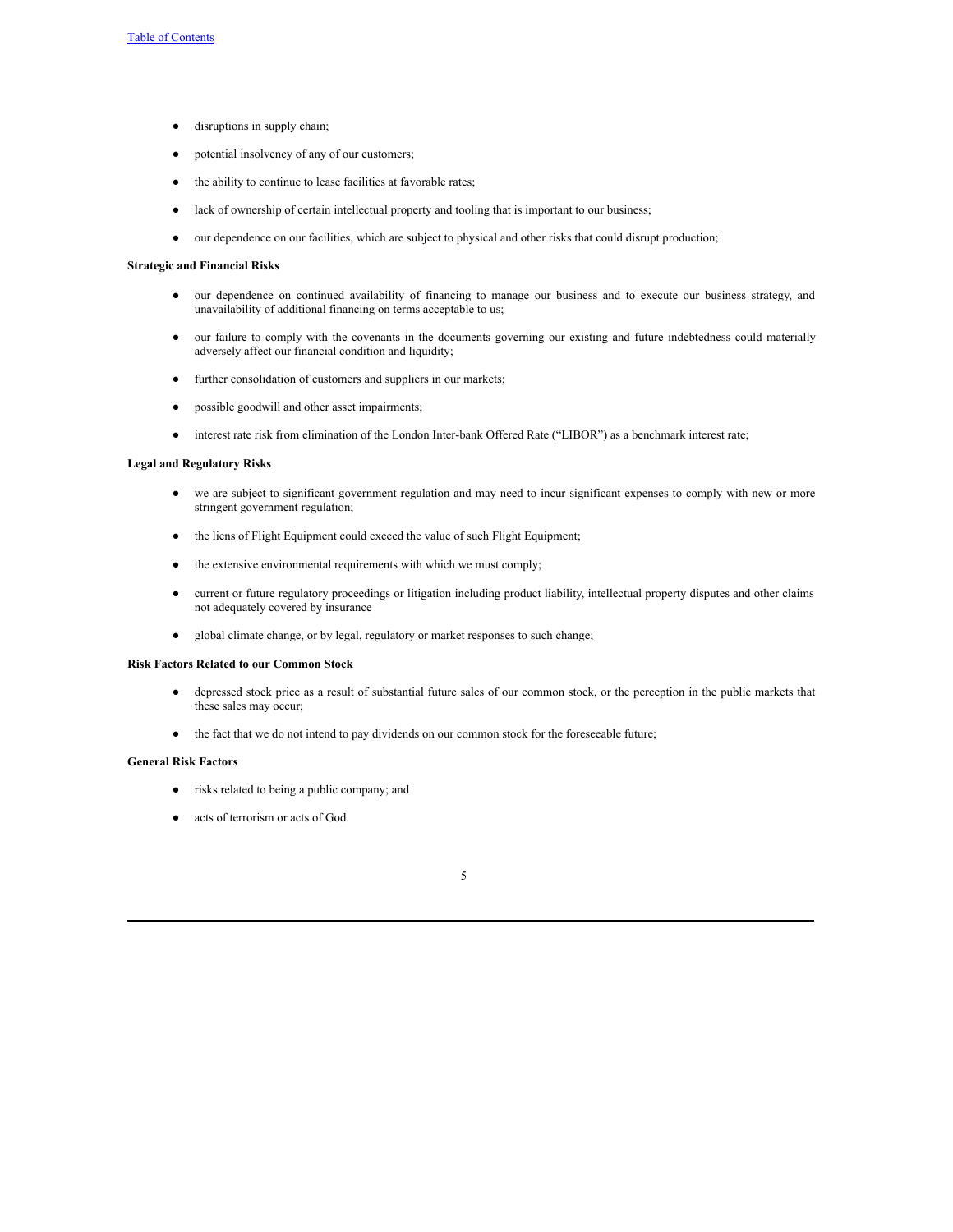- disruptions in supply chain;
- potential insolvency of any of our customers;
- the ability to continue to lease facilities at favorable rates;
- lack of ownership of certain intellectual property and tooling that is important to our business;
- our dependence on our facilities, which are subject to physical and other risks that could disrupt production;

## **Strategic and Financial Risks**

- our dependence on continued availability of financing to manage our business and to execute our business strategy, and unavailability of additional financing on terms acceptable to us;
- our failure to comply with the covenants in the documents governing our existing and future indebtedness could materially adversely affect our financial condition and liquidity;
- further consolidation of customers and suppliers in our markets;
- possible goodwill and other asset impairments;
- interest rate risk from elimination of the London Inter-bank Offered Rate ("LIBOR") as a benchmark interest rate;

# **Legal and Regulatory Risks**

- we are subject to significant government regulation and may need to incur significant expenses to comply with new or more stringent government regulation;
- the liens of Flight Equipment could exceed the value of such Flight Equipment;
- the extensive environmental requirements with which we must comply;
- current or future regulatory proceedings or litigation including product liability, intellectual property disputes and other claims not adequately covered by insurance
- global climate change, or by legal, regulatory or market responses to such change;

## **Risk Factors Related to our Common Stock**

- depressed stock price as a result of substantial future sales of our common stock, or the perception in the public markets that these sales may occur;
- the fact that we do not intend to pay dividends on our common stock for the foreseeable future;

## **General Risk Factors**

- risks related to being a public company; and
- acts of terrorism or acts of God.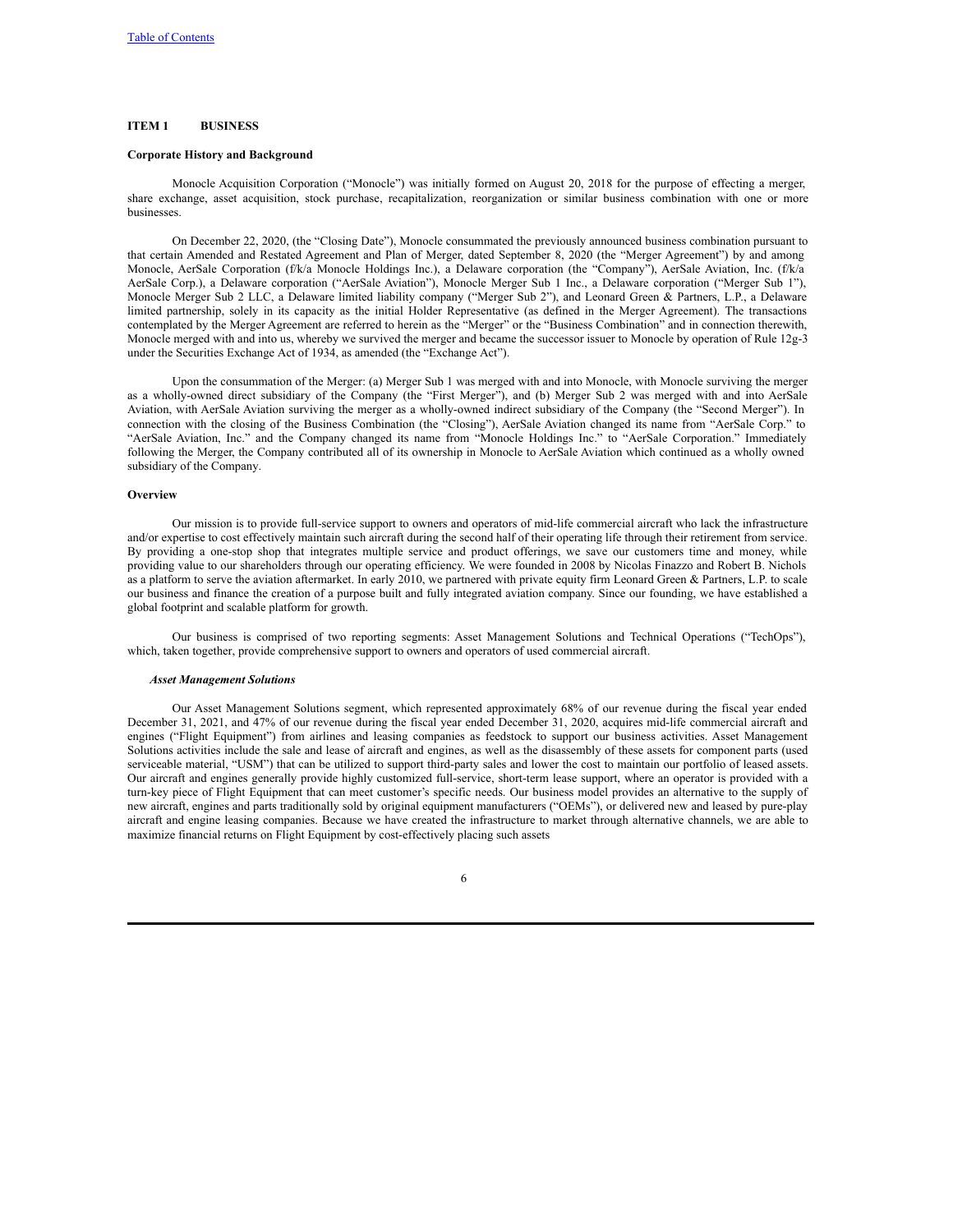## **ITEM 1 BUSINESS**

## **Corporate History and Background**

Monocle Acquisition Corporation ("Monocle") was initially formed on August 20, 2018 for the purpose of effecting a merger, share exchange, asset acquisition, stock purchase, recapitalization, reorganization or similar business combination with one or more businesses.

On December 22, 2020, (the "Closing Date"), Monocle consummated the previously announced business combination pursuant to that certain Amended and Restated Agreement and Plan of Merger, dated September 8, 2020 (the "Merger Agreement") by and among Monocle, AerSale Corporation (f/k/a Monocle Holdings Inc.), a Delaware corporation (the "Company"), AerSale Aviation, Inc. (f/k/a AerSale Corp.), a Delaware corporation ("AerSale Aviation"), Monocle Merger Sub 1 Inc., a Delaware corporation ("Merger Sub 1"), Monocle Merger Sub 2 LLC, a Delaware limited liability company ("Merger Sub 2"), and Leonard Green & Partners, L.P., a Delaware limited partnership, solely in its capacity as the initial Holder Representative (as defined in the Merger Agreement). The transactions contemplated by the Merger Agreement are referred to herein as the "Merger" or the "Business Combination" and in connection therewith, Monocle merged with and into us, whereby we survived the merger and became the successor issuer to Monocle by operation of Rule 12g-3 under the Securities Exchange Act of 1934, as amended (the "Exchange Act").

Upon the consummation of the Merger: (a) Merger Sub 1 was merged with and into Monocle, with Monocle surviving the merger as a wholly-owned direct subsidiary of the Company (the "First Merger"), and (b) Merger Sub 2 was merged with and into AerSale Aviation, with AerSale Aviation surviving the merger as a wholly-owned indirect subsidiary of the Company (the "Second Merger"). In connection with the closing of the Business Combination (the "Closing"), AerSale Aviation changed its name from "AerSale Corp." to "AerSale Aviation, Inc." and the Company changed its name from "Monocle Holdings Inc." to "AerSale Corporation." Immediately following the Merger, the Company contributed all of its ownership in Monocle to AerSale Aviation which continued as a wholly owned subsidiary of the Company.

#### **Overview**

Our mission is to provide full-service support to owners and operators of mid-life commercial aircraft who lack the infrastructure and/or expertise to cost effectively maintain such aircraft during the second half of their operating life through their retirement from service. By providing a one-stop shop that integrates multiple service and product offerings, we save our customers time and money, while providing value to our shareholders through our operating efficiency. We were founded in 2008 by Nicolas Finazzo and Robert B. Nichols as a platform to serve the aviation aftermarket. In early 2010, we partnered with private equity firm Leonard Green & Partners, L.P. to scale our business and finance the creation of a purpose built and fully integrated aviation company. Since our founding, we have established a global footprint and scalable platform for growth.

Our business is comprised of two reporting segments: Asset Management Solutions and Technical Operations ("TechOps"), which, taken together, provide comprehensive support to owners and operators of used commercial aircraft.

#### *Asset Management Solutions*

Our Asset Management Solutions segment, which represented approximately 68% of our revenue during the fiscal year ended December 31, 2021, and 47% of our revenue during the fiscal year ended December 31, 2020, acquires mid-life commercial aircraft and engines ("Flight Equipment") from airlines and leasing companies as feedstock to support our business activities. Asset Management Solutions activities include the sale and lease of aircraft and engines, as well as the disassembly of these assets for component parts (used serviceable material, "USM") that can be utilized to support third-party sales and lower the cost to maintain our portfolio of leased assets. Our aircraft and engines generally provide highly customized full-service, short-term lease support, where an operator is provided with a turn-key piece of Flight Equipment that can meet customer's specific needs. Our business model provides an alternative to the supply of new aircraft, engines and parts traditionally sold by original equipment manufacturers ("OEMs"), or delivered new and leased by pure-play aircraft and engine leasing companies. Because we have created the infrastructure to market through alternative channels, we are able to maximize financial returns on Flight Equipment by cost-effectively placing such assets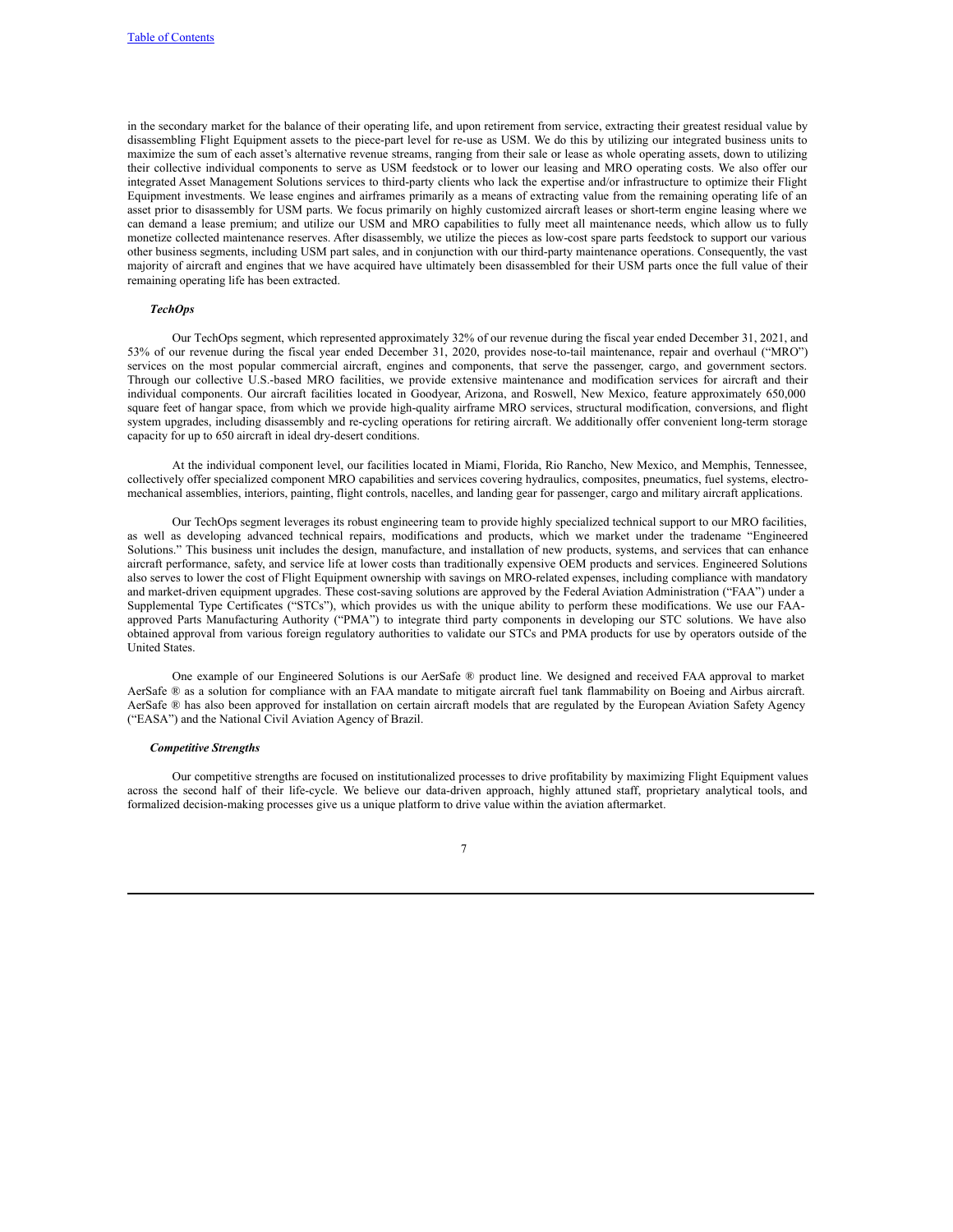in the secondary market for the balance of their operating life, and upon retirement from service, extracting their greatest residual value by disassembling Flight Equipment assets to the piece-part level for re-use as USM. We do this by utilizing our integrated business units to maximize the sum of each asset's alternative revenue streams, ranging from their sale or lease as whole operating assets, down to utilizing their collective individual components to serve as USM feedstock or to lower our leasing and MRO operating costs. We also offer our integrated Asset Management Solutions services to third-party clients who lack the expertise and/or infrastructure to optimize their Flight Equipment investments. We lease engines and airframes primarily as a means of extracting value from the remaining operating life of an asset prior to disassembly for USM parts. We focus primarily on highly customized aircraft leases or short-term engine leasing where we can demand a lease premium; and utilize our USM and MRO capabilities to fully meet all maintenance needs, which allow us to fully monetize collected maintenance reserves. After disassembly, we utilize the pieces as low-cost spare parts feedstock to support our various other business segments, including USM part sales, and in conjunction with our third-party maintenance operations. Consequently, the vast majority of aircraft and engines that we have acquired have ultimately been disassembled for their USM parts once the full value of their remaining operating life has been extracted.

# *TechOps*

Our TechOps segment, which represented approximately 32% of our revenue during the fiscal year ended December 31, 2021, and 53% of our revenue during the fiscal year ended December 31, 2020, provides nose-to-tail maintenance, repair and overhaul ("MRO") services on the most popular commercial aircraft, engines and components, that serve the passenger, cargo, and government sectors. Through our collective U.S.-based MRO facilities, we provide extensive maintenance and modification services for aircraft and their individual components. Our aircraft facilities located in Goodyear, Arizona, and Roswell, New Mexico, feature approximately 650,000 square feet of hangar space, from which we provide high-quality airframe MRO services, structural modification, conversions, and flight system upgrades, including disassembly and re-cycling operations for retiring aircraft. We additionally offer convenient long-term storage capacity for up to 650 aircraft in ideal dry-desert conditions.

At the individual component level, our facilities located in Miami, Florida, Rio Rancho, New Mexico, and Memphis, Tennessee, collectively offer specialized component MRO capabilities and services covering hydraulics, composites, pneumatics, fuel systems, electromechanical assemblies, interiors, painting, flight controls, nacelles, and landing gear for passenger, cargo and military aircraft applications.

Our TechOps segment leverages its robust engineering team to provide highly specialized technical support to our MRO facilities, as well as developing advanced technical repairs, modifications and products, which we market under the tradename "Engineered Solutions." This business unit includes the design, manufacture, and installation of new products, systems, and services that can enhance aircraft performance, safety, and service life at lower costs than traditionally expensive OEM products and services. Engineered Solutions also serves to lower the cost of Flight Equipment ownership with savings on MRO-related expenses, including compliance with mandatory and market-driven equipment upgrades. These cost-saving solutions are approved by the Federal Aviation Administration ("FAA") under a Supplemental Type Certificates ("STCs"), which provides us with the unique ability to perform these modifications. We use our FAAapproved Parts Manufacturing Authority ("PMA") to integrate third party components in developing our STC solutions. We have also obtained approval from various foreign regulatory authorities to validate our STCs and PMA products for use by operators outside of the United States.

One example of our Engineered Solutions is our AerSafe ® product line. We designed and received FAA approval to market AerSafe ® as a solution for compliance with an FAA mandate to mitigate aircraft fuel tank flammability on Boeing and Airbus aircraft. AerSafe ® has also been approved for installation on certain aircraft models that are regulated by the European Aviation Safety Agency ("EASA") and the National Civil Aviation Agency of Brazil.

#### *Competitive Strengths*

Our competitive strengths are focused on institutionalized processes to drive profitability by maximizing Flight Equipment values across the second half of their life-cycle. We believe our data-driven approach, highly attuned staff, proprietary analytical tools, and formalized decision-making processes give us a unique platform to drive value within the aviation aftermarket.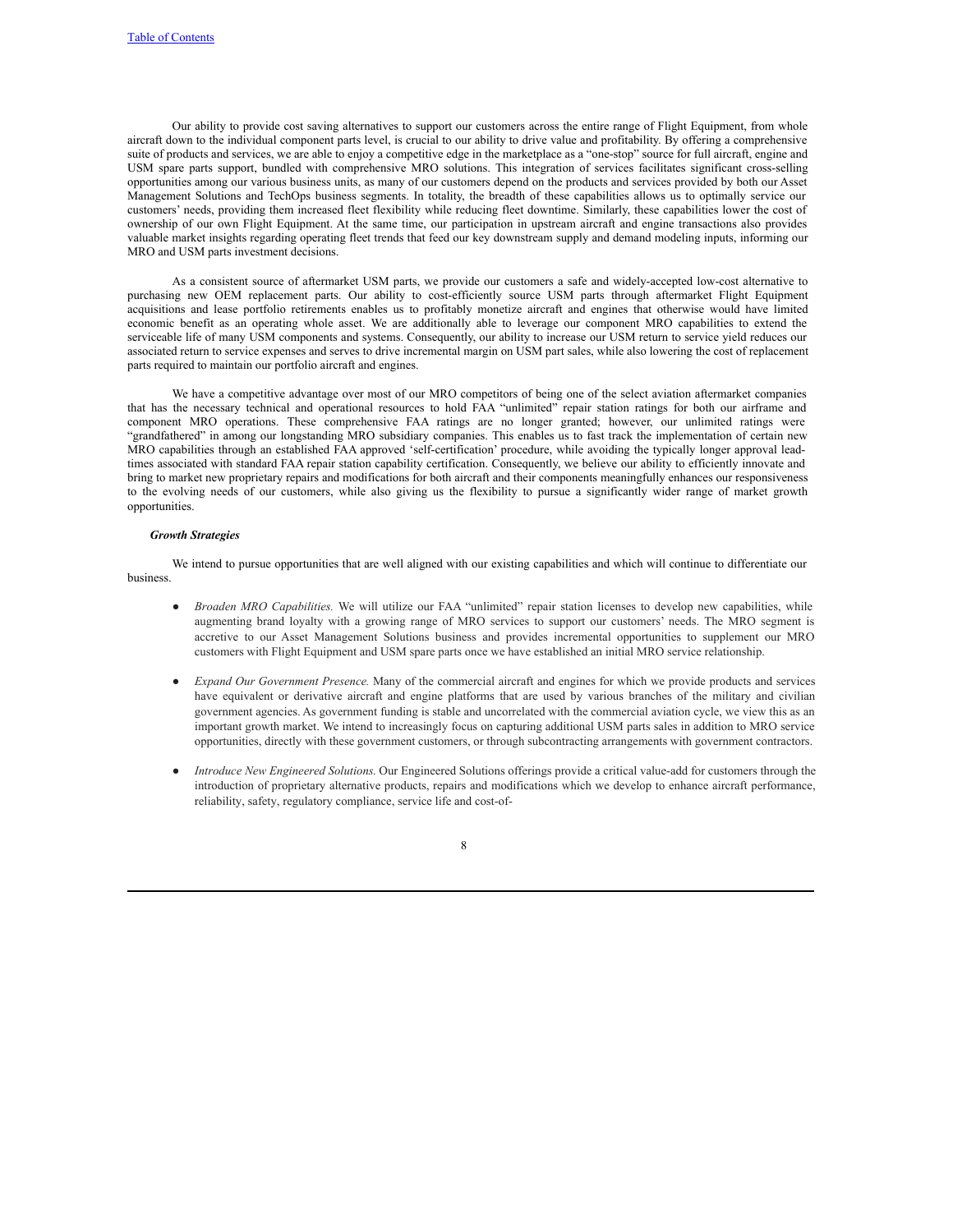Our ability to provide cost saving alternatives to support our customers across the entire range of Flight Equipment, from whole aircraft down to the individual component parts level, is crucial to our ability to drive value and profitability. By offering a comprehensive suite of products and services, we are able to enjoy a competitive edge in the marketplace as a "one-stop" source for full aircraft, engine and USM spare parts support, bundled with comprehensive MRO solutions. This integration of services facilitates significant cross-selling opportunities among our various business units, as many of our customers depend on the products and services provided by both our Asset Management Solutions and TechOps business segments. In totality, the breadth of these capabilities allows us to optimally service our customers' needs, providing them increased fleet flexibility while reducing fleet downtime. Similarly, these capabilities lower the cost of ownership of our own Flight Equipment. At the same time, our participation in upstream aircraft and engine transactions also provides valuable market insights regarding operating fleet trends that feed our key downstream supply and demand modeling inputs, informing our MRO and USM parts investment decisions.

As a consistent source of aftermarket USM parts, we provide our customers a safe and widely-accepted low-cost alternative to purchasing new OEM replacement parts. Our ability to cost-efficiently source USM parts through aftermarket Flight Equipment acquisitions and lease portfolio retirements enables us to profitably monetize aircraft and engines that otherwise would have limited economic benefit as an operating whole asset. We are additionally able to leverage our component MRO capabilities to extend the serviceable life of many USM components and systems. Consequently, our ability to increase our USM return to service yield reduces our associated return to service expenses and serves to drive incremental margin on USM part sales, while also lowering the cost of replacement parts required to maintain our portfolio aircraft and engines.

We have a competitive advantage over most of our MRO competitors of being one of the select aviation aftermarket companies that has the necessary technical and operational resources to hold FAA "unlimited" repair station ratings for both our airframe and component MRO operations. These comprehensive FAA ratings are no longer granted; however, our unlimited ratings were "grandfathered" in among our longstanding MRO subsidiary companies. This enables us to fast track the implementation of certain new MRO capabilities through an established FAA approved 'self-certification' procedure, while avoiding the typically longer approval leadtimes associated with standard FAA repair station capability certification. Consequently, we believe our ability to efficiently innovate and bring to market new proprietary repairs and modifications for both aircraft and their components meaningfully enhances our responsiveness to the evolving needs of our customers, while also giving us the flexibility to pursue a significantly wider range of market growth opportunities.

#### *Growth Strategies*

We intend to pursue opportunities that are well aligned with our existing capabilities and which will continue to differentiate our business.

- *Broaden MRO Capabilities.* We will utilize our FAA "unlimited" repair station licenses to develop new capabilities, while augmenting brand loyalty with a growing range of MRO services to support our customers' needs. The MRO segment is accretive to our Asset Management Solutions business and provides incremental opportunities to supplement our MRO customers with Flight Equipment and USM spare parts once we have established an initial MRO service relationship.
- *Expand Our Government Presence.* Many of the commercial aircraft and engines for which we provide products and services have equivalent or derivative aircraft and engine platforms that are used by various branches of the military and civilian government agencies. As government funding is stable and uncorrelated with the commercial aviation cycle, we view this as an important growth market. We intend to increasingly focus on capturing additional USM parts sales in addition to MRO service opportunities, directly with these government customers, or through subcontracting arrangements with government contractors.
- *Introduce New Engineered Solutions*. Our Engineered Solutions offerings provide a critical value-add for customers through the introduction of proprietary alternative products, repairs and modifications which we develop to enhance aircraft performance, reliability, safety, regulatory compliance, service life and cost-of-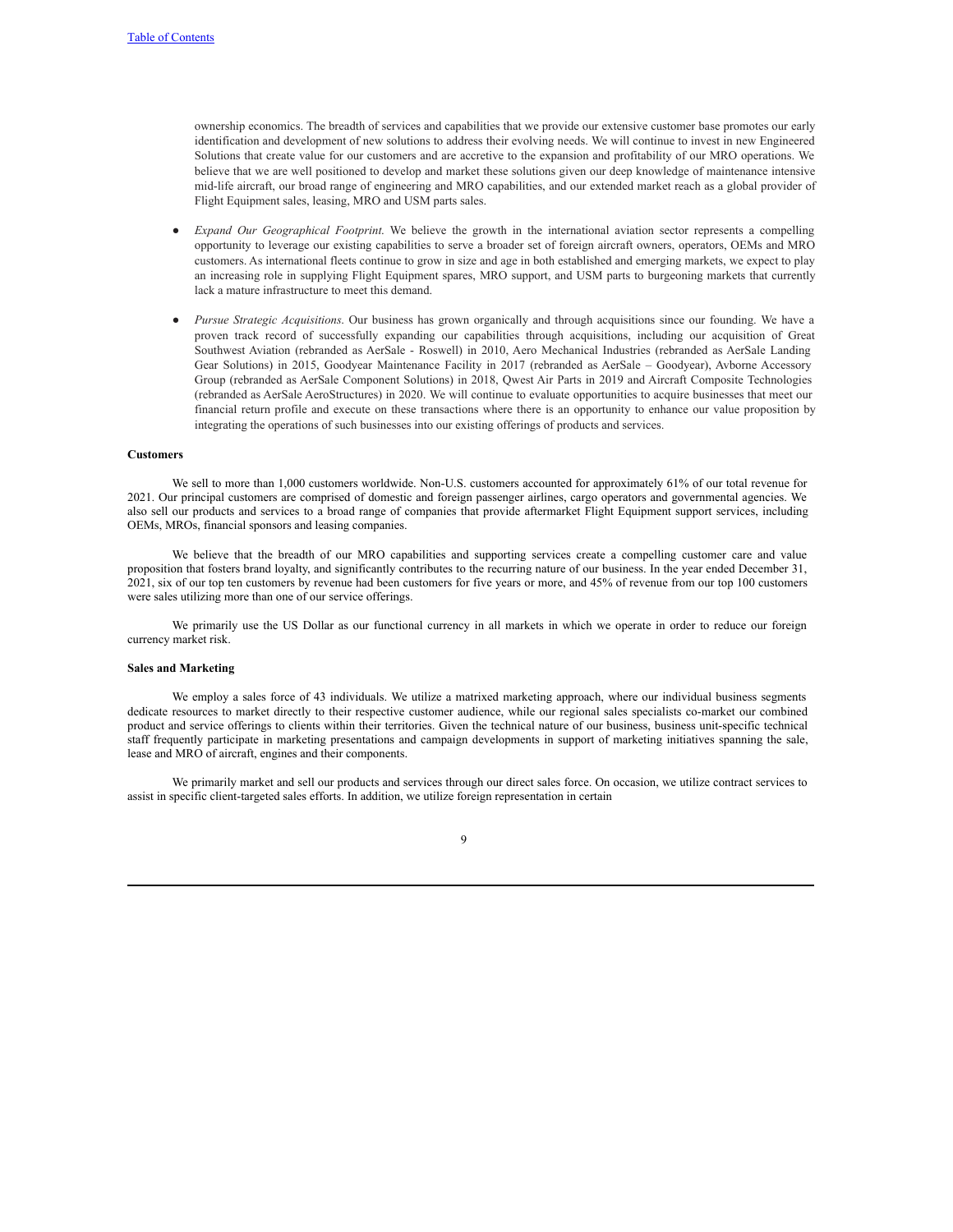ownership economics. The breadth of services and capabilities that we provide our extensive customer base promotes our early identification and development of new solutions to address their evolving needs. We will continue to invest in new Engineered Solutions that create value for our customers and are accretive to the expansion and profitability of our MRO operations. We believe that we are well positioned to develop and market these solutions given our deep knowledge of maintenance intensive mid-life aircraft, our broad range of engineering and MRO capabilities, and our extended market reach as a global provider of Flight Equipment sales, leasing, MRO and USM parts sales.

- *Expand Our Geographical Footprint*. We believe the growth in the international aviation sector represents a compelling opportunity to leverage our existing capabilities to serve a broader set of foreign aircraft owners, operators, OEMs and MRO customers. As international fleets continue to grow in size and age in both established and emerging markets, we expect to play an increasing role in supplying Flight Equipment spares, MRO support, and USM parts to burgeoning markets that currently lack a mature infrastructure to meet this demand.
- *Pursue Strategic Acquisitions*. Our business has grown organically and through acquisitions since our founding. We have a proven track record of successfully expanding our capabilities through acquisitions, including our acquisition of Great Southwest Aviation (rebranded as AerSale - Roswell) in 2010, Aero Mechanical Industries (rebranded as AerSale Landing Gear Solutions) in 2015, Goodyear Maintenance Facility in 2017 (rebranded as AerSale – Goodyear), Avborne Accessory Group (rebranded as AerSale Component Solutions) in 2018, Qwest Air Parts in 2019 and Aircraft Composite Technologies (rebranded as AerSale AeroStructures) in 2020. We will continue to evaluate opportunities to acquire businesses that meet our financial return profile and execute on these transactions where there is an opportunity to enhance our value proposition by integrating the operations of such businesses into our existing offerings of products and services.

#### **Customers**

We sell to more than 1,000 customers worldwide. Non-U.S. customers accounted for approximately 61% of our total revenue for 2021. Our principal customers are comprised of domestic and foreign passenger airlines, cargo operators and governmental agencies. We also sell our products and services to a broad range of companies that provide aftermarket Flight Equipment support services, including OEMs, MROs, financial sponsors and leasing companies.

We believe that the breadth of our MRO capabilities and supporting services create a compelling customer care and value proposition that fosters brand loyalty, and significantly contributes to the recurring nature of our business. In the year ended December 31, 2021, six of our top ten customers by revenue had been customers for five years or more, and 45% of revenue from our top 100 customers were sales utilizing more than one of our service offerings.

We primarily use the US Dollar as our functional currency in all markets in which we operate in order to reduce our foreign currency market risk.

### **Sales and Marketing**

We employ a sales force of 43 individuals. We utilize a matrixed marketing approach, where our individual business segments dedicate resources to market directly to their respective customer audience, while our regional sales specialists co-market our combined product and service offerings to clients within their territories. Given the technical nature of our business, business unit-specific technical staff frequently participate in marketing presentations and campaign developments in support of marketing initiatives spanning the sale, lease and MRO of aircraft, engines and their components.

We primarily market and sell our products and services through our direct sales force. On occasion, we utilize contract services to assist in specific client-targeted sales efforts. In addition, we utilize foreign representation in certain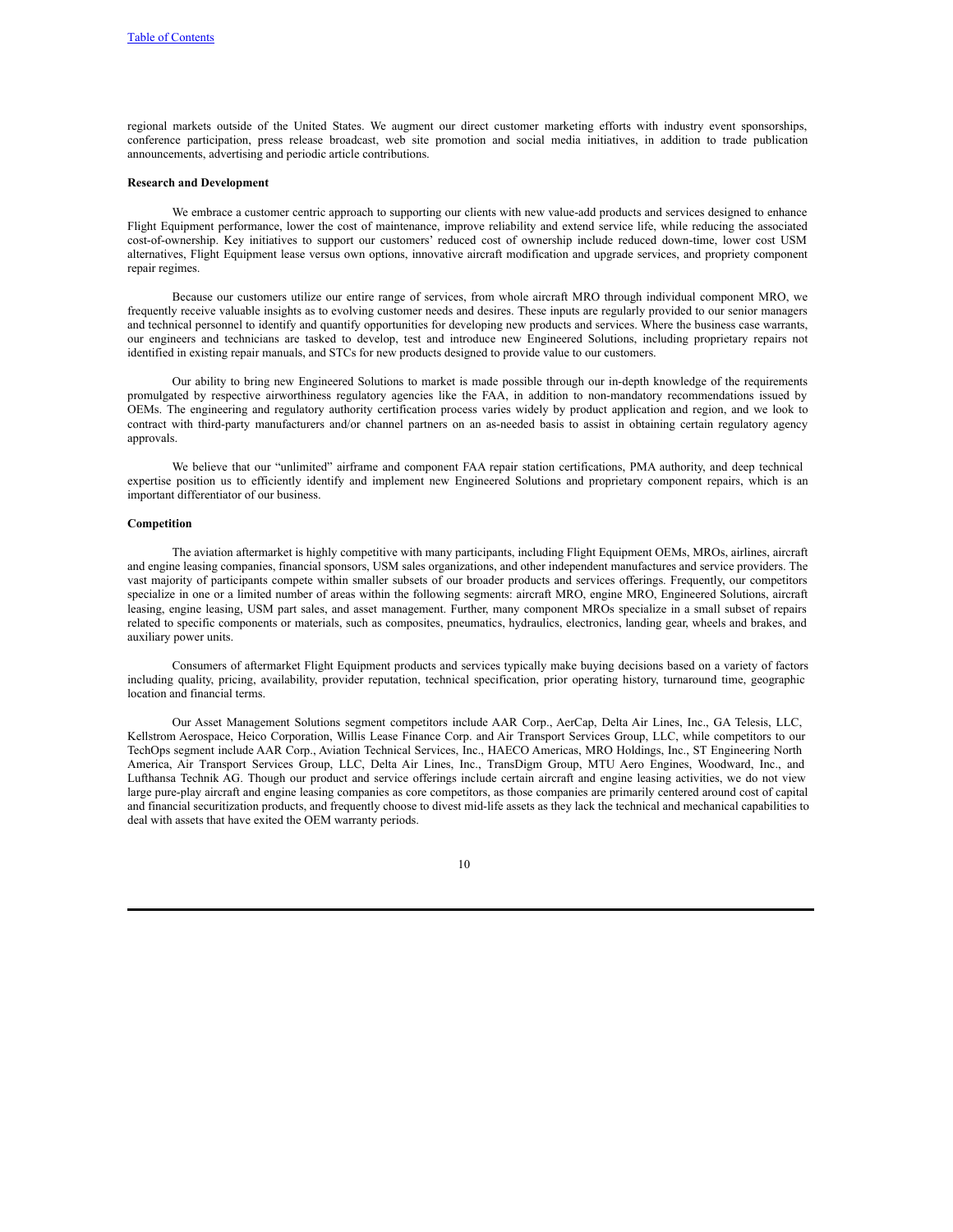regional markets outside of the United States. We augment our direct customer marketing efforts with industry event sponsorships, conference participation, press release broadcast, web site promotion and social media initiatives, in addition to trade publication announcements, advertising and periodic article contributions.

#### **Research and Development**

We embrace a customer centric approach to supporting our clients with new value-add products and services designed to enhance Flight Equipment performance, lower the cost of maintenance, improve reliability and extend service life, while reducing the associated cost-of-ownership. Key initiatives to support our customers' reduced cost of ownership include reduced down-time, lower cost USM alternatives, Flight Equipment lease versus own options, innovative aircraft modification and upgrade services, and propriety component repair regimes.

Because our customers utilize our entire range of services, from whole aircraft MRO through individual component MRO, we frequently receive valuable insights as to evolving customer needs and desires. These inputs are regularly provided to our senior managers and technical personnel to identify and quantify opportunities for developing new products and services. Where the business case warrants, our engineers and technicians are tasked to develop, test and introduce new Engineered Solutions, including proprietary repairs not identified in existing repair manuals, and STCs for new products designed to provide value to our customers.

Our ability to bring new Engineered Solutions to market is made possible through our in-depth knowledge of the requirements promulgated by respective airworthiness regulatory agencies like the FAA, in addition to non-mandatory recommendations issued by OEMs. The engineering and regulatory authority certification process varies widely by product application and region, and we look to contract with third-party manufacturers and/or channel partners on an as-needed basis to assist in obtaining certain regulatory agency approvals.

We believe that our "unlimited" airframe and component FAA repair station certifications, PMA authority, and deep technical expertise position us to efficiently identify and implement new Engineered Solutions and proprietary component repairs, which is an important differentiator of our business.

#### **Competition**

The aviation aftermarket is highly competitive with many participants, including Flight Equipment OEMs, MROs, airlines, aircraft and engine leasing companies, financial sponsors, USM sales organizations, and other independent manufactures and service providers. The vast majority of participants compete within smaller subsets of our broader products and services offerings. Frequently, our competitors specialize in one or a limited number of areas within the following segments: aircraft MRO, engine MRO, Engineered Solutions, aircraft leasing, engine leasing, USM part sales, and asset management. Further, many component MROs specialize in a small subset of repairs related to specific components or materials, such as composites, pneumatics, hydraulics, electronics, landing gear, wheels and brakes, and auxiliary power units.

Consumers of aftermarket Flight Equipment products and services typically make buying decisions based on a variety of factors including quality, pricing, availability, provider reputation, technical specification, prior operating history, turnaround time, geographic location and financial terms.

Our Asset Management Solutions segment competitors include AAR Corp., AerCap, Delta Air Lines, Inc., GA Telesis, LLC, Kellstrom Aerospace, Heico Corporation, Willis Lease Finance Corp. and Air Transport Services Group, LLC, while competitors to our TechOps segment include AAR Corp., Aviation Technical Services, Inc., HAECO Americas, MRO Holdings, Inc., ST Engineering North America, Air Transport Services Group, LLC, Delta Air Lines, Inc., TransDigm Group, MTU Aero Engines, Woodward, Inc., and Lufthansa Technik AG. Though our product and service offerings include certain aircraft and engine leasing activities, we do not view large pure-play aircraft and engine leasing companies as core competitors, as those companies are primarily centered around cost of capital and financial securitization products, and frequently choose to divest mid-life assets as they lack the technical and mechanical capabilities to deal with assets that have exited the OEM warranty periods.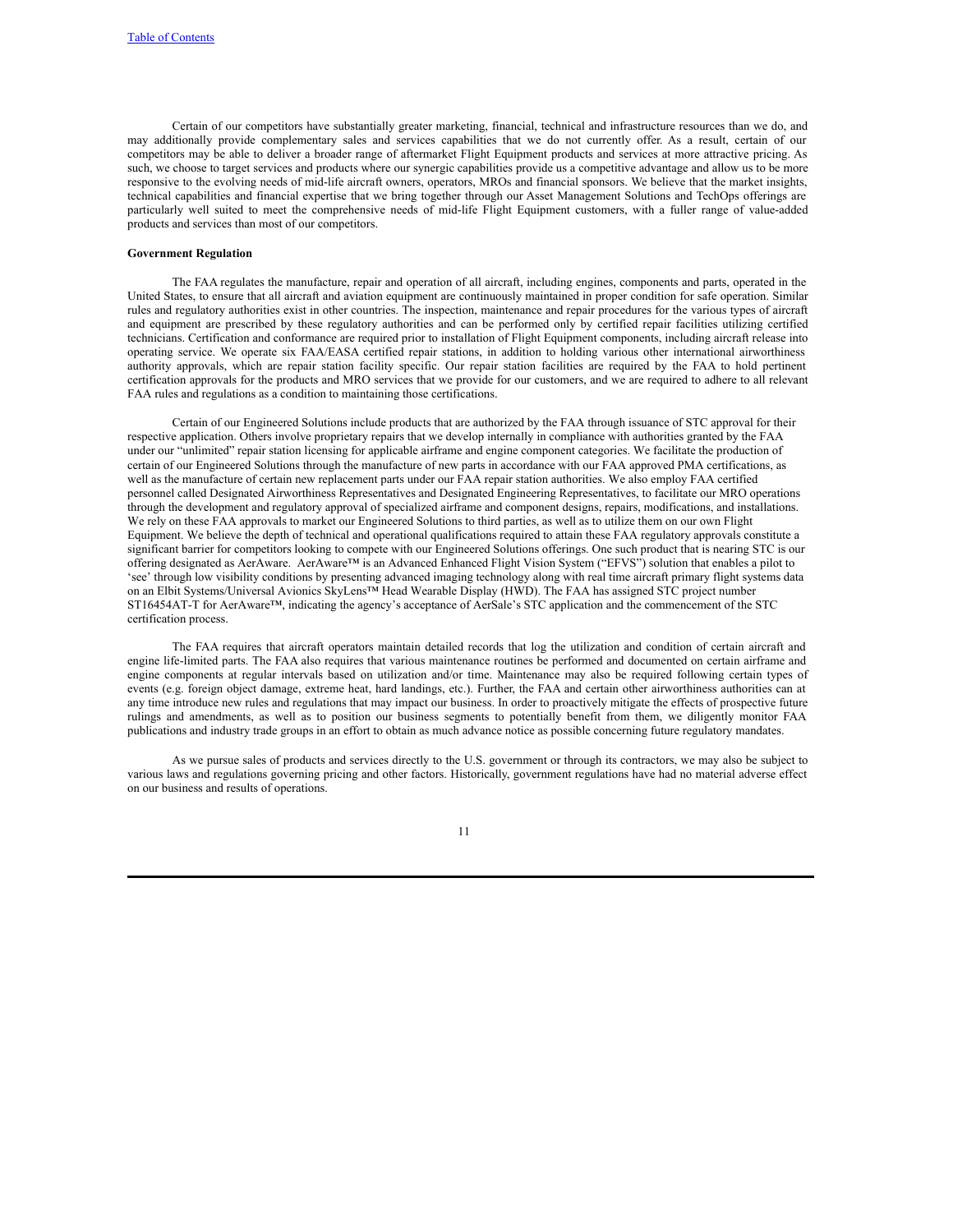Certain of our competitors have substantially greater marketing, financial, technical and infrastructure resources than we do, and may additionally provide complementary sales and services capabilities that we do not currently offer. As a result, certain of our competitors may be able to deliver a broader range of aftermarket Flight Equipment products and services at more attractive pricing. As such, we choose to target services and products where our synergic capabilities provide us a competitive advantage and allow us to be more responsive to the evolving needs of mid-life aircraft owners, operators, MROs and financial sponsors. We believe that the market insights, technical capabilities and financial expertise that we bring together through our Asset Management Solutions and TechOps offerings are particularly well suited to meet the comprehensive needs of mid-life Flight Equipment customers, with a fuller range of value-added products and services than most of our competitors.

## **Government Regulation**

The FAA regulates the manufacture, repair and operation of all aircraft, including engines, components and parts, operated in the United States, to ensure that all aircraft and aviation equipment are continuously maintained in proper condition for safe operation. Similar rules and regulatory authorities exist in other countries. The inspection, maintenance and repair procedures for the various types of aircraft and equipment are prescribed by these regulatory authorities and can be performed only by certified repair facilities utilizing certified technicians. Certification and conformance are required prior to installation of Flight Equipment components, including aircraft release into operating service. We operate six FAA/EASA certified repair stations, in addition to holding various other international airworthiness authority approvals, which are repair station facility specific. Our repair station facilities are required by the FAA to hold pertinent certification approvals for the products and MRO services that we provide for our customers, and we are required to adhere to all relevant FAA rules and regulations as a condition to maintaining those certifications.

Certain of our Engineered Solutions include products that are authorized by the FAA through issuance of STC approval for their respective application. Others involve proprietary repairs that we develop internally in compliance with authorities granted by the FAA under our "unlimited" repair station licensing for applicable airframe and engine component categories. We facilitate the production of certain of our Engineered Solutions through the manufacture of new parts in accordance with our FAA approved PMA certifications, as well as the manufacture of certain new replacement parts under our FAA repair station authorities. We also employ FAA certified personnel called Designated Airworthiness Representatives and Designated Engineering Representatives, to facilitate our MRO operations through the development and regulatory approval of specialized airframe and component designs, repairs, modifications, and installations. We rely on these FAA approvals to market our Engineered Solutions to third parties, as well as to utilize them on our own Flight Equipment. We believe the depth of technical and operational qualifications required to attain these FAA regulatory approvals constitute a significant barrier for competitors looking to compete with our Engineered Solutions offerings. One such product that is nearing STC is our offering designated as AerAware. AerAware™ is an Advanced Enhanced Flight Vision System ("EFVS") solution that enables a pilot to 'see' through low visibility conditions by presenting advanced imaging technology along with real time aircraft primary flight systems data on an Elbit Systems/Universal Avionics SkyLens™ Head Wearable Display (HWD). The FAA has assigned STC project number ST16454AT-T for AerAware™, indicating the agency's acceptance of AerSale's STC application and the commencement of the STC certification process.

The FAA requires that aircraft operators maintain detailed records that log the utilization and condition of certain aircraft and engine life-limited parts. The FAA also requires that various maintenance routines be performed and documented on certain airframe and engine components at regular intervals based on utilization and/or time. Maintenance may also be required following certain types of events (e.g. foreign object damage, extreme heat, hard landings, etc.). Further, the FAA and certain other airworthiness authorities can at any time introduce new rules and regulations that may impact our business. In order to proactively mitigate the effects of prospective future rulings and amendments, as well as to position our business segments to potentially benefit from them, we diligently monitor FAA publications and industry trade groups in an effort to obtain as much advance notice as possible concerning future regulatory mandates.

As we pursue sales of products and services directly to the U.S. government or through its contractors, we may also be subject to various laws and regulations governing pricing and other factors. Historically, government regulations have had no material adverse effect on our business and results of operations.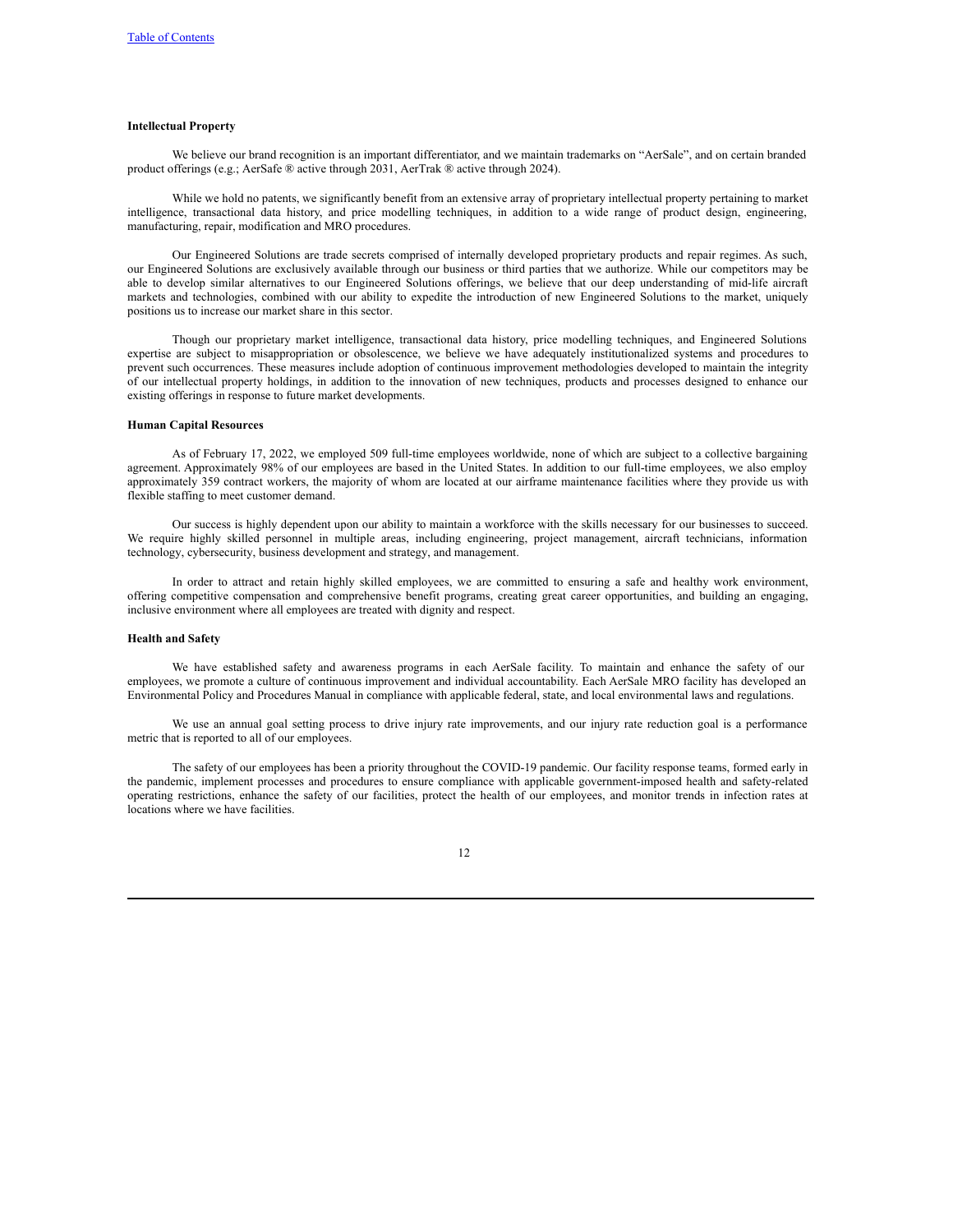# **Intellectual Property**

We believe our brand recognition is an important differentiator, and we maintain trademarks on "AerSale", and on certain branded product offerings (e.g.; AerSafe ® active through 2031, AerTrak ® active through 2024).

While we hold no patents, we significantly benefit from an extensive array of proprietary intellectual property pertaining to market intelligence, transactional data history, and price modelling techniques, in addition to a wide range of product design, engineering, manufacturing, repair, modification and MRO procedures.

Our Engineered Solutions are trade secrets comprised of internally developed proprietary products and repair regimes. As such, our Engineered Solutions are exclusively available through our business or third parties that we authorize. While our competitors may be able to develop similar alternatives to our Engineered Solutions offerings, we believe that our deep understanding of mid-life aircraft markets and technologies, combined with our ability to expedite the introduction of new Engineered Solutions to the market, uniquely positions us to increase our market share in this sector.

Though our proprietary market intelligence, transactional data history, price modelling techniques, and Engineered Solutions expertise are subject to misappropriation or obsolescence, we believe we have adequately institutionalized systems and procedures to prevent such occurrences. These measures include adoption of continuous improvement methodologies developed to maintain the integrity of our intellectual property holdings, in addition to the innovation of new techniques, products and processes designed to enhance our existing offerings in response to future market developments.

#### **Human Capital Resources**

As of February 17, 2022, we employed 509 full-time employees worldwide, none of which are subject to a collective bargaining agreement. Approximately 98% of our employees are based in the United States. In addition to our full-time employees, we also employ approximately 359 contract workers, the majority of whom are located at our airframe maintenance facilities where they provide us with flexible staffing to meet customer demand.

Our success is highly dependent upon our ability to maintain a workforce with the skills necessary for our businesses to succeed. We require highly skilled personnel in multiple areas, including engineering, project management, aircraft technicians, information technology, cybersecurity, business development and strategy, and management.

In order to attract and retain highly skilled employees, we are committed to ensuring a safe and healthy work environment, offering competitive compensation and comprehensive benefit programs, creating great career opportunities, and building an engaging, inclusive environment where all employees are treated with dignity and respect.

#### **Health and Safety**

We have established safety and awareness programs in each AerSale facility. To maintain and enhance the safety of our employees, we promote a culture of continuous improvement and individual accountability. Each AerSale MRO facility has developed an Environmental Policy and Procedures Manual in compliance with applicable federal, state, and local environmental laws and regulations.

We use an annual goal setting process to drive injury rate improvements, and our injury rate reduction goal is a performance metric that is reported to all of our employees.

The safety of our employees has been a priority throughout the COVID-19 pandemic. Our facility response teams, formed early in the pandemic, implement processes and procedures to ensure compliance with applicable government-imposed health and safety-related operating restrictions, enhance the safety of our facilities, protect the health of our employees, and monitor trends in infection rates at locations where we have facilities.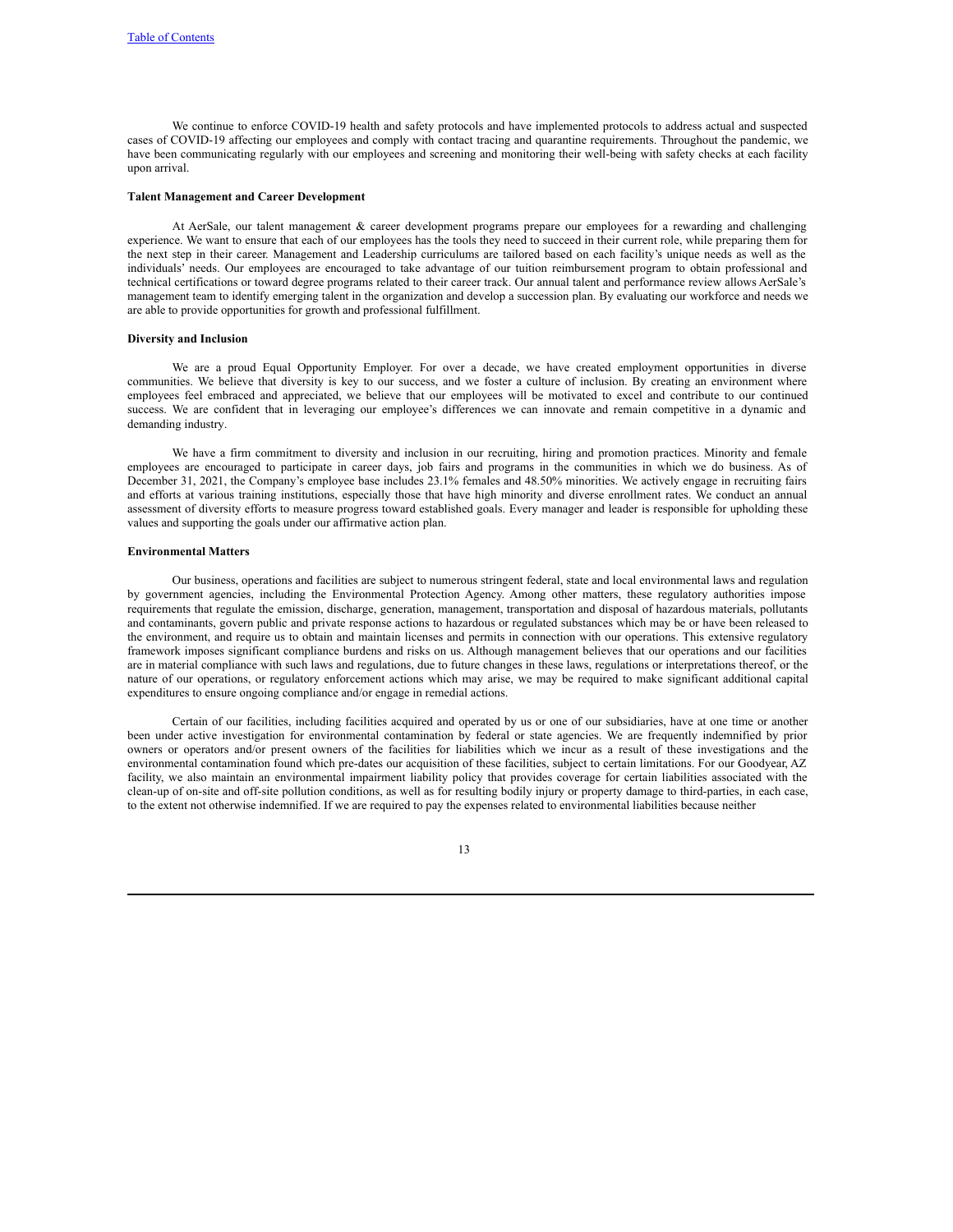We continue to enforce COVID-19 health and safety protocols and have implemented protocols to address actual and suspected cases of COVID-19 affecting our employees and comply with contact tracing and quarantine requirements. Throughout the pandemic, we have been communicating regularly with our employees and screening and monitoring their well-being with safety checks at each facility upon arrival.

#### **Talent Management and Career Development**

At AerSale, our talent management & career development programs prepare our employees for a rewarding and challenging experience. We want to ensure that each of our employees has the tools they need to succeed in their current role, while preparing them for the next step in their career. Management and Leadership curriculums are tailored based on each facility's unique needs as well as the individuals' needs. Our employees are encouraged to take advantage of our tuition reimbursement program to obtain professional and technical certifications or toward degree programs related to their career track. Our annual talent and performance review allows AerSale's management team to identify emerging talent in the organization and develop a succession plan. By evaluating our workforce and needs we are able to provide opportunities for growth and professional fulfillment.

#### **Diversity and Inclusion**

We are a proud Equal Opportunity Employer. For over a decade, we have created employment opportunities in diverse communities. We believe that diversity is key to our success, and we foster a culture of inclusion. By creating an environment where employees feel embraced and appreciated, we believe that our employees will be motivated to excel and contribute to our continued success. We are confident that in leveraging our employee's differences we can innovate and remain competitive in a dynamic and demanding industry.

We have a firm commitment to diversity and inclusion in our recruiting, hiring and promotion practices. Minority and female employees are encouraged to participate in career days, job fairs and programs in the communities in which we do business. As of December 31, 2021, the Company's employee base includes 23.1% females and 48.50% minorities. We actively engage in recruiting fairs and efforts at various training institutions, especially those that have high minority and diverse enrollment rates. We conduct an annual assessment of diversity efforts to measure progress toward established goals. Every manager and leader is responsible for upholding these values and supporting the goals under our affirmative action plan.

#### **Environmental Matters**

Our business, operations and facilities are subject to numerous stringent federal, state and local environmental laws and regulation by government agencies, including the Environmental Protection Agency. Among other matters, these regulatory authorities impose requirements that regulate the emission, discharge, generation, management, transportation and disposal of hazardous materials, pollutants and contaminants, govern public and private response actions to hazardous or regulated substances which may be or have been released to the environment, and require us to obtain and maintain licenses and permits in connection with our operations. This extensive regulatory framework imposes significant compliance burdens and risks on us. Although management believes that our operations and our facilities are in material compliance with such laws and regulations, due to future changes in these laws, regulations or interpretations thereof, or the nature of our operations, or regulatory enforcement actions which may arise, we may be required to make significant additional capital expenditures to ensure ongoing compliance and/or engage in remedial actions.

Certain of our facilities, including facilities acquired and operated by us or one of our subsidiaries, have at one time or another been under active investigation for environmental contamination by federal or state agencies. We are frequently indemnified by prior owners or operators and/or present owners of the facilities for liabilities which we incur as a result of these investigations and the environmental contamination found which pre-dates our acquisition of these facilities, subject to certain limitations. For our Goodyear, AZ facility, we also maintain an environmental impairment liability policy that provides coverage for certain liabilities associated with the clean-up of on-site and off-site pollution conditions, as well as for resulting bodily injury or property damage to third-parties, in each case, to the extent not otherwise indemnified. If we are required to pay the expenses related to environmental liabilities because neither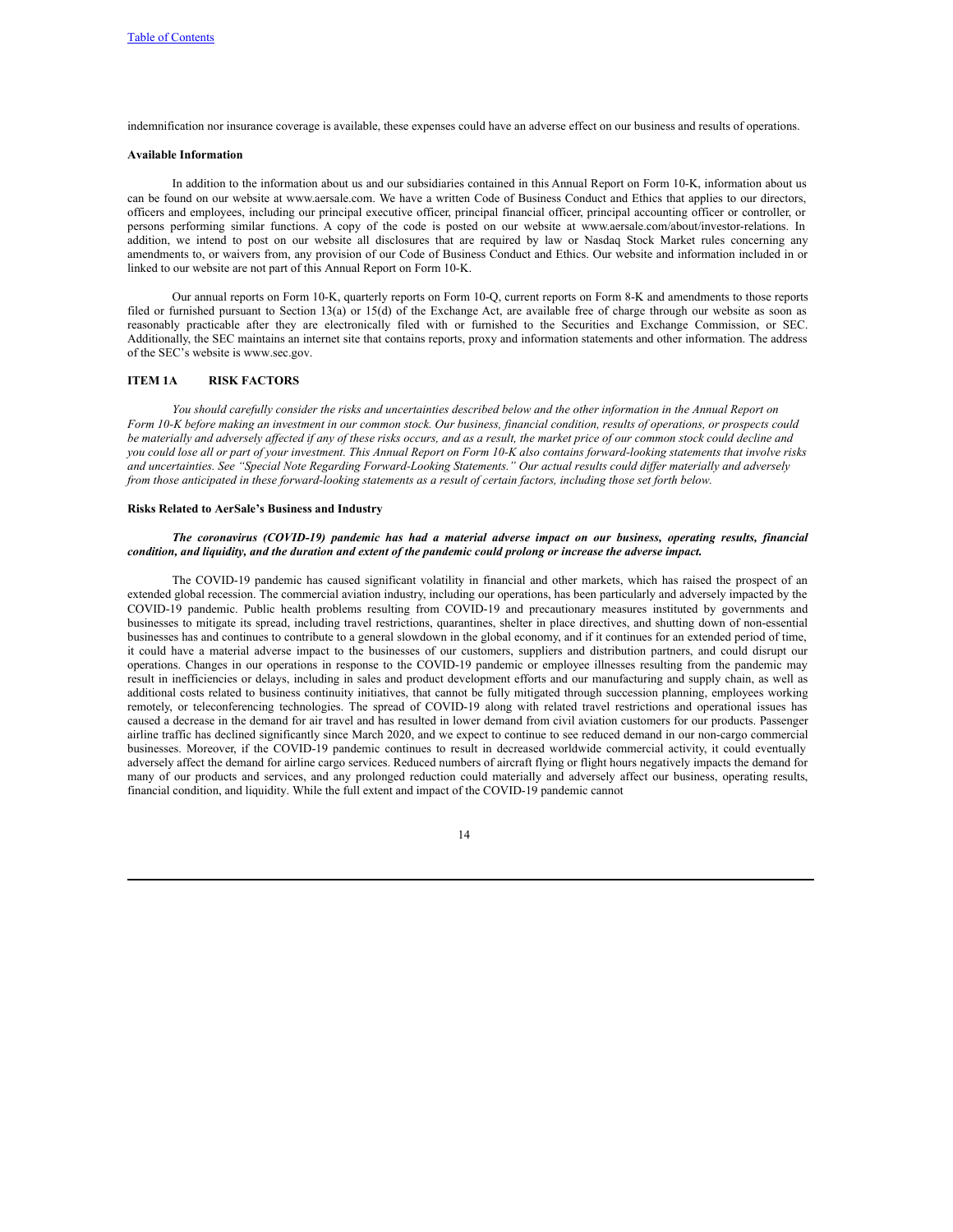indemnification nor insurance coverage is available, these expenses could have an adverse effect on our business and results of operations.

#### **Available Information**

In addition to the information about us and our subsidiaries contained in this Annual Report on Form 10-K, information about us can be found on our website at www.aersale.com. We have a written Code of Business Conduct and Ethics that applies to our directors, officers and employees, including our principal executive officer, principal financial officer, principal accounting officer or controller, or persons performing similar functions. A copy of the code is posted on our website at www.aersale.com/about/investor-relations. In addition, we intend to post on our website all disclosures that are required by law or Nasdaq Stock Market rules concerning any amendments to, or waivers from, any provision of our Code of Business Conduct and Ethics. Our website and information included in or linked to our website are not part of this Annual Report on Form 10-K.

Our annual reports on Form 10-K, quarterly reports on Form 10-Q, current reports on Form 8-K and amendments to those reports filed or furnished pursuant to Section 13(a) or 15(d) of the Exchange Act, are available free of charge through our website as soon as reasonably practicable after they are electronically filed with or furnished to the Securities and Exchange Commission, or SEC. Additionally, the SEC maintains an internet site that contains reports, proxy and information statements and other information. The address of the SEC's website is www.sec.gov.

#### **ITEM 1A RISK FACTORS**

You should carefully consider the risks and uncertainties described below and the other information in the Annual Report on Form 10-K before making an investment in our common stock. Our business, financial condition, results of operations, or prospects could be materially and adversely affected if any of these risks occurs, and as a result, the market price of our common stock could decline and you could lose all or part of your investment. This Annual Report on Form 10-K also contains forward-looking statements that involve risks and uncertainties. See "Special Note Regarding Forward-Looking Statements." Our actual results could differ materially and adversely from those anticipated in these forward-looking statements as a result of certain factors, including those set forth below.

#### **Risks Related to AerSale's Business and Industry**

## The coronavirus (COVID-19) pandemic has had a material adverse impact on our business, operating results, financial condition, and liquidity, and the duration and extent of the pandemic could prolong or increase the adverse impact.

The COVID-19 pandemic has caused significant volatility in financial and other markets, which has raised the prospect of an extended global recession. The commercial aviation industry, including our operations, has been particularly and adversely impacted by the COVID-19 pandemic. Public health problems resulting from COVID-19 and precautionary measures instituted by governments and businesses to mitigate its spread, including travel restrictions, quarantines, shelter in place directives, and shutting down of non-essential businesses has and continues to contribute to a general slowdown in the global economy, and if it continues for an extended period of time, it could have a material adverse impact to the businesses of our customers, suppliers and distribution partners, and could disrupt our operations. Changes in our operations in response to the COVID-19 pandemic or employee illnesses resulting from the pandemic may result in inefficiencies or delays, including in sales and product development efforts and our manufacturing and supply chain, as well as additional costs related to business continuity initiatives, that cannot be fully mitigated through succession planning, employees working remotely, or teleconferencing technologies. The spread of COVID-19 along with related travel restrictions and operational issues has caused a decrease in the demand for air travel and has resulted in lower demand from civil aviation customers for our products. Passenger airline traffic has declined significantly since March 2020, and we expect to continue to see reduced demand in our non-cargo commercial businesses. Moreover, if the COVID-19 pandemic continues to result in decreased worldwide commercial activity, it could eventually adversely affect the demand for airline cargo services. Reduced numbers of aircraft flying or flight hours negatively impacts the demand for many of our products and services, and any prolonged reduction could materially and adversely affect our business, operating results, financial condition, and liquidity. While the full extent and impact of the COVID-19 pandemic cannot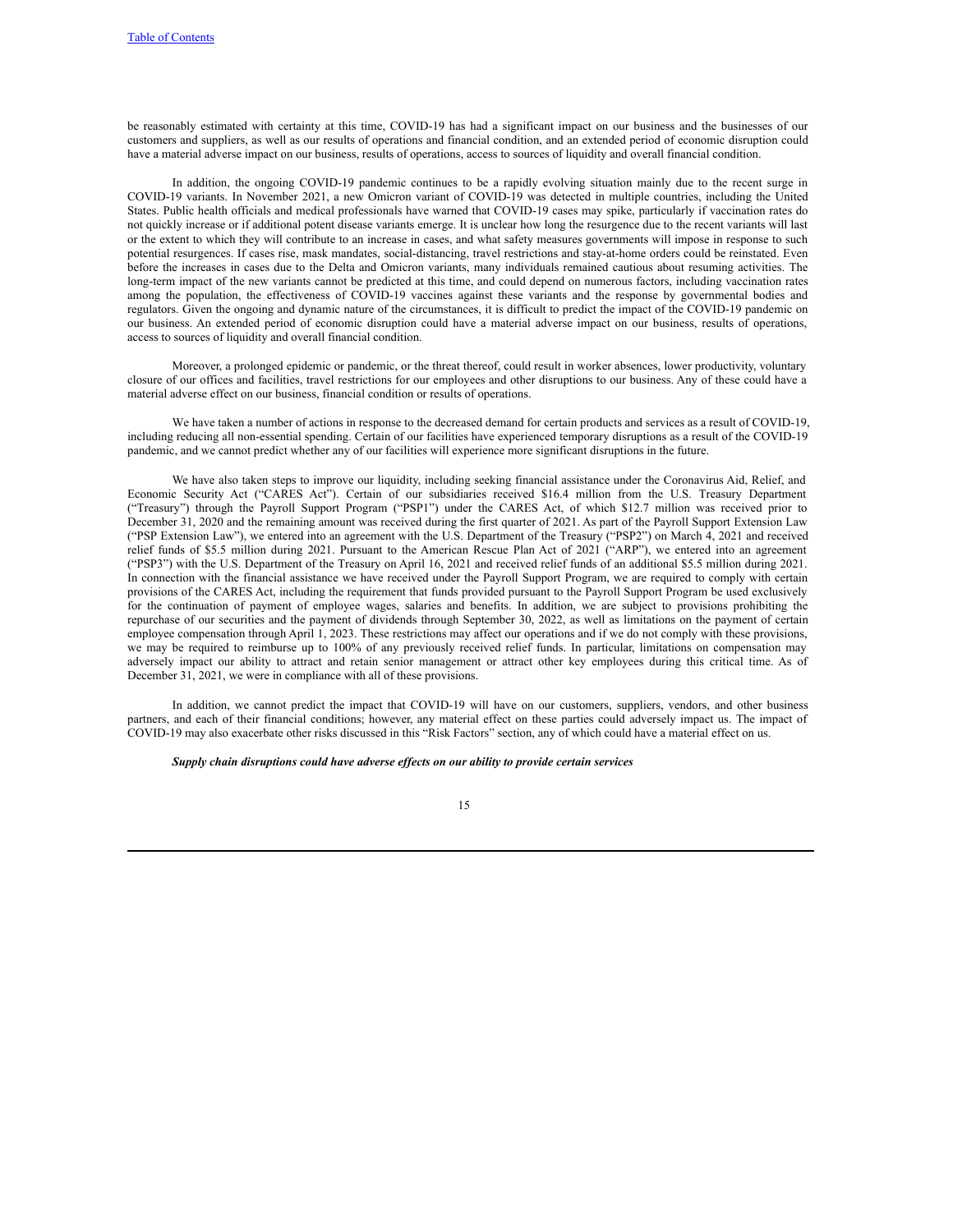be reasonably estimated with certainty at this time, COVID-19 has had a significant impact on our business and the businesses of our customers and suppliers, as well as our results of operations and financial condition, and an extended period of economic disruption could have a material adverse impact on our business, results of operations, access to sources of liquidity and overall financial condition.

In addition, the ongoing COVID-19 pandemic continues to be a rapidly evolving situation mainly due to the recent surge in COVID-19 variants. In November 2021, a new Omicron variant of COVID-19 was detected in multiple countries, including the United States. Public health officials and medical professionals have warned that COVID-19 cases may spike, particularly if vaccination rates do not quickly increase or if additional potent disease variants emerge. It is unclear how long the resurgence due to the recent variants will last or the extent to which they will contribute to an increase in cases, and what safety measures governments will impose in response to such potential resurgences. If cases rise, mask mandates, social-distancing, travel restrictions and stay-at-home orders could be reinstated. Even before the increases in cases due to the Delta and Omicron variants, many individuals remained cautious about resuming activities. The long-term impact of the new variants cannot be predicted at this time, and could depend on numerous factors, including vaccination rates among the population, the effectiveness of COVID-19 vaccines against these variants and the response by governmental bodies and regulators. Given the ongoing and dynamic nature of the circumstances, it is difficult to predict the impact of the COVID-19 pandemic on our business. An extended period of economic disruption could have a material adverse impact on our business, results of operations, access to sources of liquidity and overall financial condition.

Moreover, a prolonged epidemic or pandemic, or the threat thereof, could result in worker absences, lower productivity, voluntary closure of our offices and facilities, travel restrictions for our employees and other disruptions to our business. Any of these could have a material adverse effect on our business, financial condition or results of operations.

We have taken a number of actions in response to the decreased demand for certain products and services as a result of COVID-19, including reducing all non-essential spending. Certain of our facilities have experienced temporary disruptions as a result of the COVID-19 pandemic, and we cannot predict whether any of our facilities will experience more significant disruptions in the future.

We have also taken steps to improve our liquidity, including seeking financial assistance under the Coronavirus Aid, Relief, and Economic Security Act ("CARES Act"). Certain of our subsidiaries received \$16.4 million from the U.S. Treasury Department ("Treasury") through the Payroll Support Program ("PSP1") under the CARES Act, of which \$12.7 million was received prior to December 31, 2020 and the remaining amount was received during the first quarter of 2021. As part of the Payroll Support Extension Law ("PSP Extension Law"), we entered into an agreement with the U.S. Department of the Treasury ("PSP2") on March 4, 2021 and received relief funds of \$5.5 million during 2021. Pursuant to the American Rescue Plan Act of 2021 ("ARP"), we entered into an agreement ("PSP3") with the U.S. Department of the Treasury on April 16, 2021 and received relief funds of an additional \$5.5 million during 2021. In connection with the financial assistance we have received under the Payroll Support Program, we are required to comply with certain provisions of the CARES Act, including the requirement that funds provided pursuant to the Payroll Support Program be used exclusively for the continuation of payment of employee wages, salaries and benefits. In addition, we are subject to provisions prohibiting the repurchase of our securities and the payment of dividends through September 30, 2022, as well as limitations on the payment of certain employee compensation through April 1, 2023. These restrictions may affect our operations and if we do not comply with these provisions, we may be required to reimburse up to 100% of any previously received relief funds. In particular, limitations on compensation may adversely impact our ability to attract and retain senior management or attract other key employees during this critical time. As of December 31, 2021, we were in compliance with all of these provisions.

In addition, we cannot predict the impact that COVID-19 will have on our customers, suppliers, vendors, and other business partners, and each of their financial conditions; however, any material effect on these parties could adversely impact us. The impact of COVID-19 may also exacerbate other risks discussed in this "Risk Factors" section, any of which could have a material effect on us.

#### *Supply chain disruptions could have adverse ef ects on our ability to provide certain services*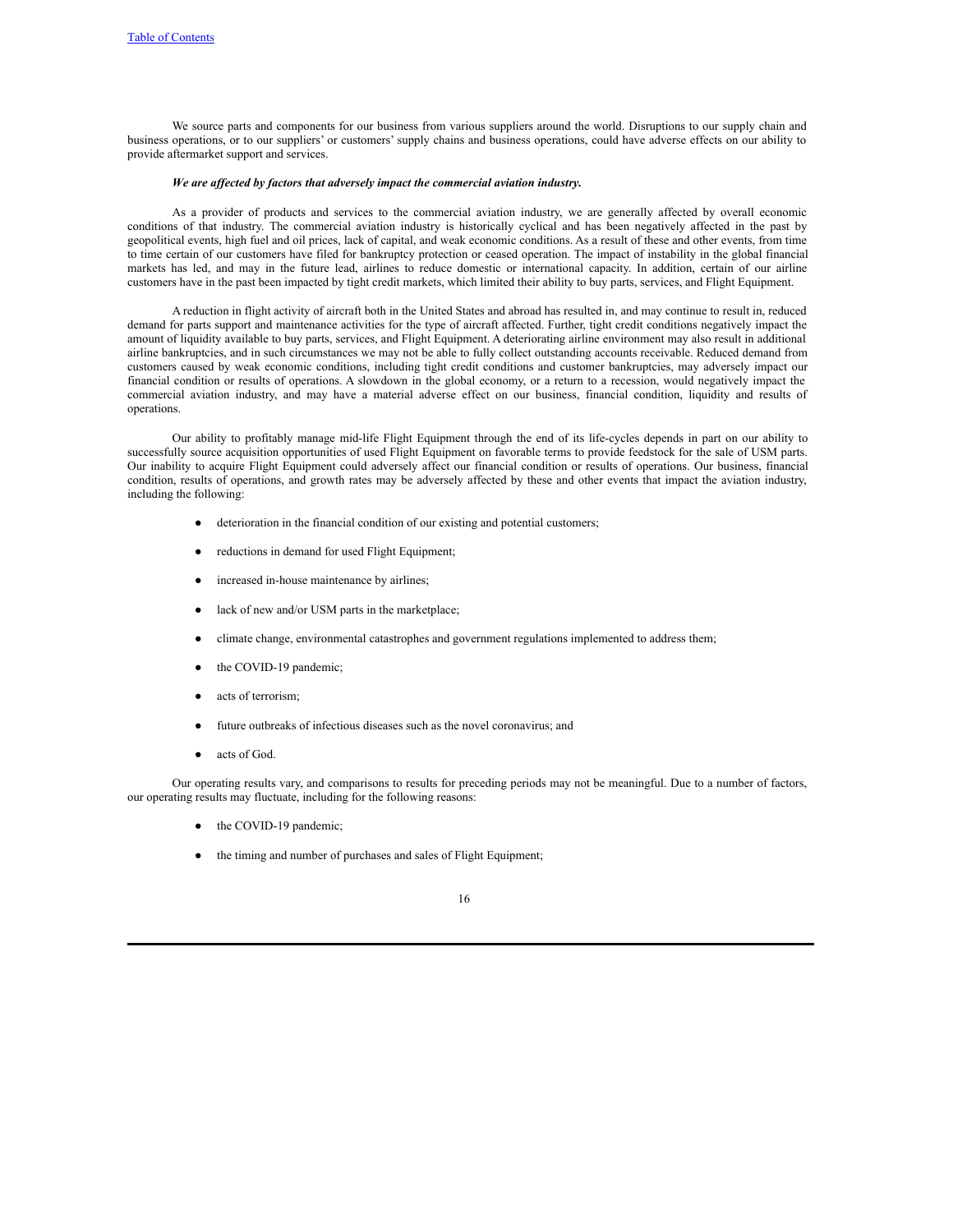We source parts and components for our business from various suppliers around the world. Disruptions to our supply chain and business operations, or to our suppliers' or customers' supply chains and business operations, could have adverse effects on our ability to provide aftermarket support and services.

# *We are af ected by factors that adversely impact the commercial aviation industry.*

As a provider of products and services to the commercial aviation industry, we are generally affected by overall economic conditions of that industry. The commercial aviation industry is historically cyclical and has been negatively affected in the past by geopolitical events, high fuel and oil prices, lack of capital, and weak economic conditions. As a result of these and other events, from time to time certain of our customers have filed for bankruptcy protection or ceased operation. The impact of instability in the global financial markets has led, and may in the future lead, airlines to reduce domestic or international capacity. In addition, certain of our airline customers have in the past been impacted by tight credit markets, which limited their ability to buy parts, services, and Flight Equipment.

A reduction in flight activity of aircraft both in the United States and abroad has resulted in, and may continue to result in, reduced demand for parts support and maintenance activities for the type of aircraft affected. Further, tight credit conditions negatively impact the amount of liquidity available to buy parts, services, and Flight Equipment. A deteriorating airline environment may also result in additional airline bankruptcies, and in such circumstances we may not be able to fully collect outstanding accounts receivable. Reduced demand from customers caused by weak economic conditions, including tight credit conditions and customer bankruptcies, may adversely impact our financial condition or results of operations. A slowdown in the global economy, or a return to a recession, would negatively impact the commercial aviation industry, and may have a material adverse effect on our business, financial condition, liquidity and results of operations.

Our ability to profitably manage mid-life Flight Equipment through the end of its life-cycles depends in part on our ability to successfully source acquisition opportunities of used Flight Equipment on favorable terms to provide feedstock for the sale of USM parts. Our inability to acquire Flight Equipment could adversely affect our financial condition or results of operations. Our business, financial condition, results of operations, and growth rates may be adversely affected by these and other events that impact the aviation industry, including the following:

- deterioration in the financial condition of our existing and potential customers;
- reductions in demand for used Flight Equipment;
- increased in-house maintenance by airlines;
- lack of new and/or USM parts in the marketplace;
- climate change, environmental catastrophes and government regulations implemented to address them;
- the COVID-19 pandemic;
- acts of terrorism;
- future outbreaks of infectious diseases such as the novel coronavirus; and
- acts of God.

Our operating results vary, and comparisons to results for preceding periods may not be meaningful. Due to a number of factors, our operating results may fluctuate, including for the following reasons:

- the COVID-19 pandemic;
- the timing and number of purchases and sales of Flight Equipment;

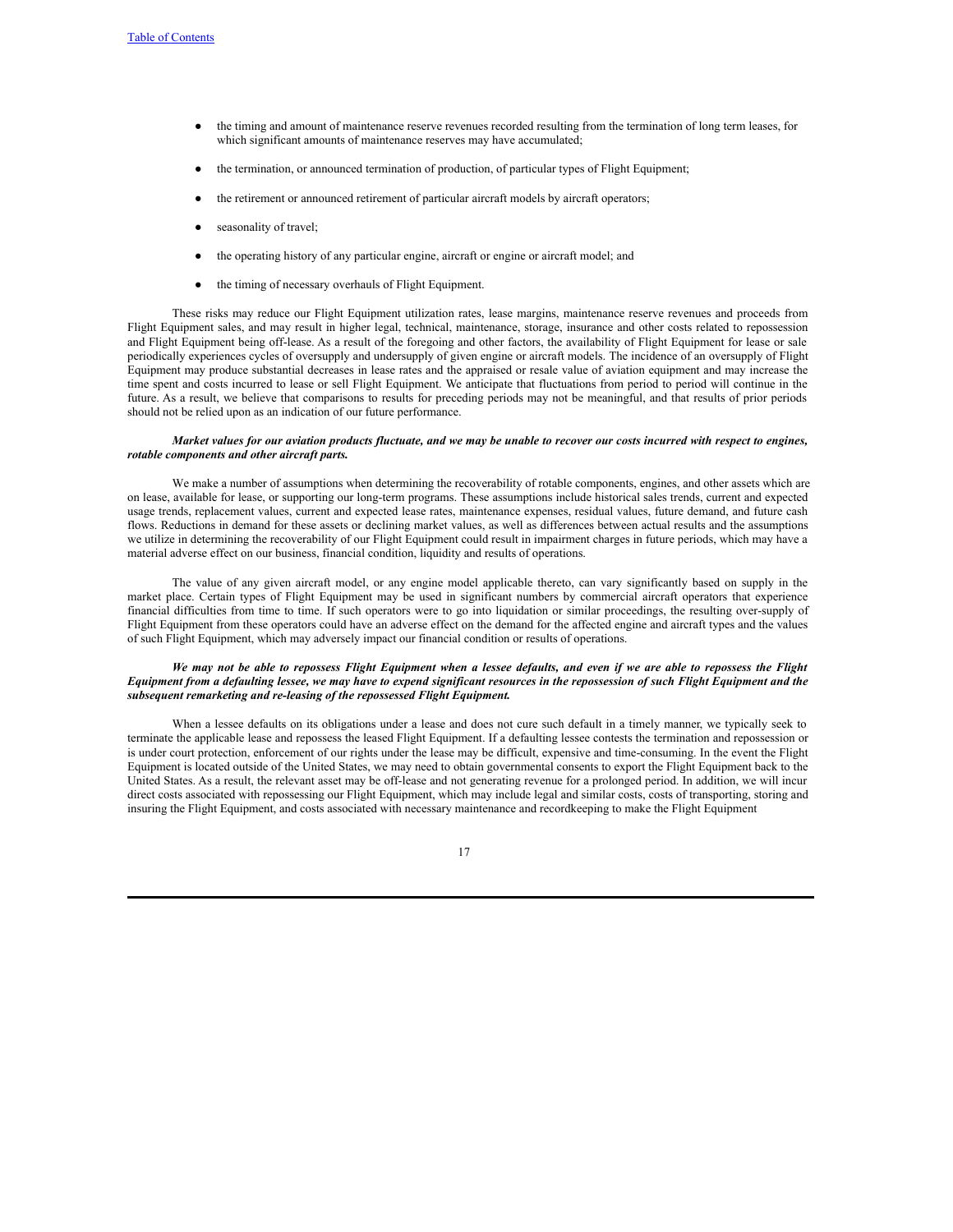- the timing and amount of maintenance reserve revenues recorded resulting from the termination of long term leases, for which significant amounts of maintenance reserves may have accumulated;
- the termination, or announced termination of production, of particular types of Flight Equipment;
- the retirement or announced retirement of particular aircraft models by aircraft operators;
- seasonality of travel;
- the operating history of any particular engine, aircraft or engine or aircraft model; and
- the timing of necessary overhauls of Flight Equipment.

These risks may reduce our Flight Equipment utilization rates, lease margins, maintenance reserve revenues and proceeds from Flight Equipment sales, and may result in higher legal, technical, maintenance, storage, insurance and other costs related to repossession and Flight Equipment being off-lease. As a result of the foregoing and other factors, the availability of Flight Equipment for lease or sale periodically experiences cycles of oversupply and undersupply of given engine or aircraft models. The incidence of an oversupply of Flight Equipment may produce substantial decreases in lease rates and the appraised or resale value of aviation equipment and may increase the time spent and costs incurred to lease or sell Flight Equipment. We anticipate that fluctuations from period to period will continue in the future. As a result, we believe that comparisons to results for preceding periods may not be meaningful, and that results of prior periods should not be relied upon as an indication of our future performance.

#### Market values for our aviation products fluctuate, and we may be unable to recover our costs incurred with respect to engines, *rotable components and other aircraft parts.*

We make a number of assumptions when determining the recoverability of rotable components, engines, and other assets which are on lease, available for lease, or supporting our long-term programs. These assumptions include historical sales trends, current and expected usage trends, replacement values, current and expected lease rates, maintenance expenses, residual values, future demand, and future cash flows. Reductions in demand for these assets or declining market values, as well as differences between actual results and the assumptions we utilize in determining the recoverability of our Flight Equipment could result in impairment charges in future periods, which may have a material adverse effect on our business, financial condition, liquidity and results of operations.

The value of any given aircraft model, or any engine model applicable thereto, can vary significantly based on supply in the market place. Certain types of Flight Equipment may be used in significant numbers by commercial aircraft operators that experience financial difficulties from time to time. If such operators were to go into liquidation or similar proceedings, the resulting over-supply of Flight Equipment from these operators could have an adverse effect on the demand for the affected engine and aircraft types and the values of such Flight Equipment, which may adversely impact our financial condition or results of operations.

## We may not be able to repossess Flight Equipment when a lessee defaults, and even if we are able to repossess the Flight Equipment from a defaulting lessee, we may have to expend significant resources in the repossession of such Flight Equipment and the *subsequent remarketing and re-leasing of the repossessed Flight Equipment.*

When a lessee defaults on its obligations under a lease and does not cure such default in a timely manner, we typically seek to terminate the applicable lease and repossess the leased Flight Equipment. If a defaulting lessee contests the termination and repossession or is under court protection, enforcement of our rights under the lease may be difficult, expensive and time-consuming. In the event the Flight Equipment is located outside of the United States, we may need to obtain governmental consents to export the Flight Equipment back to the United States. As a result, the relevant asset may be off-lease and not generating revenue for a prolonged period. In addition, we will incur direct costs associated with repossessing our Flight Equipment, which may include legal and similar costs, costs of transporting, storing and insuring the Flight Equipment, and costs associated with necessary maintenance and recordkeeping to make the Flight Equipment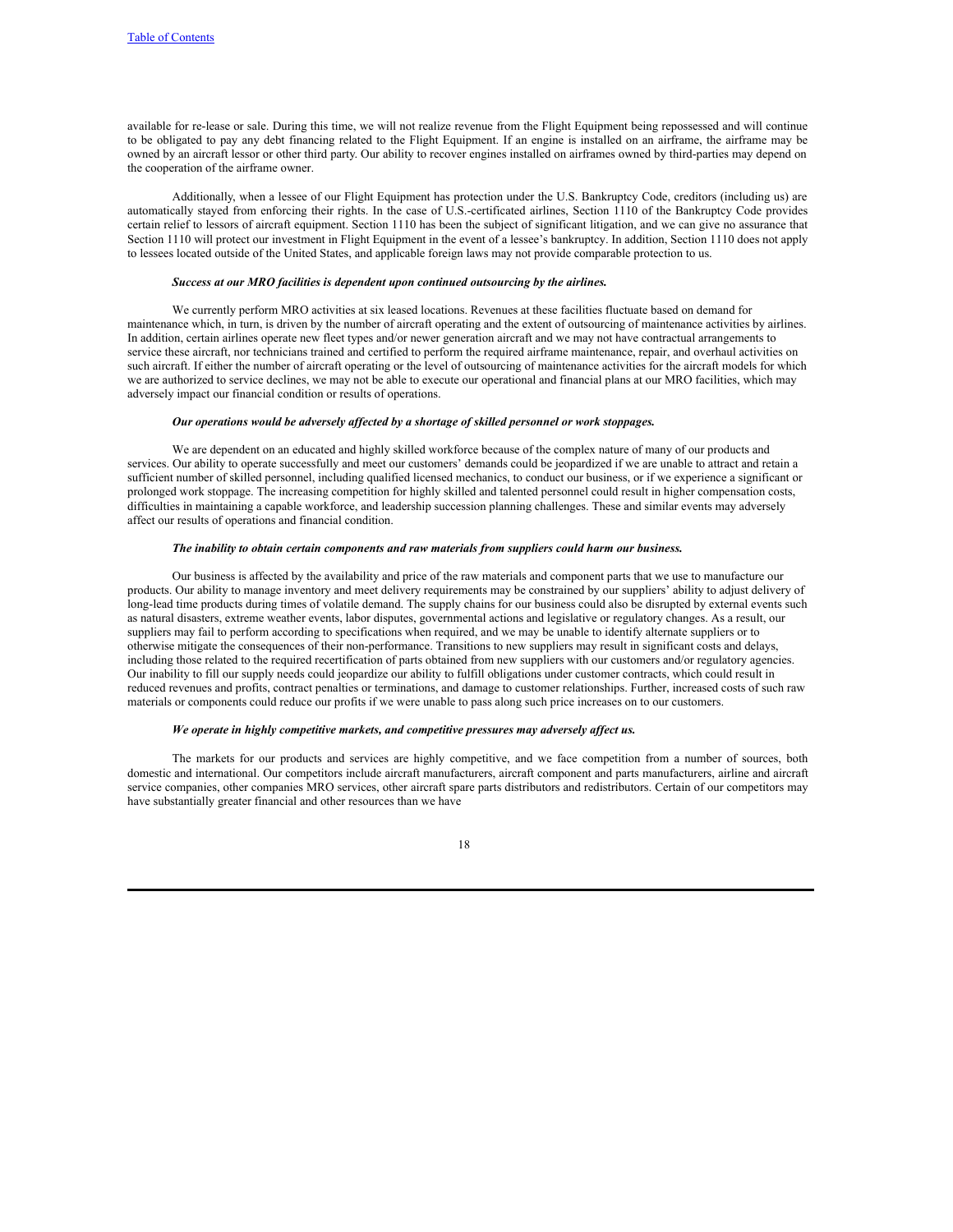available for re-lease or sale. During this time, we will not realize revenue from the Flight Equipment being repossessed and will continue to be obligated to pay any debt financing related to the Flight Equipment. If an engine is installed on an airframe, the airframe may be owned by an aircraft lessor or other third party. Our ability to recover engines installed on airframes owned by third-parties may depend on the cooperation of the airframe owner.

Additionally, when a lessee of our Flight Equipment has protection under the U.S. Bankruptcy Code, creditors (including us) are automatically stayed from enforcing their rights. In the case of U.S.-certificated airlines, Section 1110 of the Bankruptcy Code provides certain relief to lessors of aircraft equipment. Section 1110 has been the subject of significant litigation, and we can give no assurance that Section 1110 will protect our investment in Flight Equipment in the event of a lessee's bankruptcy. In addition, Section 1110 does not apply to lessees located outside of the United States, and applicable foreign laws may not provide comparable protection to us.

#### *Success at our MRO facilities is dependent upon continued outsourcing by the airlines.*

We currently perform MRO activities at six leased locations. Revenues at these facilities fluctuate based on demand for maintenance which, in turn, is driven by the number of aircraft operating and the extent of outsourcing of maintenance activities by airlines. In addition, certain airlines operate new fleet types and/or newer generation aircraft and we may not have contractual arrangements to service these aircraft, nor technicians trained and certified to perform the required airframe maintenance, repair, and overhaul activities on such aircraft. If either the number of aircraft operating or the level of outsourcing of maintenance activities for the aircraft models for which we are authorized to service declines, we may not be able to execute our operational and financial plans at our MRO facilities, which may adversely impact our financial condition or results of operations.

## *Our operations would be adversely af ected by a shortage of skilled personnel or work stoppages.*

We are dependent on an educated and highly skilled workforce because of the complex nature of many of our products and services. Our ability to operate successfully and meet our customers' demands could be jeopardized if we are unable to attract and retain a sufficient number of skilled personnel, including qualified licensed mechanics, to conduct our business, or if we experience a significant or prolonged work stoppage. The increasing competition for highly skilled and talented personnel could result in higher compensation costs, difficulties in maintaining a capable workforce, and leadership succession planning challenges. These and similar events may adversely affect our results of operations and financial condition.

# *The inability to obtain certain components and raw materials from suppliers could harm our business.*

Our business is affected by the availability and price of the raw materials and component parts that we use to manufacture our products. Our ability to manage inventory and meet delivery requirements may be constrained by our suppliers' ability to adjust delivery of long-lead time products during times of volatile demand. The supply chains for our business could also be disrupted by external events such as natural disasters, extreme weather events, labor disputes, governmental actions and legislative or regulatory changes. As a result, our suppliers may fail to perform according to specifications when required, and we may be unable to identify alternate suppliers or to otherwise mitigate the consequences of their non-performance. Transitions to new suppliers may result in significant costs and delays, including those related to the required recertification of parts obtained from new suppliers with our customers and/or regulatory agencies. Our inability to fill our supply needs could jeopardize our ability to fulfill obligations under customer contracts, which could result in reduced revenues and profits, contract penalties or terminations, and damage to customer relationships. Further, increased costs of such raw materials or components could reduce our profits if we were unable to pass along such price increases on to our customers.

## *We operate in highly competitive markets, and competitive pressures may adversely af ect us.*

The markets for our products and services are highly competitive, and we face competition from a number of sources, both domestic and international. Our competitors include aircraft manufacturers, aircraft component and parts manufacturers, airline and aircraft service companies, other companies MRO services, other aircraft spare parts distributors and redistributors. Certain of our competitors may have substantially greater financial and other resources than we have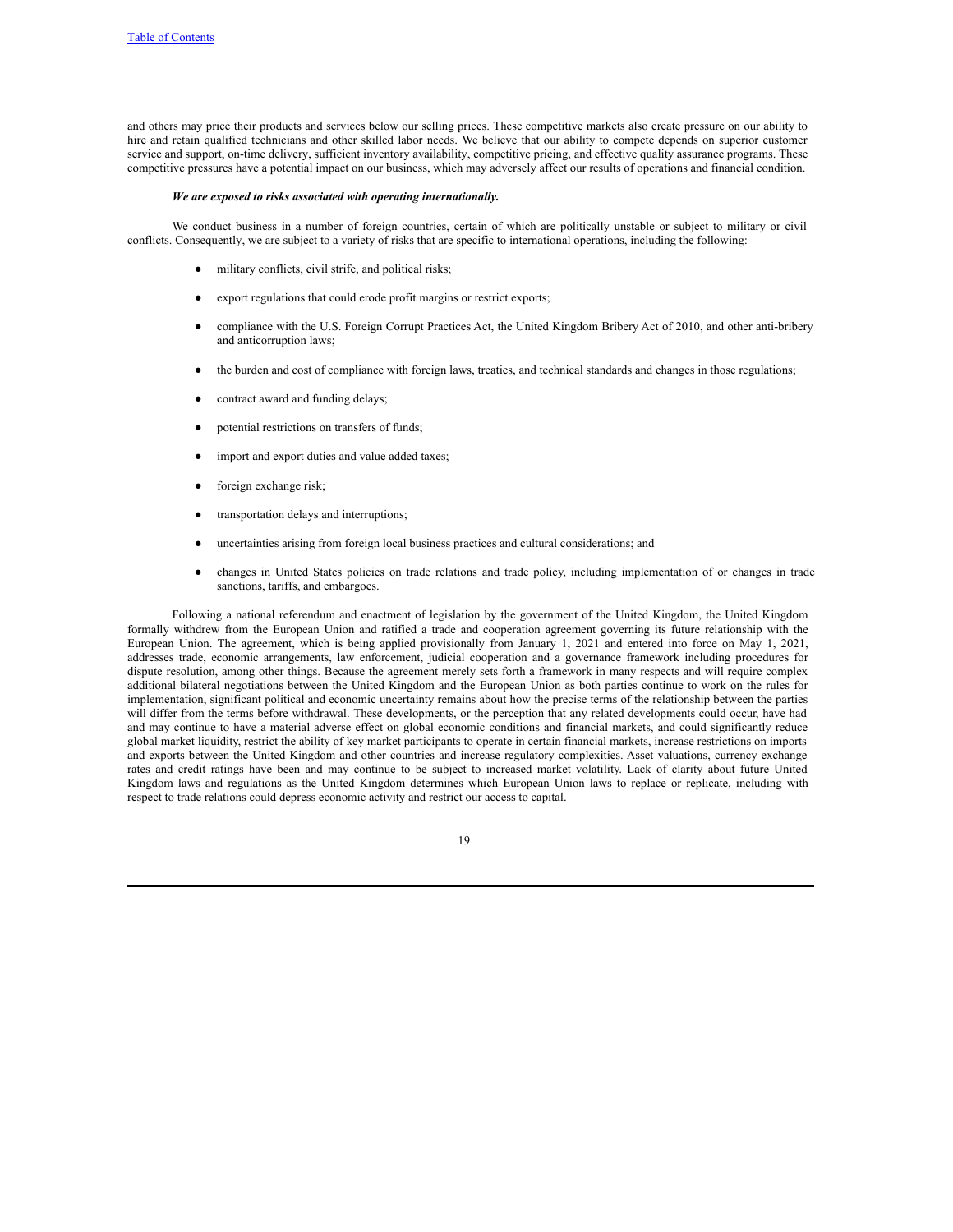and others may price their products and services below our selling prices. These competitive markets also create pressure on our ability to hire and retain qualified technicians and other skilled labor needs. We believe that our ability to compete depends on superior customer service and support, on-time delivery, sufficient inventory availability, competitive pricing, and effective quality assurance programs. These competitive pressures have a potential impact on our business, which may adversely affect our results of operations and financial condition.

## *We are exposed to risks associated with operating internationally.*

We conduct business in a number of foreign countries, certain of which are politically unstable or subject to military or civil conflicts. Consequently, we are subject to a variety of risks that are specific to international operations, including the following:

- military conflicts, civil strife, and political risks;
- export regulations that could erode profit margins or restrict exports;
- compliance with the U.S. Foreign Corrupt Practices Act, the United Kingdom Bribery Act of 2010, and other anti-bribery and anticorruption laws;
- the burden and cost of compliance with foreign laws, treaties, and technical standards and changes in those regulations;
- contract award and funding delays;
- potential restrictions on transfers of funds;
- import and export duties and value added taxes;
- foreign exchange risk;
- transportation delays and interruptions;
- uncertainties arising from foreign local business practices and cultural considerations; and
- changes in United States policies on trade relations and trade policy, including implementation of or changes in trade sanctions, tariffs, and embargoes.

Following a national referendum and enactment of legislation by the government of the United Kingdom, the United Kingdom formally withdrew from the European Union and ratified a trade and cooperation agreement governing its future relationship with the European Union. The agreement, which is being applied provisionally from January 1, 2021 and entered into force on May 1, 2021, addresses trade, economic arrangements, law enforcement, judicial cooperation and a governance framework including procedures for dispute resolution, among other things. Because the agreement merely sets forth a framework in many respects and will require complex additional bilateral negotiations between the United Kingdom and the European Union as both parties continue to work on the rules for implementation, significant political and economic uncertainty remains about how the precise terms of the relationship between the parties will differ from the terms before withdrawal. These developments, or the perception that any related developments could occur, have had and may continue to have a material adverse effect on global economic conditions and financial markets, and could significantly reduce global market liquidity, restrict the ability of key market participants to operate in certain financial markets, increase restrictions on imports and exports between the United Kingdom and other countries and increase regulatory complexities. Asset valuations, currency exchange rates and credit ratings have been and may continue to be subject to increased market volatility. Lack of clarity about future United Kingdom laws and regulations as the United Kingdom determines which European Union laws to replace or replicate, including with respect to trade relations could depress economic activity and restrict our access to capital.

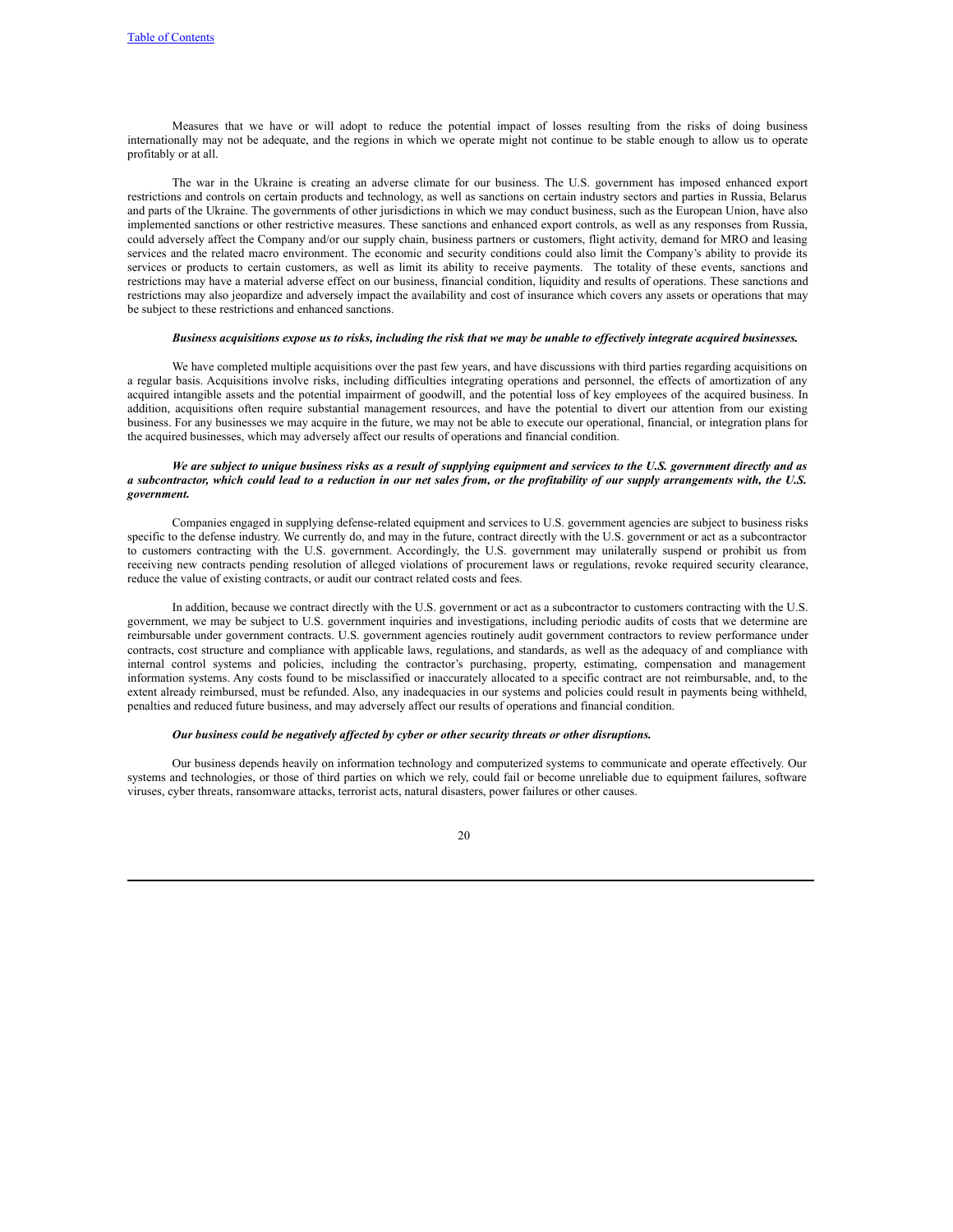Measures that we have or will adopt to reduce the potential impact of losses resulting from the risks of doing business internationally may not be adequate, and the regions in which we operate might not continue to be stable enough to allow us to operate profitably or at all.

The war in the Ukraine is creating an adverse climate for our business. The U.S. government has imposed enhanced export restrictions and controls on certain products and technology, as well as sanctions on certain industry sectors and parties in Russia, Belarus and parts of the Ukraine. The governments of other jurisdictions in which we may conduct business, such as the European Union, have also implemented sanctions or other restrictive measures. These sanctions and enhanced export controls, as well as any responses from Russia, could adversely affect the Company and/or our supply chain, business partners or customers, flight activity, demand for MRO and leasing services and the related macro environment. The economic and security conditions could also limit the Company's ability to provide its services or products to certain customers, as well as limit its ability to receive payments. The totality of these events, sanctions and restrictions may have a material adverse effect on our business, financial condition, liquidity and results of operations. These sanctions and restrictions may also jeopardize and adversely impact the availability and cost of insurance which covers any assets or operations that may be subject to these restrictions and enhanced sanctions.

#### Business acquisitions expose us to risks, including the risk that we may be unable to effectively integrate acquired businesses.

We have completed multiple acquisitions over the past few years, and have discussions with third parties regarding acquisitions on a regular basis. Acquisitions involve risks, including difficulties integrating operations and personnel, the effects of amortization of any acquired intangible assets and the potential impairment of goodwill, and the potential loss of key employees of the acquired business. In addition, acquisitions often require substantial management resources, and have the potential to divert our attention from our existing business. For any businesses we may acquire in the future, we may not be able to execute our operational, financial, or integration plans for the acquired businesses, which may adversely affect our results of operations and financial condition.

#### We are subject to unique business risks as a result of supplying equipment and services to the U.S. government directly and as a subcontractor, which could lead to a reduction in our net sales from, or the profitability of our supply arrangements with, the U.S. *government.*

Companies engaged in supplying defense-related equipment and services to U.S. government agencies are subject to business risks specific to the defense industry. We currently do, and may in the future, contract directly with the U.S. government or act as a subcontractor to customers contracting with the U.S. government. Accordingly, the U.S. government may unilaterally suspend or prohibit us from receiving new contracts pending resolution of alleged violations of procurement laws or regulations, revoke required security clearance, reduce the value of existing contracts, or audit our contract related costs and fees.

In addition, because we contract directly with the U.S. government or act as a subcontractor to customers contracting with the U.S. government, we may be subject to U.S. government inquiries and investigations, including periodic audits of costs that we determine are reimbursable under government contracts. U.S. government agencies routinely audit government contractors to review performance under contracts, cost structure and compliance with applicable laws, regulations, and standards, as well as the adequacy of and compliance with internal control systems and policies, including the contractor's purchasing, property, estimating, compensation and management information systems. Any costs found to be misclassified or inaccurately allocated to a specific contract are not reimbursable, and, to the extent already reimbursed, must be refunded. Also, any inadequacies in our systems and policies could result in payments being withheld, penalties and reduced future business, and may adversely affect our results of operations and financial condition.

## *Our business could be negatively af ected by cyber or other security threats or other disruptions.*

Our business depends heavily on information technology and computerized systems to communicate and operate effectively. Our systems and technologies, or those of third parties on which we rely, could fail or become unreliable due to equipment failures, software viruses, cyber threats, ransomware attacks, terrorist acts, natural disasters, power failures or other causes.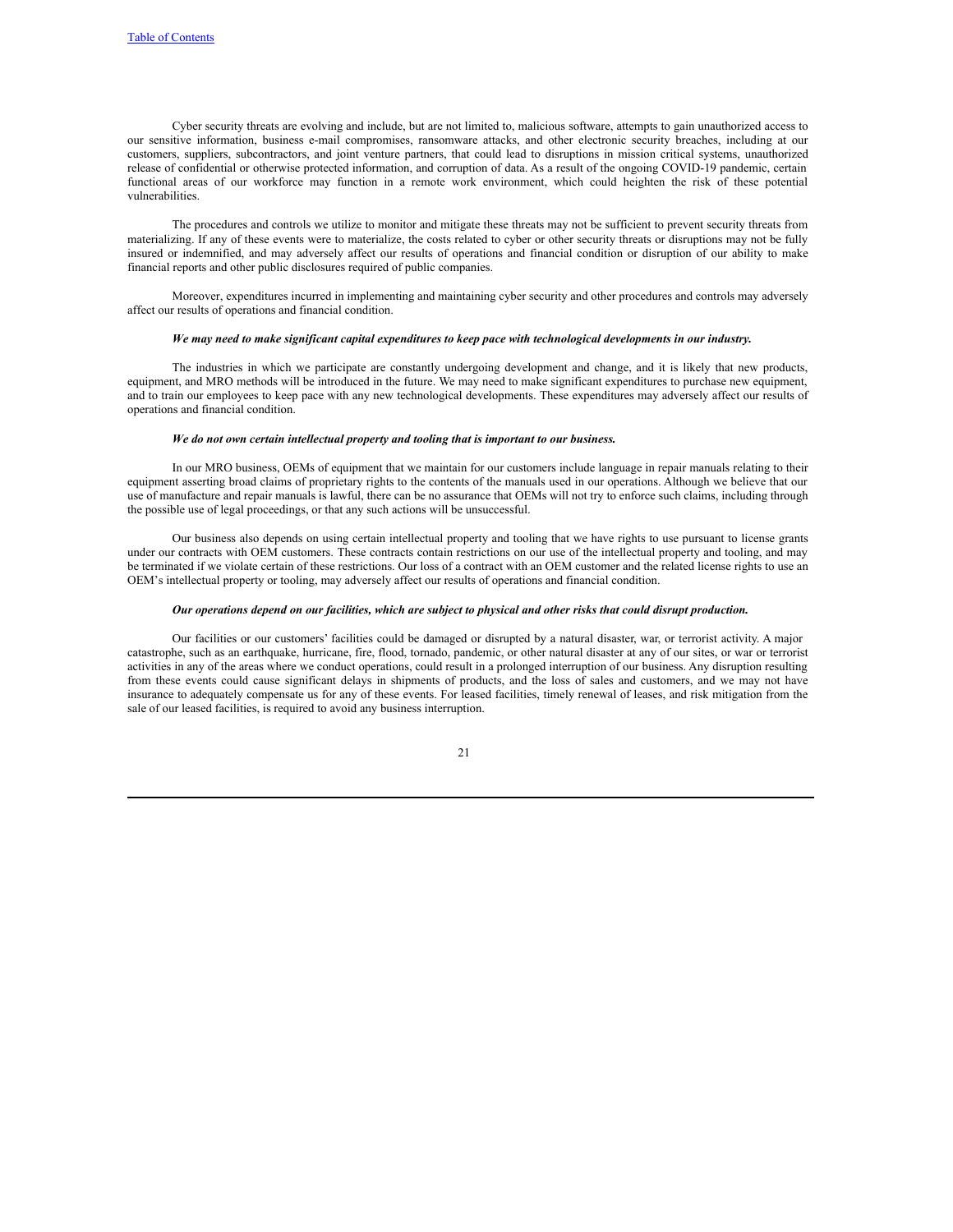Cyber security threats are evolving and include, but are not limited to, malicious software, attempts to gain unauthorized access to our sensitive information, business e-mail compromises, ransomware attacks, and other electronic security breaches, including at our customers, suppliers, subcontractors, and joint venture partners, that could lead to disruptions in mission critical systems, unauthorized release of confidential or otherwise protected information, and corruption of data. As a result of the ongoing COVID-19 pandemic, certain functional areas of our workforce may function in a remote work environment, which could heighten the risk of these potential vulnerabilities.

The procedures and controls we utilize to monitor and mitigate these threats may not be sufficient to prevent security threats from materializing. If any of these events were to materialize, the costs related to cyber or other security threats or disruptions may not be fully insured or indemnified, and may adversely affect our results of operations and financial condition or disruption of our ability to make financial reports and other public disclosures required of public companies.

Moreover, expenditures incurred in implementing and maintaining cyber security and other procedures and controls may adversely affect our results of operations and financial condition.

#### We may need to make significant capital expenditures to keep pace with technological developments in our industry.

The industries in which we participate are constantly undergoing development and change, and it is likely that new products, equipment, and MRO methods will be introduced in the future. We may need to make significant expenditures to purchase new equipment, and to train our employees to keep pace with any new technological developments. These expenditures may adversely affect our results of operations and financial condition.

## *We do not own certain intellectual property and tooling that is important to our business.*

In our MRO business, OEMs of equipment that we maintain for our customers include language in repair manuals relating to their equipment asserting broad claims of proprietary rights to the contents of the manuals used in our operations. Although we believe that our use of manufacture and repair manuals is lawful, there can be no assurance that OEMs will not try to enforce such claims, including through the possible use of legal proceedings, or that any such actions will be unsuccessful.

Our business also depends on using certain intellectual property and tooling that we have rights to use pursuant to license grants under our contracts with OEM customers. These contracts contain restrictions on our use of the intellectual property and tooling, and may be terminated if we violate certain of these restrictions. Our loss of a contract with an OEM customer and the related license rights to use an OEM's intellectual property or tooling, may adversely affect our results of operations and financial condition.

#### Our operations depend on our facilities, which are subject to physical and other risks that could disrupt production.

Our facilities or our customers' facilities could be damaged or disrupted by a natural disaster, war, or terrorist activity. A major catastrophe, such as an earthquake, hurricane, fire, flood, tornado, pandemic, or other natural disaster at any of our sites, or war or terrorist activities in any of the areas where we conduct operations, could result in a prolonged interruption of our business. Any disruption resulting from these events could cause significant delays in shipments of products, and the loss of sales and customers, and we may not have insurance to adequately compensate us for any of these events. For leased facilities, timely renewal of leases, and risk mitigation from the sale of our leased facilities, is required to avoid any business interruption.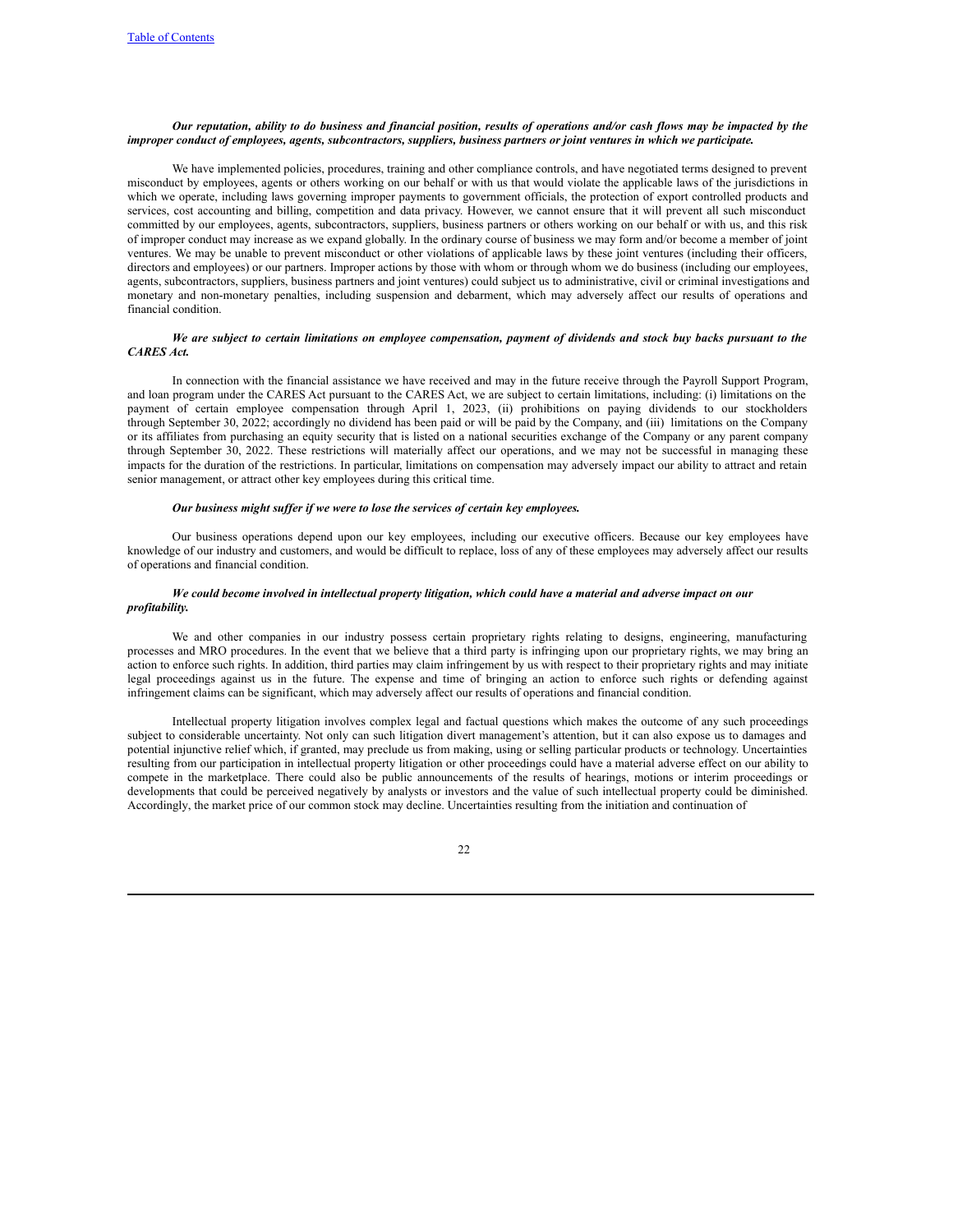## Our reputation, ability to do business and financial position, results of operations and/or cash flows may be impacted by the improper conduct of employees, agents, subcontractors, suppliers, business partners or joint ventures in which we participate.

We have implemented policies, procedures, training and other compliance controls, and have negotiated terms designed to prevent misconduct by employees, agents or others working on our behalf or with us that would violate the applicable laws of the jurisdictions in which we operate, including laws governing improper payments to government officials, the protection of export controlled products and services, cost accounting and billing, competition and data privacy. However, we cannot ensure that it will prevent all such misconduct committed by our employees, agents, subcontractors, suppliers, business partners or others working on our behalf or with us, and this risk of improper conduct may increase as we expand globally. In the ordinary course of business we may form and/or become a member of joint ventures. We may be unable to prevent misconduct or other violations of applicable laws by these joint ventures (including their officers, directors and employees) or our partners. Improper actions by those with whom or through whom we do business (including our employees, agents, subcontractors, suppliers, business partners and joint ventures) could subject us to administrative, civil or criminal investigations and monetary and non-monetary penalties, including suspension and debarment, which may adversely affect our results of operations and financial condition.

## We are subject to certain limitations on employee compensation, payment of dividends and stock buy backs pursuant to the *CARES Act.*

In connection with the financial assistance we have received and may in the future receive through the Payroll Support Program, and loan program under the CARES Act pursuant to the CARES Act, we are subject to certain limitations, including: (i) limitations on the payment of certain employee compensation through April 1, 2023, (ii) prohibitions on paying dividends to our stockholders through September 30, 2022; accordingly no dividend has been paid or will be paid by the Company, and (iii) limitations on the Company or its affiliates from purchasing an equity security that is listed on a national securities exchange of the Company or any parent company through September 30, 2022. These restrictions will materially affect our operations, and we may not be successful in managing these impacts for the duration of the restrictions. In particular, limitations on compensation may adversely impact our ability to attract and retain senior management, or attract other key employees during this critical time.

#### *Our business might suf er if we were to lose the services of certain key employees.*

Our business operations depend upon our key employees, including our executive officers. Because our key employees have knowledge of our industry and customers, and would be difficult to replace, loss of any of these employees may adversely affect our results of operations and financial condition.

## We could become involved in intellectual property litigation, which could have a material and adverse impact on our *profitability.*

We and other companies in our industry possess certain proprietary rights relating to designs, engineering, manufacturing processes and MRO procedures. In the event that we believe that a third party is infringing upon our proprietary rights, we may bring an action to enforce such rights. In addition, third parties may claim infringement by us with respect to their proprietary rights and may initiate legal proceedings against us in the future. The expense and time of bringing an action to enforce such rights or defending against infringement claims can be significant, which may adversely affect our results of operations and financial condition.

Intellectual property litigation involves complex legal and factual questions which makes the outcome of any such proceedings subject to considerable uncertainty. Not only can such litigation divert management's attention, but it can also expose us to damages and potential injunctive relief which, if granted, may preclude us from making, using or selling particular products or technology. Uncertainties resulting from our participation in intellectual property litigation or other proceedings could have a material adverse effect on our ability to compete in the marketplace. There could also be public announcements of the results of hearings, motions or interim proceedings or developments that could be perceived negatively by analysts or investors and the value of such intellectual property could be diminished. Accordingly, the market price of our common stock may decline. Uncertainties resulting from the initiation and continuation of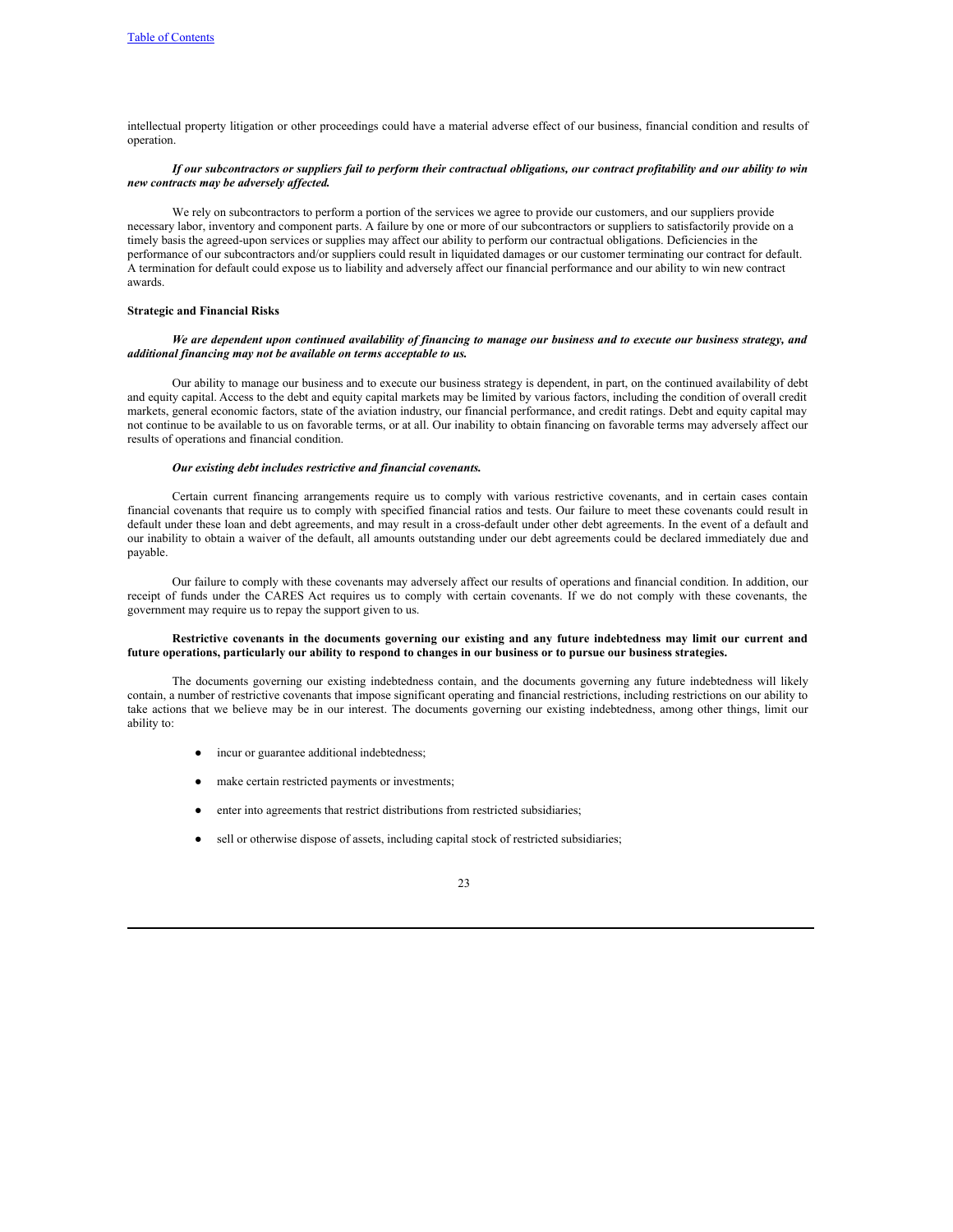intellectual property litigation or other proceedings could have a material adverse effect of our business, financial condition and results of operation.

## If our subcontractors or suppliers fail to perform their contractual obligations, our contract profitability and our ability to win *new contracts may be adversely af ected.*

We rely on subcontractors to perform a portion of the services we agree to provide our customers, and our suppliers provide necessary labor, inventory and component parts. A failure by one or more of our subcontractors or suppliers to satisfactorily provide on a timely basis the agreed-upon services or supplies may affect our ability to perform our contractual obligations. Deficiencies in the performance of our subcontractors and/or suppliers could result in liquidated damages or our customer terminating our contract for default. A termination for default could expose us to liability and adversely affect our financial performance and our ability to win new contract awards.

#### **Strategic and Financial Risks**

## We are dependent upon continued availability of financing to manage our business and to execute our business strategy, and *additional financing may not be available on terms acceptable to us.*

Our ability to manage our business and to execute our business strategy is dependent, in part, on the continued availability of debt and equity capital. Access to the debt and equity capital markets may be limited by various factors, including the condition of overall credit markets, general economic factors, state of the aviation industry, our financial performance, and credit ratings. Debt and equity capital may not continue to be available to us on favorable terms, or at all. Our inability to obtain financing on favorable terms may adversely affect our results of operations and financial condition.

## *Our existing debt includes restrictive and financial covenants.*

Certain current financing arrangements require us to comply with various restrictive covenants, and in certain cases contain financial covenants that require us to comply with specified financial ratios and tests. Our failure to meet these covenants could result in default under these loan and debt agreements, and may result in a cross-default under other debt agreements. In the event of a default and our inability to obtain a waiver of the default, all amounts outstanding under our debt agreements could be declared immediately due and payable.

Our failure to comply with these covenants may adversely affect our results of operations and financial condition. In addition, our receipt of funds under the CARES Act requires us to comply with certain covenants. If we do not comply with these covenants, the government may require us to repay the support given to us.

## Restrictive covenants in the documents governing our existing and any future indebtedness may limit our current and future operations, particularly our ability to respond to changes in our business or to pursue our business strategies.

The documents governing our existing indebtedness contain, and the documents governing any future indebtedness will likely contain, a number of restrictive covenants that impose significant operating and financial restrictions, including restrictions on our ability to take actions that we believe may be in our interest. The documents governing our existing indebtedness, among other things, limit our ability to:

- incur or guarantee additional indebtedness;
- make certain restricted payments or investments;
- enter into agreements that restrict distributions from restricted subsidiaries;
- sell or otherwise dispose of assets, including capital stock of restricted subsidiaries;

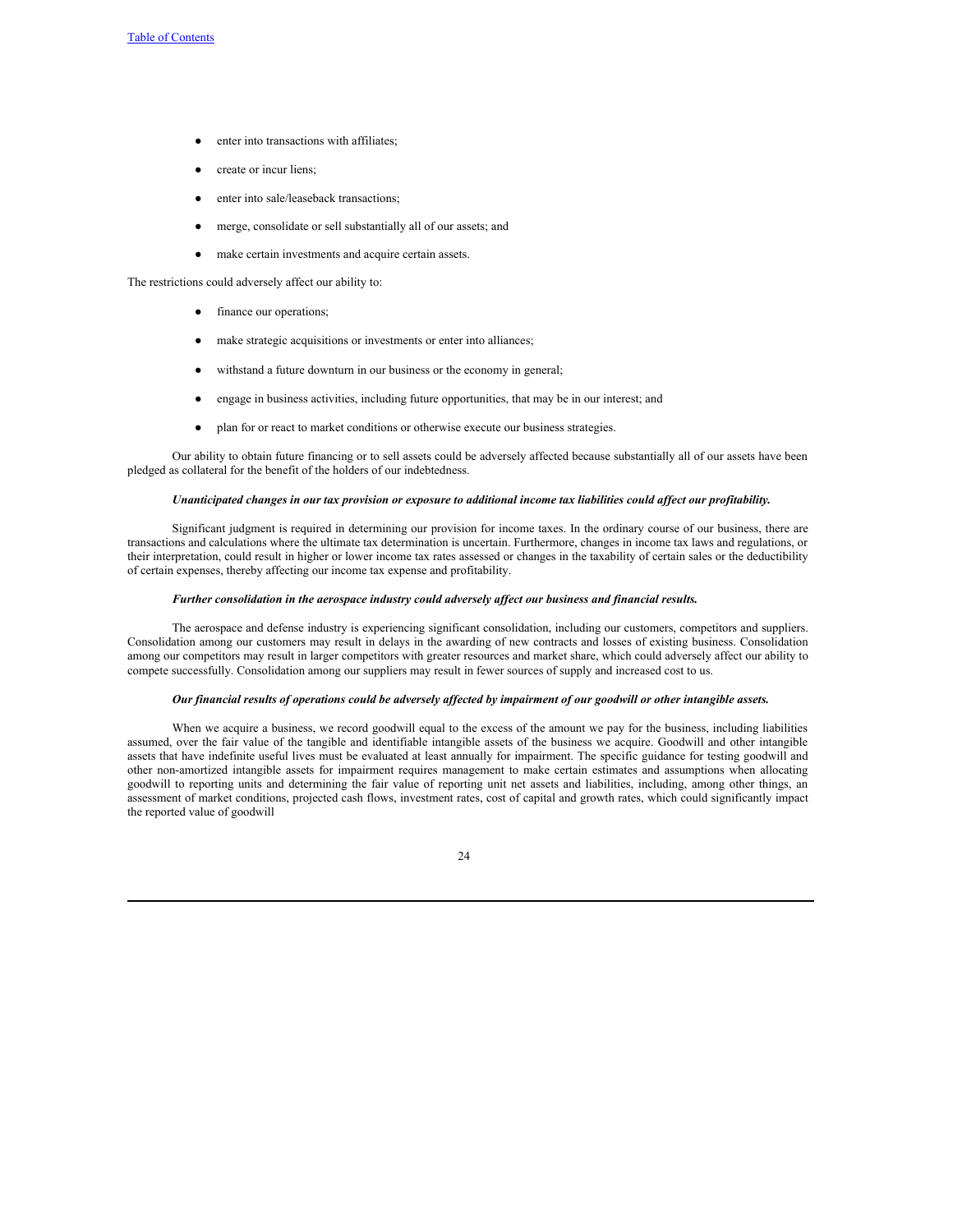- enter into transactions with affiliates:
- create or incur liens;
- enter into sale/leaseback transactions;
- merge, consolidate or sell substantially all of our assets; and
- make certain investments and acquire certain assets.

The restrictions could adversely affect our ability to:

- finance our operations;
- make strategic acquisitions or investments or enter into alliances;
- withstand a future downturn in our business or the economy in general;
- engage in business activities, including future opportunities, that may be in our interest; and
- plan for or react to market conditions or otherwise execute our business strategies.

Our ability to obtain future financing or to sell assets could be adversely affected because substantially all of our assets have been pledged as collateral for the benefit of the holders of our indebtedness.

#### Unanticipated changes in our tax provision or exposure to additional income tax liabilities could affect our profitability.

Significant judgment is required in determining our provision for income taxes. In the ordinary course of our business, there are transactions and calculations where the ultimate tax determination is uncertain. Furthermore, changes in income tax laws and regulations, or their interpretation, could result in higher or lower income tax rates assessed or changes in the taxability of certain sales or the deductibility of certain expenses, thereby affecting our income tax expense and profitability.

## *Further consolidation in the aerospace industry could adversely af ect our business and financial results.*

The aerospace and defense industry is experiencing significant consolidation, including our customers, competitors and suppliers. Consolidation among our customers may result in delays in the awarding of new contracts and losses of existing business. Consolidation among our competitors may result in larger competitors with greater resources and market share, which could adversely affect our ability to compete successfully. Consolidation among our suppliers may result in fewer sources of supply and increased cost to us.

## Our financial results of operations could be adversely affected by impairment of our goodwill or other intangible assets.

When we acquire a business, we record goodwill equal to the excess of the amount we pay for the business, including liabilities assumed, over the fair value of the tangible and identifiable intangible assets of the business we acquire. Goodwill and other intangible assets that have indefinite useful lives must be evaluated at least annually for impairment. The specific guidance for testing goodwill and other non-amortized intangible assets for impairment requires management to make certain estimates and assumptions when allocating goodwill to reporting units and determining the fair value of reporting unit net assets and liabilities, including, among other things, an assessment of market conditions, projected cash flows, investment rates, cost of capital and growth rates, which could significantly impact the reported value of goodwill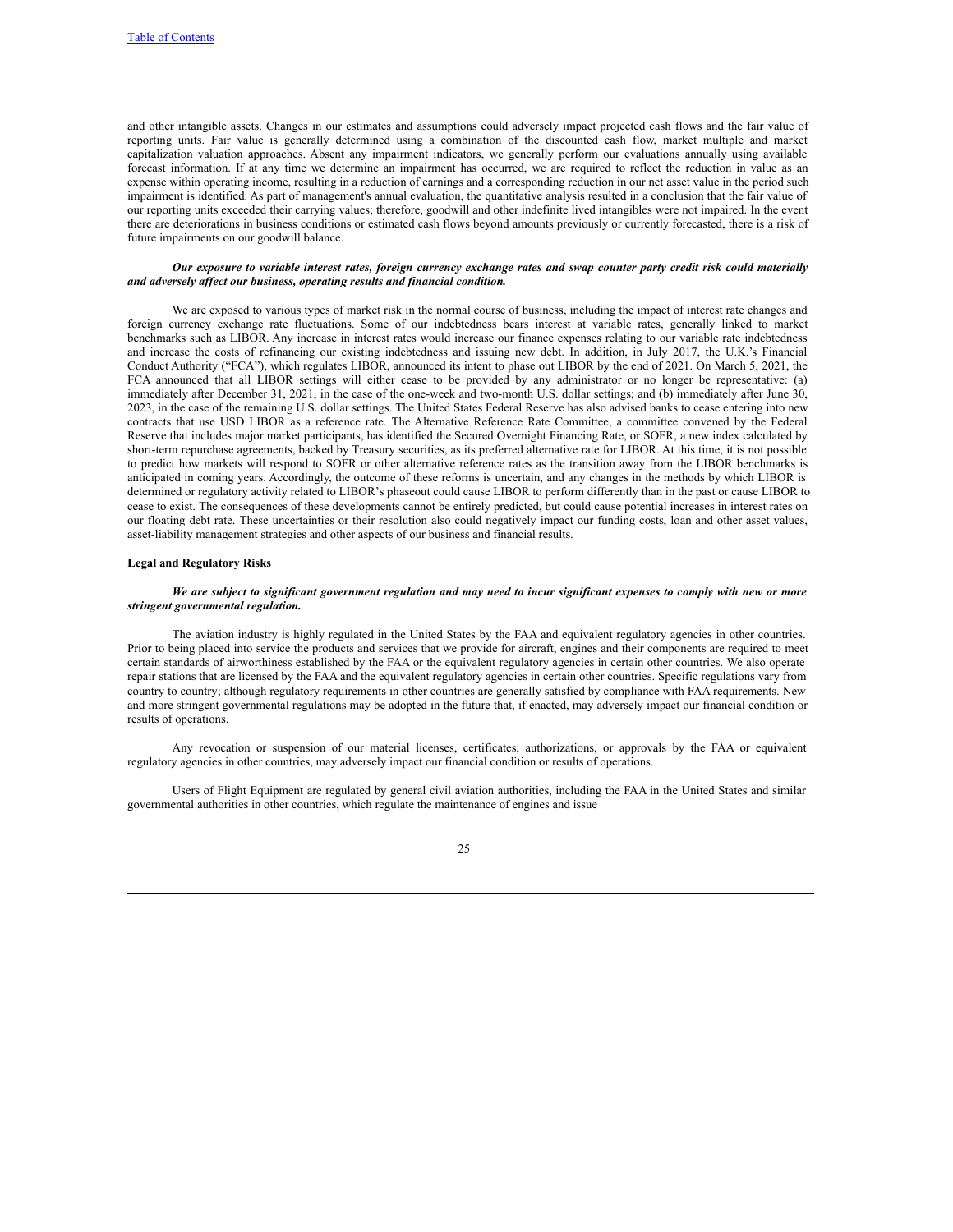and other intangible assets. Changes in our estimates and assumptions could adversely impact projected cash flows and the fair value of reporting units. Fair value is generally determined using a combination of the discounted cash flow, market multiple and market capitalization valuation approaches. Absent any impairment indicators, we generally perform our evaluations annually using available forecast information. If at any time we determine an impairment has occurred, we are required to reflect the reduction in value as an expense within operating income, resulting in a reduction of earnings and a corresponding reduction in our net asset value in the period such impairment is identified. As part of management's annual evaluation, the quantitative analysis resulted in a conclusion that the fair value of our reporting units exceeded their carrying values; therefore, goodwill and other indefinite lived intangibles were not impaired. In the event there are deteriorations in business conditions or estimated cash flows beyond amounts previously or currently forecasted, there is a risk of future impairments on our goodwill balance.

## Our exposure to variable interest rates, foreign currency exchange rates and swap counter party credit risk could materially *and adversely af ect our business, operating results and financial condition.*

We are exposed to various types of market risk in the normal course of business, including the impact of interest rate changes and foreign currency exchange rate fluctuations. Some of our indebtedness bears interest at variable rates, generally linked to market benchmarks such as LIBOR. Any increase in interest rates would increase our finance expenses relating to our variable rate indebtedness and increase the costs of refinancing our existing indebtedness and issuing new debt. In addition, in July 2017, the U.K.'s Financial Conduct Authority ("FCA"), which regulates LIBOR, announced its intent to phase out LIBOR by the end of 2021. On March 5, 2021, the FCA announced that all LIBOR settings will either cease to be provided by any administrator or no longer be representative: (a) immediately after December 31, 2021, in the case of the one-week and two-month U.S. dollar settings; and (b) immediately after June 30, 2023, in the case of the remaining U.S. dollar settings. The United States Federal Reserve has also advised banks to cease entering into new contracts that use USD LIBOR as a reference rate. The Alternative Reference Rate Committee, a committee convened by the Federal Reserve that includes major market participants, has identified the Secured Overnight Financing Rate, or SOFR, a new index calculated by short-term repurchase agreements, backed by Treasury securities, as its preferred alternative rate for LIBOR. At this time, it is not possible to predict how markets will respond to SOFR or other alternative reference rates as the transition away from the LIBOR benchmarks is anticipated in coming years. Accordingly, the outcome of these reforms is uncertain, and any changes in the methods by which LIBOR is determined or regulatory activity related to LIBOR's phaseout could cause LIBOR to perform differently than in the past or cause LIBOR to cease to exist. The consequences of these developments cannot be entirely predicted, but could cause potential increases in interest rates on our floating debt rate. These uncertainties or their resolution also could negatively impact our funding costs, loan and other asset values, asset-liability management strategies and other aspects of our business and financial results.

## **Legal and Regulatory Risks**

#### We are subject to significant government regulation and may need to incur significant expenses to comply with new or more *stringent governmental regulation.*

The aviation industry is highly regulated in the United States by the FAA and equivalent regulatory agencies in other countries. Prior to being placed into service the products and services that we provide for aircraft, engines and their components are required to meet certain standards of airworthiness established by the FAA or the equivalent regulatory agencies in certain other countries. We also operate repair stations that are licensed by the FAA and the equivalent regulatory agencies in certain other countries. Specific regulations vary from country to country; although regulatory requirements in other countries are generally satisfied by compliance with FAA requirements. New and more stringent governmental regulations may be adopted in the future that, if enacted, may adversely impact our financial condition or results of operations.

Any revocation or suspension of our material licenses, certificates, authorizations, or approvals by the FAA or equivalent regulatory agencies in other countries, may adversely impact our financial condition or results of operations.

Users of Flight Equipment are regulated by general civil aviation authorities, including the FAA in the United States and similar governmental authorities in other countries, which regulate the maintenance of engines and issue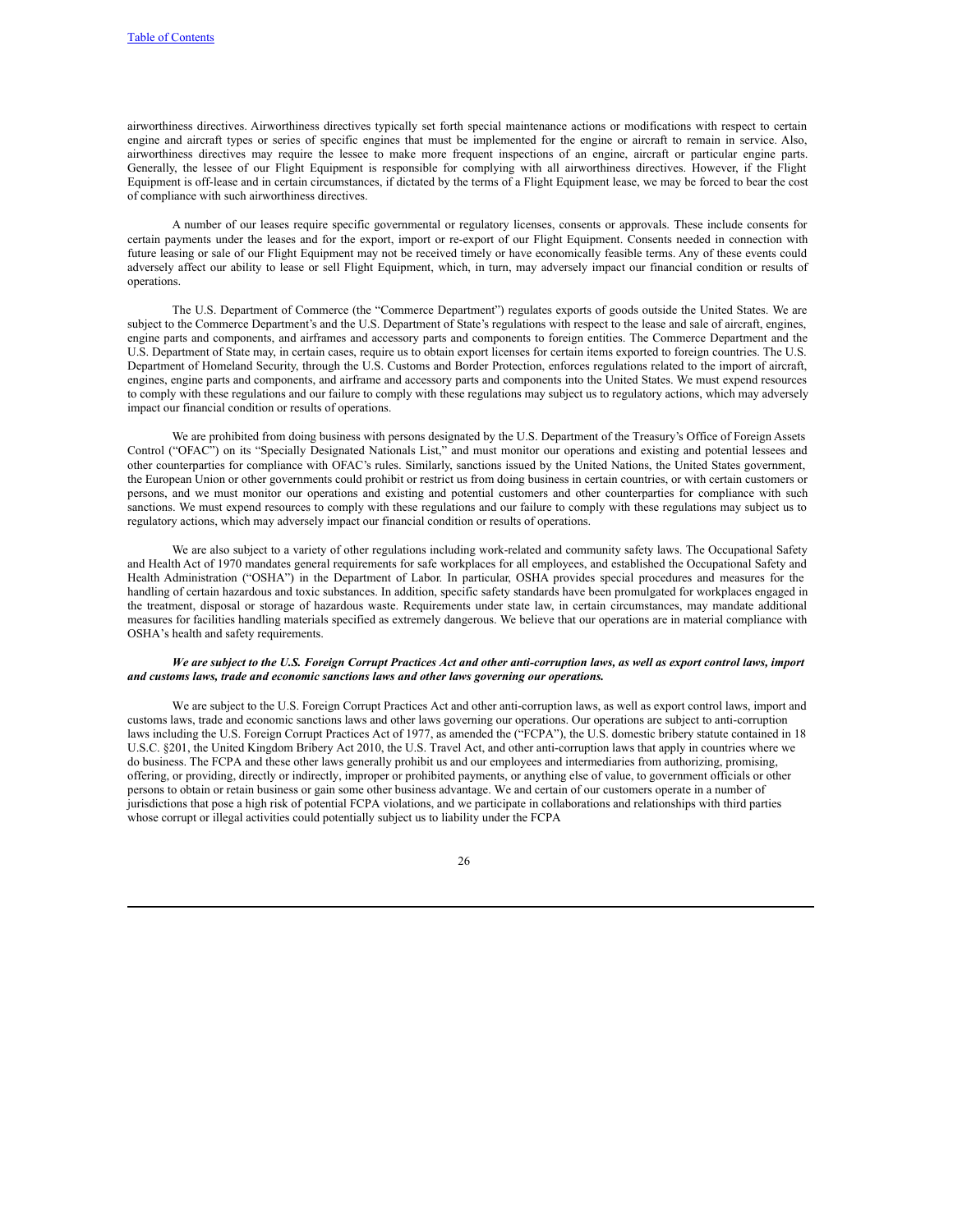airworthiness directives. Airworthiness directives typically set forth special maintenance actions or modifications with respect to certain engine and aircraft types or series of specific engines that must be implemented for the engine or aircraft to remain in service. Also, airworthiness directives may require the lessee to make more frequent inspections of an engine, aircraft or particular engine parts. Generally, the lessee of our Flight Equipment is responsible for complying with all airworthiness directives. However, if the Flight Equipment is off-lease and in certain circumstances, if dictated by the terms of a Flight Equipment lease, we may be forced to bear the cost of compliance with such airworthiness directives.

A number of our leases require specific governmental or regulatory licenses, consents or approvals. These include consents for certain payments under the leases and for the export, import or re-export of our Flight Equipment. Consents needed in connection with future leasing or sale of our Flight Equipment may not be received timely or have economically feasible terms. Any of these events could adversely affect our ability to lease or sell Flight Equipment, which, in turn, may adversely impact our financial condition or results of operations.

The U.S. Department of Commerce (the "Commerce Department") regulates exports of goods outside the United States. We are subject to the Commerce Department's and the U.S. Department of State's regulations with respect to the lease and sale of aircraft, engines, engine parts and components, and airframes and accessory parts and components to foreign entities. The Commerce Department and the U.S. Department of State may, in certain cases, require us to obtain export licenses for certain items exported to foreign countries. The U.S. Department of Homeland Security, through the U.S. Customs and Border Protection, enforces regulations related to the import of aircraft, engines, engine parts and components, and airframe and accessory parts and components into the United States. We must expend resources to comply with these regulations and our failure to comply with these regulations may subject us to regulatory actions, which may adversely impact our financial condition or results of operations.

We are prohibited from doing business with persons designated by the U.S. Department of the Treasury's Office of Foreign Assets Control ("OFAC") on its "Specially Designated Nationals List," and must monitor our operations and existing and potential lessees and other counterparties for compliance with OFAC's rules. Similarly, sanctions issued by the United Nations, the United States government, the European Union or other governments could prohibit or restrict us from doing business in certain countries, or with certain customers or persons, and we must monitor our operations and existing and potential customers and other counterparties for compliance with such sanctions. We must expend resources to comply with these regulations and our failure to comply with these regulations may subject us to regulatory actions, which may adversely impact our financial condition or results of operations.

We are also subject to a variety of other regulations including work-related and community safety laws. The Occupational Safety and Health Act of 1970 mandates general requirements for safe workplaces for all employees, and established the Occupational Safety and Health Administration ("OSHA") in the Department of Labor. In particular, OSHA provides special procedures and measures for the handling of certain hazardous and toxic substances. In addition, specific safety standards have been promulgated for workplaces engaged in the treatment, disposal or storage of hazardous waste. Requirements under state law, in certain circumstances, may mandate additional measures for facilities handling materials specified as extremely dangerous. We believe that our operations are in material compliance with OSHA's health and safety requirements.

## We are subject to the U.S. Foreign Corrupt Practices Act and other anti-corruption laws, as well as export control laws, import *and customs laws, trade and economic sanctions laws and other laws governing our operations.*

We are subject to the U.S. Foreign Corrupt Practices Act and other anti-corruption laws, as well as export control laws, import and customs laws, trade and economic sanctions laws and other laws governing our operations. Our operations are subject to anti-corruption laws including the U.S. Foreign Corrupt Practices Act of 1977, as amended the ("FCPA"), the U.S. domestic bribery statute contained in 18 U.S.C. §201, the United Kingdom Bribery Act 2010, the U.S. Travel Act, and other anti-corruption laws that apply in countries where we do business. The FCPA and these other laws generally prohibit us and our employees and intermediaries from authorizing, promising, offering, or providing, directly or indirectly, improper or prohibited payments, or anything else of value, to government officials or other persons to obtain or retain business or gain some other business advantage. We and certain of our customers operate in a number of jurisdictions that pose a high risk of potential FCPA violations, and we participate in collaborations and relationships with third parties whose corrupt or illegal activities could potentially subject us to liability under the FCPA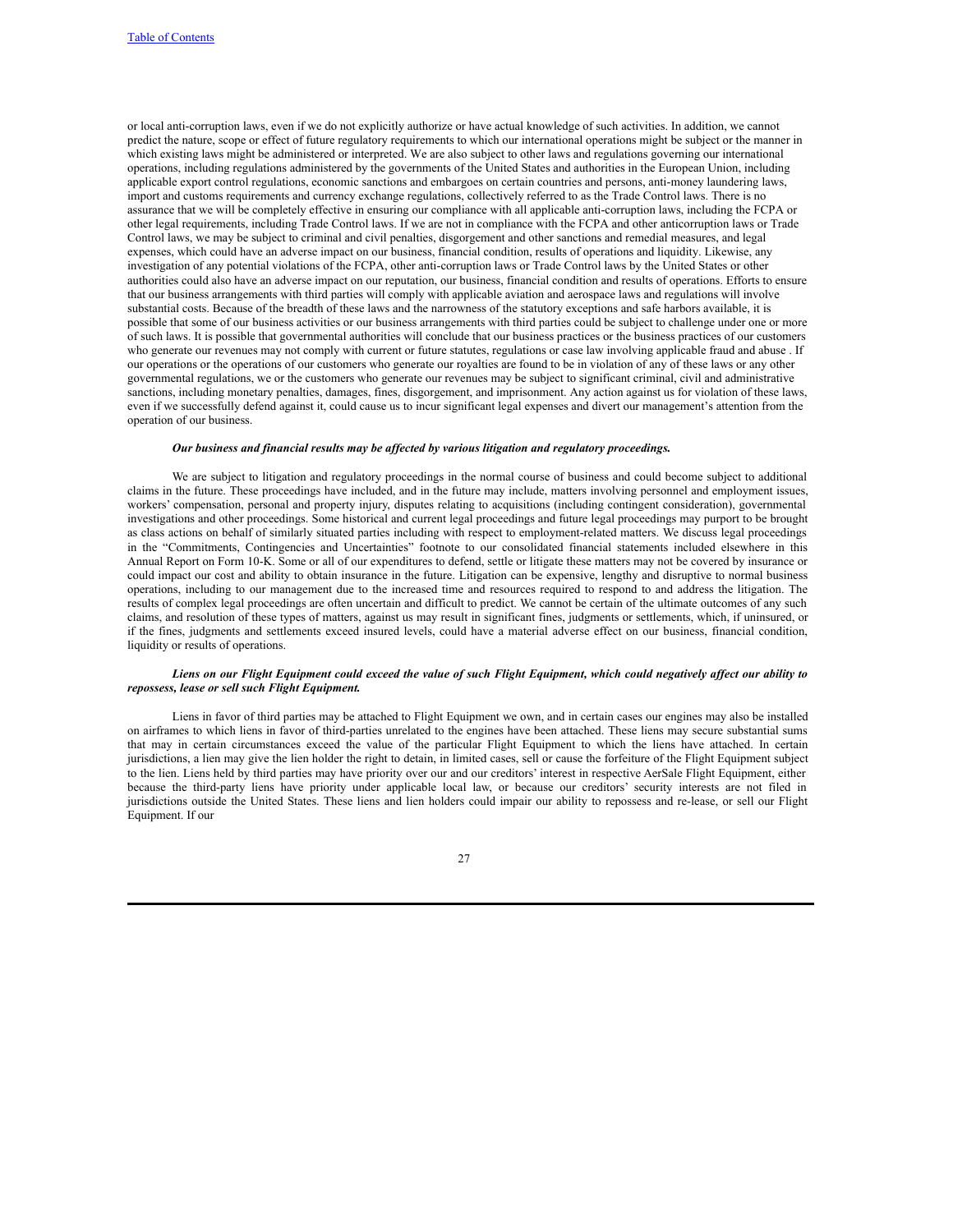or local anti-corruption laws, even if we do not explicitly authorize or have actual knowledge of such activities. In addition, we cannot predict the nature, scope or effect of future regulatory requirements to which our international operations might be subject or the manner in which existing laws might be administered or interpreted. We are also subject to other laws and regulations governing our international operations, including regulations administered by the governments of the United States and authorities in the European Union, including applicable export control regulations, economic sanctions and embargoes on certain countries and persons, anti-money laundering laws, import and customs requirements and currency exchange regulations, collectively referred to as the Trade Control laws. There is no assurance that we will be completely effective in ensuring our compliance with all applicable anti-corruption laws, including the FCPA or other legal requirements, including Trade Control laws. If we are not in compliance with the FCPA and other anticorruption laws or Trade Control laws, we may be subject to criminal and civil penalties, disgorgement and other sanctions and remedial measures, and legal expenses, which could have an adverse impact on our business, financial condition, results of operations and liquidity. Likewise, any investigation of any potential violations of the FCPA, other anti-corruption laws or Trade Control laws by the United States or other authorities could also have an adverse impact on our reputation, our business, financial condition and results of operations. Efforts to ensure that our business arrangements with third parties will comply with applicable aviation and aerospace laws and regulations will involve substantial costs. Because of the breadth of these laws and the narrowness of the statutory exceptions and safe harbors available, it is possible that some of our business activities or our business arrangements with third parties could be subject to challenge under one or more of such laws. It is possible that governmental authorities will conclude that our business practices or the business practices of our customers who generate our revenues may not comply with current or future statutes, regulations or case law involving applicable fraud and abuse . If our operations or the operations of our customers who generate our royalties are found to be in violation of any of these laws or any other governmental regulations, we or the customers who generate our revenues may be subject to significant criminal, civil and administrative sanctions, including monetary penalties, damages, fines, disgorgement, and imprisonment. Any action against us for violation of these laws, even if we successfully defend against it, could cause us to incur significant legal expenses and divert our management's attention from the operation of our business.

#### *Our business and financial results may be af ected by various litigation and regulatory proceedings.*

We are subject to litigation and regulatory proceedings in the normal course of business and could become subject to additional claims in the future. These proceedings have included, and in the future may include, matters involving personnel and employment issues, workers' compensation, personal and property injury, disputes relating to acquisitions (including contingent consideration), governmental investigations and other proceedings. Some historical and current legal proceedings and future legal proceedings may purport to be brought as class actions on behalf of similarly situated parties including with respect to employment-related matters. We discuss legal proceedings in the "Commitments, Contingencies and Uncertainties" footnote to our consolidated financial statements included elsewhere in this Annual Report on Form 10-K. Some or all of our expenditures to defend, settle or litigate these matters may not be covered by insurance or could impact our cost and ability to obtain insurance in the future. Litigation can be expensive, lengthy and disruptive to normal business operations, including to our management due to the increased time and resources required to respond to and address the litigation. The results of complex legal proceedings are often uncertain and difficult to predict. We cannot be certain of the ultimate outcomes of any such claims, and resolution of these types of matters, against us may result in significant fines, judgments or settlements, which, if uninsured, or if the fines, judgments and settlements exceed insured levels, could have a material adverse effect on our business, financial condition, liquidity or results of operations.

# Liens on our Flight Equipment could exceed the value of such Flight Equipment, which could negatively affect our ability to *repossess, lease or sell such Flight Equipment.*

Liens in favor of third parties may be attached to Flight Equipment we own, and in certain cases our engines may also be installed on airframes to which liens in favor of third-parties unrelated to the engines have been attached. These liens may secure substantial sums that may in certain circumstances exceed the value of the particular Flight Equipment to which the liens have attached. In certain jurisdictions, a lien may give the lien holder the right to detain, in limited cases, sell or cause the forfeiture of the Flight Equipment subject to the lien. Liens held by third parties may have priority over our and our creditors' interest in respective AerSale Flight Equipment, either because the third-party liens have priority under applicable local law, or because our creditors' security interests are not filed in jurisdictions outside the United States. These liens and lien holders could impair our ability to repossess and re-lease, or sell our Flight Equipment. If our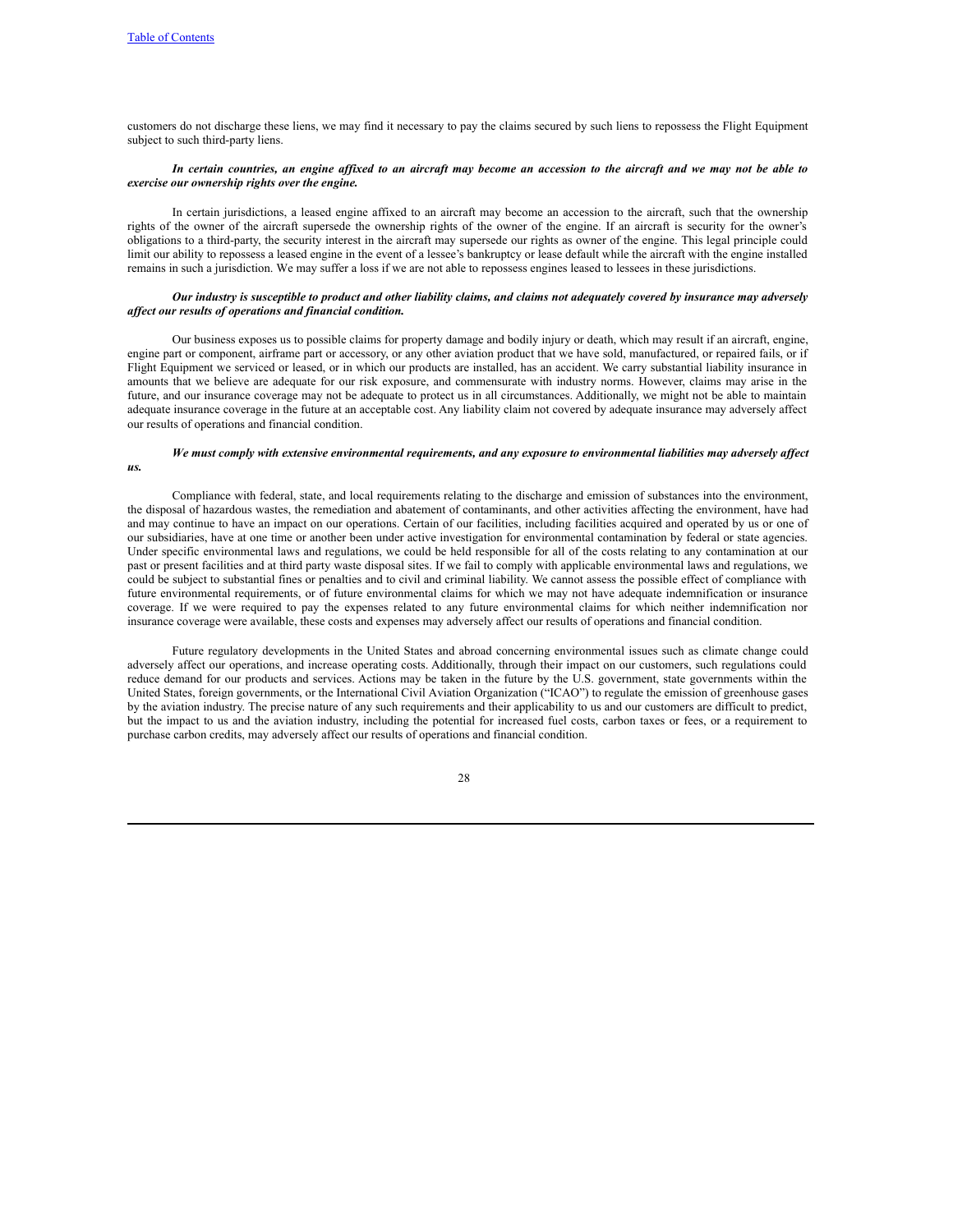*us.*

customers do not discharge these liens, we may find it necessary to pay the claims secured by such liens to repossess the Flight Equipment subject to such third-party liens.

# In certain countries, an engine affixed to an aircraft may become an accession to the aircraft and we may not be able to *exercise our ownership rights over the engine.*

In certain jurisdictions, a leased engine affixed to an aircraft may become an accession to the aircraft, such that the ownership rights of the owner of the aircraft supersede the ownership rights of the owner of the engine. If an aircraft is security for the owner's obligations to a third-party, the security interest in the aircraft may supersede our rights as owner of the engine. This legal principle could limit our ability to repossess a leased engine in the event of a lessee's bankruptcy or lease default while the aircraft with the engine installed remains in such a jurisdiction. We may suffer a loss if we are not able to repossess engines leased to lessees in these jurisdictions.

## Our industry is susceptible to product and other liability claims, and claims not adequately covered by insurance may adversely *af ect our results of operations and financial condition.*

Our business exposes us to possible claims for property damage and bodily injury or death, which may result if an aircraft, engine, engine part or component, airframe part or accessory, or any other aviation product that we have sold, manufactured, or repaired fails, or if Flight Equipment we serviced or leased, or in which our products are installed, has an accident. We carry substantial liability insurance in amounts that we believe are adequate for our risk exposure, and commensurate with industry norms. However, claims may arise in the future, and our insurance coverage may not be adequate to protect us in all circumstances. Additionally, we might not be able to maintain adequate insurance coverage in the future at an acceptable cost. Any liability claim not covered by adequate insurance may adversely affect our results of operations and financial condition.

# We must comply with extensive environmental requirements, and any exposure to environmental liabilities may adversely affect

Compliance with federal, state, and local requirements relating to the discharge and emission of substances into the environment, the disposal of hazardous wastes, the remediation and abatement of contaminants, and other activities affecting the environment, have had and may continue to have an impact on our operations. Certain of our facilities, including facilities acquired and operated by us or one of our subsidiaries, have at one time or another been under active investigation for environmental contamination by federal or state agencies. Under specific environmental laws and regulations, we could be held responsible for all of the costs relating to any contamination at our past or present facilities and at third party waste disposal sites. If we fail to comply with applicable environmental laws and regulations, we could be subject to substantial fines or penalties and to civil and criminal liability. We cannot assess the possible effect of compliance with future environmental requirements, or of future environmental claims for which we may not have adequate indemnification or insurance coverage. If we were required to pay the expenses related to any future environmental claims for which neither indemnification nor insurance coverage were available, these costs and expenses may adversely affect our results of operations and financial condition.

Future regulatory developments in the United States and abroad concerning environmental issues such as climate change could adversely affect our operations, and increase operating costs. Additionally, through their impact on our customers, such regulations could reduce demand for our products and services. Actions may be taken in the future by the U.S. government, state governments within the United States, foreign governments, or the International Civil Aviation Organization ("ICAO") to regulate the emission of greenhouse gases by the aviation industry. The precise nature of any such requirements and their applicability to us and our customers are difficult to predict, but the impact to us and the aviation industry, including the potential for increased fuel costs, carbon taxes or fees, or a requirement to purchase carbon credits, may adversely affect our results of operations and financial condition.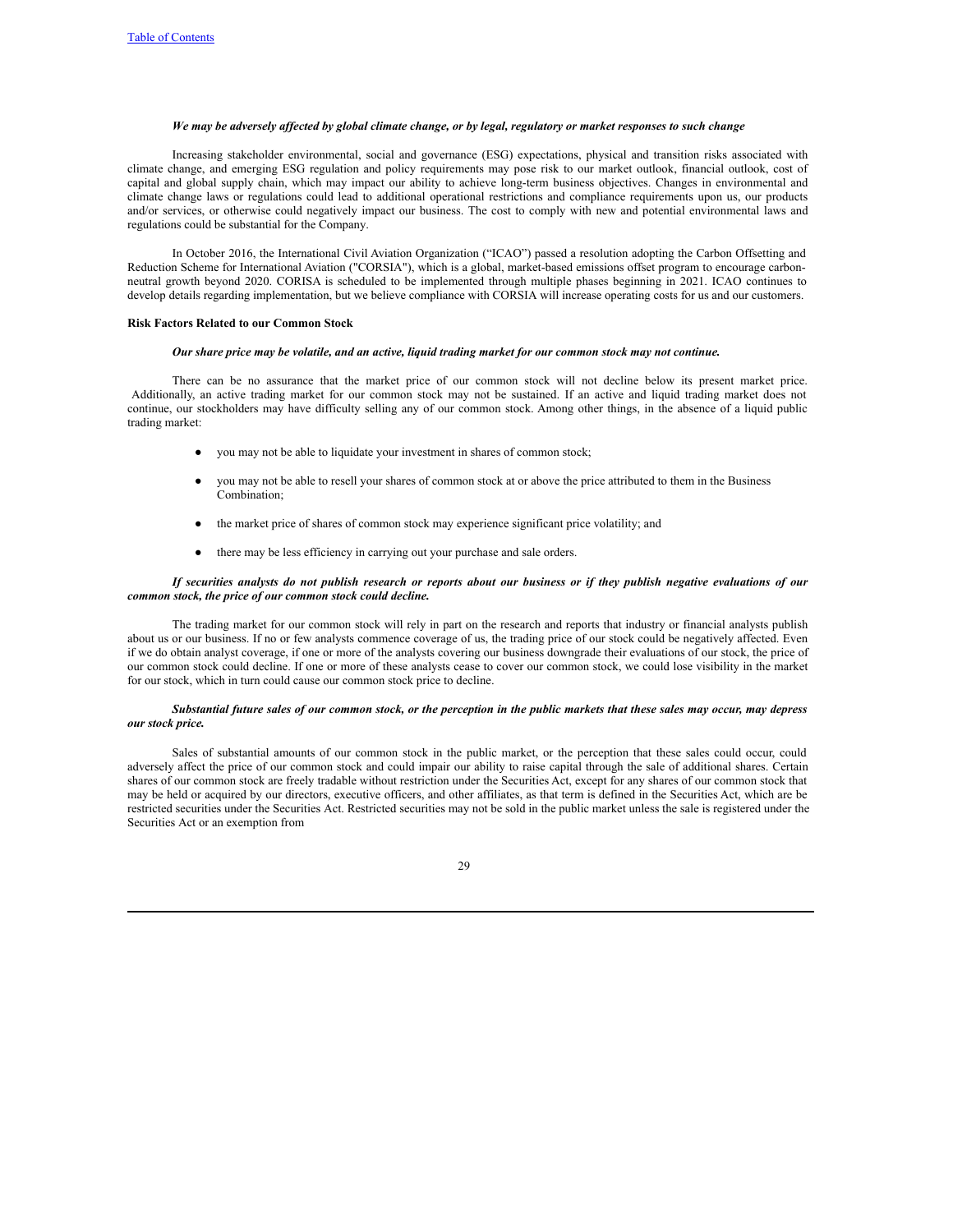# We may be adversely affected by global climate change, or by legal, regulatory or market responses to such change

Increasing stakeholder environmental, social and governance (ESG) expectations, physical and transition risks associated with climate change, and emerging ESG regulation and policy requirements may pose risk to our market outlook, financial outlook, cost of capital and global supply chain, which may impact our ability to achieve long-term business objectives. Changes in environmental and climate change laws or regulations could lead to additional operational restrictions and compliance requirements upon us, our products and/or services, or otherwise could negatively impact our business. The cost to comply with new and potential environmental laws and regulations could be substantial for the Company.

In October 2016, the International Civil Aviation Organization ("ICAO") passed a resolution adopting the Carbon Offsetting and Reduction Scheme for International Aviation ("CORSIA"), which is a global, market-based emissions offset program to encourage carbonneutral growth beyond 2020. CORISA is scheduled to be implemented through multiple phases beginning in 2021. ICAO continues to develop details regarding implementation, but we believe compliance with CORSIA will increase operating costs for us and our customers.

#### **Risk Factors Related to our Common Stock**

#### Our share price may be volatile, and an active, liquid trading market for our common stock may not continue.

There can be no assurance that the market price of our common stock will not decline below its present market price. Additionally, an active trading market for our common stock may not be sustained. If an active and liquid trading market does not continue, our stockholders may have difficulty selling any of our common stock. Among other things, in the absence of a liquid public trading market:

- you may not be able to liquidate your investment in shares of common stock;
- you may not be able to resell your shares of common stock at or above the price attributed to them in the Business Combination;
- the market price of shares of common stock may experience significant price volatility; and
- there may be less efficiency in carrying out your purchase and sale orders.

## If securities analysts do not publish research or reports about our business or if they publish negative evaluations of our *common stock, the price of our common stock could decline.*

The trading market for our common stock will rely in part on the research and reports that industry or financial analysts publish about us or our business. If no or few analysts commence coverage of us, the trading price of our stock could be negatively affected. Even if we do obtain analyst coverage, if one or more of the analysts covering our business downgrade their evaluations of our stock, the price of our common stock could decline. If one or more of these analysts cease to cover our common stock, we could lose visibility in the market for our stock, which in turn could cause our common stock price to decline.

#### Substantial future sales of our common stock, or the perception in the public markets that these sales may occur, may depress *our stock price.*

Sales of substantial amounts of our common stock in the public market, or the perception that these sales could occur, could adversely affect the price of our common stock and could impair our ability to raise capital through the sale of additional shares. Certain shares of our common stock are freely tradable without restriction under the Securities Act, except for any shares of our common stock that may be held or acquired by our directors, executive officers, and other affiliates, as that term is defined in the Securities Act, which are be restricted securities under the Securities Act. Restricted securities may not be sold in the public market unless the sale is registered under the Securities Act or an exemption from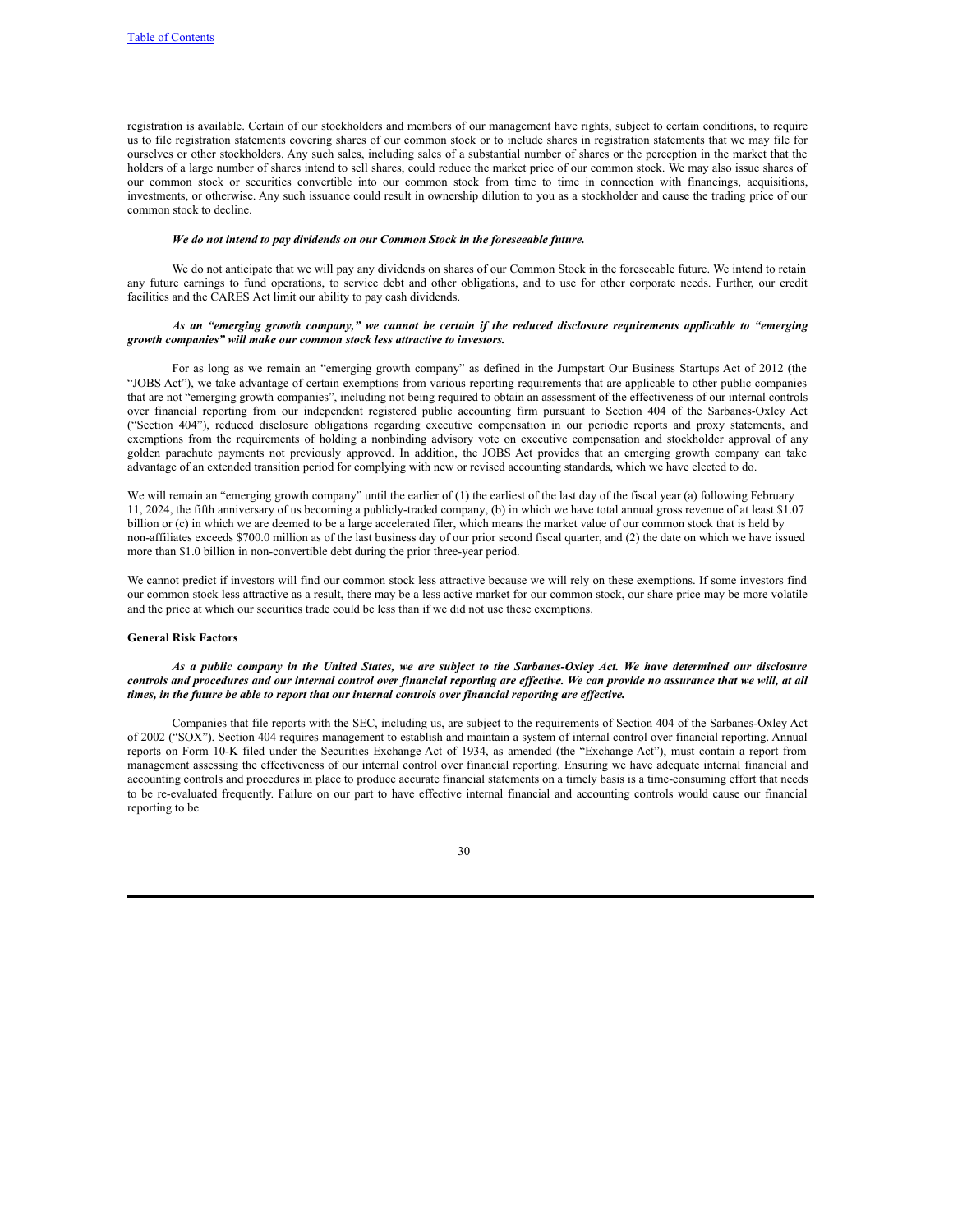registration is available. Certain of our stockholders and members of our management have rights, subject to certain conditions, to require us to file registration statements covering shares of our common stock or to include shares in registration statements that we may file for ourselves or other stockholders. Any such sales, including sales of a substantial number of shares or the perception in the market that the holders of a large number of shares intend to sell shares, could reduce the market price of our common stock. We may also issue shares of our common stock or securities convertible into our common stock from time to time in connection with financings, acquisitions, investments, or otherwise. Any such issuance could result in ownership dilution to you as a stockholder and cause the trading price of our common stock to decline.

## *We do not intend to pay dividends on our Common Stock in the foreseeable future.*

We do not anticipate that we will pay any dividends on shares of our Common Stock in the foreseeable future. We intend to retain any future earnings to fund operations, to service debt and other obligations, and to use for other corporate needs. Further, our credit facilities and the CARES Act limit our ability to pay cash dividends.

## As an "emerging growth company," we cannot be certain if the reduced disclosure requirements applicable to "emerging *growth companies" will make our common stock less attractive to investors.*

For as long as we remain an "emerging growth company" as defined in the Jumpstart Our Business Startups Act of 2012 (the "JOBS Act"), we take advantage of certain exemptions from various reporting requirements that are applicable to other public companies that are not "emerging growth companies", including not being required to obtain an assessment of the effectiveness of our internal controls over financial reporting from our independent registered public accounting firm pursuant to Section 404 of the Sarbanes-Oxley Act ("Section 404"), reduced disclosure obligations regarding executive compensation in our periodic reports and proxy statements, and exemptions from the requirements of holding a nonbinding advisory vote on executive compensation and stockholder approval of any golden parachute payments not previously approved. In addition, the JOBS Act provides that an emerging growth company can take advantage of an extended transition period for complying with new or revised accounting standards, which we have elected to do.

We will remain an "emerging growth company" until the earlier of (1) the earliest of the last day of the fiscal year (a) following February 11, 2024, the fifth anniversary of us becoming a publicly-traded company, (b) in which we have total annual gross revenue of at least \$1.07 billion or (c) in which we are deemed to be a large accelerated filer, which means the market value of our common stock that is held by non-affiliates exceeds \$700.0 million as of the last business day of our prior second fiscal quarter, and (2) the date on which we have issued more than \$1.0 billion in non-convertible debt during the prior three-year period.

We cannot predict if investors will find our common stock less attractive because we will rely on these exemptions. If some investors find our common stock less attractive as a result, there may be a less active market for our common stock, our share price may be more volatile and the price at which our securities trade could be less than if we did not use these exemptions.

## **General Risk Factors**

## As a public company in the United States, we are subject to the Sarbanes-Oxley Act. We have determined our disclosure controls and procedures and our internal control over financial reporting are effective. We can provide no assurance that we will, at all times, in the future be able to report that our internal controls over financial reporting are effective.

Companies that file reports with the SEC, including us, are subject to the requirements of Section 404 of the Sarbanes-Oxley Act of 2002 ("SOX"). Section 404 requires management to establish and maintain a system of internal control over financial reporting. Annual reports on Form 10-K filed under the Securities Exchange Act of 1934, as amended (the "Exchange Act"), must contain a report from management assessing the effectiveness of our internal control over financial reporting. Ensuring we have adequate internal financial and accounting controls and procedures in place to produce accurate financial statements on a timely basis is a time-consuming effort that needs to be re-evaluated frequently. Failure on our part to have effective internal financial and accounting controls would cause our financial reporting to be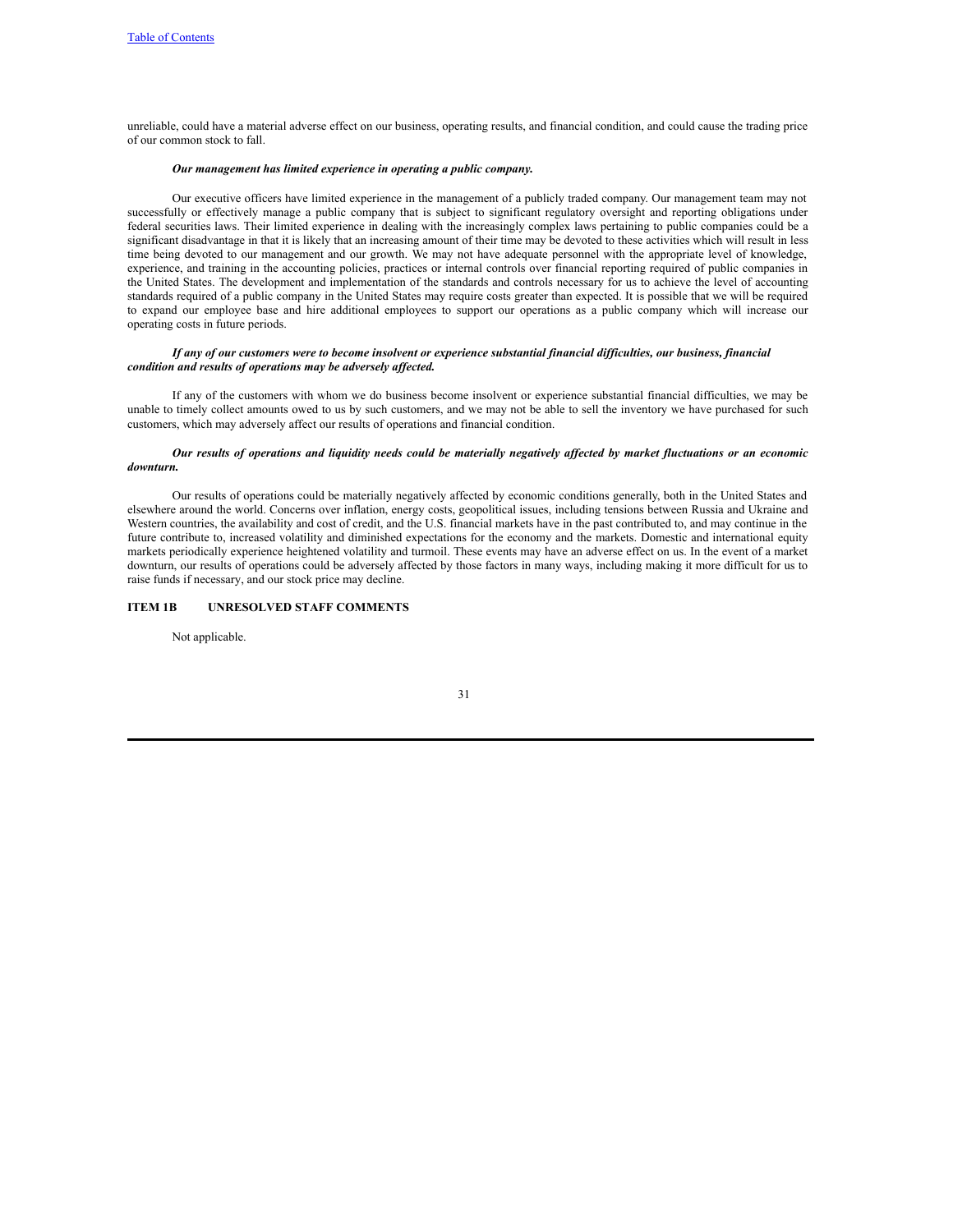unreliable, could have a material adverse effect on our business, operating results, and financial condition, and could cause the trading price of our common stock to fall.

# *Our management has limited experience in operating a public company.*

Our executive officers have limited experience in the management of a publicly traded company. Our management team may not successfully or effectively manage a public company that is subject to significant regulatory oversight and reporting obligations under federal securities laws. Their limited experience in dealing with the increasingly complex laws pertaining to public companies could be a significant disadvantage in that it is likely that an increasing amount of their time may be devoted to these activities which will result in less time being devoted to our management and our growth. We may not have adequate personnel with the appropriate level of knowledge, experience, and training in the accounting policies, practices or internal controls over financial reporting required of public companies in the United States. The development and implementation of the standards and controls necessary for us to achieve the level of accounting standards required of a public company in the United States may require costs greater than expected. It is possible that we will be required to expand our employee base and hire additional employees to support our operations as a public company which will increase our operating costs in future periods.

## If any of our customers were to become insolvent or experience substantial financial difficulties, our business, financial *condition and results of operations may be adversely af ected.*

If any of the customers with whom we do business become insolvent or experience substantial financial difficulties, we may be unable to timely collect amounts owed to us by such customers, and we may not be able to sell the inventory we have purchased for such customers, which may adversely affect our results of operations and financial condition.

## Our results of operations and liquidity needs could be materially negatively affected by market fluctuations or an economic *downturn.*

Our results of operations could be materially negatively affected by economic conditions generally, both in the United States and elsewhere around the world. Concerns over inflation, energy costs, geopolitical issues, including tensions between Russia and Ukraine and Western countries, the availability and cost of credit, and the U.S. financial markets have in the past contributed to, and may continue in the future contribute to, increased volatility and diminished expectations for the economy and the markets. Domestic and international equity markets periodically experience heightened volatility and turmoil. These events may have an adverse effect on us. In the event of a market downturn, our results of operations could be adversely affected by those factors in many ways, including making it more difficult for us to raise funds if necessary, and our stock price may decline.

# **ITEM 1B UNRESOLVED STAFF COMMENTS**

Not applicable.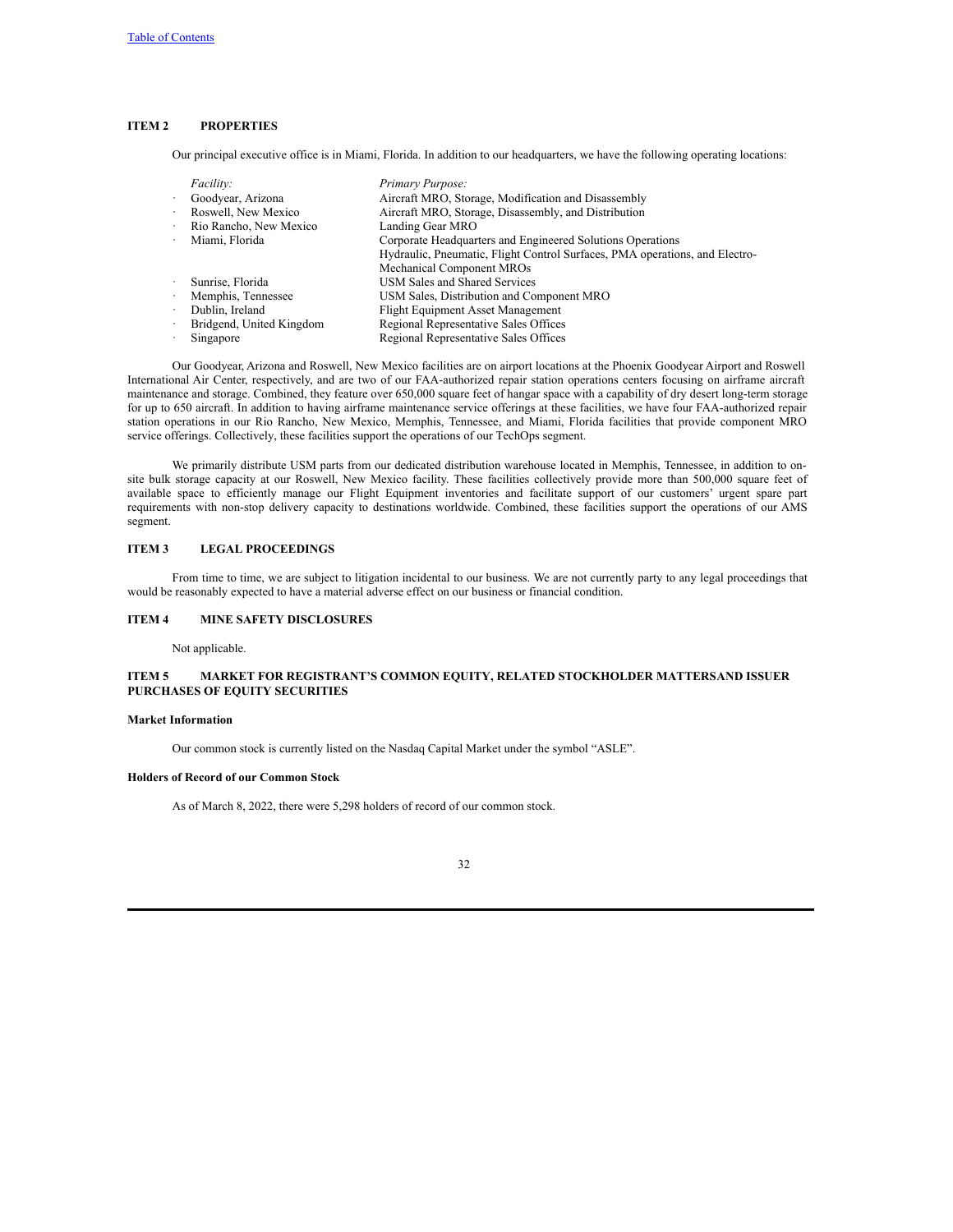# **ITEM 2 PROPERTIES**

Our principal executive office is in Miami, Florida. In addition to our headquarters, we have the following operating locations:

| <i>Facility:</i>         | Primary Purpose:                                                            |
|--------------------------|-----------------------------------------------------------------------------|
| Goodyear, Arizona        | Aircraft MRO, Storage, Modification and Disassembly                         |
| Roswell, New Mexico      | Aircraft MRO, Storage, Disassembly, and Distribution                        |
| Rio Rancho, New Mexico   | Landing Gear MRO                                                            |
| Miami, Florida           | Corporate Headquarters and Engineered Solutions Operations                  |
|                          | Hydraulic, Pneumatic, Flight Control Surfaces, PMA operations, and Electro- |
|                          | Mechanical Component MROs                                                   |
| Sunrise, Florida         | USM Sales and Shared Services                                               |
| Memphis, Tennessee       | USM Sales, Distribution and Component MRO                                   |
| Dublin, Ireland          | Flight Equipment Asset Management                                           |
| Bridgend, United Kingdom | Regional Representative Sales Offices                                       |
| Singapore                | Regional Representative Sales Offices                                       |

Our Goodyear, Arizona and Roswell, New Mexico facilities are on airport locations at the Phoenix Goodyear Airport and Roswell International Air Center, respectively, and are two of our FAA-authorized repair station operations centers focusing on airframe aircraft maintenance and storage. Combined, they feature over 650,000 square feet of hangar space with a capability of dry desert long-term storage for up to 650 aircraft. In addition to having airframe maintenance service offerings at these facilities, we have four FAA-authorized repair station operations in our Rio Rancho, New Mexico, Memphis, Tennessee, and Miami, Florida facilities that provide component MRO service offerings. Collectively, these facilities support the operations of our TechOps segment.

We primarily distribute USM parts from our dedicated distribution warehouse located in Memphis, Tennessee, in addition to onsite bulk storage capacity at our Roswell, New Mexico facility. These facilities collectively provide more than 500,000 square feet of available space to efficiently manage our Flight Equipment inventories and facilitate support of our customers' urgent spare part requirements with non-stop delivery capacity to destinations worldwide. Combined, these facilities support the operations of our AMS segment.

# **ITEM 3 LEGAL PROCEEDINGS**

From time to time, we are subject to litigation incidental to our business. We are not currently party to any legal proceedings that would be reasonably expected to have a material adverse effect on our business or financial condition.

# **ITEM 4 MINE SAFETY DISCLOSURES**

Not applicable.

# **ITEM 5 MARKET FOR REGISTRANT'S COMMON EQUITY, RELATED STOCKHOLDER MATTERSAND ISSUER PURCHASES OF EQUITY SECURITIES**

# **Market Information**

Our common stock is currently listed on the Nasdaq Capital Market under the symbol "ASLE".

# **Holders of Record of our Common Stock**

As of March 8, 2022, there were 5,298 holders of record of our common stock.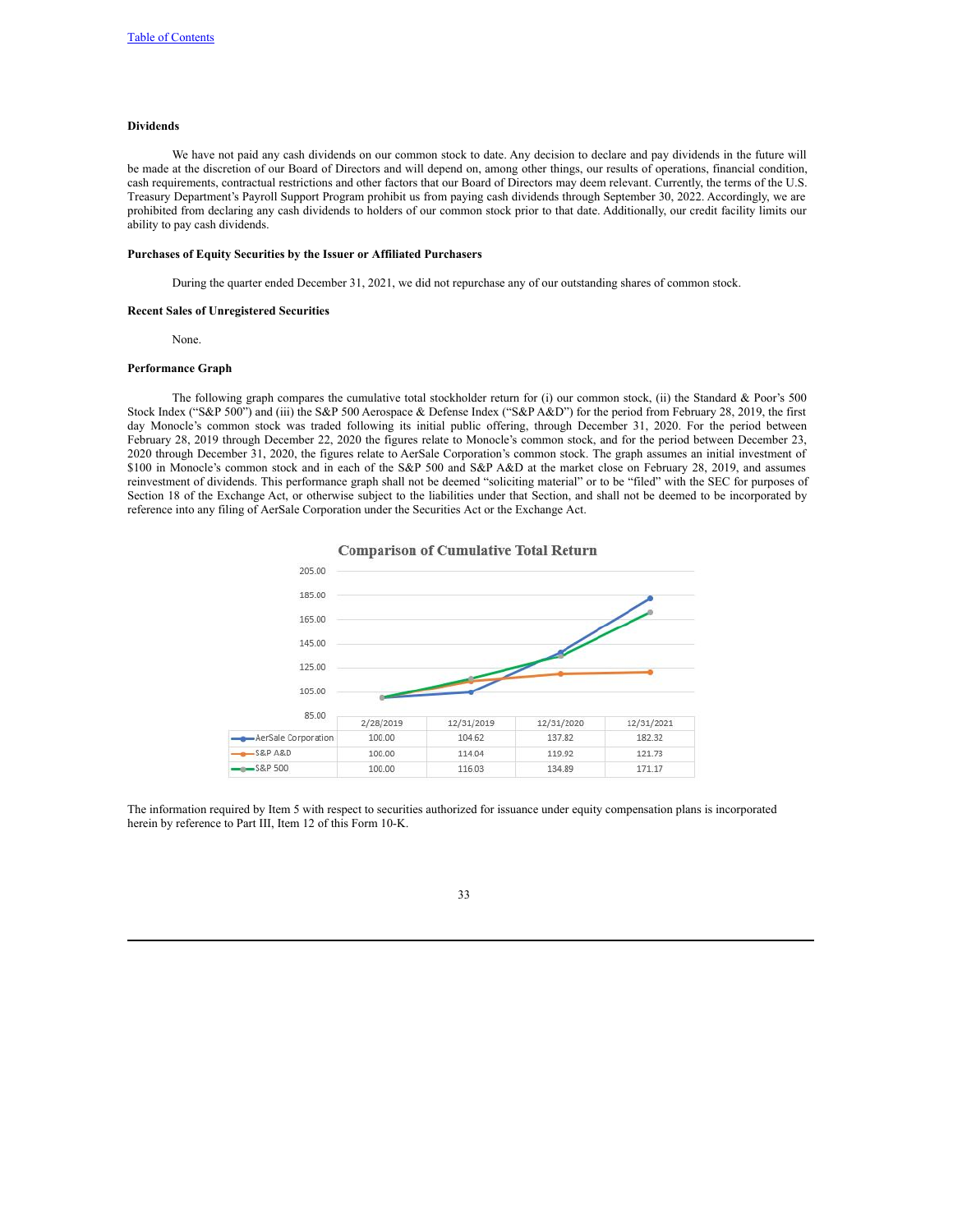## **Dividends**

We have not paid any cash dividends on our common stock to date. Any decision to declare and pay dividends in the future will be made at the discretion of our Board of Directors and will depend on, among other things, our results of operations, financial condition, cash requirements, contractual restrictions and other factors that our Board of Directors may deem relevant. Currently, the terms of the U.S. Treasury Department's Payroll Support Program prohibit us from paying cash dividends through September 30, 2022. Accordingly, we are prohibited from declaring any cash dividends to holders of our common stock prior to that date. Additionally, our credit facility limits our ability to pay cash dividends.

# **Purchases of Equity Securities by the Issuer or Affiliated Purchasers**

During the quarter ended December 31, 2021, we did not repurchase any of our outstanding shares of common stock.

#### **Recent Sales of Unregistered Securities**

None.

## **Performance Graph**

The following graph compares the cumulative total stockholder return for (i) our common stock, (ii) the Standard & Poor's 500 Stock Index ("S&P 500") and (iii) the S&P 500 Aerospace & Defense Index ("S&P A&D") for the period from February 28, 2019, the first day Monocle's common stock was traded following its initial public offering, through December 31, 2020. For the period between February 28, 2019 through December 22, 2020 the figures relate to Monocle's common stock, and for the period between December 23, 2020 through December 31, 2020, the figures relate to AerSale Corporation's common stock. The graph assumes an initial investment of \$100 in Monocle's common stock and in each of the S&P 500 and S&P A&D at the market close on February 28, 2019, and assumes reinvestment of dividends. This performance graph shall not be deemed "soliciting material" or to be "filed" with the SEC for purposes of Section 18 of the Exchange Act, or otherwise subject to the liabilities under that Section, and shall not be deemed to be incorporated by reference into any filing of AerSale Corporation under the Securities Act or the Exchange Act.



**Comparison of Cumulative Total Return** 

The information required by Item 5 with respect to securities authorized for issuance under equity compensation plans is incorporated herein by reference to Part III, Item 12 of this Form 10-K.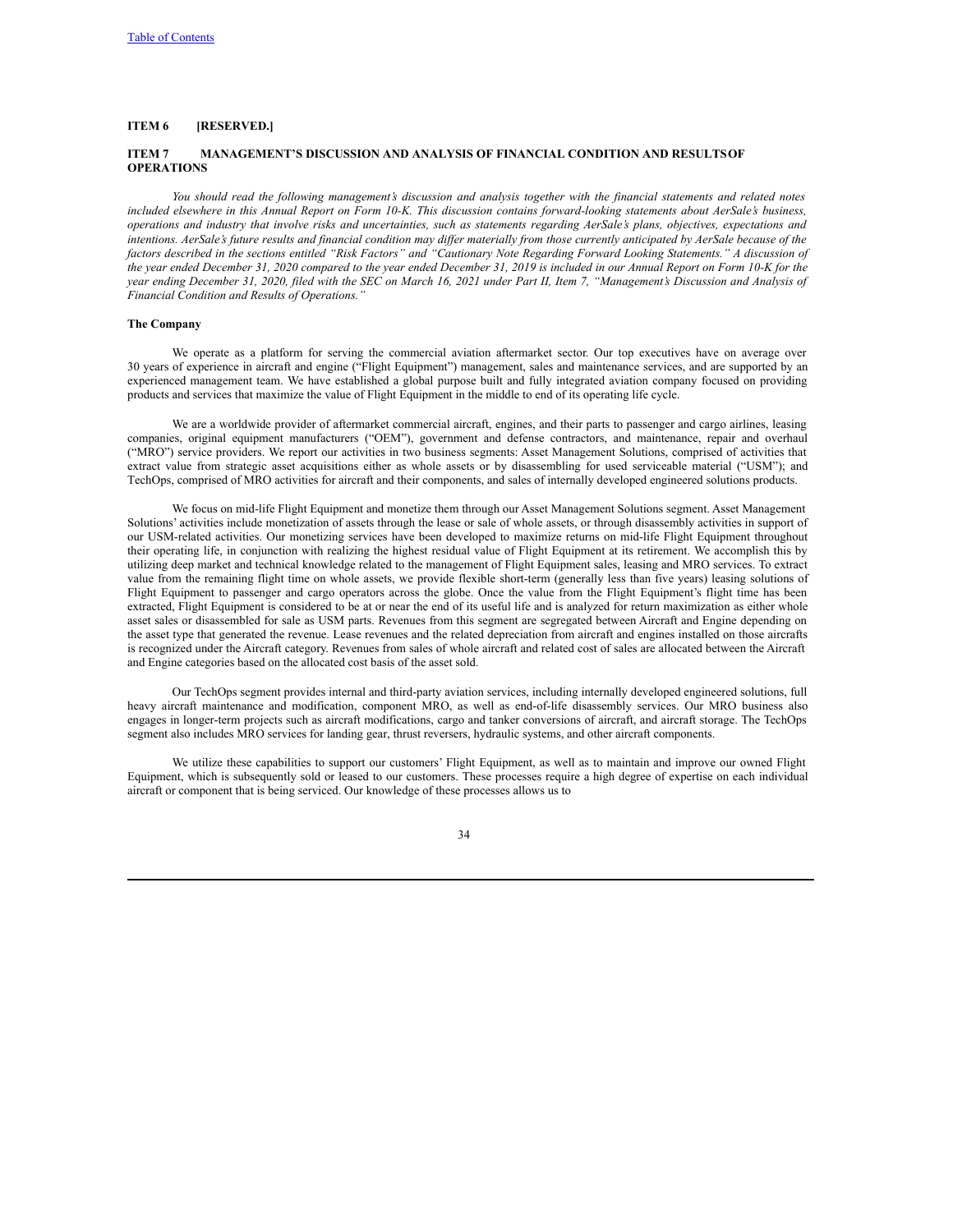# **ITEM 6 [RESERVED.]**

## **ITEM 7 MANAGEMENT'S DISCUSSION AND ANALYSIS OF FINANCIAL CONDITION AND RESULTSOF OPERATIONS**

You should read the following management's discussion and analysis together with the financial statements and related notes included elsewhere in this Annual Report on Form 10-K. This discussion contains forward-looking statements about AerSale's business, operations and industry that involve risks and uncertainties, such as statements regarding AerSale's plans, objectives, expectations and intentions. AerSale's future results and financial condition may differ materially from those currently anticipated by AerSale because of the factors described in the sections entitled "Risk Factors" and "Cautionary Note Regarding Forward Looking Statements." A discussion of the year ended December 31, 2020 compared to the year ended December 31, 2019 is included in our Annual Report on Form 10-K for the year ending December 31, 2020, filed with the SEC on March 16, 2021 under Part II, Item 7, "Management's Discussion and Analysis of *Financial Condition and Results of Operations."*

# **The Company**

We operate as a platform for serving the commercial aviation aftermarket sector. Our top executives have on average over 30 years of experience in aircraft and engine ("Flight Equipment") management, sales and maintenance services, and are supported by an experienced management team. We have established a global purpose built and fully integrated aviation company focused on providing products and services that maximize the value of Flight Equipment in the middle to end of its operating life cycle.

We are a worldwide provider of aftermarket commercial aircraft, engines, and their parts to passenger and cargo airlines, leasing companies, original equipment manufacturers ("OEM"), government and defense contractors, and maintenance, repair and overhaul ("MRO") service providers. We report our activities in two business segments: Asset Management Solutions, comprised of activities that extract value from strategic asset acquisitions either as whole assets or by disassembling for used serviceable material ("USM"); and TechOps, comprised of MRO activities for aircraft and their components, and sales of internally developed engineered solutions products.

We focus on mid-life Flight Equipment and monetize them through our Asset Management Solutions segment. Asset Management Solutions' activities include monetization of assets through the lease or sale of whole assets, or through disassembly activities in support of our USM-related activities. Our monetizing services have been developed to maximize returns on mid-life Flight Equipment throughout their operating life, in conjunction with realizing the highest residual value of Flight Equipment at its retirement. We accomplish this by utilizing deep market and technical knowledge related to the management of Flight Equipment sales, leasing and MRO services. To extract value from the remaining flight time on whole assets, we provide flexible short-term (generally less than five years) leasing solutions of Flight Equipment to passenger and cargo operators across the globe. Once the value from the Flight Equipment's flight time has been extracted, Flight Equipment is considered to be at or near the end of its useful life and is analyzed for return maximization as either whole asset sales or disassembled for sale as USM parts. Revenues from this segment are segregated between Aircraft and Engine depending on the asset type that generated the revenue. Lease revenues and the related depreciation from aircraft and engines installed on those aircrafts is recognized under the Aircraft category. Revenues from sales of whole aircraft and related cost of sales are allocated between the Aircraft and Engine categories based on the allocated cost basis of the asset sold.

Our TechOps segment provides internal and third-party aviation services, including internally developed engineered solutions, full heavy aircraft maintenance and modification, component MRO, as well as end-of-life disassembly services. Our MRO business also engages in longer-term projects such as aircraft modifications, cargo and tanker conversions of aircraft, and aircraft storage. The TechOps segment also includes MRO services for landing gear, thrust reversers, hydraulic systems, and other aircraft components.

We utilize these capabilities to support our customers' Flight Equipment, as well as to maintain and improve our owned Flight Equipment, which is subsequently sold or leased to our customers. These processes require a high degree of expertise on each individual aircraft or component that is being serviced. Our knowledge of these processes allows us to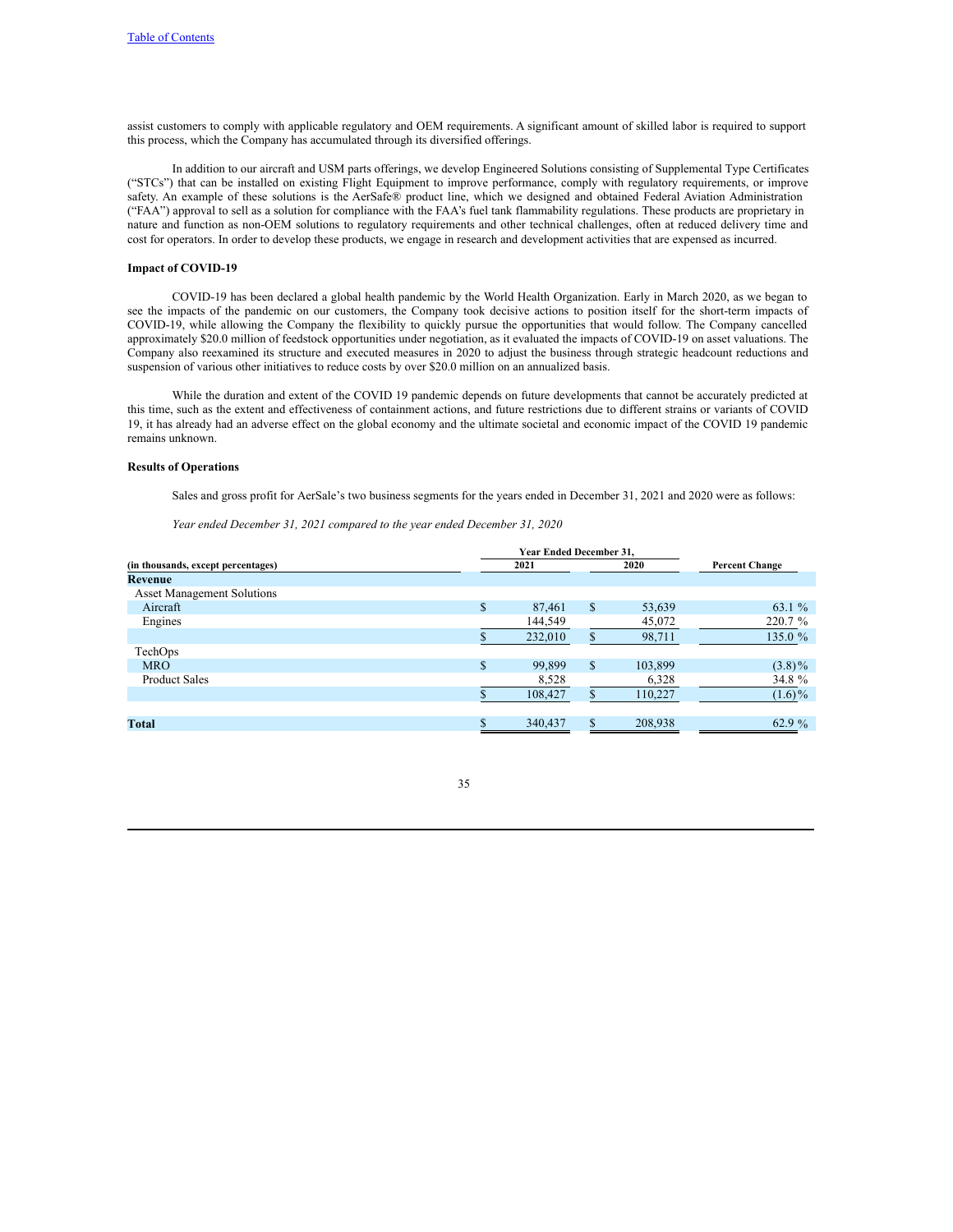assist customers to comply with applicable regulatory and OEM requirements. A significant amount of skilled labor is required to support this process, which the Company has accumulated through its diversified offerings.

In addition to our aircraft and USM parts offerings, we develop Engineered Solutions consisting of Supplemental Type Certificates ("STCs") that can be installed on existing Flight Equipment to improve performance, comply with regulatory requirements, or improve safety. An example of these solutions is the AerSafe® product line, which we designed and obtained Federal Aviation Administration ("FAA") approval to sell as a solution for compliance with the FAA's fuel tank flammability regulations. These products are proprietary in nature and function as non-OEM solutions to regulatory requirements and other technical challenges, often at reduced delivery time and cost for operators. In order to develop these products, we engage in research and development activities that are expensed as incurred.

## **Impact of COVID-19**

COVID-19 has been declared a global health pandemic by the World Health Organization. Early in March 2020, as we began to see the impacts of the pandemic on our customers, the Company took decisive actions to position itself for the short-term impacts of COVID-19, while allowing the Company the flexibility to quickly pursue the opportunities that would follow. The Company cancelled approximately \$20.0 million of feedstock opportunities under negotiation, as it evaluated the impacts of COVID-19 on asset valuations. The Company also reexamined its structure and executed measures in 2020 to adjust the business through strategic headcount reductions and suspension of various other initiatives to reduce costs by over \$20.0 million on an annualized basis.

While the duration and extent of the COVID 19 pandemic depends on future developments that cannot be accurately predicted at this time, such as the extent and effectiveness of containment actions, and future restrictions due to different strains or variants of COVID 19, it has already had an adverse effect on the global economy and the ultimate societal and economic impact of the COVID 19 pandemic remains unknown.

#### **Results of Operations**

Sales and gross profit for AerSale's two business segments for the years ended in December 31, 2021 and 2020 were as follows:

*Year ended December 31, 2021 compared to the year ended December 31, 2020*

|                                    | Year Ended December 31, |         |              |         |                       |  |
|------------------------------------|-------------------------|---------|--------------|---------|-----------------------|--|
| (in thousands, except percentages) |                         | 2021    |              | 2020    | <b>Percent Change</b> |  |
| Revenue                            |                         |         |              |         |                       |  |
| <b>Asset Management Solutions</b>  |                         |         |              |         |                       |  |
| Aircraft                           | \$.                     | 87,461  | $\mathbb{S}$ | 53,639  | 63.1 %                |  |
| Engines                            |                         | 144,549 |              | 45,072  | 220.7 %               |  |
|                                    |                         | 232,010 |              | 98,711  | 135.0 %               |  |
| TechOps                            |                         |         |              |         |                       |  |
| <b>MRO</b>                         | \$                      | 99,899  | $\mathbb{S}$ | 103,899 | $(3.8)\%$             |  |
| <b>Product Sales</b>               |                         | 8,528   |              | 6,328   | 34.8 %                |  |
|                                    |                         | 108,427 | \$           | 110,227 | $(1.6)\%$             |  |
|                                    |                         |         |              |         |                       |  |
| <b>Total</b>                       |                         | 340,437 | $\mathbf{s}$ | 208,938 | 62.9 $\%$             |  |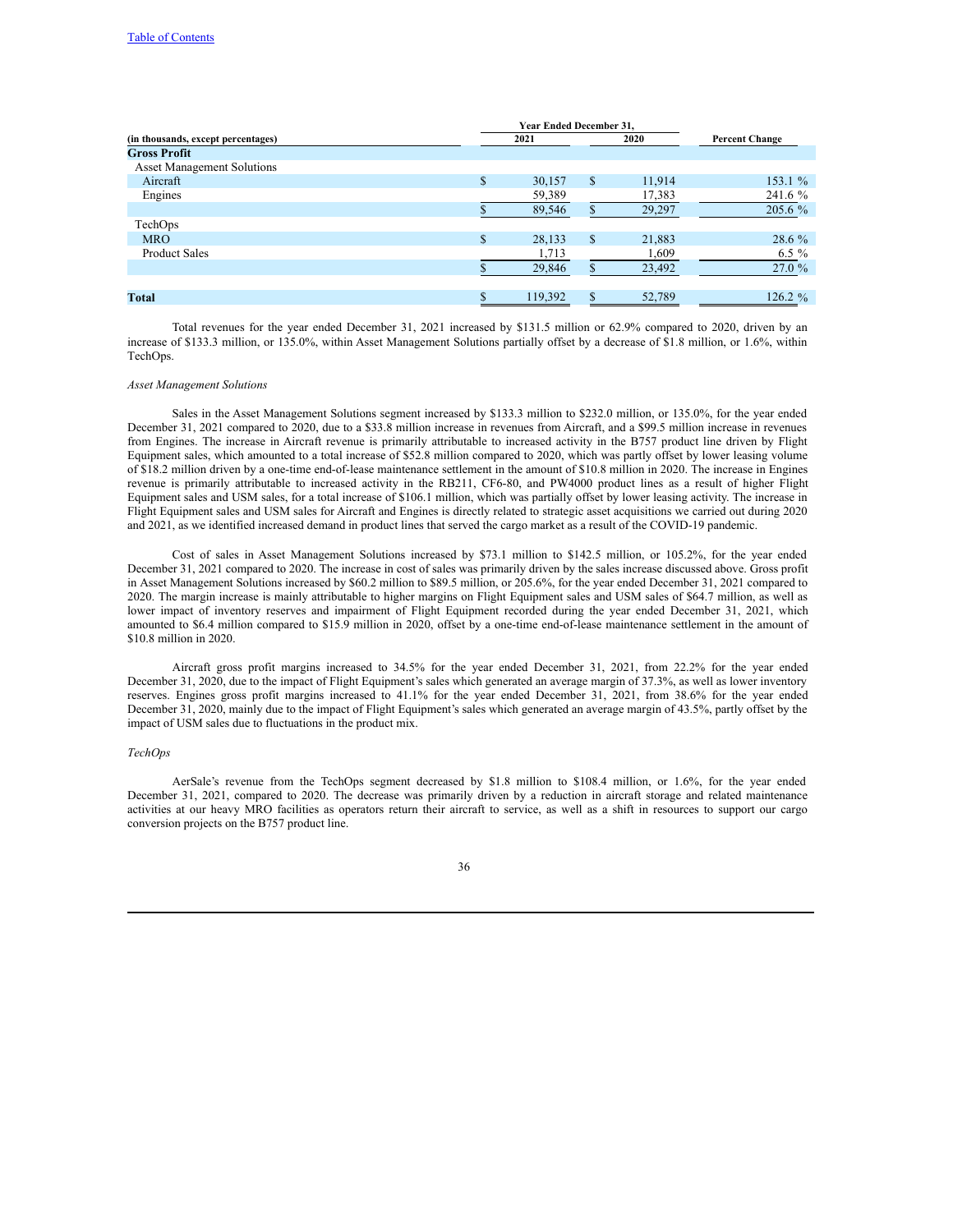|                                    | <b>Year Ended December 31.</b> |         |              |        |                       |
|------------------------------------|--------------------------------|---------|--------------|--------|-----------------------|
| (in thousands, except percentages) | 2021                           |         | 2020         |        | <b>Percent Change</b> |
| <b>Gross Profit</b>                |                                |         |              |        |                       |
| <b>Asset Management Solutions</b>  |                                |         |              |        |                       |
| Aircraft                           | $\mathbf{s}$                   | 30,157  | \$           | 11,914 | 153.1%                |
| Engines                            |                                | 59,389  |              | 17,383 | 241.6 %               |
|                                    |                                | 89,546  | \$           | 29,297 | 205.6 %               |
| TechOps                            |                                |         |              |        |                       |
| <b>MRO</b>                         | $\mathbf S$                    | 28,133  | $\mathbb{S}$ | 21,883 | 28.6 %                |
| <b>Product Sales</b>               |                                | 1,713   |              | 1,609  | $6.5 \%$              |
|                                    |                                | 29,846  | S.           | 23,492 | 27.0 %                |
|                                    |                                |         |              |        |                       |
| <b>Total</b>                       |                                | 119,392 | S.           | 52,789 | 126.2 $\%$            |

Total revenues for the year ended December 31, 2021 increased by \$131.5 million or 62.9% compared to 2020, driven by an increase of \$133.3 million, or 135.0%, within Asset Management Solutions partially offset by a decrease of \$1.8 million, or 1.6%, within TechOps.

#### *Asset Management Solutions*

Sales in the Asset Management Solutions segment increased by \$133.3 million to \$232.0 million, or 135.0%, for the year ended December 31, 2021 compared to 2020, due to a \$33.8 million increase in revenues from Aircraft, and a \$99.5 million increase in revenues from Engines. The increase in Aircraft revenue is primarily attributable to increased activity in the B757 product line driven by Flight Equipment sales, which amounted to a total increase of \$52.8 million compared to 2020, which was partly offset by lower leasing volume of \$18.2 million driven by a one-time end-of-lease maintenance settlement in the amount of \$10.8 million in 2020. The increase in Engines revenue is primarily attributable to increased activity in the RB211, CF6-80, and PW4000 product lines as a result of higher Flight Equipment sales and USM sales, for a total increase of \$106.1 million, which was partially offset by lower leasing activity. The increase in Flight Equipment sales and USM sales for Aircraft and Engines is directly related to strategic asset acquisitions we carried out during 2020 and 2021, as we identified increased demand in product lines that served the cargo market as a result of the COVID-19 pandemic.

Cost of sales in Asset Management Solutions increased by \$73.1 million to \$142.5 million, or 105.2%, for the year ended December 31, 2021 compared to 2020. The increase in cost of sales was primarily driven by the sales increase discussed above. Gross profit in Asset Management Solutions increased by \$60.2 million to \$89.5 million, or 205.6%, for the year ended December 31, 2021 compared to 2020. The margin increase is mainly attributable to higher margins on Flight Equipment sales and USM sales of \$64.7 million, as well as lower impact of inventory reserves and impairment of Flight Equipment recorded during the year ended December 31, 2021, which amounted to \$6.4 million compared to \$15.9 million in 2020, offset by a one-time end-of-lease maintenance settlement in the amount of \$10.8 million in 2020.

Aircraft gross profit margins increased to 34.5% for the year ended December 31, 2021, from 22.2% for the year ended December 31, 2020, due to the impact of Flight Equipment's sales which generated an average margin of 37.3%, as well as lower inventory reserves. Engines gross profit margins increased to 41.1% for the year ended December 31, 2021, from 38.6% for the year ended December 31, 2020, mainly due to the impact of Flight Equipment's sales which generated an average margin of 43.5%, partly offset by the impact of USM sales due to fluctuations in the product mix.

# *TechOps*

AerSale's revenue from the TechOps segment decreased by \$1.8 million to \$108.4 million, or 1.6%, for the year ended December 31, 2021, compared to 2020. The decrease was primarily driven by a reduction in aircraft storage and related maintenance activities at our heavy MRO facilities as operators return their aircraft to service, as well as a shift in resources to support our cargo conversion projects on the B757 product line.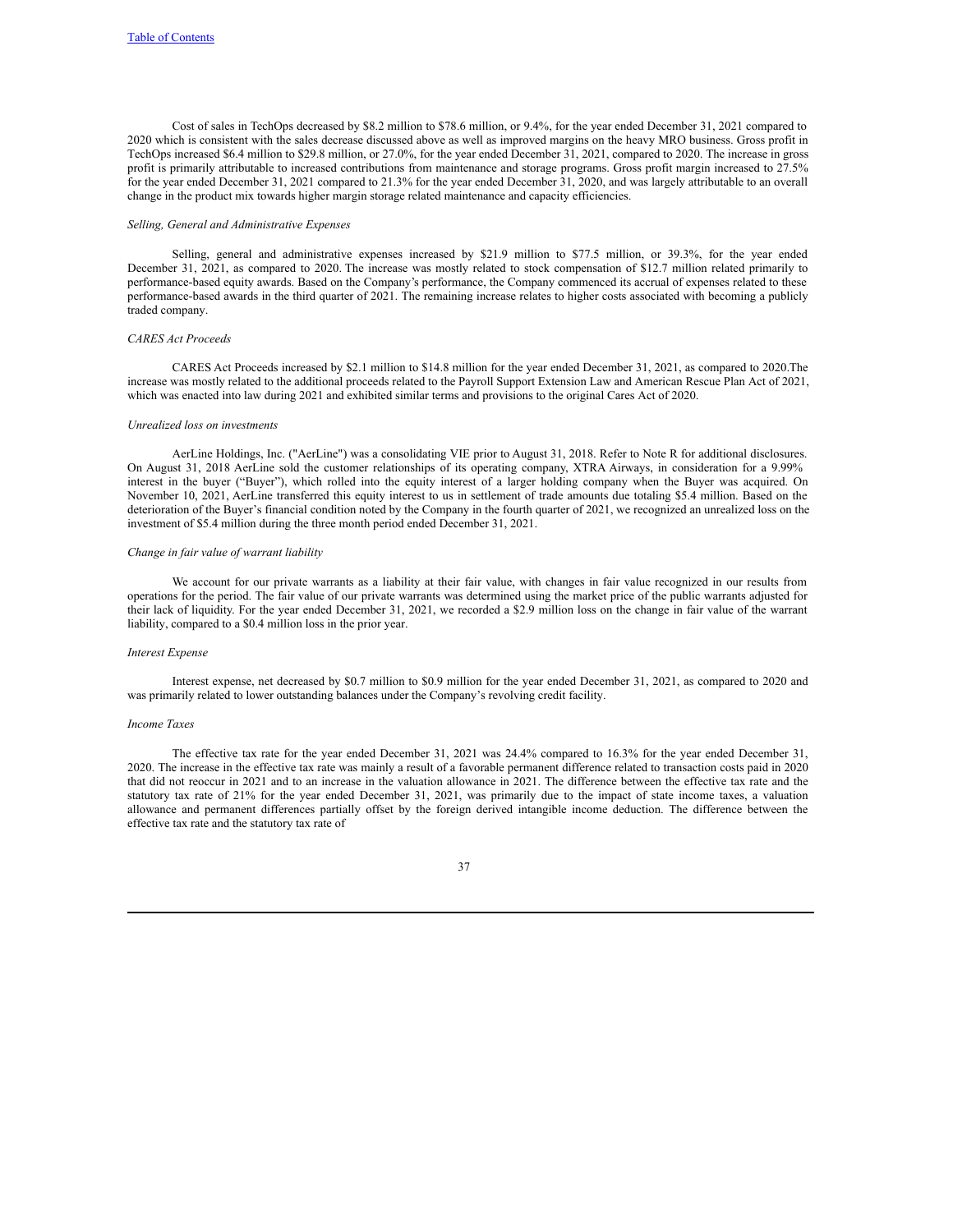Cost of sales in TechOps decreased by \$8.2 million to \$78.6 million, or 9.4%, for the year ended December 31, 2021 compared to 2020 which is consistent with the sales decrease discussed above as well as improved margins on the heavy MRO business. Gross profit in TechOps increased \$6.4 million to \$29.8 million, or 27.0%, for the year ended December 31, 2021, compared to 2020. The increase in gross profit is primarily attributable to increased contributions from maintenance and storage programs. Gross profit margin increased to 27.5% for the year ended December 31, 2021 compared to 21.3% for the year ended December 31, 2020, and was largely attributable to an overall change in the product mix towards higher margin storage related maintenance and capacity efficiencies.

#### *Selling, General and Administrative Expenses*

Selling, general and administrative expenses increased by \$21.9 million to \$77.5 million, or 39.3%, for the year ended December 31, 2021, as compared to 2020. The increase was mostly related to stock compensation of \$12.7 million related primarily to performance-based equity awards. Based on the Company's performance, the Company commenced its accrual of expenses related to these performance-based awards in the third quarter of 2021. The remaining increase relates to higher costs associated with becoming a publicly traded company.

### *CARES Act Proceeds*

CARES Act Proceeds increased by \$2.1 million to \$14.8 million for the year ended December 31, 2021, as compared to 2020.The increase was mostly related to the additional proceeds related to the Payroll Support Extension Law and American Rescue Plan Act of 2021, which was enacted into law during 2021 and exhibited similar terms and provisions to the original Cares Act of 2020.

#### *Unrealized loss on investments*

AerLine Holdings, Inc. ("AerLine") was a consolidating VIE prior to August 31, 2018. Refer to Note R for additional disclosures. On August 31, 2018 AerLine sold the customer relationships of its operating company, XTRA Airways, in consideration for a 9.99% interest in the buyer ("Buyer"), which rolled into the equity interest of a larger holding company when the Buyer was acquired. On November 10, 2021, AerLine transferred this equity interest to us in settlement of trade amounts due totaling \$5.4 million. Based on the deterioration of the Buyer's financial condition noted by the Company in the fourth quarter of 2021, we recognized an unrealized loss on the investment of \$5.4 million during the three month period ended December 31, 2021.

#### *Change in fair value of warrant liability*

We account for our private warrants as a liability at their fair value, with changes in fair value recognized in our results from operations for the period. The fair value of our private warrants was determined using the market price of the public warrants adjusted for their lack of liquidity. For the year ended December 31, 2021, we recorded a \$2.9 million loss on the change in fair value of the warrant liability, compared to a \$0.4 million loss in the prior year.

### *Interest Expense*

Interest expense, net decreased by \$0.7 million to \$0.9 million for the year ended December 31, 2021, as compared to 2020 and was primarily related to lower outstanding balances under the Company's revolving credit facility.

### *Income Taxes*

The effective tax rate for the year ended December 31, 2021 was 24.4% compared to 16.3% for the year ended December 31, 2020. The increase in the effective tax rate was mainly a result of a favorable permanent difference related to transaction costs paid in 2020 that did not reoccur in 2021 and to an increase in the valuation allowance in 2021. The difference between the effective tax rate and the statutory tax rate of 21% for the year ended December 31, 2021, was primarily due to the impact of state income taxes, a valuation allowance and permanent differences partially offset by the foreign derived intangible income deduction. The difference between the effective tax rate and the statutory tax rate of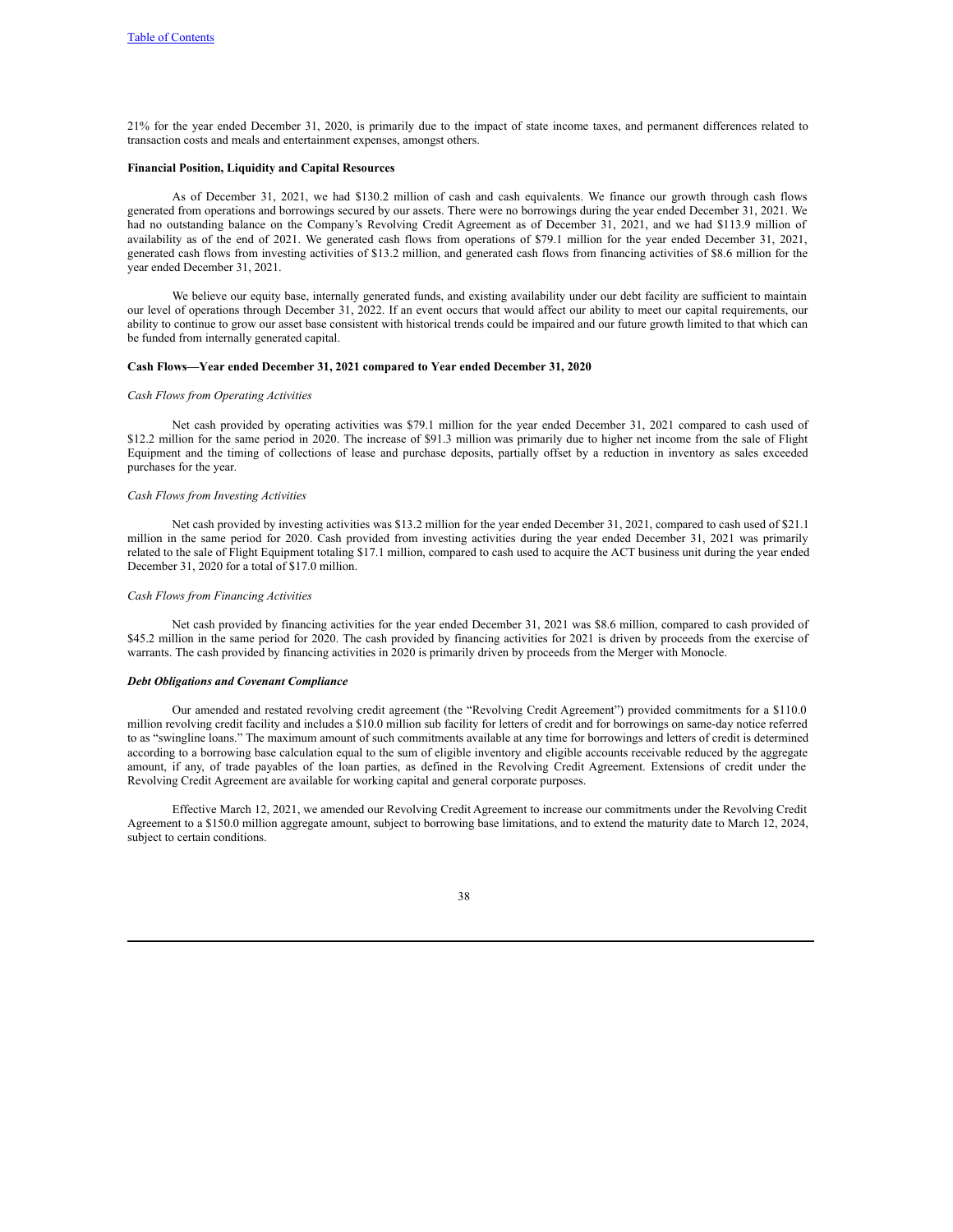21% for the year ended December 31, 2020, is primarily due to the impact of state income taxes, and permanent differences related to transaction costs and meals and entertainment expenses, amongst others.

# **Financial Position, Liquidity and Capital Resources**

As of December 31, 2021, we had \$130.2 million of cash and cash equivalents. We finance our growth through cash flows generated from operations and borrowings secured by our assets. There were no borrowings during the year ended December 31, 2021. We had no outstanding balance on the Company's Revolving Credit Agreement as of December 31, 2021, and we had \$113.9 million of availability as of the end of 2021. We generated cash flows from operations of \$79.1 million for the year ended December 31, 2021, generated cash flows from investing activities of \$13.2 million, and generated cash flows from financing activities of \$8.6 million for the year ended December 31, 2021.

We believe our equity base, internally generated funds, and existing availability under our debt facility are sufficient to maintain our level of operations through December 31, 2022. If an event occurs that would affect our ability to meet our capital requirements, our ability to continue to grow our asset base consistent with historical trends could be impaired and our future growth limited to that which can be funded from internally generated capital.

### **Cash Flows—Year ended December 31, 2021 compared to Year ended December 31, 2020**

#### *Cash Flows from Operating Activities*

Net cash provided by operating activities was \$79.1 million for the year ended December 31, 2021 compared to cash used of \$12.2 million for the same period in 2020. The increase of \$91.3 million was primarily due to higher net income from the sale of Flight Equipment and the timing of collections of lease and purchase deposits, partially offset by a reduction in inventory as sales exceeded purchases for the year.

#### *Cash Flows from Investing Activities*

Net cash provided by investing activities was \$13.2 million for the year ended December 31, 2021, compared to cash used of \$21.1 million in the same period for 2020. Cash provided from investing activities during the year ended December 31, 2021 was primarily related to the sale of Flight Equipment totaling \$17.1 million, compared to cash used to acquire the ACT business unit during the year ended December 31, 2020 for a total of \$17.0 million.

### *Cash Flows from Financing Activities*

Net cash provided by financing activities for the year ended December 31, 2021 was \$8.6 million, compared to cash provided of \$45.2 million in the same period for 2020. The cash provided by financing activities for 2021 is driven by proceeds from the exercise of warrants. The cash provided by financing activities in 2020 is primarily driven by proceeds from the Merger with Monocle.

### *Debt Obligations and Covenant Compliance*

Our amended and restated revolving credit agreement (the "Revolving Credit Agreement") provided commitments for a \$110.0 million revolving credit facility and includes a \$10.0 million sub facility for letters of credit and for borrowings on same-day notice referred to as "swingline loans." The maximum amount of such commitments available at any time for borrowings and letters of credit is determined according to a borrowing base calculation equal to the sum of eligible inventory and eligible accounts receivable reduced by the aggregate amount, if any, of trade payables of the loan parties, as defined in the Revolving Credit Agreement. Extensions of credit under the Revolving Credit Agreement are available for working capital and general corporate purposes.

Effective March 12, 2021, we amended our Revolving Credit Agreement to increase our commitments under the Revolving Credit Agreement to a \$150.0 million aggregate amount, subject to borrowing base limitations, and to extend the maturity date to March 12, 2024, subject to certain conditions.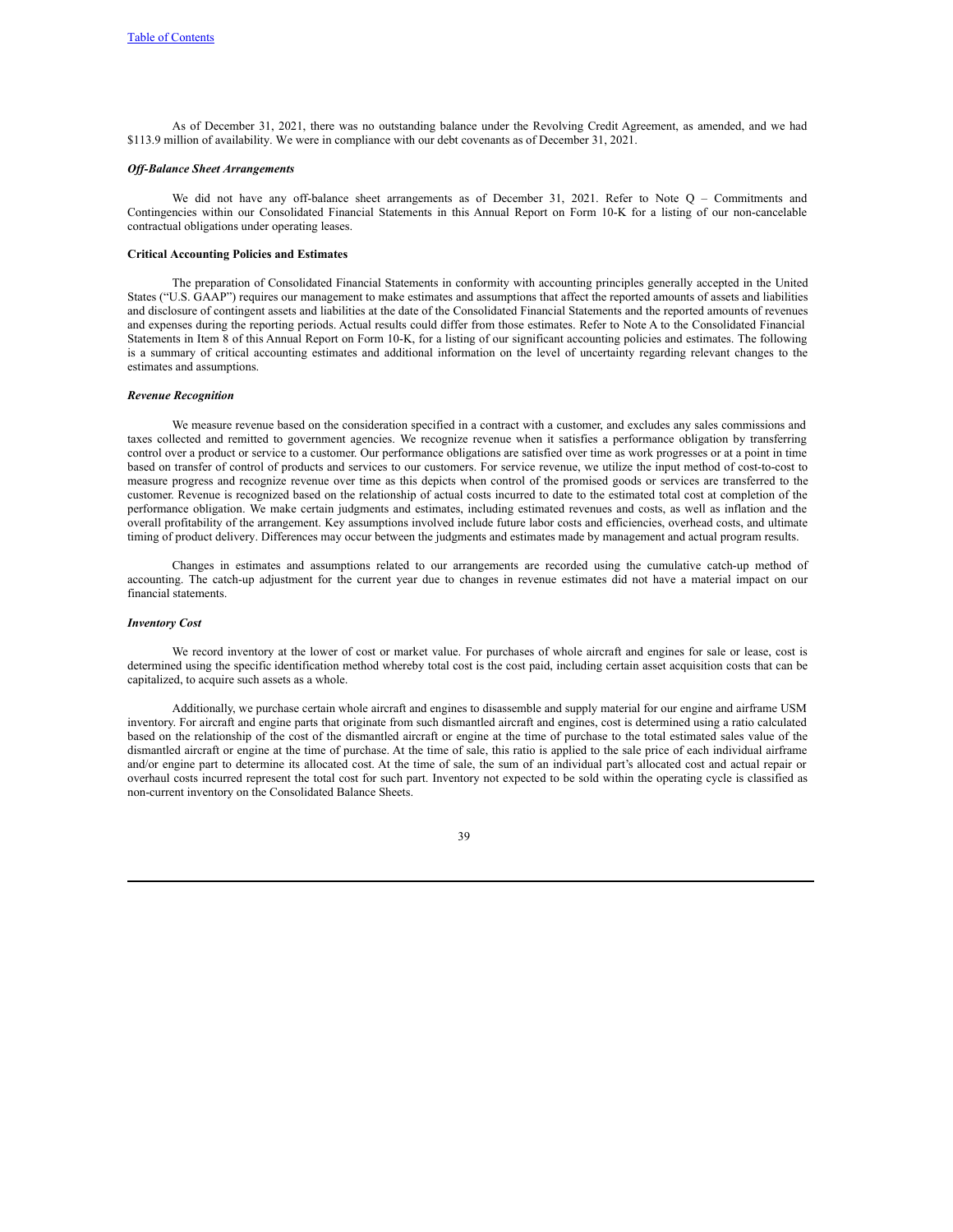As of December 31, 2021, there was no outstanding balance under the Revolving Credit Agreement, as amended, and we had \$113.9 million of availability. We were in compliance with our debt covenants as of December 31, 2021.

# *Of -Balance Sheet Arrangements*

We did not have any off-balance sheet arrangements as of December 31, 2021. Refer to Note Q – Commitments and Contingencies within our Consolidated Financial Statements in this Annual Report on Form 10-K for a listing of our non-cancelable contractual obligations under operating leases.

# **Critical Accounting Policies and Estimates**

The preparation of Consolidated Financial Statements in conformity with accounting principles generally accepted in the United States ("U.S. GAAP") requires our management to make estimates and assumptions that affect the reported amounts of assets and liabilities and disclosure of contingent assets and liabilities at the date of the Consolidated Financial Statements and the reported amounts of revenues and expenses during the reporting periods. Actual results could differ from those estimates. Refer to Note A to the Consolidated Financial Statements in Item 8 of this Annual Report on Form 10-K, for a listing of our significant accounting policies and estimates. The following is a summary of critical accounting estimates and additional information on the level of uncertainty regarding relevant changes to the estimates and assumptions.

#### *Revenue Recognition*

We measure revenue based on the consideration specified in a contract with a customer, and excludes any sales commissions and taxes collected and remitted to government agencies. We recognize revenue when it satisfies a performance obligation by transferring control over a product or service to a customer. Our performance obligations are satisfied over time as work progresses or at a point in time based on transfer of control of products and services to our customers. For service revenue, we utilize the input method of cost-to-cost to measure progress and recognize revenue over time as this depicts when control of the promised goods or services are transferred to the customer. Revenue is recognized based on the relationship of actual costs incurred to date to the estimated total cost at completion of the performance obligation. We make certain judgments and estimates, including estimated revenues and costs, as well as inflation and the overall profitability of the arrangement. Key assumptions involved include future labor costs and efficiencies, overhead costs, and ultimate timing of product delivery. Differences may occur between the judgments and estimates made by management and actual program results.

Changes in estimates and assumptions related to our arrangements are recorded using the cumulative catch-up method of accounting. The catch-up adjustment for the current year due to changes in revenue estimates did not have a material impact on our financial statements.

#### *Inventory Cost*

We record inventory at the lower of cost or market value. For purchases of whole aircraft and engines for sale or lease, cost is determined using the specific identification method whereby total cost is the cost paid, including certain asset acquisition costs that can be capitalized, to acquire such assets as a whole.

Additionally, we purchase certain whole aircraft and engines to disassemble and supply material for our engine and airframe USM inventory. For aircraft and engine parts that originate from such dismantled aircraft and engines, cost is determined using a ratio calculated based on the relationship of the cost of the dismantled aircraft or engine at the time of purchase to the total estimated sales value of the dismantled aircraft or engine at the time of purchase. At the time of sale, this ratio is applied to the sale price of each individual airframe and/or engine part to determine its allocated cost. At the time of sale, the sum of an individual part's allocated cost and actual repair or overhaul costs incurred represent the total cost for such part. Inventory not expected to be sold within the operating cycle is classified as non-current inventory on the Consolidated Balance Sheets.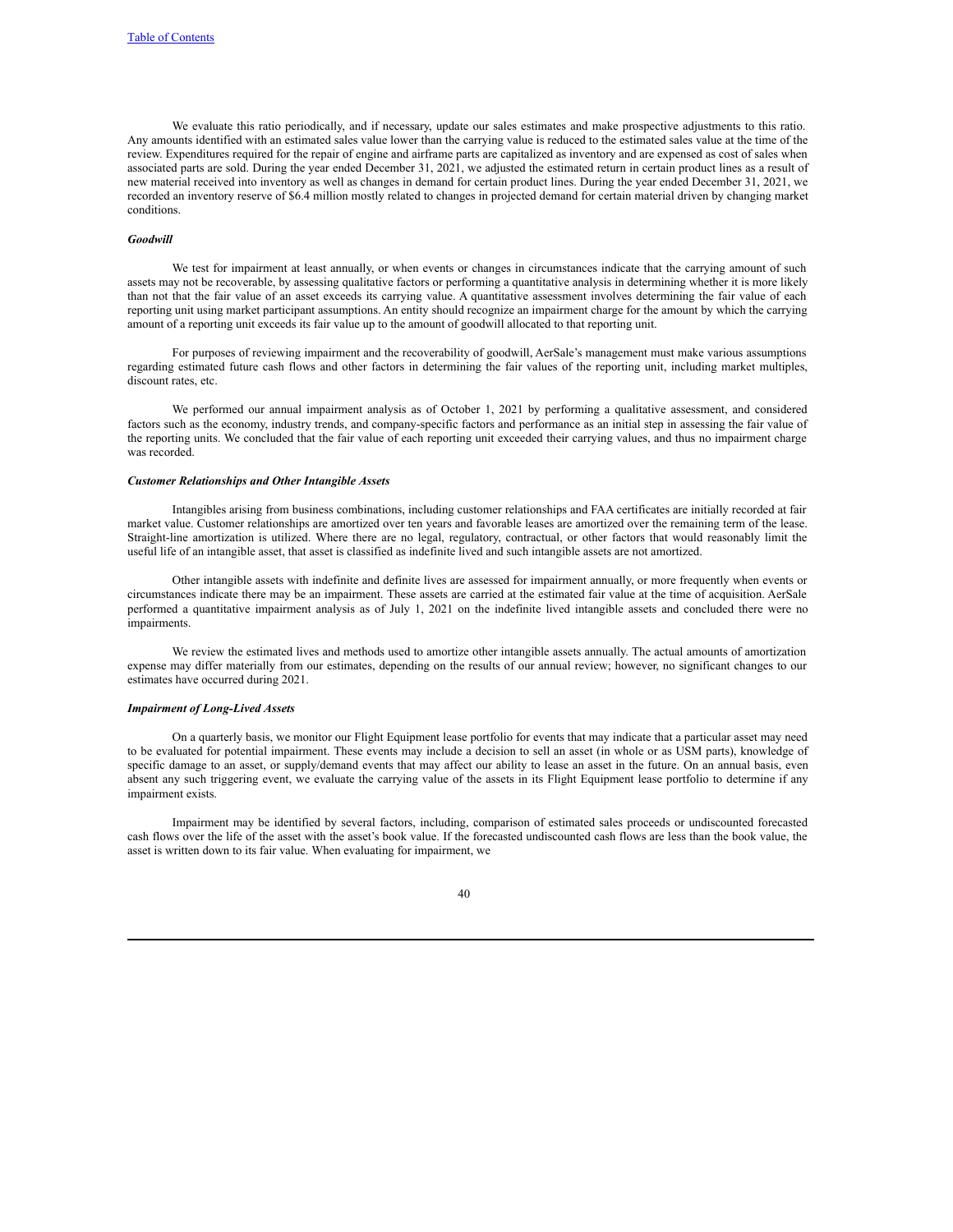We evaluate this ratio periodically, and if necessary, update our sales estimates and make prospective adjustments to this ratio. Any amounts identified with an estimated sales value lower than the carrying value is reduced to the estimated sales value at the time of the review. Expenditures required for the repair of engine and airframe parts are capitalized as inventory and are expensed as cost of sales when associated parts are sold. During the year ended December 31, 2021, we adjusted the estimated return in certain product lines as a result of new material received into inventory as well as changes in demand for certain product lines. During the year ended December 31, 2021, we recorded an inventory reserve of \$6.4 million mostly related to changes in projected demand for certain material driven by changing market conditions.

### *Goodwill*

We test for impairment at least annually, or when events or changes in circumstances indicate that the carrying amount of such assets may not be recoverable, by assessing qualitative factors or performing a quantitative analysis in determining whether it is more likely than not that the fair value of an asset exceeds its carrying value. A quantitative assessment involves determining the fair value of each reporting unit using market participant assumptions. An entity should recognize an impairment charge for the amount by which the carrying amount of a reporting unit exceeds its fair value up to the amount of goodwill allocated to that reporting unit.

For purposes of reviewing impairment and the recoverability of goodwill, AerSale's management must make various assumptions regarding estimated future cash flows and other factors in determining the fair values of the reporting unit, including market multiples, discount rates, etc.

We performed our annual impairment analysis as of October 1, 2021 by performing a qualitative assessment, and considered factors such as the economy, industry trends, and company-specific factors and performance as an initial step in assessing the fair value of the reporting units. We concluded that the fair value of each reporting unit exceeded their carrying values, and thus no impairment charge was recorded.

## *Customer Relationships and Other Intangible Assets*

Intangibles arising from business combinations, including customer relationships and FAA certificates are initially recorded at fair market value. Customer relationships are amortized over ten years and favorable leases are amortized over the remaining term of the lease. Straight-line amortization is utilized. Where there are no legal, regulatory, contractual, or other factors that would reasonably limit the useful life of an intangible asset, that asset is classified as indefinite lived and such intangible assets are not amortized.

Other intangible assets with indefinite and definite lives are assessed for impairment annually, or more frequently when events or circumstances indicate there may be an impairment. These assets are carried at the estimated fair value at the time of acquisition. AerSale performed a quantitative impairment analysis as of July 1, 2021 on the indefinite lived intangible assets and concluded there were no impairments.

We review the estimated lives and methods used to amortize other intangible assets annually. The actual amounts of amortization expense may differ materially from our estimates, depending on the results of our annual review; however, no significant changes to our estimates have occurred during 2021.

#### *Impairment of Long-Lived Assets*

On a quarterly basis, we monitor our Flight Equipment lease portfolio for events that may indicate that a particular asset may need to be evaluated for potential impairment. These events may include a decision to sell an asset (in whole or as USM parts), knowledge of specific damage to an asset, or supply/demand events that may affect our ability to lease an asset in the future. On an annual basis, even absent any such triggering event, we evaluate the carrying value of the assets in its Flight Equipment lease portfolio to determine if any impairment exists.

Impairment may be identified by several factors, including, comparison of estimated sales proceeds or undiscounted forecasted cash flows over the life of the asset with the asset's book value. If the forecasted undiscounted cash flows are less than the book value, the asset is written down to its fair value. When evaluating for impairment, we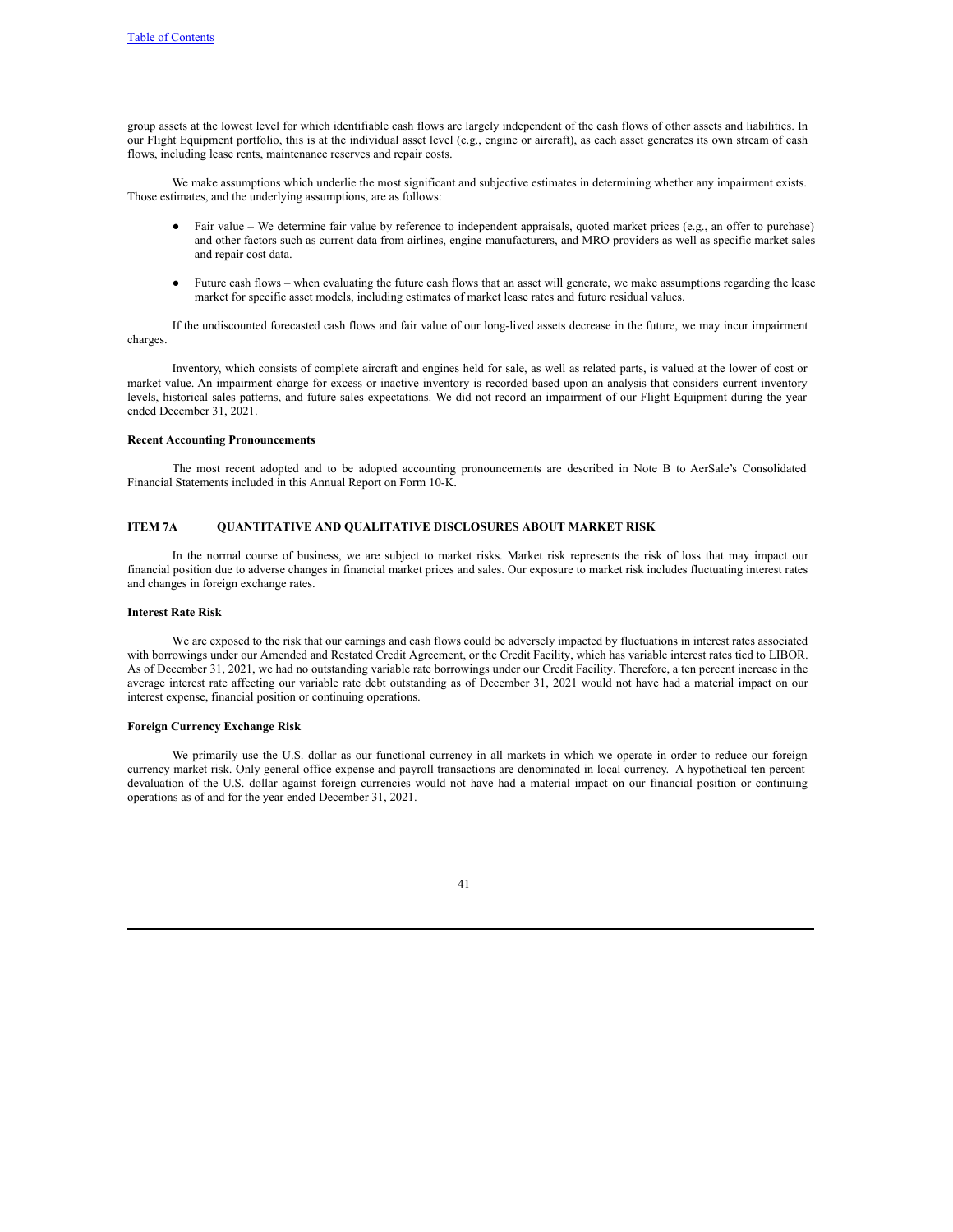group assets at the lowest level for which identifiable cash flows are largely independent of the cash flows of other assets and liabilities. In our Flight Equipment portfolio, this is at the individual asset level (e.g., engine or aircraft), as each asset generates its own stream of cash flows, including lease rents, maintenance reserves and repair costs.

We make assumptions which underlie the most significant and subjective estimates in determining whether any impairment exists. Those estimates, and the underlying assumptions, are as follows:

- Fair value We determine fair value by reference to independent appraisals, quoted market prices (e.g., an offer to purchase) and other factors such as current data from airlines, engine manufacturers, and MRO providers as well as specific market sales and repair cost data.
- Future cash flows when evaluating the future cash flows that an asset will generate, we make assumptions regarding the lease market for specific asset models, including estimates of market lease rates and future residual values.

If the undiscounted forecasted cash flows and fair value of our long-lived assets decrease in the future, we may incur impairment charges.

Inventory, which consists of complete aircraft and engines held for sale, as well as related parts, is valued at the lower of cost or market value. An impairment charge for excess or inactive inventory is recorded based upon an analysis that considers current inventory levels, historical sales patterns, and future sales expectations. We did not record an impairment of our Flight Equipment during the year ended December 31, 2021.

# **Recent Accounting Pronouncements**

The most recent adopted and to be adopted accounting pronouncements are described in Note B to AerSale's Consolidated Financial Statements included in this Annual Report on Form 10-K.

# **ITEM 7A QUANTITATIVE AND QUALITATIVE DISCLOSURES ABOUT MARKET RISK**

In the normal course of business, we are subject to market risks. Market risk represents the risk of loss that may impact our financial position due to adverse changes in financial market prices and sales. Our exposure to market risk includes fluctuating interest rates and changes in foreign exchange rates.

#### **Interest Rate Risk**

We are exposed to the risk that our earnings and cash flows could be adversely impacted by fluctuations in interest rates associated with borrowings under our Amended and Restated Credit Agreement, or the Credit Facility, which has variable interest rates tied to LIBOR. As of December 31, 2021, we had no outstanding variable rate borrowings under our Credit Facility. Therefore, a ten percent increase in the average interest rate affecting our variable rate debt outstanding as of December 31, 2021 would not have had a material impact on our interest expense, financial position or continuing operations.

# **Foreign Currency Exchange Risk**

We primarily use the U.S. dollar as our functional currency in all markets in which we operate in order to reduce our foreign currency market risk. Only general office expense and payroll transactions are denominated in local currency. A hypothetical ten percent devaluation of the U.S. dollar against foreign currencies would not have had a material impact on our financial position or continuing operations as of and for the year ended December 31, 2021.

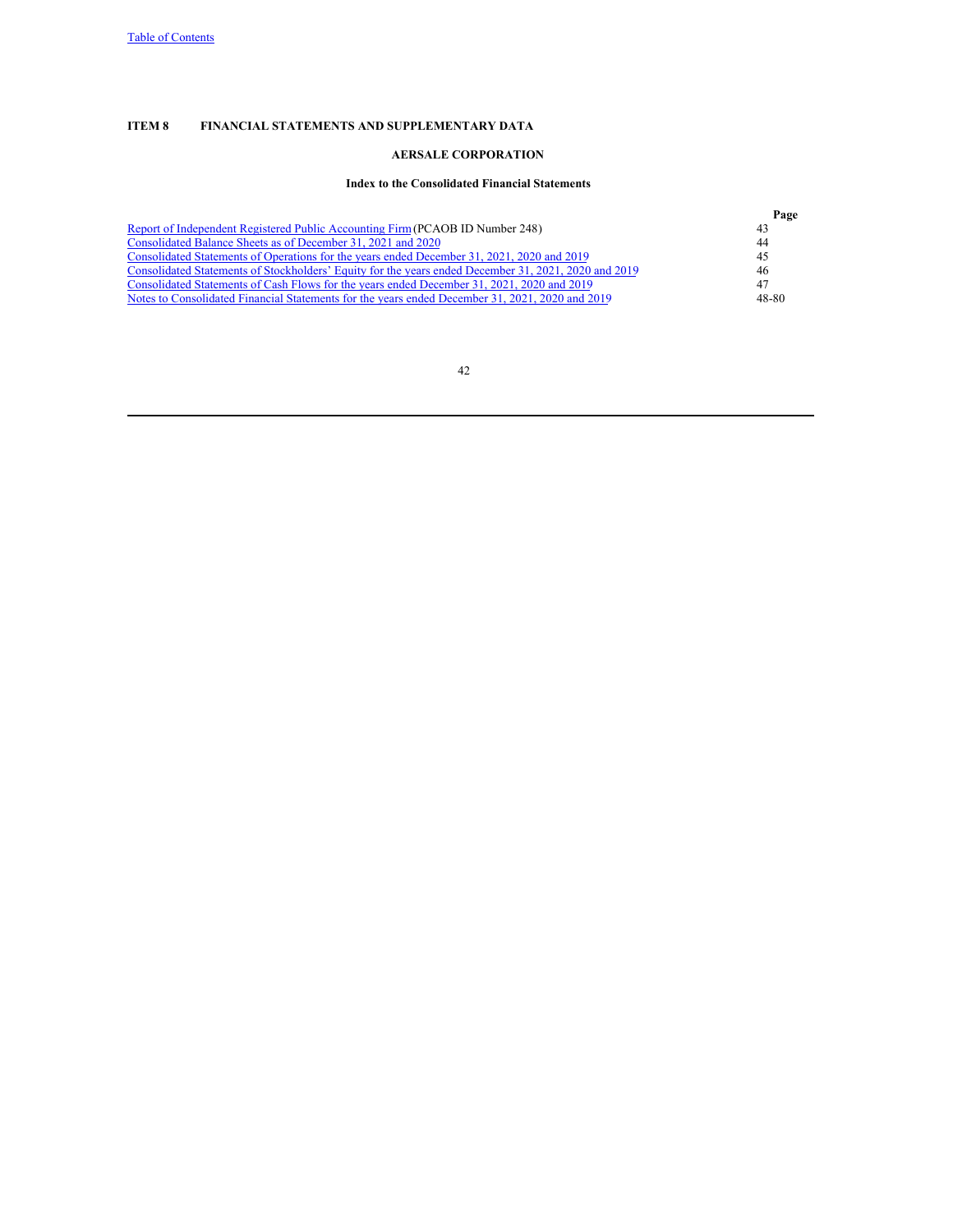# **ITEM 8 FINANCIAL STATEMENTS AND SUPPLEMENTARY DATA**

# **AERSALE CORPORATION**

# **Index to the Consolidated Financial Statements**

|                                                                                                      | Page  |
|------------------------------------------------------------------------------------------------------|-------|
| Report of Independent Registered Public Accounting Firm (PCAOB ID Number 248)                        | 43    |
| Consolidated Balance Sheets as of December 31, 2021 and 2020                                         | 44    |
| Consolidated Statements of Operations for the years ended December 31, 2021, 2020 and 2019           | 45    |
| Consolidated Statements of Stockholders' Equity for the years ended December 31, 2021, 2020 and 2019 | 46    |
| Consolidated Statements of Cash Flows for the years ended December 31, 2021, 2020 and 2019           | -47   |
| Notes to Consolidated Financial Statements for the years ended December 31, 2021, 2020 and 2019      | 48-80 |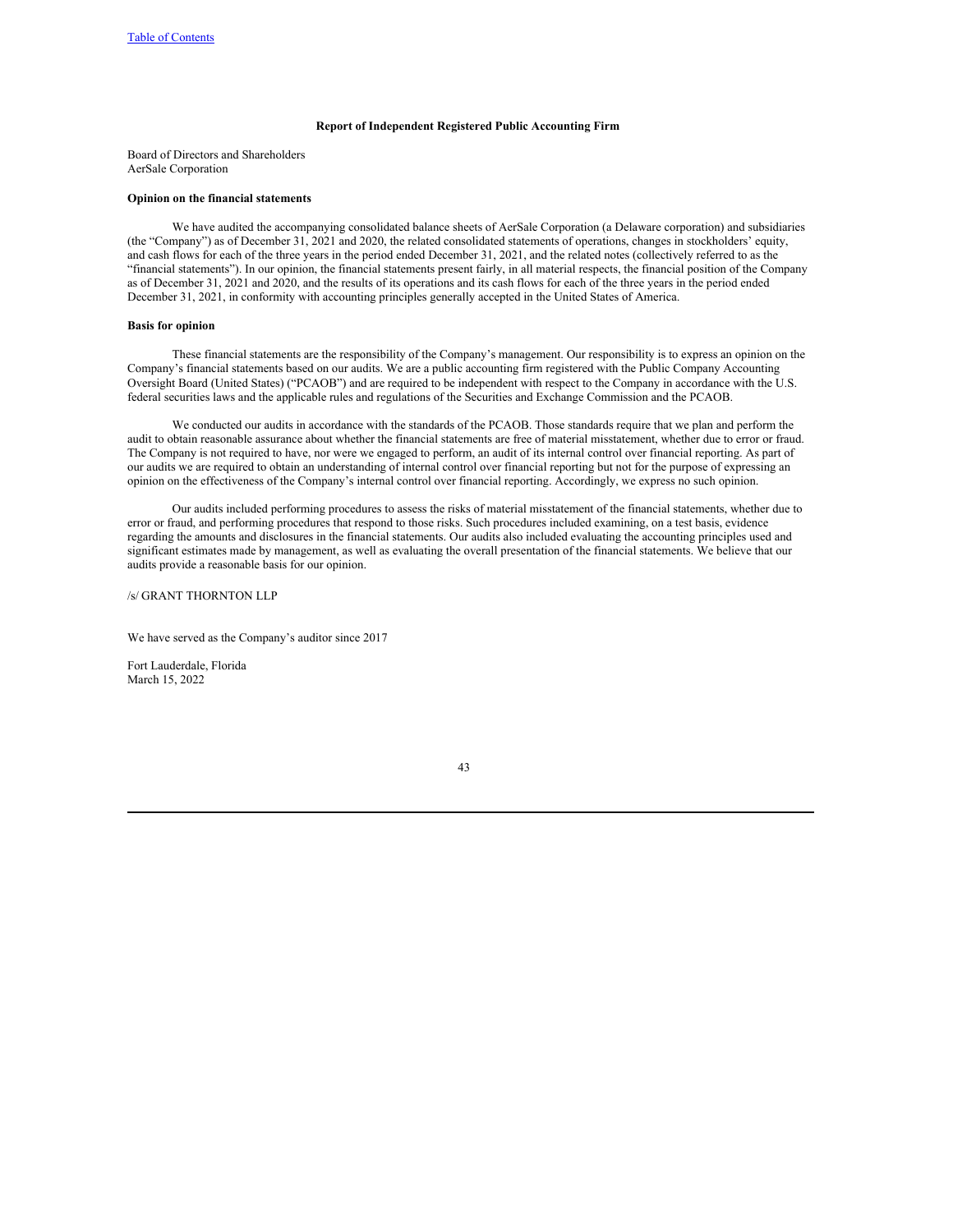## **Report of Independent Registered Public Accounting Firm**

Board of Directors and Shareholders AerSale Corporation

# **Opinion on the financial statements**

We have audited the accompanying consolidated balance sheets of AerSale Corporation (a Delaware corporation) and subsidiaries (the "Company") as of December 31, 2021 and 2020, the related consolidated statements of operations, changes in stockholders' equity, and cash flows for each of the three years in the period ended December 31, 2021, and the related notes (collectively referred to as the "financial statements"). In our opinion, the financial statements present fairly, in all material respects, the financial position of the Company as of December 31, 2021 and 2020, and the results of its operations and its cash flows for each of the three years in the period ended December 31, 2021, in conformity with accounting principles generally accepted in the United States of America.

### **Basis for opinion**

These financial statements are the responsibility of the Company's management. Our responsibility is to express an opinion on the Company's financial statements based on our audits. We are a public accounting firm registered with the Public Company Accounting Oversight Board (United States) ("PCAOB") and are required to be independent with respect to the Company in accordance with the U.S. federal securities laws and the applicable rules and regulations of the Securities and Exchange Commission and the PCAOB.

We conducted our audits in accordance with the standards of the PCAOB. Those standards require that we plan and perform the audit to obtain reasonable assurance about whether the financial statements are free of material misstatement, whether due to error or fraud. The Company is not required to have, nor were we engaged to perform, an audit of its internal control over financial reporting. As part of our audits we are required to obtain an understanding of internal control over financial reporting but not for the purpose of expressing an opinion on the effectiveness of the Company's internal control over financial reporting. Accordingly, we express no such opinion.

Our audits included performing procedures to assess the risks of material misstatement of the financial statements, whether due to error or fraud, and performing procedures that respond to those risks. Such procedures included examining, on a test basis, evidence regarding the amounts and disclosures in the financial statements. Our audits also included evaluating the accounting principles used and significant estimates made by management, as well as evaluating the overall presentation of the financial statements. We believe that our audits provide a reasonable basis for our opinion.

# /s/ GRANT THORNTON LLP

We have served as the Company's auditor since 2017

Fort Lauderdale, Florida March 15, 2022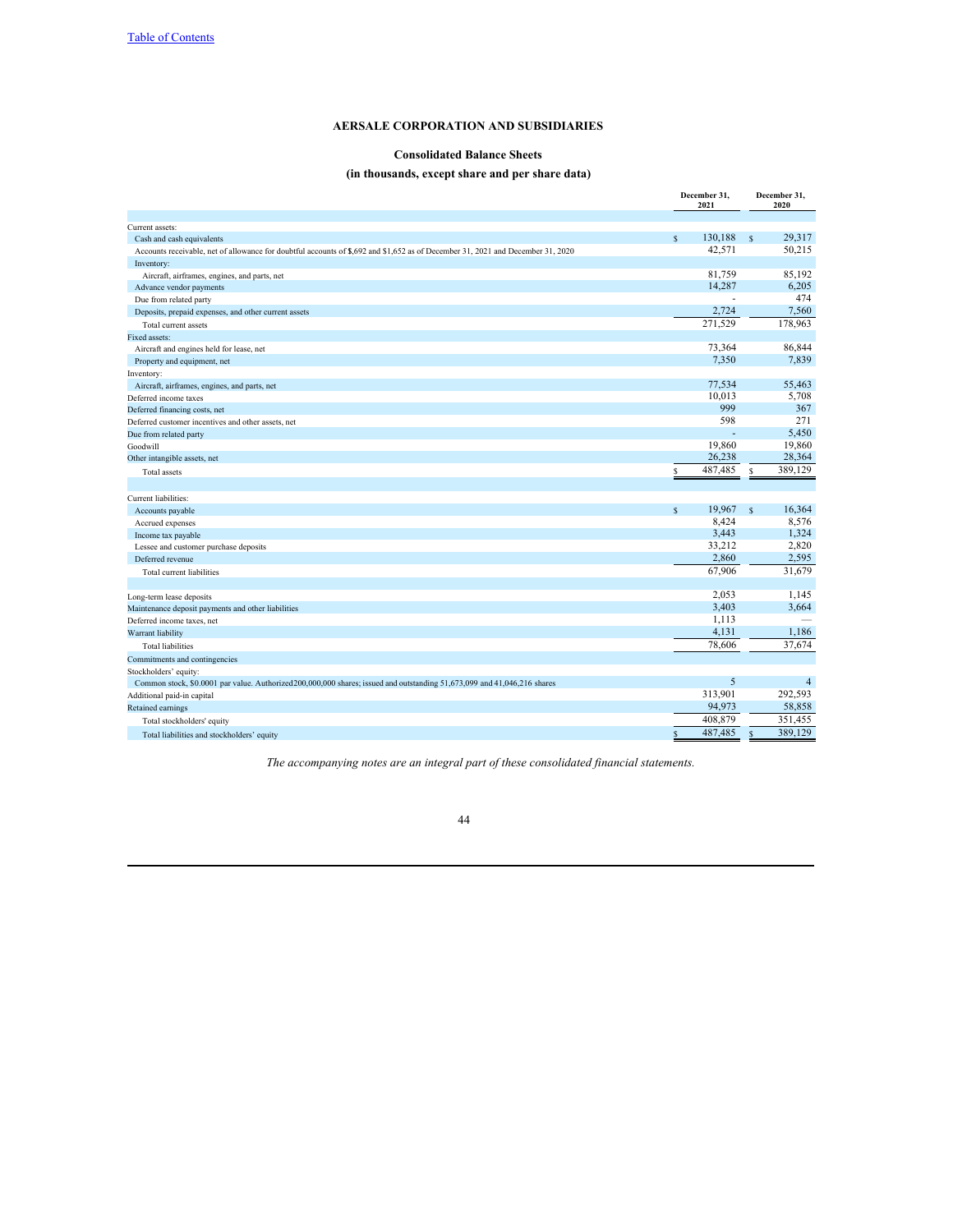# **Consolidated Balance Sheets**

# **(in thousands, except share and per share data)**

|                                                                                                                                 | December 31,<br>2021 |         | December 31,<br>2020 |                |
|---------------------------------------------------------------------------------------------------------------------------------|----------------------|---------|----------------------|----------------|
| Current assets:                                                                                                                 |                      |         |                      |                |
| Cash and cash equivalents                                                                                                       | $\mathbf{s}$         | 130,188 | $\mathcal{S}$        | 29.317         |
| Accounts receivable, net of allowance for doubtful accounts of \$,692 and \$1,652 as of December 31, 2021 and December 31, 2020 |                      | 42.571  |                      | 50.215         |
| Inventory:                                                                                                                      |                      |         |                      |                |
| Aircraft, airframes, engines, and parts, net                                                                                    |                      | 81,759  |                      | 85,192         |
| Advance vendor payments                                                                                                         |                      | 14.287  |                      | 6,205          |
| Due from related party                                                                                                          |                      |         |                      | 474            |
| Deposits, prepaid expenses, and other current assets                                                                            |                      | 2,724   |                      | 7,560          |
| Total current assets                                                                                                            |                      | 271,529 |                      | 178,963        |
| Fixed assets:                                                                                                                   |                      |         |                      |                |
| Aircraft and engines held for lease, net                                                                                        |                      | 73,364  |                      | 86,844         |
| Property and equipment, net                                                                                                     |                      | 7,350   |                      | 7,839          |
| Inventory:                                                                                                                      |                      |         |                      |                |
| Aircraft, airframes, engines, and parts, net                                                                                    |                      | 77,534  |                      | 55,463         |
| Deferred income taxes                                                                                                           |                      | 10.013  |                      | 5,708          |
| Deferred financing costs, net                                                                                                   |                      | 999     |                      | 367            |
| Deferred customer incentives and other assets, net                                                                              |                      | 598     |                      | 271            |
| Due from related party                                                                                                          |                      |         |                      | 5.450          |
| Goodwill                                                                                                                        |                      | 19,860  |                      | 19,860         |
| Other intangible assets, net                                                                                                    |                      | 26,238  |                      | 28,364         |
| Total assets                                                                                                                    | S                    | 487,485 | \$                   | 389,129        |
|                                                                                                                                 |                      |         |                      |                |
| Current liabilities:                                                                                                            |                      |         |                      |                |
| Accounts payable                                                                                                                | $\mathbf{s}$         | 19,967  | <b>S</b>             | 16,364         |
| Accrued expenses                                                                                                                |                      | 8,424   |                      | 8,576          |
| Income tax payable                                                                                                              |                      | 3,443   |                      | 1,324          |
| Lessee and customer purchase deposits                                                                                           |                      | 33.212  |                      | 2.820          |
| Deferred revenue                                                                                                                |                      | 2,860   |                      | 2,595          |
| Total current liabilities                                                                                                       |                      | 67,906  |                      | 31,679         |
|                                                                                                                                 |                      |         |                      |                |
| Long-term lease deposits                                                                                                        |                      | 2,053   |                      | 1,145          |
| Maintenance deposit payments and other liabilities                                                                              |                      | 3,403   |                      | 3,664          |
| Deferred income taxes, net                                                                                                      |                      | 1,113   |                      |                |
| Warrant liability                                                                                                               |                      | 4,131   |                      | 1,186          |
| <b>Total liabilities</b>                                                                                                        |                      | 78,606  |                      | 37,674         |
| Commitments and contingencies                                                                                                   |                      |         |                      |                |
| Stockholders' equity:                                                                                                           |                      |         |                      |                |
| Common stock, \$0.0001 par value. Authorized 200,000,000 shares; issued and outstanding 51,673,099 and 41,046,216 shares        |                      | 5       |                      | $\overline{4}$ |
| Additional paid-in capital                                                                                                      |                      | 313,901 |                      | 292,593        |
| Retained earnings                                                                                                               |                      | 94,973  |                      | 58,858         |
| Total stockholders' equity                                                                                                      |                      | 408,879 |                      | 351,455        |
| Total liabilities and stockholders' equity                                                                                      | $\mathsf{s}$         | 487,485 | \$                   | 389,129        |

*The accompanying notes are an integral part of these consolidated financial statements.*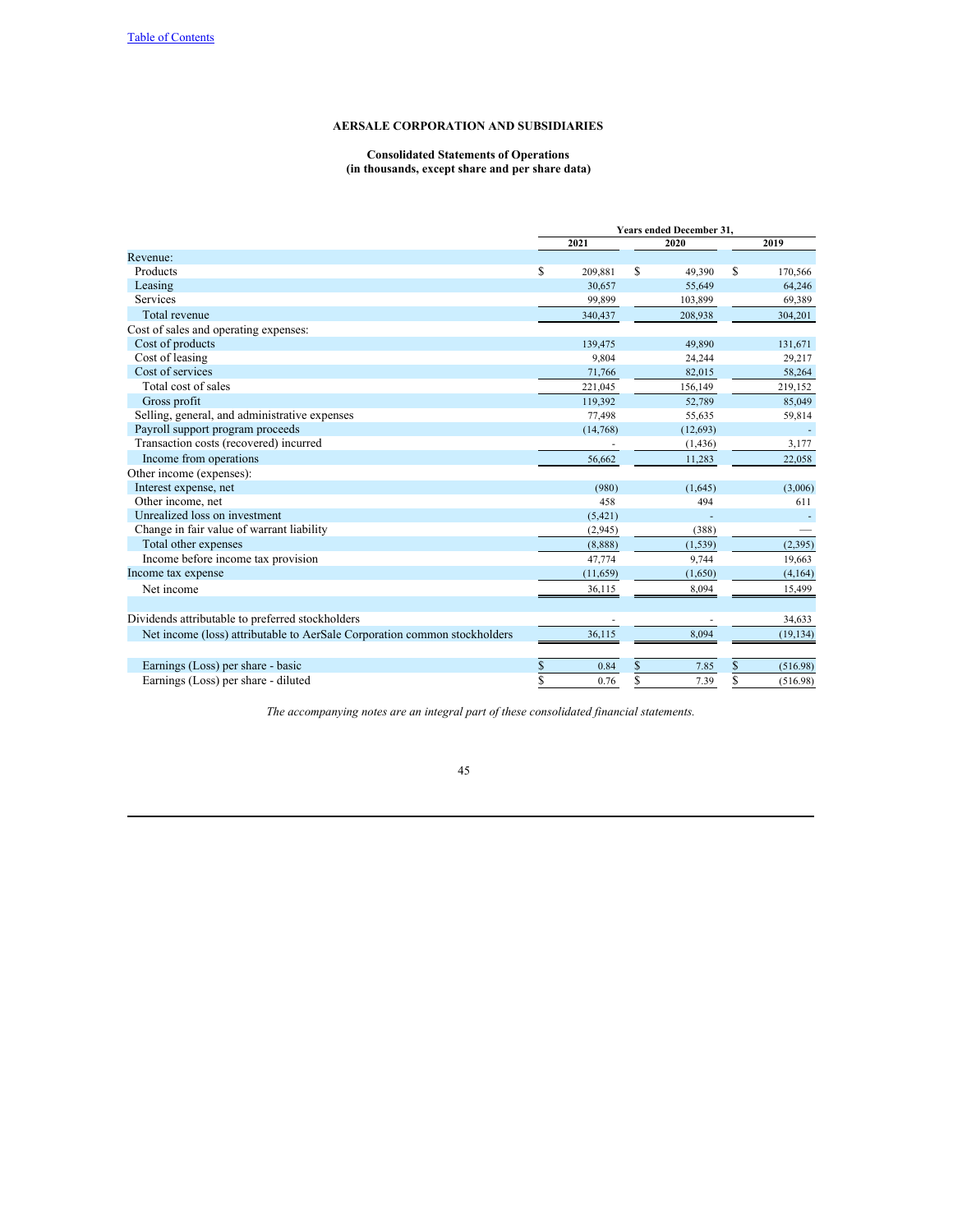#### **Consolidated Statements of Operations (in thousands, except share and per share data)**

|                                                                           | Years ended December 31. |           |    |          |    |           |
|---------------------------------------------------------------------------|--------------------------|-----------|----|----------|----|-----------|
|                                                                           |                          | 2021      |    | 2020     |    | 2019      |
| Revenue:                                                                  |                          |           |    |          |    |           |
| Products                                                                  | \$                       | 209,881   | S  | 49,390   | S  | 170,566   |
| Leasing                                                                   |                          | 30.657    |    | 55,649   |    | 64,246    |
| <b>Services</b>                                                           |                          | 99,899    |    | 103,899  |    | 69,389    |
| Total revenue                                                             |                          | 340,437   |    | 208,938  |    | 304,201   |
| Cost of sales and operating expenses:                                     |                          |           |    |          |    |           |
| Cost of products                                                          |                          | 139,475   |    | 49,890   |    | 131,671   |
| Cost of leasing                                                           |                          | 9,804     |    | 24,244   |    | 29,217    |
| Cost of services                                                          |                          | 71,766    |    | 82,015   |    | 58,264    |
| Total cost of sales                                                       |                          | 221.045   |    | 156.149  |    | 219,152   |
| Gross profit                                                              |                          | 119,392   |    | 52,789   |    | 85,049    |
| Selling, general, and administrative expenses                             |                          | 77,498    |    | 55,635   |    | 59,814    |
| Payroll support program proceeds                                          |                          | (14,768)  |    | (12,693) |    |           |
| Transaction costs (recovered) incurred                                    |                          |           |    | (1, 436) |    | 3,177     |
| Income from operations                                                    |                          | 56,662    |    | 11.283   |    | 22,058    |
| Other income (expenses):                                                  |                          |           |    |          |    |           |
| Interest expense, net                                                     |                          | (980)     |    | (1,645)  |    | (3,006)   |
| Other income, net                                                         |                          | 458       |    | 494      |    | 611       |
| Unrealized loss on investment                                             |                          | (5, 421)  |    |          |    |           |
| Change in fair value of warrant liability                                 |                          | (2,945)   |    | (388)    |    |           |
| Total other expenses                                                      |                          | (8,888)   |    | (1, 539) |    | (2,395)   |
| Income before income tax provision                                        |                          | 47,774    |    | 9,744    |    | 19,663    |
| Income tax expense                                                        |                          | (11, 659) |    | (1,650)  |    | (4,164)   |
| Net income                                                                |                          | 36,115    |    | 8,094    |    | 15,499    |
|                                                                           |                          |           |    |          |    |           |
| Dividends attributable to preferred stockholders                          |                          |           |    |          |    | 34,633    |
| Net income (loss) attributable to AerSale Corporation common stockholders |                          | 36.115    |    | 8,094    |    | (19, 134) |
| Earnings (Loss) per share - basic                                         | \$                       | 0.84      | \$ | 7.85     | \$ | (516.98)  |
| Earnings (Loss) per share - diluted                                       | \$                       | 0.76      | \$ | 7.39     | \$ | (516.98)  |

*The accompanying notes are an integral part of these consolidated financial statements.*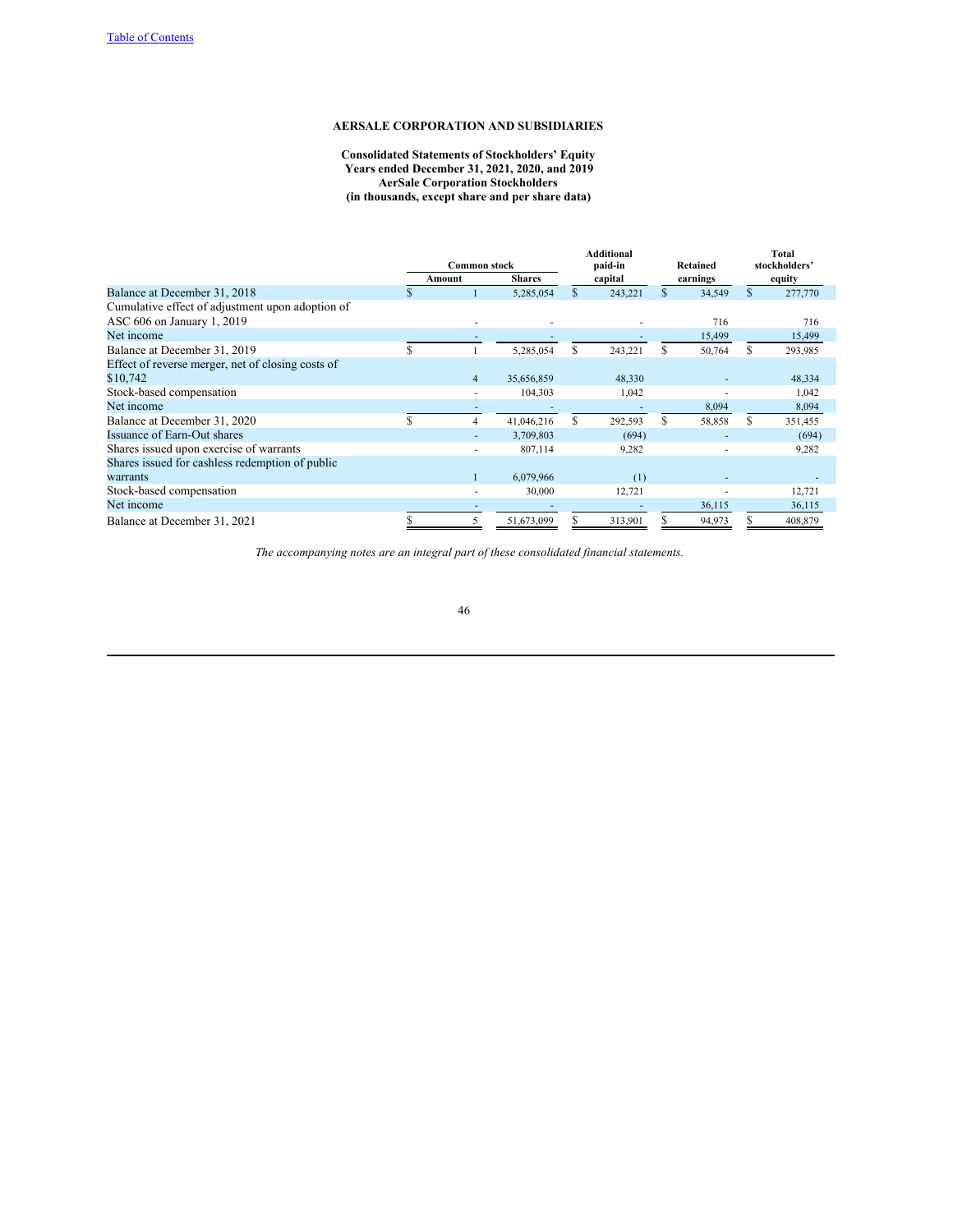**Consolidated Statements of Stockholders' Equity Years ended December 31, 2021, 2020, and 2019 AerSale Corporation Stockholders (in thousands, except share and per share data)**

|                                                   |                     |                |               |         | <b>Additional</b> |   |          |               | Total   |
|---------------------------------------------------|---------------------|----------------|---------------|---------|-------------------|---|----------|---------------|---------|
|                                                   | <b>Common stock</b> |                |               | paid-in | Retained          |   |          | stockholders' |         |
|                                                   |                     | Amount         | <b>Shares</b> |         | capital           |   | earnings | equity        |         |
| Balance at December 31, 2018                      |                     |                | 5,285,054     | S       | 243,221           | S | 34,549   | $\mathbb{S}$  | 277,770 |
| Cumulative effect of adjustment upon adoption of  |                     |                |               |         |                   |   |          |               |         |
| ASC 606 on January 1, 2019                        |                     |                |               |         |                   |   | 716      |               | 716     |
| Net income                                        |                     |                |               |         |                   |   | 15,499   |               | 15,499  |
| Balance at December 31, 2019                      |                     |                | 5,285,054     | S       | 243,221           | S | 50,764   | S             | 293,985 |
| Effect of reverse merger, net of closing costs of |                     |                |               |         |                   |   |          |               |         |
| \$10,742                                          |                     | $\overline{4}$ | 35,656,859    |         | 48,330            |   |          |               | 48,334  |
| Stock-based compensation                          |                     |                | 104,303       |         | 1,042             |   |          |               | 1,042   |
| Net income                                        |                     |                |               |         |                   |   | 8,094    |               | 8,094   |
| Balance at December 31, 2020                      |                     | 4              | 41,046,216    | S.      | 292,593           |   | 58,858   | S             | 351,455 |
| Issuance of Earn-Out shares                       |                     |                | 3,709,803     |         | (694)             |   |          |               | (694)   |
| Shares issued upon exercise of warrants           |                     |                | 807,114       |         | 9,282             |   |          |               | 9,282   |
| Shares issued for cashless redemption of public   |                     |                |               |         |                   |   |          |               |         |
| warrants                                          |                     |                | 6,079,966     |         | (1)               |   |          |               |         |
| Stock-based compensation                          |                     |                | 30,000        |         | 12,721            |   |          |               | 12,721  |
| Net income                                        |                     |                |               |         |                   |   | 36,115   |               | 36,115  |
| Balance at December 31, 2021                      |                     |                | 51,673,099    |         | 313,901           |   | 94,973   |               | 408,879 |

*The accompanying notes are an integral part of these consolidated financial statements.*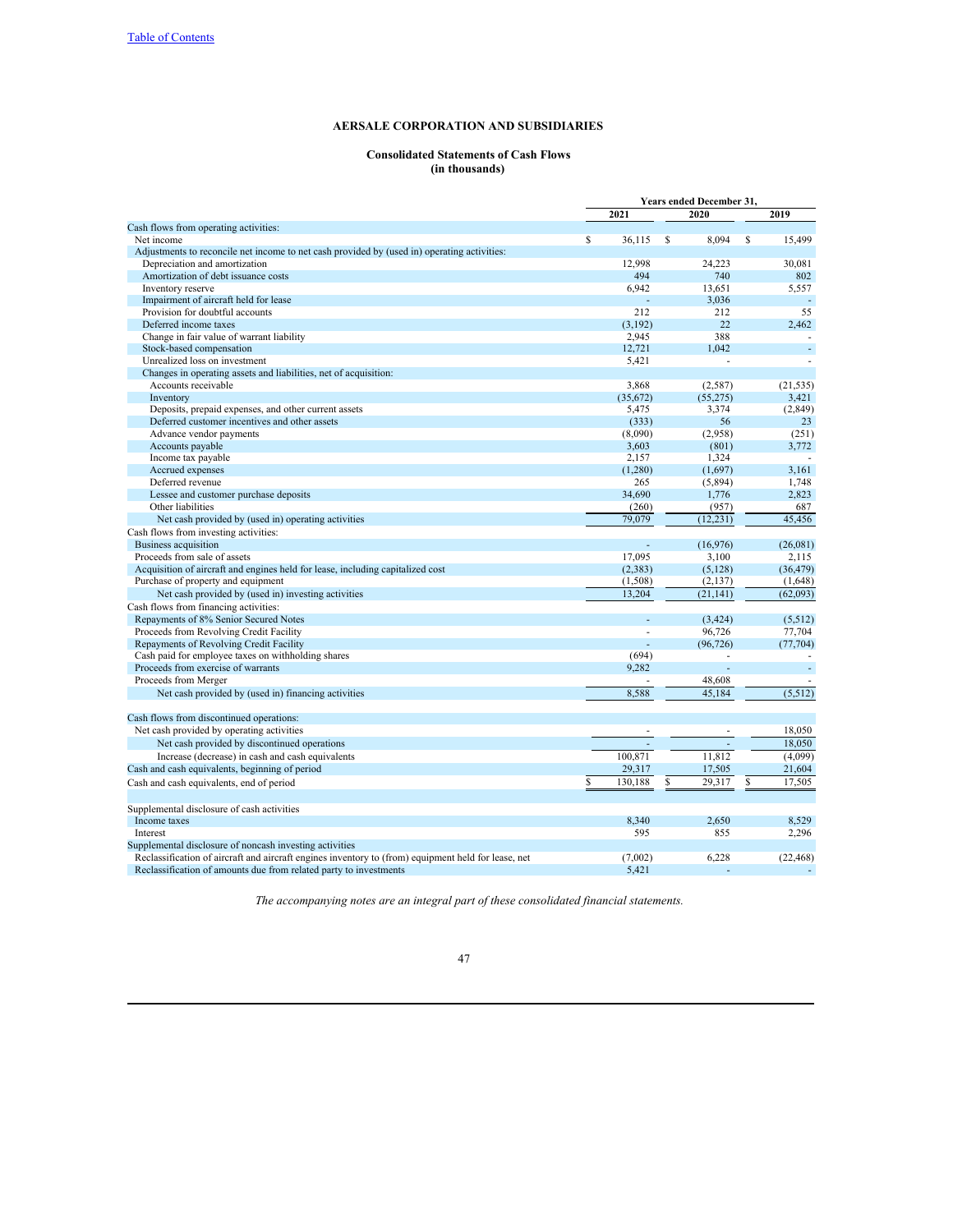# **Consolidated Statements of Cash Flows (in thousands)**

|                                                                                                     | Years ended December 31, |          |     |           |              |  |
|-----------------------------------------------------------------------------------------------------|--------------------------|----------|-----|-----------|--------------|--|
|                                                                                                     |                          | 2021     |     | 2020      | 2019         |  |
| Cash flows from operating activities:                                                               |                          |          |     |           |              |  |
| Net income                                                                                          | \$                       | 36,115   | \$  | 8,094     | \$<br>15,499 |  |
| Adjustments to reconcile net income to net cash provided by (used in) operating activities:         |                          |          |     |           |              |  |
| Depreciation and amortization                                                                       |                          | 12,998   |     | 24,223    | 30,081       |  |
| Amortization of debt issuance costs                                                                 |                          | 494      |     | 740       | 802          |  |
| Inventory reserve                                                                                   |                          | 6,942    |     | 13,651    | 5,557        |  |
| Impairment of aircraft held for lease                                                               |                          |          |     | 3,036     |              |  |
| Provision for doubtful accounts                                                                     |                          | 212      |     | 212       | 55           |  |
| Deferred income taxes                                                                               |                          | (3, 192) |     | 22        | 2.462        |  |
| Change in fair value of warrant liability                                                           |                          | 2,945    |     | 388       |              |  |
| Stock-based compensation                                                                            |                          | 12,721   |     | 1.042     | ä,           |  |
| Unrealized loss on investment                                                                       |                          | 5,421    |     | ÷.        | ×.           |  |
| Changes in operating assets and liabilities, net of acquisition:                                    |                          |          |     |           |              |  |
| Accounts receivable                                                                                 |                          | 3,868    |     | (2,587)   | (21, 535)    |  |
| Inventory                                                                                           |                          | (35,672) |     | (55,275)  | 3,421        |  |
| Deposits, prepaid expenses, and other current assets                                                |                          | 5,475    |     | 3,374     | (2,849)      |  |
| Deferred customer incentives and other assets                                                       |                          | (333)    |     | 56        | 23           |  |
| Advance vendor payments                                                                             |                          | (8,090)  |     | (2,958)   | (251)        |  |
| Accounts payable                                                                                    |                          | 3,603    |     | (801)     | 3,772        |  |
| Income tax payable                                                                                  |                          | 2,157    |     | 1,324     |              |  |
| Accrued expenses                                                                                    |                          | (1,280)  |     | (1,697)   | 3,161        |  |
| Deferred revenue                                                                                    |                          | 265      |     | (5,894)   | 1,748        |  |
| Lessee and customer purchase deposits                                                               |                          | 34,690   |     | 1,776     | 2,823        |  |
| Other liabilities                                                                                   |                          | (260)    |     | (957)     | 687          |  |
|                                                                                                     |                          | 79,079   |     | (12, 231) | 45,456       |  |
| Net cash provided by (used in) operating activities                                                 |                          |          |     |           |              |  |
| Cash flows from investing activities:                                                               |                          |          |     |           |              |  |
| <b>Business acquisition</b>                                                                         |                          | ä,       |     | (16,976)  | (26,081)     |  |
| Proceeds from sale of assets                                                                        |                          | 17,095   |     | 3,100     | 2,115        |  |
| Acquisition of aircraft and engines held for lease, including capitalized cost                      |                          | (2, 383) |     | (5, 128)  | (36, 479)    |  |
| Purchase of property and equipment                                                                  |                          | (1,508)  |     | (2,137)   | (1,648)      |  |
| Net cash provided by (used in) investing activities                                                 |                          | 13,204   |     | (21, 141) | (62,093)     |  |
| Cash flows from financing activities:                                                               |                          |          |     |           |              |  |
| Repayments of 8% Senior Secured Notes                                                               |                          |          |     | (3, 424)  | (5,512)      |  |
| Proceeds from Revolving Credit Facility                                                             |                          | ÷.       |     | 96,726    | 77,704       |  |
| Repayments of Revolving Credit Facility                                                             |                          |          |     | (96, 726) | (77, 704)    |  |
| Cash paid for employee taxes on withholding shares                                                  |                          | (694)    |     |           |              |  |
| Proceeds from exercise of warrants                                                                  |                          | 9,282    |     | ÷.        | ÷            |  |
| Proceeds from Merger                                                                                |                          |          |     | 48,608    |              |  |
| Net cash provided by (used in) financing activities                                                 |                          | 8.588    |     | 45,184    | (5,512)      |  |
|                                                                                                     |                          |          |     |           |              |  |
| Cash flows from discontinued operations:                                                            |                          |          |     |           |              |  |
| Net cash provided by operating activities                                                           |                          |          |     |           | 18,050       |  |
| Net cash provided by discontinued operations                                                        |                          | $\omega$ |     | ÷.        | 18.050       |  |
| Increase (decrease) in cash and cash equivalents                                                    |                          | 100,871  |     | 11,812    | (4,099)      |  |
| Cash and cash equivalents, beginning of period                                                      |                          | 29,317   |     | 17,505    | 21,604       |  |
|                                                                                                     | S                        | 130.188  | \$. | 29.317    | \$<br>17.505 |  |
| Cash and cash equivalents, end of period                                                            |                          |          |     |           |              |  |
| Supplemental disclosure of cash activities                                                          |                          |          |     |           |              |  |
| Income taxes                                                                                        |                          | 8.340    |     | 2.650     | 8,529        |  |
| Interest                                                                                            |                          | 595      |     | 855       | 2,296        |  |
| Supplemental disclosure of noncash investing activities                                             |                          |          |     |           |              |  |
| Reclassification of aircraft and aircraft engines inventory to (from) equipment held for lease, net |                          | (7,002)  |     | 6,228     | (22, 468)    |  |
| Reclassification of amounts due from related party to investments                                   |                          | 5,421    |     |           |              |  |

*The accompanying notes are an integral part of these consolidated financial statements.*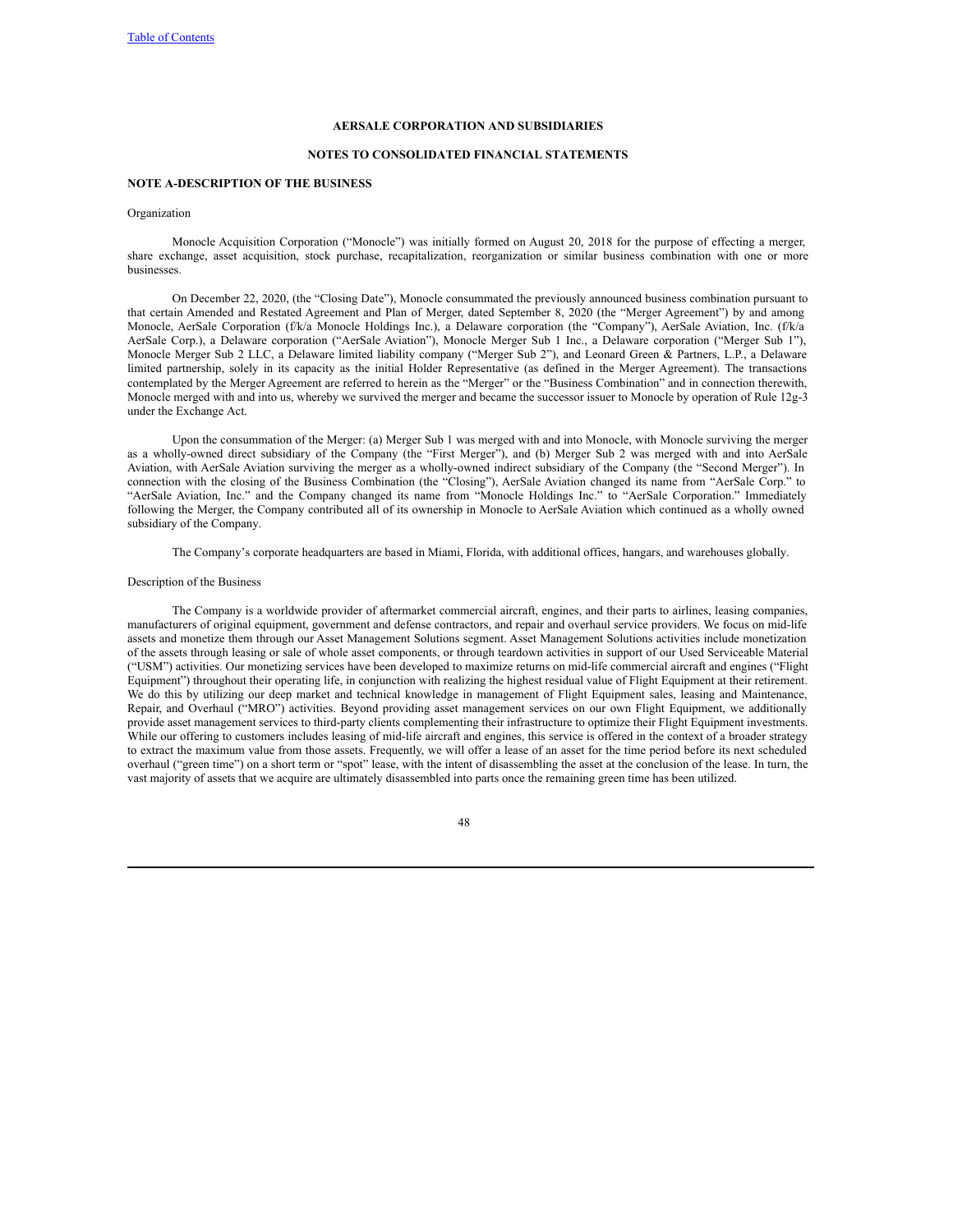#### **NOTES TO CONSOLIDATED FINANCIAL STATEMENTS**

### **NOTE A-DESCRIPTION OF THE BUSINESS**

### Organization

Monocle Acquisition Corporation ("Monocle") was initially formed on August 20, 2018 for the purpose of effecting a merger, share exchange, asset acquisition, stock purchase, recapitalization, reorganization or similar business combination with one or more businesses.

On December 22, 2020, (the "Closing Date"), Monocle consummated the previously announced business combination pursuant to that certain Amended and Restated Agreement and Plan of Merger, dated September 8, 2020 (the "Merger Agreement") by and among Monocle, AerSale Corporation (f/k/a Monocle Holdings Inc.), a Delaware corporation (the "Company"), AerSale Aviation, Inc. (f/k/a AerSale Corp.), a Delaware corporation ("AerSale Aviation"), Monocle Merger Sub 1 Inc., a Delaware corporation ("Merger Sub 1"), Monocle Merger Sub 2 LLC, a Delaware limited liability company ("Merger Sub 2"), and Leonard Green & Partners, L.P., a Delaware limited partnership, solely in its capacity as the initial Holder Representative (as defined in the Merger Agreement). The transactions contemplated by the Merger Agreement are referred to herein as the "Merger" or the "Business Combination" and in connection therewith, Monocle merged with and into us, whereby we survived the merger and became the successor issuer to Monocle by operation of Rule 12g-3 under the Exchange Act.

Upon the consummation of the Merger: (a) Merger Sub 1 was merged with and into Monocle, with Monocle surviving the merger as a wholly-owned direct subsidiary of the Company (the "First Merger"), and (b) Merger Sub 2 was merged with and into AerSale Aviation, with AerSale Aviation surviving the merger as a wholly-owned indirect subsidiary of the Company (the "Second Merger"). In connection with the closing of the Business Combination (the "Closing"), AerSale Aviation changed its name from "AerSale Corp." to "AerSale Aviation, Inc." and the Company changed its name from "Monocle Holdings Inc." to "AerSale Corporation." Immediately following the Merger, the Company contributed all of its ownership in Monocle to AerSale Aviation which continued as a wholly owned subsidiary of the Company.

The Company's corporate headquarters are based in Miami, Florida, with additional offices, hangars, and warehouses globally.

#### Description of the Business

The Company is a worldwide provider of aftermarket commercial aircraft, engines, and their parts to airlines, leasing companies, manufacturers of original equipment, government and defense contractors, and repair and overhaul service providers. We focus on mid-life assets and monetize them through our Asset Management Solutions segment. Asset Management Solutions activities include monetization of the assets through leasing or sale of whole asset components, or through teardown activities in support of our Used Serviceable Material ("USM") activities. Our monetizing services have been developed to maximize returns on mid-life commercial aircraft and engines ("Flight Equipment") throughout their operating life, in conjunction with realizing the highest residual value of Flight Equipment at their retirement. We do this by utilizing our deep market and technical knowledge in management of Flight Equipment sales, leasing and Maintenance, Repair, and Overhaul ("MRO") activities. Beyond providing asset management services on our own Flight Equipment, we additionally provide asset management services to third-party clients complementing their infrastructure to optimize their Flight Equipment investments. While our offering to customers includes leasing of mid-life aircraft and engines, this service is offered in the context of a broader strategy to extract the maximum value from those assets. Frequently, we will offer a lease of an asset for the time period before its next scheduled overhaul ("green time") on a short term or "spot" lease, with the intent of disassembling the asset at the conclusion of the lease. In turn, the vast majority of assets that we acquire are ultimately disassembled into parts once the remaining green time has been utilized.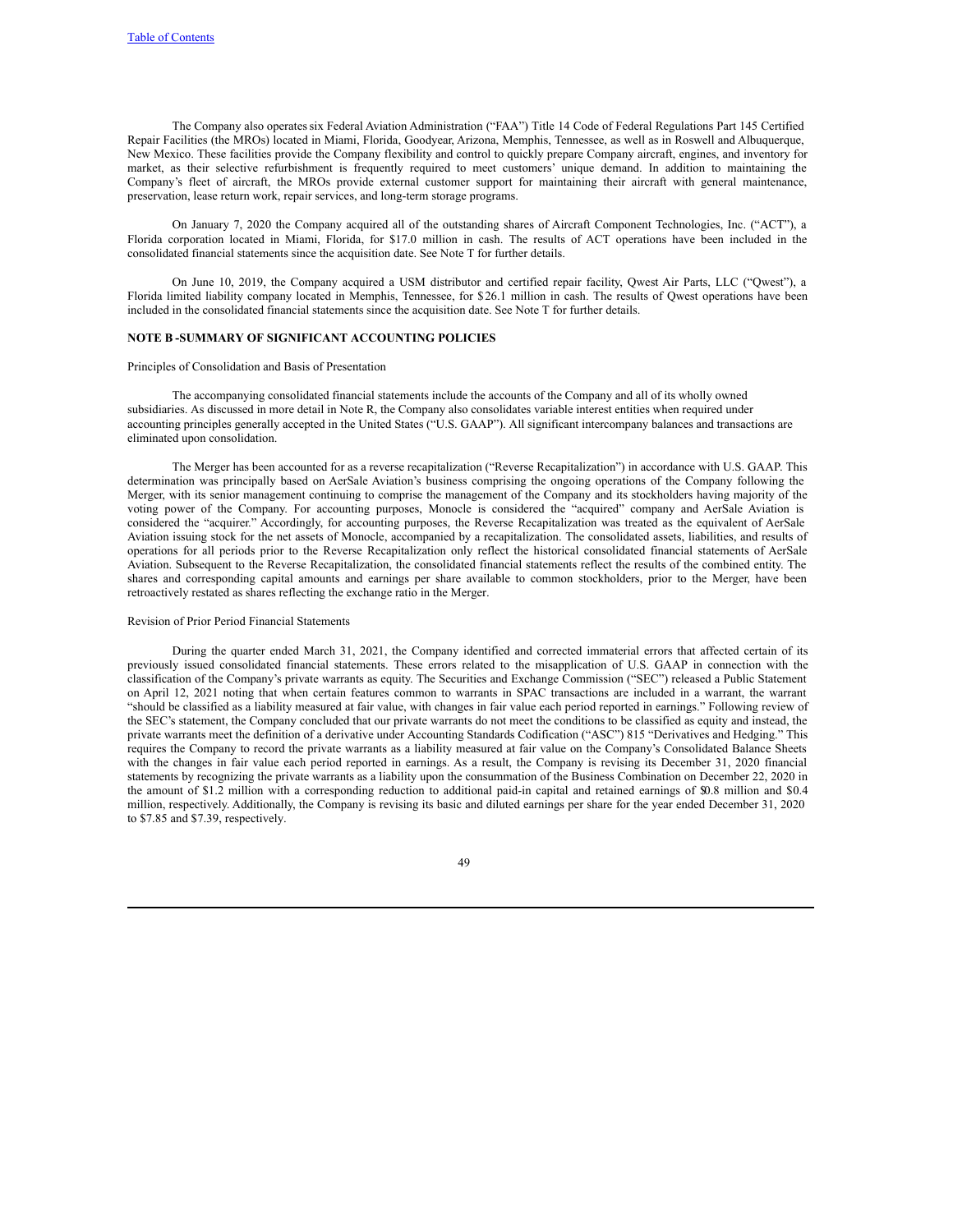The Company also operatessix Federal Aviation Administration ("FAA") Title 14 Code of Federal Regulations Part 145 Certified Repair Facilities (the MROs) located in Miami, Florida, Goodyear, Arizona, Memphis, Tennessee, as well as in Roswell and Albuquerque, New Mexico. These facilities provide the Company flexibility and control to quickly prepare Company aircraft, engines, and inventory for market, as their selective refurbishment is frequently required to meet customers' unique demand. In addition to maintaining the Company's fleet of aircraft, the MROs provide external customer support for maintaining their aircraft with general maintenance, preservation, lease return work, repair services, and long-term storage programs.

On January 7, 2020 the Company acquired all of the outstanding shares of Aircraft Component Technologies, Inc. ("ACT"), a Florida corporation located in Miami, Florida, for \$17.0 million in cash. The results of ACT operations have been included in the consolidated financial statements since the acquisition date. See Note T for further details.

On June 10, 2019, the Company acquired a USM distributor and certified repair facility, Qwest Air Parts, LLC ("Qwest"), a Florida limited liability company located in Memphis, Tennessee, for \$26.1 million in cash. The results of Qwest operations have been included in the consolidated financial statements since the acquisition date. See Note T for further details.

# **NOTE B -SUMMARY OF SIGNIFICANT ACCOUNTING POLICIES**

Principles of Consolidation and Basis of Presentation

The accompanying consolidated financial statements include the accounts of the Company and all of its wholly owned subsidiaries. As discussed in more detail in Note R, the Company also consolidates variable interest entities when required under accounting principles generally accepted in the United States ("U.S. GAAP"). All significant intercompany balances and transactions are eliminated upon consolidation.

The Merger has been accounted for as a reverse recapitalization ("Reverse Recapitalization") in accordance with U.S. GAAP. This determination was principally based on AerSale Aviation's business comprising the ongoing operations of the Company following the Merger, with its senior management continuing to comprise the management of the Company and its stockholders having majority of the voting power of the Company. For accounting purposes, Monocle is considered the "acquired" company and AerSale Aviation is considered the "acquirer." Accordingly, for accounting purposes, the Reverse Recapitalization was treated as the equivalent of AerSale Aviation issuing stock for the net assets of Monocle, accompanied by a recapitalization. The consolidated assets, liabilities, and results of operations for all periods prior to the Reverse Recapitalization only reflect the historical consolidated financial statements of AerSale Aviation. Subsequent to the Reverse Recapitalization, the consolidated financial statements reflect the results of the combined entity. The shares and corresponding capital amounts and earnings per share available to common stockholders, prior to the Merger, have been retroactively restated as shares reflecting the exchange ratio in the Merger.

#### Revision of Prior Period Financial Statements

During the quarter ended March 31, 2021, the Company identified and corrected immaterial errors that affected certain of its previously issued consolidated financial statements. These errors related to the misapplication of U.S. GAAP in connection with the classification of the Company's private warrants as equity. The Securities and Exchange Commission ("SEC") released a Public Statement on April 12, 2021 noting that when certain features common to warrants in SPAC transactions are included in a warrant, the warrant "should be classified as a liability measured at fair value, with changes in fair value each period reported in earnings." Following review of the SEC's statement, the Company concluded that our private warrants do not meet the conditions to be classified as equity and instead, the private warrants meet the definition of a derivative under Accounting Standards Codification ("ASC") 815 "Derivatives and Hedging." This requires the Company to record the private warrants as a liability measured at fair value on the Company's Consolidated Balance Sheets with the changes in fair value each period reported in earnings. As a result, the Company is revising its December 31, 2020 financial statements by recognizing the private warrants as a liability upon the consummation of the Business Combination on December 22, 2020 in the amount of \$1.2 million with a corresponding reduction to additional paid-in capital and retained earnings of \$0.8 million and \$0.4 million, respectively. Additionally, the Company is revising its basic and diluted earnings per share for the year ended December 31, 2020 to \$7.85 and \$7.39, respectively.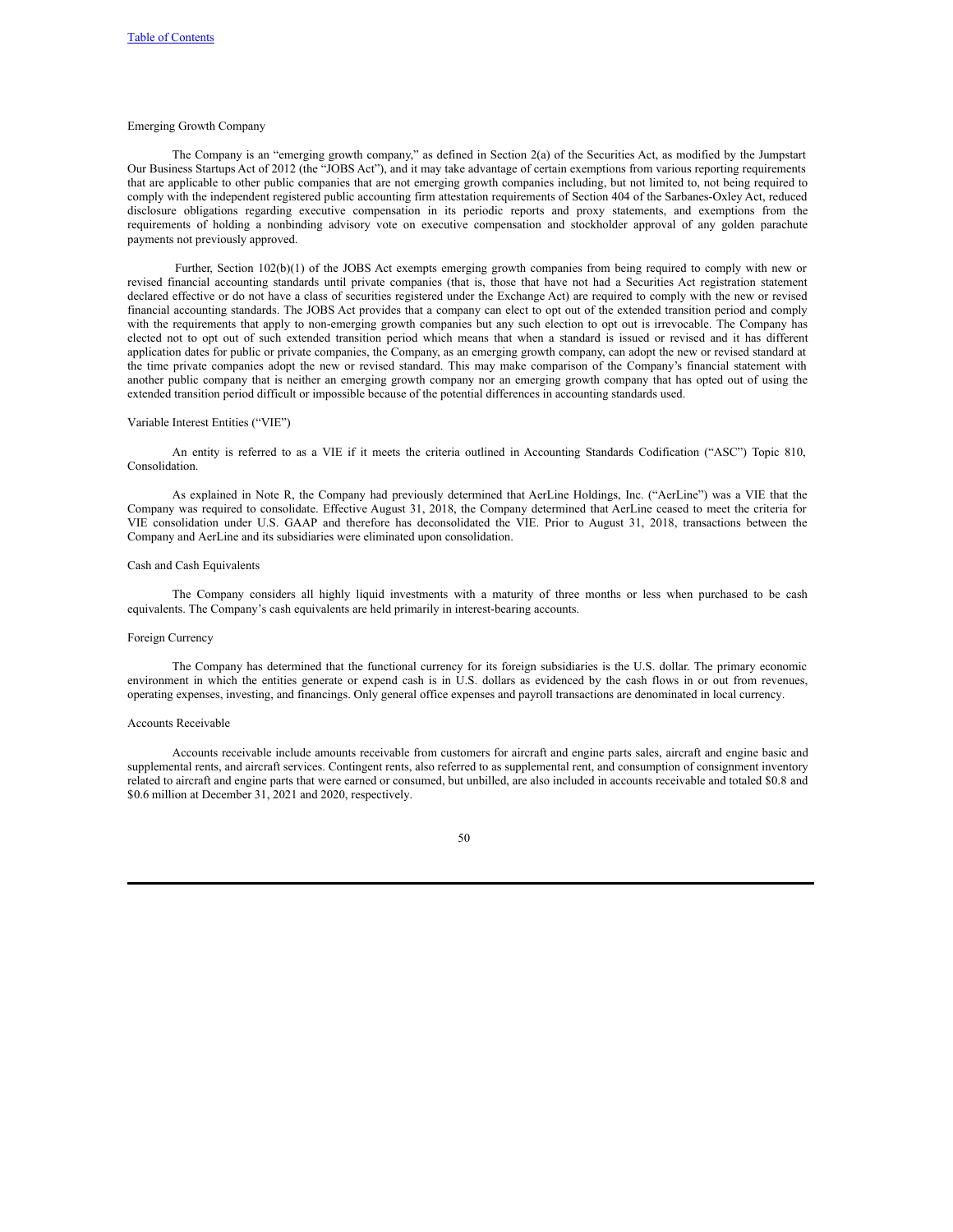# Emerging Growth Company

The Company is an "emerging growth company," as defined in Section 2(a) of the Securities Act, as modified by the Jumpstart Our Business Startups Act of 2012 (the "JOBS Act"), and it may take advantage of certain exemptions from various reporting requirements that are applicable to other public companies that are not emerging growth companies including, but not limited to, not being required to comply with the independent registered public accounting firm attestation requirements of Section 404 of the Sarbanes-Oxley Act, reduced disclosure obligations regarding executive compensation in its periodic reports and proxy statements, and exemptions from the requirements of holding a nonbinding advisory vote on executive compensation and stockholder approval of any golden parachute payments not previously approved.

Further, Section 102(b)(1) of the JOBS Act exempts emerging growth companies from being required to comply with new or revised financial accounting standards until private companies (that is, those that have not had a Securities Act registration statement declared effective or do not have a class of securities registered under the Exchange Act) are required to comply with the new or revised financial accounting standards. The JOBS Act provides that a company can elect to opt out of the extended transition period and comply with the requirements that apply to non-emerging growth companies but any such election to opt out is irrevocable. The Company has elected not to opt out of such extended transition period which means that when a standard is issued or revised and it has different application dates for public or private companies, the Company, as an emerging growth company, can adopt the new or revised standard at the time private companies adopt the new or revised standard. This may make comparison of the Company's financial statement with another public company that is neither an emerging growth company nor an emerging growth company that has opted out of using the extended transition period difficult or impossible because of the potential differences in accounting standards used.

#### Variable Interest Entities ("VIE")

An entity is referred to as a VIE if it meets the criteria outlined in Accounting Standards Codification ("ASC") Topic 810, Consolidation.

As explained in Note R, the Company had previously determined that AerLine Holdings, Inc. ("AerLine") was a VIE that the Company was required to consolidate. Effective August 31, 2018, the Company determined that AerLine ceased to meet the criteria for VIE consolidation under U.S. GAAP and therefore has deconsolidated the VIE. Prior to August 31, 2018, transactions between the Company and AerLine and its subsidiaries were eliminated upon consolidation.

#### Cash and Cash Equivalents

The Company considers all highly liquid investments with a maturity of three months or less when purchased to be cash equivalents. The Company's cash equivalents are held primarily in interest-bearing accounts.

#### Foreign Currency

The Company has determined that the functional currency for its foreign subsidiaries is the U.S. dollar. The primary economic environment in which the entities generate or expend cash is in U.S. dollars as evidenced by the cash flows in or out from revenues, operating expenses, investing, and financings. Only general office expenses and payroll transactions are denominated in local currency.

# Accounts Receivable

Accounts receivable include amounts receivable from customers for aircraft and engine parts sales, aircraft and engine basic and supplemental rents, and aircraft services. Contingent rents, also referred to as supplemental rent, and consumption of consignment inventory related to aircraft and engine parts that were earned or consumed, but unbilled, are also included in accounts receivable and totaled \$0.8 and \$0.6 million at December 31, 2021 and 2020, respectively.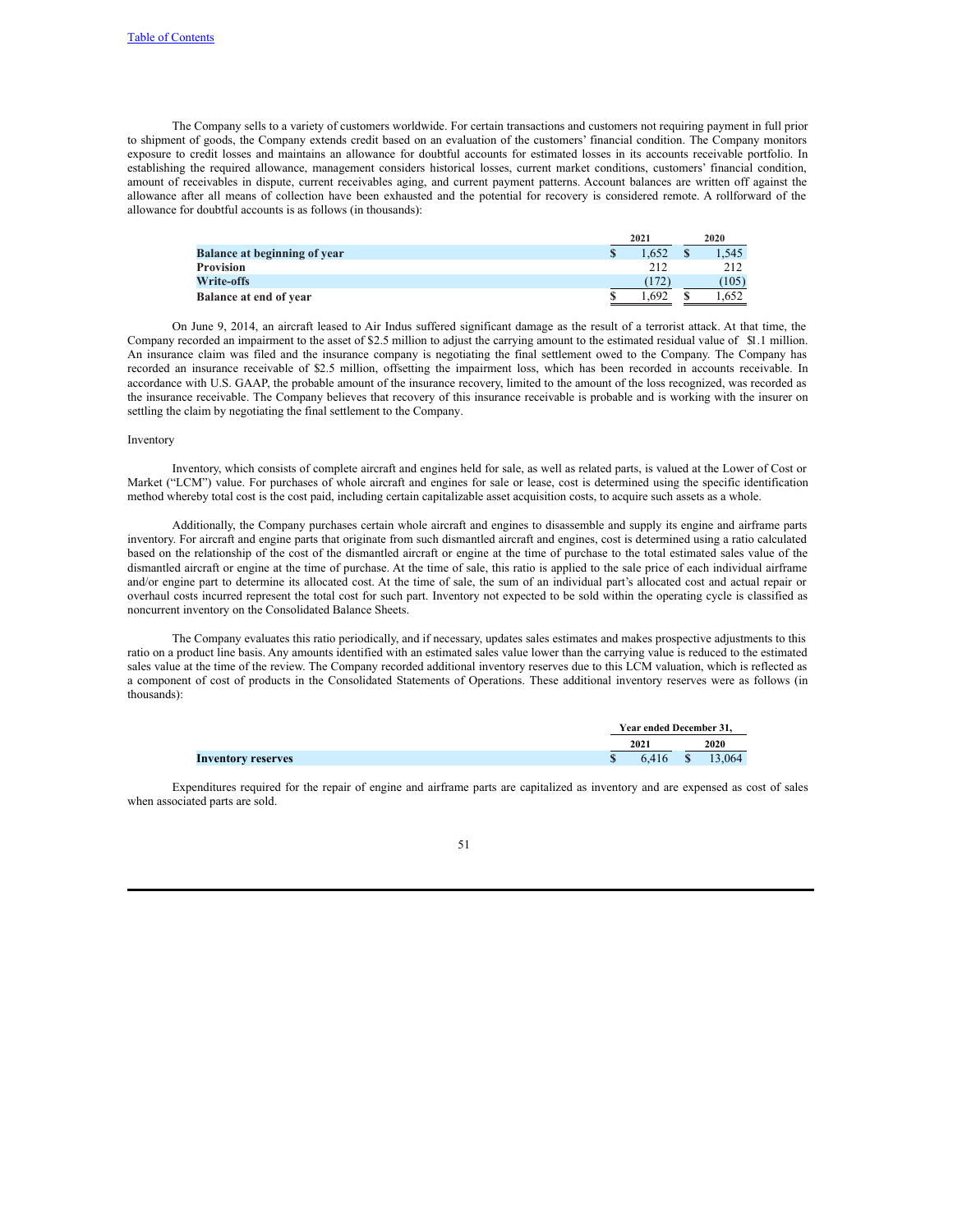The Company sells to a variety of customers worldwide. For certain transactions and customers not requiring payment in full prior to shipment of goods, the Company extends credit based on an evaluation of the customers' financial condition. The Company monitors exposure to credit losses and maintains an allowance for doubtful accounts for estimated losses in its accounts receivable portfolio. In establishing the required allowance, management considers historical losses, current market conditions, customers' financial condition, amount of receivables in dispute, current receivables aging, and current payment patterns. Account balances are written off against the allowance after all means of collection have been exhausted and the potential for recovery is considered remote. A rollforward of the allowance for doubtful accounts is as follows (in thousands):

|                              | 2021  | 2020  |
|------------------------------|-------|-------|
| Balance at beginning of year | .652  | . 545 |
| <b>Provision</b>             | 212   | 212   |
| Write-offs                   | (172) | (105) |
| Balance at end of year       | .692  | l.652 |

On June 9, 2014, an aircraft leased to Air Indus suffered significant damage as the result of a terrorist attack. At that time, the Company recorded an impairment to the asset of \$2.5 million to adjust the carrying amount to the estimated residual value of \$1.1 million. An insurance claim was filed and the insurance company is negotiating the final settlement owed to the Company. The Company has recorded an insurance receivable of \$2.5 million, offsetting the impairment loss, which has been recorded in accounts receivable. In accordance with U.S. GAAP, the probable amount of the insurance recovery, limited to the amount of the loss recognized, was recorded as the insurance receivable. The Company believes that recovery of this insurance receivable is probable and is working with the insurer on settling the claim by negotiating the final settlement to the Company.

### Inventory

Inventory, which consists of complete aircraft and engines held for sale, as well as related parts, is valued at the Lower of Cost or Market ("LCM") value. For purchases of whole aircraft and engines for sale or lease, cost is determined using the specific identification method whereby total cost is the cost paid, including certain capitalizable asset acquisition costs, to acquire such assets as a whole.

Additionally, the Company purchases certain whole aircraft and engines to disassemble and supply its engine and airframe parts inventory. For aircraft and engine parts that originate from such dismantled aircraft and engines, cost is determined using a ratio calculated based on the relationship of the cost of the dismantled aircraft or engine at the time of purchase to the total estimated sales value of the dismantled aircraft or engine at the time of purchase. At the time of sale, this ratio is applied to the sale price of each individual airframe and/or engine part to determine its allocated cost. At the time of sale, the sum of an individual part's allocated cost and actual repair or overhaul costs incurred represent the total cost for such part. Inventory not expected to be sold within the operating cycle is classified as noncurrent inventory on the Consolidated Balance Sheets.

The Company evaluates this ratio periodically, and if necessary, updates sales estimates and makes prospective adjustments to this ratio on a product line basis. Any amounts identified with an estimated sales value lower than the carrying value is reduced to the estimated sales value at the time of the review. The Company recorded additional inventory reserves due to this LCM valuation, which is reflected as a component of cost of products in the Consolidated Statements of Operations. These additional inventory reserves were as follows (in thousands):

|                    | Year ended December 31. |        |
|--------------------|-------------------------|--------|
|                    | 2021                    | 2020   |
| Inventory reserves | $6,416$ \$              | 13,064 |

Expenditures required for the repair of engine and airframe parts are capitalized as inventory and are expensed as cost of sales when associated parts are sold.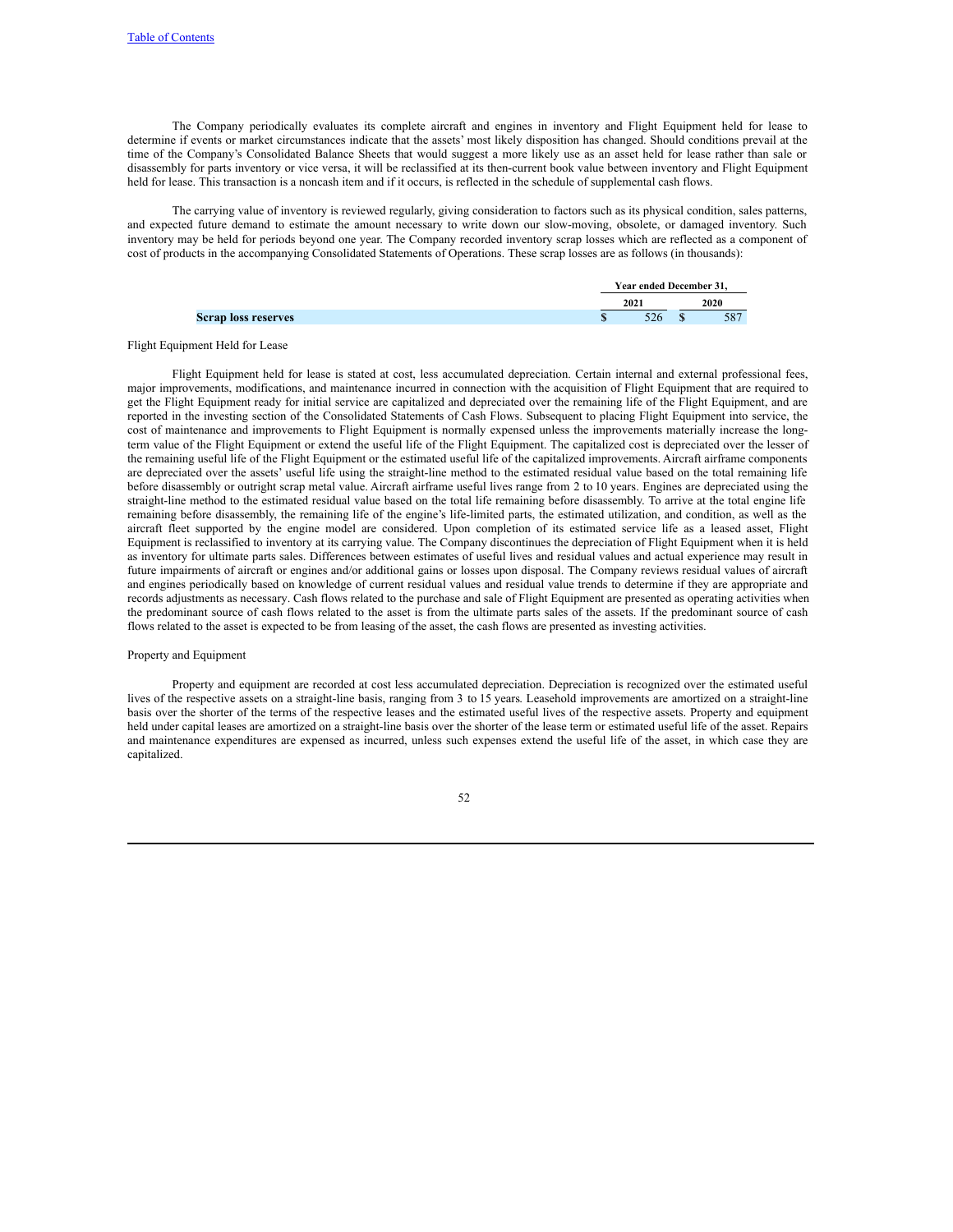The Company periodically evaluates its complete aircraft and engines in inventory and Flight Equipment held for lease to determine if events or market circumstances indicate that the assets' most likely disposition has changed. Should conditions prevail at the time of the Company's Consolidated Balance Sheets that would suggest a more likely use as an asset held for lease rather than sale or disassembly for parts inventory or vice versa, it will be reclassified at its then-current book value between inventory and Flight Equipment held for lease. This transaction is a noncash item and if it occurs, is reflected in the schedule of supplemental cash flows.

The carrying value of inventory is reviewed regularly, giving consideration to factors such as its physical condition, sales patterns, and expected future demand to estimate the amount necessary to write down our slow-moving, obsolete, or damaged inventory. Such inventory may be held for periods beyond one year. The Company recorded inventory scrap losses which are reflected as a component of cost of products in the accompanying Consolidated Statements of Operations. These scrap losses are as follows (in thousands):

|                            | Year ended December 31. |      |
|----------------------------|-------------------------|------|
|                            | 2021                    | 2020 |
| <b>Scrap loss reserves</b> | 526                     |      |

#### Flight Equipment Held for Lease

Flight Equipment held for lease is stated at cost, less accumulated depreciation. Certain internal and external professional fees, major improvements, modifications, and maintenance incurred in connection with the acquisition of Flight Equipment that are required to get the Flight Equipment ready for initial service are capitalized and depreciated over the remaining life of the Flight Equipment, and are reported in the investing section of the Consolidated Statements of Cash Flows. Subsequent to placing Flight Equipment into service, the cost of maintenance and improvements to Flight Equipment is normally expensed unless the improvements materially increase the longterm value of the Flight Equipment or extend the useful life of the Flight Equipment. The capitalized cost is depreciated over the lesser of the remaining useful life of the Flight Equipment or the estimated useful life of the capitalized improvements. Aircraft airframe components are depreciated over the assets' useful life using the straight-line method to the estimated residual value based on the total remaining life before disassembly or outright scrap metal value. Aircraft airframe useful lives range from 2 to 10 years. Engines are depreciated using the straight-line method to the estimated residual value based on the total life remaining before disassembly. To arrive at the total engine life remaining before disassembly, the remaining life of the engine's life-limited parts, the estimated utilization, and condition, as well as the aircraft fleet supported by the engine model are considered. Upon completion of its estimated service life as a leased asset, Flight Equipment is reclassified to inventory at its carrying value. The Company discontinues the depreciation of Flight Equipment when it is held as inventory for ultimate parts sales. Differences between estimates of useful lives and residual values and actual experience may result in future impairments of aircraft or engines and/or additional gains or losses upon disposal. The Company reviews residual values of aircraft and engines periodically based on knowledge of current residual values and residual value trends to determine if they are appropriate and records adjustments as necessary. Cash flows related to the purchase and sale of Flight Equipment are presented as operating activities when the predominant source of cash flows related to the asset is from the ultimate parts sales of the assets. If the predominant source of cash flows related to the asset is expected to be from leasing of the asset, the cash flows are presented as investing activities.

#### Property and Equipment

Property and equipment are recorded at cost less accumulated depreciation. Depreciation is recognized over the estimated useful lives of the respective assets on a straight-line basis, ranging from 3 to 15 years. Leasehold improvements are amortized on a straight-line basis over the shorter of the terms of the respective leases and the estimated useful lives of the respective assets. Property and equipment held under capital leases are amortized on a straight-line basis over the shorter of the lease term or estimated useful life of the asset. Repairs and maintenance expenditures are expensed as incurred, unless such expenses extend the useful life of the asset, in which case they are capitalized.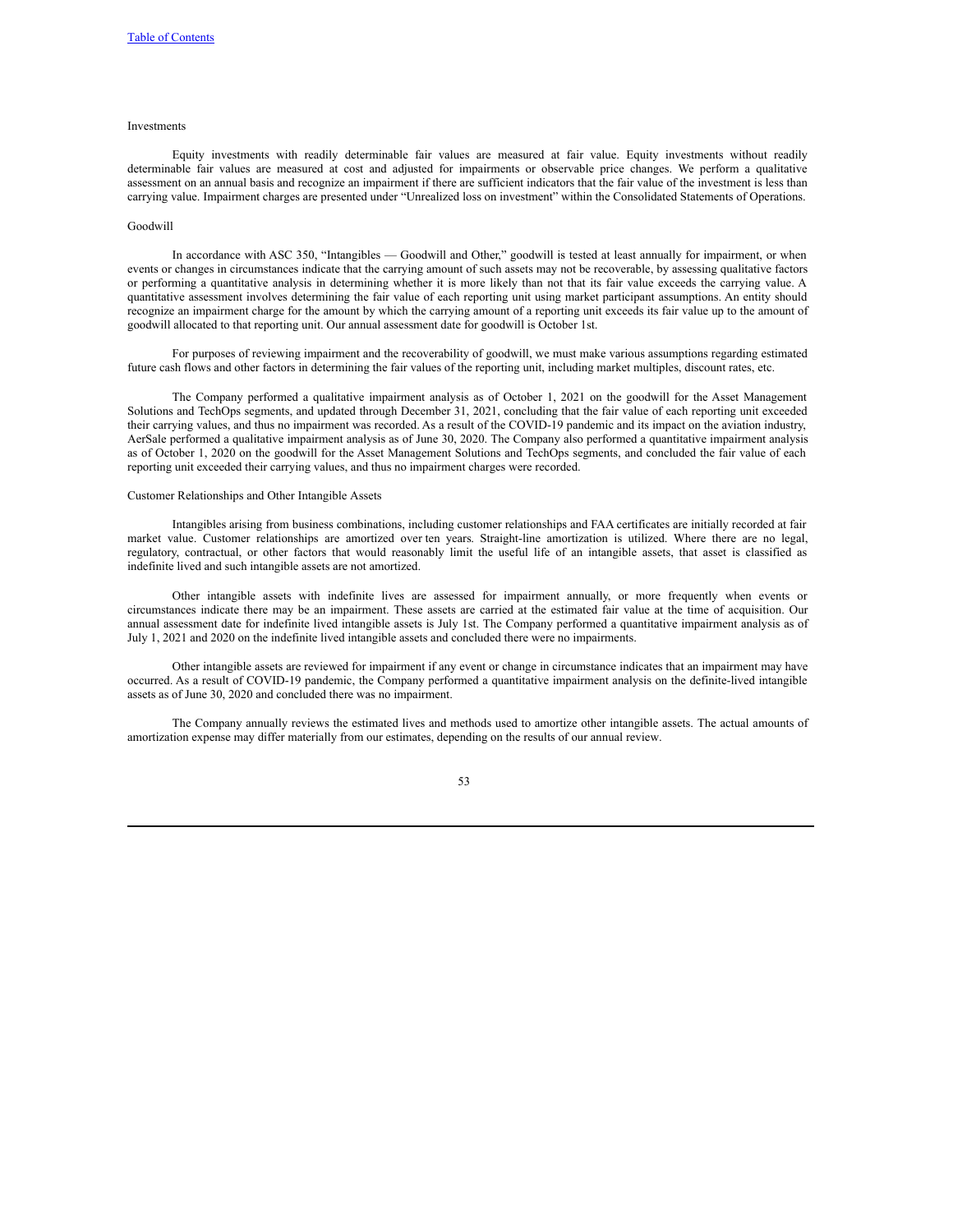# Investments

Equity investments with readily determinable fair values are measured at fair value. Equity investments without readily determinable fair values are measured at cost and adjusted for impairments or observable price changes. We perform a qualitative assessment on an annual basis and recognize an impairment if there are sufficient indicators that the fair value of the investment is less than carrying value. Impairment charges are presented under "Unrealized loss on investment" within the Consolidated Statements of Operations.

#### Goodwill

In accordance with ASC 350, "Intangibles — Goodwill and Other," goodwill is tested at least annually for impairment, or when events or changes in circumstances indicate that the carrying amount of such assets may not be recoverable, by assessing qualitative factors or performing a quantitative analysis in determining whether it is more likely than not that its fair value exceeds the carrying value. A quantitative assessment involves determining the fair value of each reporting unit using market participant assumptions. An entity should recognize an impairment charge for the amount by which the carrying amount of a reporting unit exceeds its fair value up to the amount of goodwill allocated to that reporting unit. Our annual assessment date for goodwill is October 1st.

For purposes of reviewing impairment and the recoverability of goodwill, we must make various assumptions regarding estimated future cash flows and other factors in determining the fair values of the reporting unit, including market multiples, discount rates, etc.

The Company performed a qualitative impairment analysis as of October 1, 2021 on the goodwill for the Asset Management Solutions and TechOps segments, and updated through December 31, 2021, concluding that the fair value of each reporting unit exceeded their carrying values, and thus no impairment was recorded. As a result of the COVID-19 pandemic and its impact on the aviation industry, AerSale performed a qualitative impairment analysis as of June 30, 2020. The Company also performed a quantitative impairment analysis as of October 1, 2020 on the goodwill for the Asset Management Solutions and TechOps segments, and concluded the fair value of each reporting unit exceeded their carrying values, and thus no impairment charges were recorded.

#### Customer Relationships and Other Intangible Assets

Intangibles arising from business combinations, including customer relationships and FAA certificates are initially recorded at fair market value. Customer relationships are amortized over ten years. Straight-line amortization is utilized. Where there are no legal, regulatory, contractual, or other factors that would reasonably limit the useful life of an intangible assets, that asset is classified as indefinite lived and such intangible assets are not amortized.

Other intangible assets with indefinite lives are assessed for impairment annually, or more frequently when events or circumstances indicate there may be an impairment. These assets are carried at the estimated fair value at the time of acquisition. Our annual assessment date for indefinite lived intangible assets is July 1st. The Company performed a quantitative impairment analysis as of July 1, 2021 and 2020 on the indefinite lived intangible assets and concluded there were no impairments.

Other intangible assets are reviewed for impairment if any event or change in circumstance indicates that an impairment may have occurred. As a result of COVID-19 pandemic, the Company performed a quantitative impairment analysis on the definite-lived intangible assets as of June 30, 2020 and concluded there was no impairment.

The Company annually reviews the estimated lives and methods used to amortize other intangible assets. The actual amounts of amortization expense may differ materially from our estimates, depending on the results of our annual review.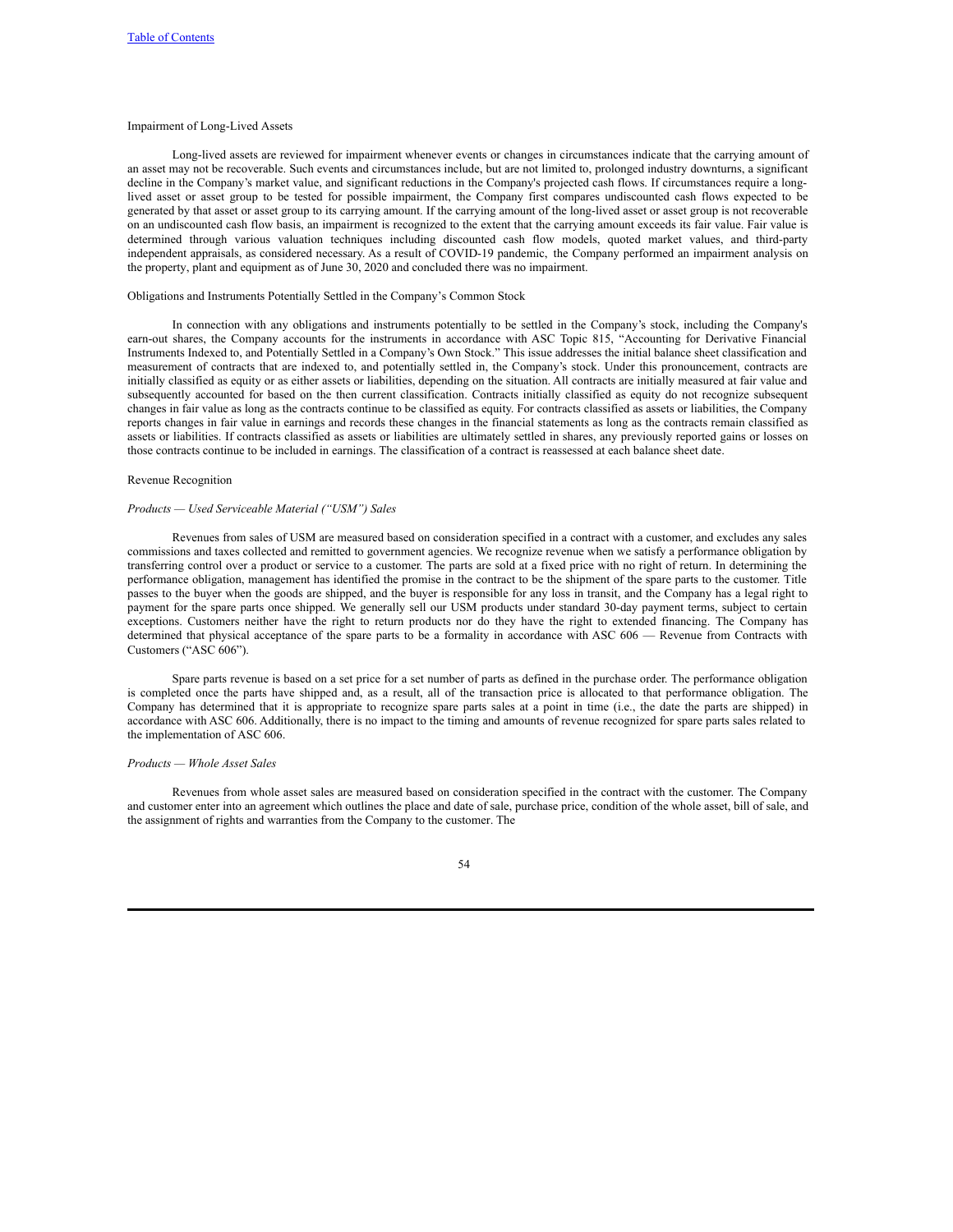## Impairment of Long-Lived Assets

Long-lived assets are reviewed for impairment whenever events or changes in circumstances indicate that the carrying amount of an asset may not be recoverable. Such events and circumstances include, but are not limited to, prolonged industry downturns, a significant decline in the Company's market value, and significant reductions in the Company's projected cash flows. If circumstances require a longlived asset or asset group to be tested for possible impairment, the Company first compares undiscounted cash flows expected to be generated by that asset or asset group to its carrying amount. If the carrying amount of the long-lived asset or asset group is not recoverable on an undiscounted cash flow basis, an impairment is recognized to the extent that the carrying amount exceeds its fair value. Fair value is determined through various valuation techniques including discounted cash flow models, quoted market values, and third-party independent appraisals, as considered necessary. As a result of COVID-19 pandemic, the Company performed an impairment analysis on the property, plant and equipment as of June 30, 2020 and concluded there was no impairment.

#### Obligations and Instruments Potentially Settled in the Company's Common Stock

In connection with any obligations and instruments potentially to be settled in the Company's stock, including the Company's earn-out shares, the Company accounts for the instruments in accordance with ASC Topic 815, "Accounting for Derivative Financial Instruments Indexed to, and Potentially Settled in a Company's Own Stock." This issue addresses the initial balance sheet classification and measurement of contracts that are indexed to, and potentially settled in, the Company's stock. Under this pronouncement, contracts are initially classified as equity or as either assets or liabilities, depending on the situation. All contracts are initially measured at fair value and subsequently accounted for based on the then current classification. Contracts initially classified as equity do not recognize subsequent changes in fair value as long as the contracts continue to be classified as equity. For contracts classified as assets or liabilities, the Company reports changes in fair value in earnings and records these changes in the financial statements as long as the contracts remain classified as assets or liabilities. If contracts classified as assets or liabilities are ultimately settled in shares, any previously reported gains or losses on those contracts continue to be included in earnings. The classification of a contract is reassessed at each balance sheet date.

### Revenue Recognition

#### *Products — Used Serviceable Material ("USM") Sales*

Revenues from sales of USM are measured based on consideration specified in a contract with a customer, and excludes any sales commissions and taxes collected and remitted to government agencies. We recognize revenue when we satisfy a performance obligation by transferring control over a product or service to a customer. The parts are sold at a fixed price with no right of return. In determining the performance obligation, management has identified the promise in the contract to be the shipment of the spare parts to the customer. Title passes to the buyer when the goods are shipped, and the buyer is responsible for any loss in transit, and the Company has a legal right to payment for the spare parts once shipped. We generally sell our USM products under standard 30-day payment terms, subject to certain exceptions. Customers neither have the right to return products nor do they have the right to extended financing. The Company has determined that physical acceptance of the spare parts to be a formality in accordance with ASC 606 — Revenue from Contracts with Customers ("ASC 606").

Spare parts revenue is based on a set price for a set number of parts as defined in the purchase order. The performance obligation is completed once the parts have shipped and, as a result, all of the transaction price is allocated to that performance obligation. The Company has determined that it is appropriate to recognize spare parts sales at a point in time (i.e., the date the parts are shipped) in accordance with ASC 606. Additionally, there is no impact to the timing and amounts of revenue recognized for spare parts sales related to the implementation of ASC 606.

### *Products — Whole Asset Sales*

Revenues from whole asset sales are measured based on consideration specified in the contract with the customer. The Company and customer enter into an agreement which outlines the place and date of sale, purchase price, condition of the whole asset, bill of sale, and the assignment of rights and warranties from the Company to the customer. The

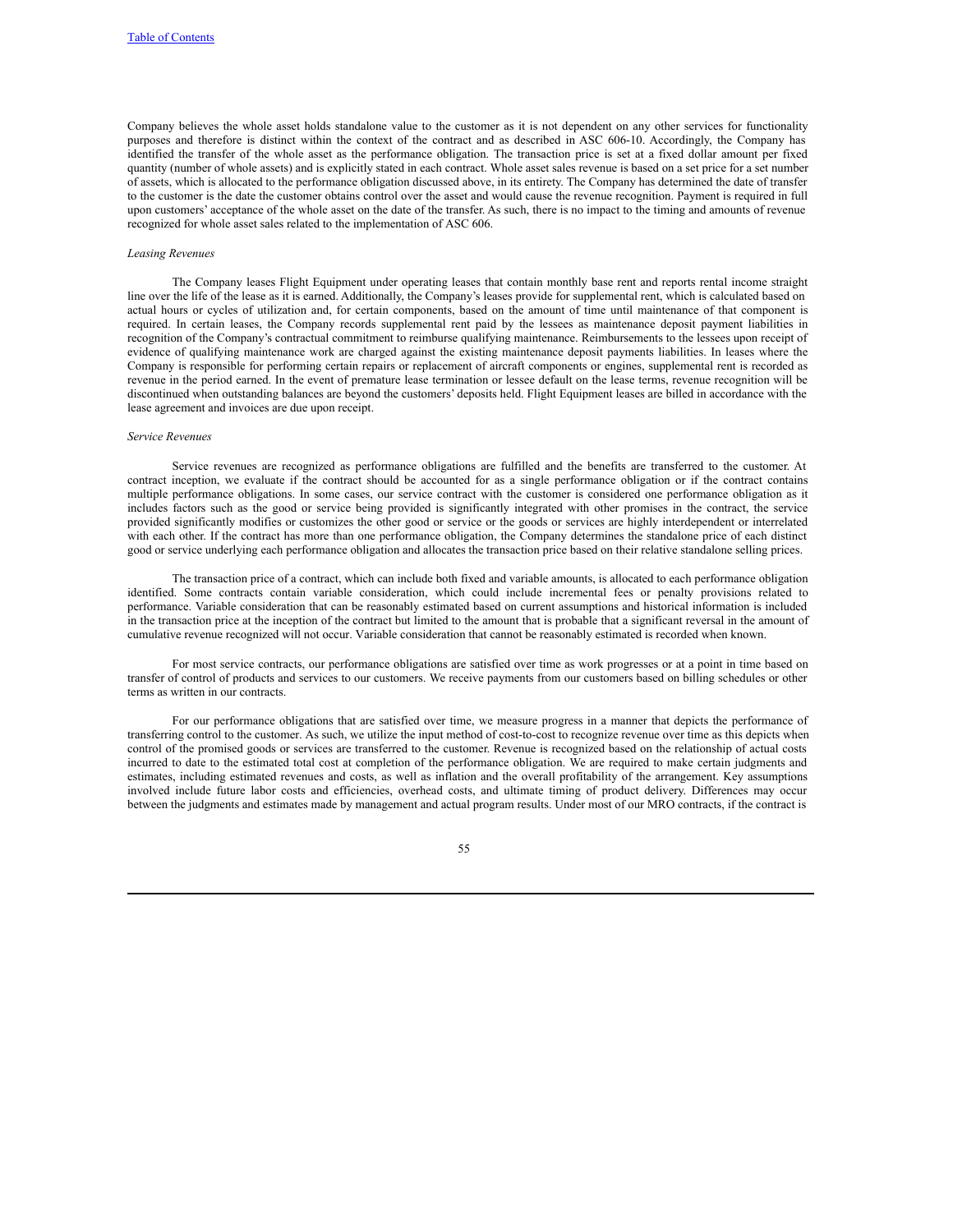Company believes the whole asset holds standalone value to the customer as it is not dependent on any other services for functionality purposes and therefore is distinct within the context of the contract and as described in ASC 606-10. Accordingly, the Company has identified the transfer of the whole asset as the performance obligation. The transaction price is set at a fixed dollar amount per fixed quantity (number of whole assets) and is explicitly stated in each contract. Whole asset sales revenue is based on a set price for a set number of assets, which is allocated to the performance obligation discussed above, in its entirety. The Company has determined the date of transfer to the customer is the date the customer obtains control over the asset and would cause the revenue recognition. Payment is required in full upon customers' acceptance of the whole asset on the date of the transfer. As such, there is no impact to the timing and amounts of revenue recognized for whole asset sales related to the implementation of ASC 606.

#### *Leasing Revenues*

The Company leases Flight Equipment under operating leases that contain monthly base rent and reports rental income straight line over the life of the lease as it is earned. Additionally, the Company's leases provide for supplemental rent, which is calculated based on actual hours or cycles of utilization and, for certain components, based on the amount of time until maintenance of that component is required. In certain leases, the Company records supplemental rent paid by the lessees as maintenance deposit payment liabilities in recognition of the Company's contractual commitment to reimburse qualifying maintenance. Reimbursements to the lessees upon receipt of evidence of qualifying maintenance work are charged against the existing maintenance deposit payments liabilities. In leases where the Company is responsible for performing certain repairs or replacement of aircraft components or engines, supplemental rent is recorded as revenue in the period earned. In the event of premature lease termination or lessee default on the lease terms, revenue recognition will be discontinued when outstanding balances are beyond the customers' deposits held. Flight Equipment leases are billed in accordance with the lease agreement and invoices are due upon receipt.

#### *Service Revenues*

Service revenues are recognized as performance obligations are fulfilled and the benefits are transferred to the customer. At contract inception, we evaluate if the contract should be accounted for as a single performance obligation or if the contract contains multiple performance obligations. In some cases, our service contract with the customer is considered one performance obligation as it includes factors such as the good or service being provided is significantly integrated with other promises in the contract, the service provided significantly modifies or customizes the other good or service or the goods or services are highly interdependent or interrelated with each other. If the contract has more than one performance obligation, the Company determines the standalone price of each distinct good or service underlying each performance obligation and allocates the transaction price based on their relative standalone selling prices.

The transaction price of a contract, which can include both fixed and variable amounts, is allocated to each performance obligation identified. Some contracts contain variable consideration, which could include incremental fees or penalty provisions related to performance. Variable consideration that can be reasonably estimated based on current assumptions and historical information is included in the transaction price at the inception of the contract but limited to the amount that is probable that a significant reversal in the amount of cumulative revenue recognized will not occur. Variable consideration that cannot be reasonably estimated is recorded when known.

For most service contracts, our performance obligations are satisfied over time as work progresses or at a point in time based on transfer of control of products and services to our customers. We receive payments from our customers based on billing schedules or other terms as written in our contracts.

For our performance obligations that are satisfied over time, we measure progress in a manner that depicts the performance of transferring control to the customer. As such, we utilize the input method of cost-to-cost to recognize revenue over time as this depicts when control of the promised goods or services are transferred to the customer. Revenue is recognized based on the relationship of actual costs incurred to date to the estimated total cost at completion of the performance obligation. We are required to make certain judgments and estimates, including estimated revenues and costs, as well as inflation and the overall profitability of the arrangement. Key assumptions involved include future labor costs and efficiencies, overhead costs, and ultimate timing of product delivery. Differences may occur between the judgments and estimates made by management and actual program results. Under most of our MRO contracts, if the contract is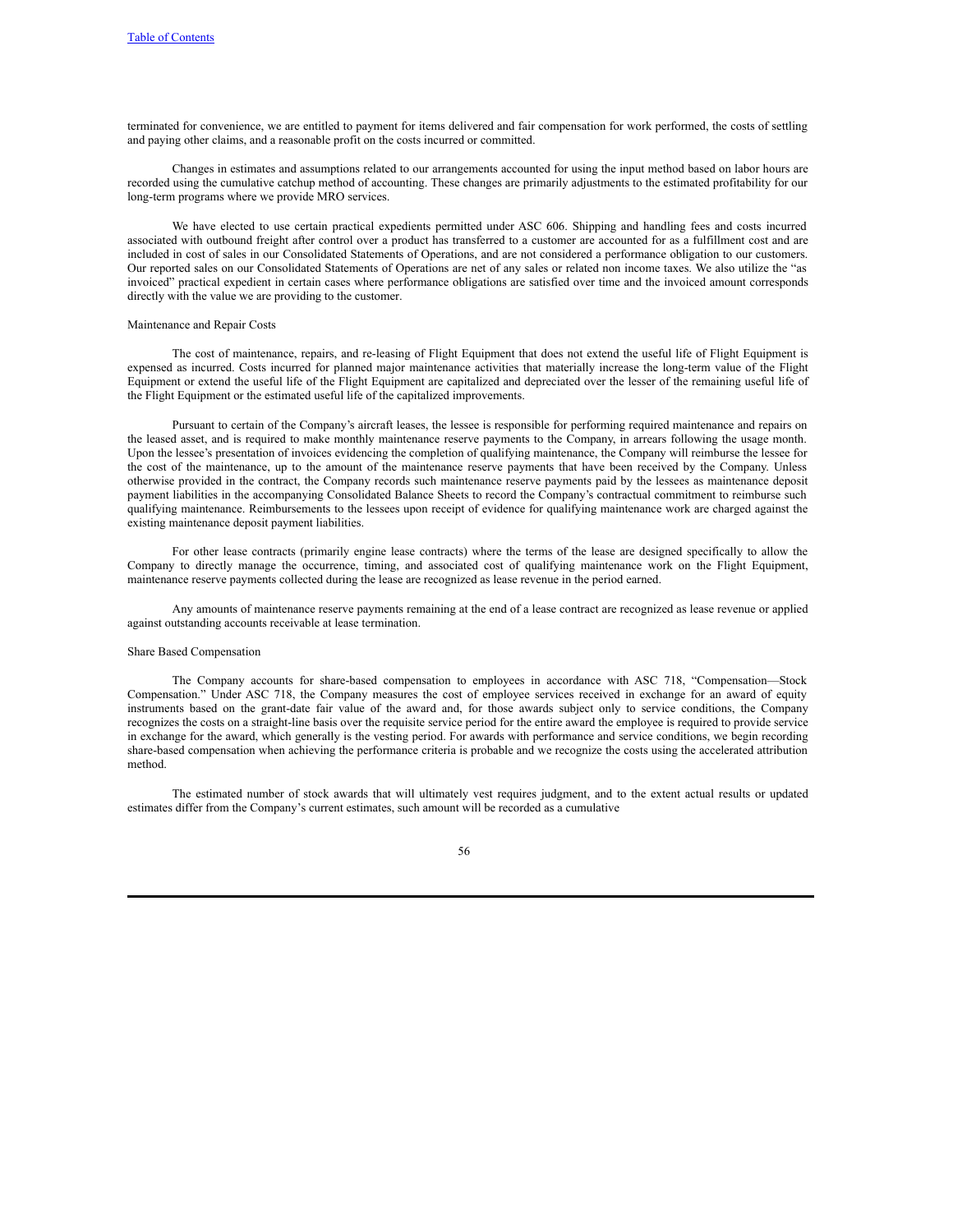terminated for convenience, we are entitled to payment for items delivered and fair compensation for work performed, the costs of settling and paying other claims, and a reasonable profit on the costs incurred or committed.

Changes in estimates and assumptions related to our arrangements accounted for using the input method based on labor hours are recorded using the cumulative catchup method of accounting. These changes are primarily adjustments to the estimated profitability for our long-term programs where we provide MRO services.

We have elected to use certain practical expedients permitted under ASC 606. Shipping and handling fees and costs incurred associated with outbound freight after control over a product has transferred to a customer are accounted for as a fulfillment cost and are included in cost of sales in our Consolidated Statements of Operations, and are not considered a performance obligation to our customers. Our reported sales on our Consolidated Statements of Operations are net of any sales or related non income taxes. We also utilize the "as invoiced" practical expedient in certain cases where performance obligations are satisfied over time and the invoiced amount corresponds directly with the value we are providing to the customer.

### Maintenance and Repair Costs

The cost of maintenance, repairs, and re-leasing of Flight Equipment that does not extend the useful life of Flight Equipment is expensed as incurred. Costs incurred for planned major maintenance activities that materially increase the long-term value of the Flight Equipment or extend the useful life of the Flight Equipment are capitalized and depreciated over the lesser of the remaining useful life of the Flight Equipment or the estimated useful life of the capitalized improvements.

Pursuant to certain of the Company's aircraft leases, the lessee is responsible for performing required maintenance and repairs on the leased asset, and is required to make monthly maintenance reserve payments to the Company, in arrears following the usage month. Upon the lessee's presentation of invoices evidencing the completion of qualifying maintenance, the Company will reimburse the lessee for the cost of the maintenance, up to the amount of the maintenance reserve payments that have been received by the Company. Unless otherwise provided in the contract, the Company records such maintenance reserve payments paid by the lessees as maintenance deposit payment liabilities in the accompanying Consolidated Balance Sheets to record the Company's contractual commitment to reimburse such qualifying maintenance. Reimbursements to the lessees upon receipt of evidence for qualifying maintenance work are charged against the existing maintenance deposit payment liabilities.

For other lease contracts (primarily engine lease contracts) where the terms of the lease are designed specifically to allow the Company to directly manage the occurrence, timing, and associated cost of qualifying maintenance work on the Flight Equipment, maintenance reserve payments collected during the lease are recognized as lease revenue in the period earned.

Any amounts of maintenance reserve payments remaining at the end of a lease contract are recognized as lease revenue or applied against outstanding accounts receivable at lease termination.

#### Share Based Compensation

The Company accounts for share-based compensation to employees in accordance with ASC 718, "Compensation—Stock Compensation." Under ASC 718, the Company measures the cost of employee services received in exchange for an award of equity instruments based on the grant-date fair value of the award and, for those awards subject only to service conditions, the Company recognizes the costs on a straight-line basis over the requisite service period for the entire award the employee is required to provide service in exchange for the award, which generally is the vesting period. For awards with performance and service conditions, we begin recording share-based compensation when achieving the performance criteria is probable and we recognize the costs using the accelerated attribution method.

The estimated number of stock awards that will ultimately vest requires judgment, and to the extent actual results or updated estimates differ from the Company's current estimates, such amount will be recorded as a cumulative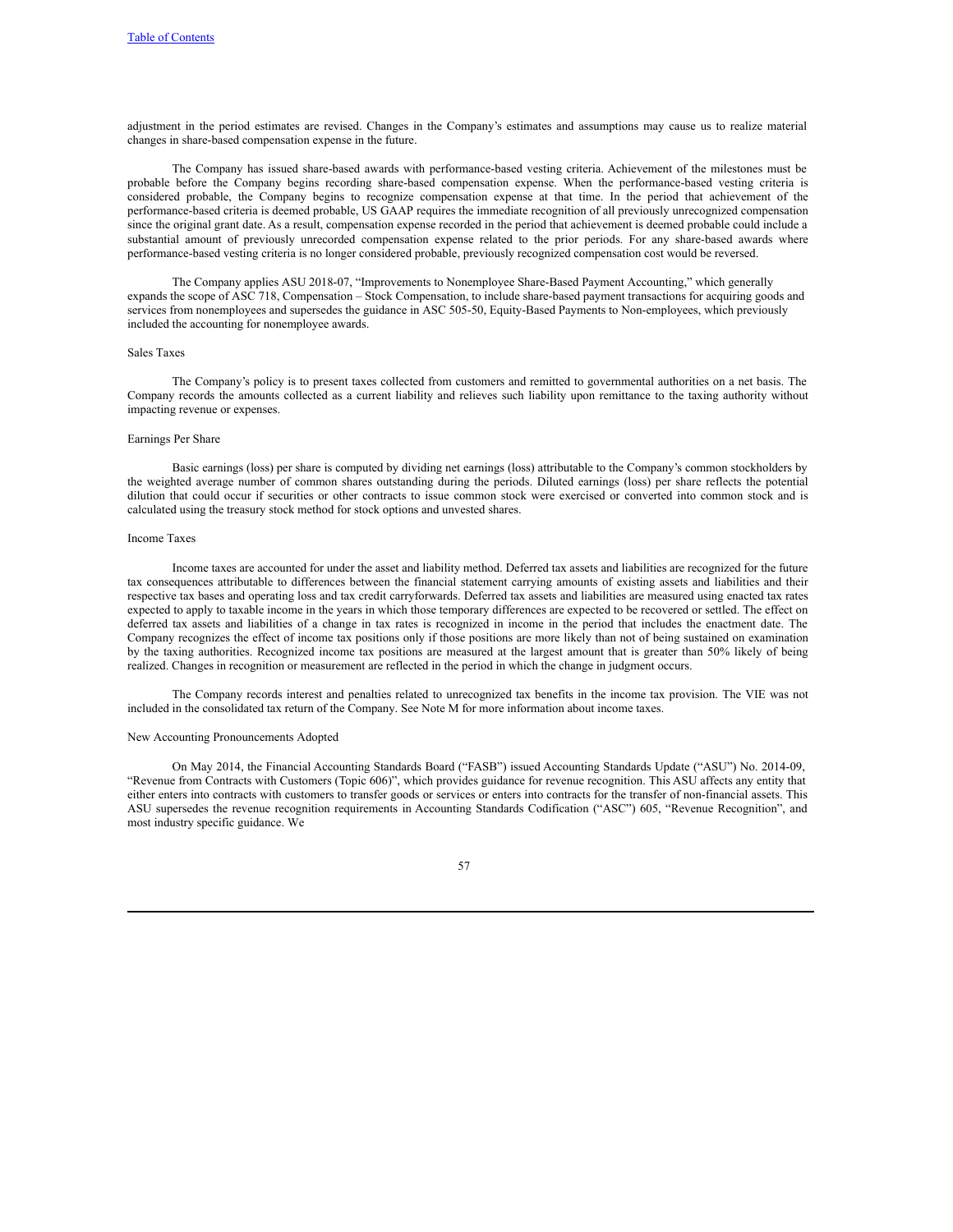adjustment in the period estimates are revised. Changes in the Company's estimates and assumptions may cause us to realize material changes in share-based compensation expense in the future.

The Company has issued share-based awards with performance-based vesting criteria. Achievement of the milestones must be probable before the Company begins recording share-based compensation expense. When the performance-based vesting criteria is considered probable, the Company begins to recognize compensation expense at that time. In the period that achievement of the performance-based criteria is deemed probable, US GAAP requires the immediate recognition of all previously unrecognized compensation since the original grant date. As a result, compensation expense recorded in the period that achievement is deemed probable could include a substantial amount of previously unrecorded compensation expense related to the prior periods. For any share-based awards where performance-based vesting criteria is no longer considered probable, previously recognized compensation cost would be reversed.

The Company applies ASU 2018-07, "Improvements to Nonemployee Share-Based Payment Accounting," which generally expands the scope of ASC 718, Compensation – Stock Compensation, to include share-based payment transactions for acquiring goods and services from nonemployees and supersedes the guidance in ASC 505-50, Equity-Based Payments to Non-employees, which previously included the accounting for nonemployee awards.

#### Sales Taxes

The Company's policy is to present taxes collected from customers and remitted to governmental authorities on a net basis. The Company records the amounts collected as a current liability and relieves such liability upon remittance to the taxing authority without impacting revenue or expenses.

## Earnings Per Share

Basic earnings (loss) per share is computed by dividing net earnings (loss) attributable to the Company's common stockholders by the weighted average number of common shares outstanding during the periods. Diluted earnings (loss) per share reflects the potential dilution that could occur if securities or other contracts to issue common stock were exercised or converted into common stock and is calculated using the treasury stock method for stock options and unvested shares.

### Income Taxes

Income taxes are accounted for under the asset and liability method. Deferred tax assets and liabilities are recognized for the future tax consequences attributable to differences between the financial statement carrying amounts of existing assets and liabilities and their respective tax bases and operating loss and tax credit carryforwards. Deferred tax assets and liabilities are measured using enacted tax rates expected to apply to taxable income in the years in which those temporary differences are expected to be recovered or settled. The effect on deferred tax assets and liabilities of a change in tax rates is recognized in income in the period that includes the enactment date. The Company recognizes the effect of income tax positions only if those positions are more likely than not of being sustained on examination by the taxing authorities. Recognized income tax positions are measured at the largest amount that is greater than 50% likely of being realized. Changes in recognition or measurement are reflected in the period in which the change in judgment occurs.

The Company records interest and penalties related to unrecognized tax benefits in the income tax provision. The VIE was not included in the consolidated tax return of the Company. See Note M for more information about income taxes.

#### New Accounting Pronouncements Adopted

On May 2014, the Financial Accounting Standards Board ("FASB") issued Accounting Standards Update ("ASU") No. 2014-09, "Revenue from Contracts with Customers (Topic 606)", which provides guidance for revenue recognition. This ASU affects any entity that either enters into contracts with customers to transfer goods or services or enters into contracts for the transfer of non-financial assets. This ASU supersedes the revenue recognition requirements in Accounting Standards Codification ("ASC") 605, "Revenue Recognition", and most industry specific guidance. We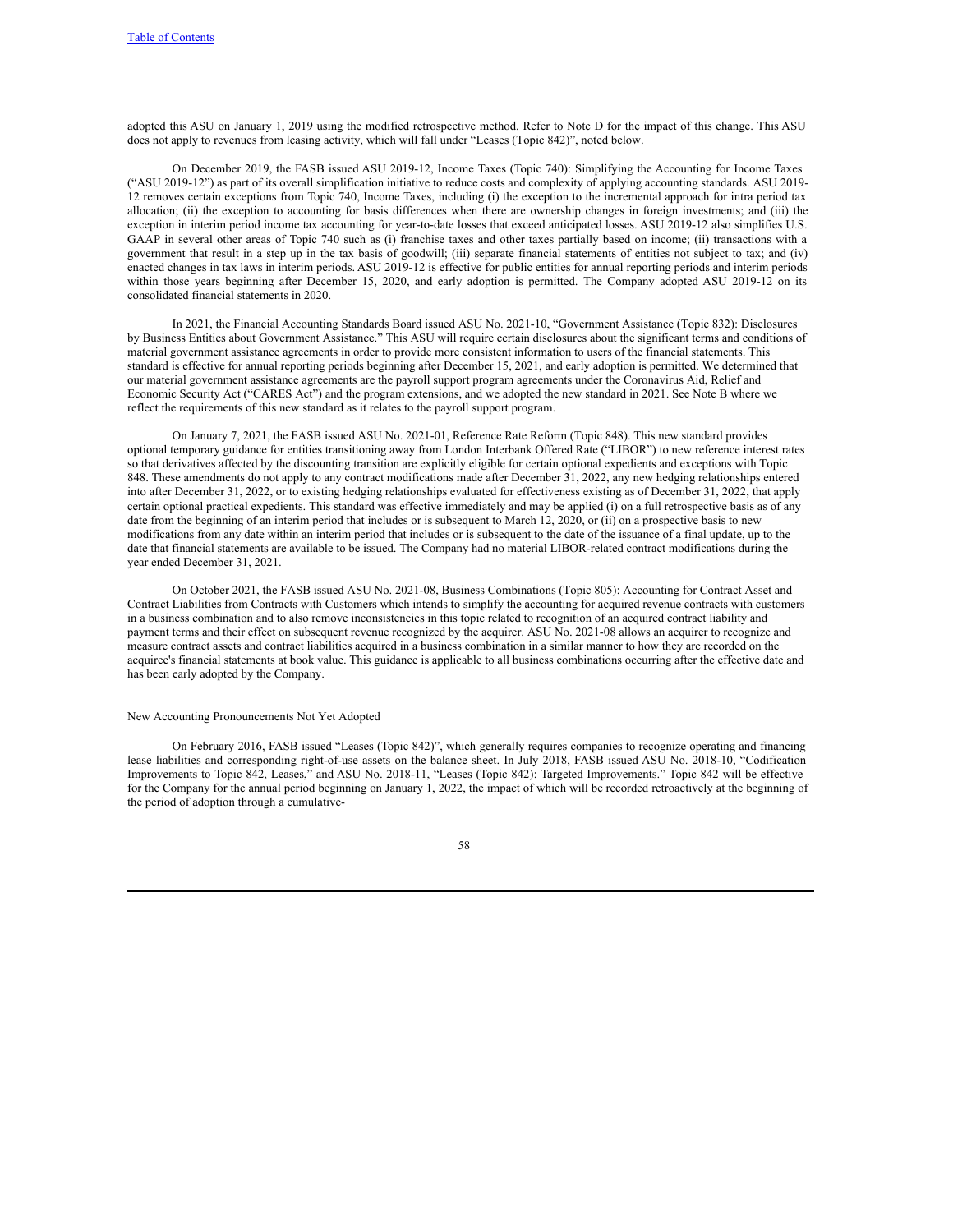adopted this ASU on January 1, 2019 using the modified retrospective method. Refer to Note D for the impact of this change. This ASU does not apply to revenues from leasing activity, which will fall under "Leases (Topic 842)", noted below.

On December 2019, the FASB issued ASU 2019-12, Income Taxes (Topic 740): Simplifying the Accounting for Income Taxes ("ASU 2019-12") as part of its overall simplification initiative to reduce costs and complexity of applying accounting standards. ASU 2019- 12 removes certain exceptions from Topic 740, Income Taxes, including (i) the exception to the incremental approach for intra period tax allocation; (ii) the exception to accounting for basis differences when there are ownership changes in foreign investments; and (iii) the exception in interim period income tax accounting for year-to-date losses that exceed anticipated losses. ASU 2019-12 also simplifies U.S. GAAP in several other areas of Topic 740 such as (i) franchise taxes and other taxes partially based on income; (ii) transactions with a government that result in a step up in the tax basis of goodwill; (iii) separate financial statements of entities not subject to tax; and (iv) enacted changes in tax laws in interim periods. ASU 2019-12 is effective for public entities for annual reporting periods and interim periods within those years beginning after December 15, 2020, and early adoption is permitted. The Company adopted ASU 2019-12 on its consolidated financial statements in 2020.

In 2021, the Financial Accounting Standards Board issued ASU No. 2021-10, "Government Assistance (Topic 832): Disclosures by Business Entities about Government Assistance." This ASU will require certain disclosures about the significant terms and conditions of material government assistance agreements in order to provide more consistent information to users of the financial statements. This standard is effective for annual reporting periods beginning after December 15, 2021, and early adoption is permitted. We determined that our material government assistance agreements are the payroll support program agreements under the Coronavirus Aid, Relief and Economic Security Act ("CARES Act") and the program extensions, and we adopted the new standard in 2021. See Note B where we reflect the requirements of this new standard as it relates to the payroll support program.

On January 7, 2021, the FASB issued ASU No. 2021-01, Reference Rate Reform (Topic 848). This new standard provides optional temporary guidance for entities transitioning away from London Interbank Offered Rate ("LIBOR") to new reference interest rates so that derivatives affected by the discounting transition are explicitly eligible for certain optional expedients and exceptions with Topic 848. These amendments do not apply to any contract modifications made after December 31, 2022, any new hedging relationships entered into after December 31, 2022, or to existing hedging relationships evaluated for effectiveness existing as of December 31, 2022, that apply certain optional practical expedients. This standard was effective immediately and may be applied (i) on a full retrospective basis as of any date from the beginning of an interim period that includes or is subsequent to March 12, 2020, or (ii) on a prospective basis to new modifications from any date within an interim period that includes or is subsequent to the date of the issuance of a final update, up to the date that financial statements are available to be issued. The Company had no material LIBOR-related contract modifications during the year ended December 31, 2021.

On October 2021, the FASB issued ASU No. 2021-08, Business Combinations (Topic 805): Accounting for Contract Asset and Contract Liabilities from Contracts with Customers which intends to simplify the accounting for acquired revenue contracts with customers in a business combination and to also remove inconsistencies in this topic related to recognition of an acquired contract liability and payment terms and their effect on subsequent revenue recognized by the acquirer. ASU No. 2021-08 allows an acquirer to recognize and measure contract assets and contract liabilities acquired in a business combination in a similar manner to how they are recorded on the acquiree's financial statements at book value. This guidance is applicable to all business combinations occurring after the effective date and has been early adopted by the Company.

#### New Accounting Pronouncements Not Yet Adopted

On February 2016, FASB issued "Leases (Topic 842)", which generally requires companies to recognize operating and financing lease liabilities and corresponding right-of-use assets on the balance sheet. In July 2018, FASB issued ASU No. 2018-10, "Codification Improvements to Topic 842, Leases," and ASU No. 2018-11, "Leases (Topic 842): Targeted Improvements." Topic 842 will be effective for the Company for the annual period beginning on January 1, 2022, the impact of which will be recorded retroactively at the beginning of the period of adoption through a cumulative-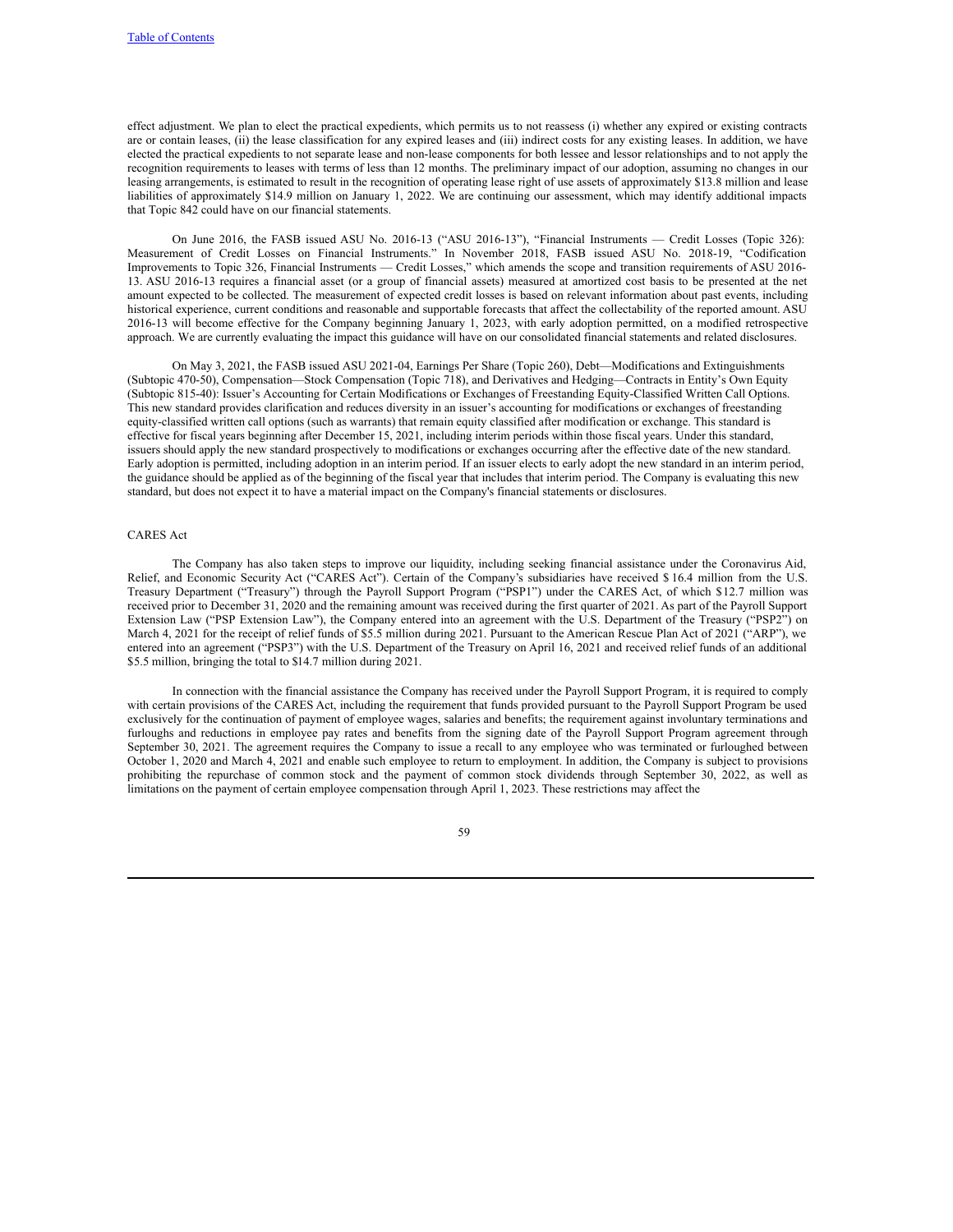effect adjustment. We plan to elect the practical expedients, which permits us to not reassess (i) whether any expired or existing contracts are or contain leases, (ii) the lease classification for any expired leases and (iii) indirect costs for any existing leases. In addition, we have elected the practical expedients to not separate lease and non-lease components for both lessee and lessor relationships and to not apply the recognition requirements to leases with terms of less than 12 months. The preliminary impact of our adoption, assuming no changes in our leasing arrangements, is estimated to result in the recognition of operating lease right of use assets of approximately \$13.8 million and lease liabilities of approximately \$14.9 million on January 1, 2022. We are continuing our assessment, which may identify additional impacts that Topic 842 could have on our financial statements.

On June 2016, the FASB issued ASU No. 2016-13 ("ASU 2016-13"), "Financial Instruments — Credit Losses (Topic 326): Measurement of Credit Losses on Financial Instruments." In November 2018, FASB issued ASU No. 2018-19, "Codification Improvements to Topic 326, Financial Instruments — Credit Losses," which amends the scope and transition requirements of ASU 2016- 13. ASU 2016-13 requires a financial asset (or a group of financial assets) measured at amortized cost basis to be presented at the net amount expected to be collected. The measurement of expected credit losses is based on relevant information about past events, including historical experience, current conditions and reasonable and supportable forecasts that affect the collectability of the reported amount. ASU 2016-13 will become effective for the Company beginning January 1, 2023, with early adoption permitted, on a modified retrospective approach. We are currently evaluating the impact this guidance will have on our consolidated financial statements and related disclosures.

On May 3, 2021, the FASB issued ASU 2021-04, Earnings Per Share (Topic 260), Debt—Modifications and Extinguishments (Subtopic 470-50), Compensation—Stock Compensation (Topic 718), and Derivatives and Hedging—Contracts in Entity's Own Equity (Subtopic 815-40): Issuer's Accounting for Certain Modifications or Exchanges of Freestanding Equity-Classified Written Call Options. This new standard provides clarification and reduces diversity in an issuer's accounting for modifications or exchanges of freestanding equity-classified written call options (such as warrants) that remain equity classified after modification or exchange. This standard is effective for fiscal years beginning after December 15, 2021, including interim periods within those fiscal years. Under this standard, issuers should apply the new standard prospectively to modifications or exchanges occurring after the effective date of the new standard. Early adoption is permitted, including adoption in an interim period. If an issuer elects to early adopt the new standard in an interim period, the guidance should be applied as of the beginning of the fiscal year that includes that interim period. The Company is evaluating this new standard, but does not expect it to have a material impact on the Company's financial statements or disclosures.

## CARES Act

The Company has also taken steps to improve our liquidity, including seeking financial assistance under the Coronavirus Aid, Relief, and Economic Security Act ("CARES Act"). Certain of the Company's subsidiaries have received \$ 16.4 million from the U.S. Treasury Department ("Treasury") through the Payroll Support Program ("PSP1") under the CARES Act, of which \$12.7 million was received prior to December 31, 2020 and the remaining amount was received during the first quarter of 2021. As part of the Payroll Support Extension Law ("PSP Extension Law"), the Company entered into an agreement with the U.S. Department of the Treasury ("PSP2") on March 4, 2021 for the receipt of relief funds of \$5.5 million during 2021. Pursuant to the American Rescue Plan Act of 2021 ("ARP"), we entered into an agreement ("PSP3") with the U.S. Department of the Treasury on April 16, 2021 and received relief funds of an additional \$5.5 million, bringing the total to \$14.7 million during 2021.

In connection with the financial assistance the Company has received under the Payroll Support Program, it is required to comply with certain provisions of the CARES Act, including the requirement that funds provided pursuant to the Payroll Support Program be used exclusively for the continuation of payment of employee wages, salaries and benefits; the requirement against involuntary terminations and furloughs and reductions in employee pay rates and benefits from the signing date of the Payroll Support Program agreement through September 30, 2021. The agreement requires the Company to issue a recall to any employee who was terminated or furloughed between October 1, 2020 and March 4, 2021 and enable such employee to return to employment. In addition, the Company is subject to provisions prohibiting the repurchase of common stock and the payment of common stock dividends through September 30, 2022, as well as limitations on the payment of certain employee compensation through April 1, 2023. These restrictions may affect the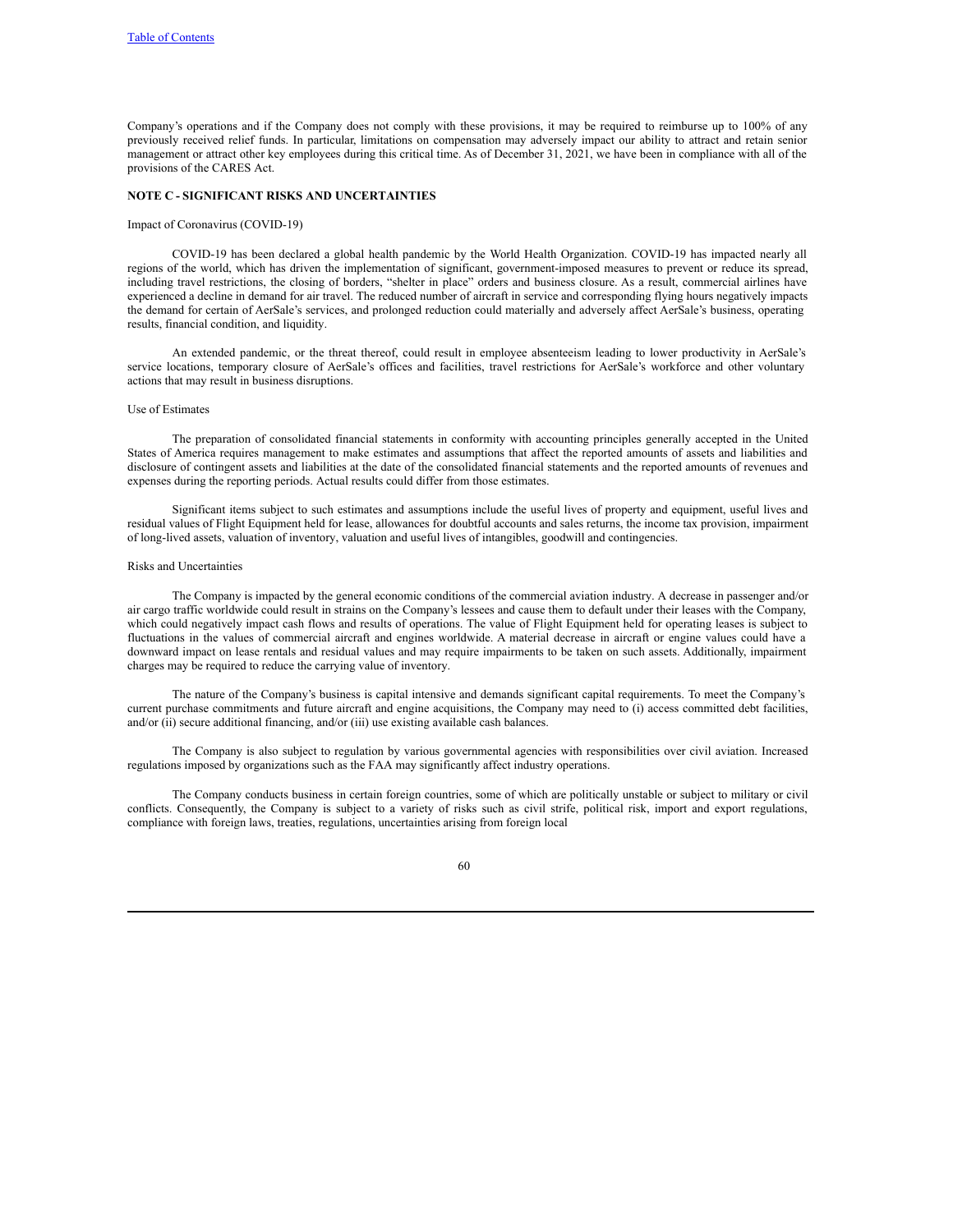Company's operations and if the Company does not comply with these provisions, it may be required to reimburse up to 100% of any previously received relief funds. In particular, limitations on compensation may adversely impact our ability to attract and retain senior management or attract other key employees during this critical time. As of December 31, 2021, we have been in compliance with all of the provisions of the CARES Act.

## **NOTE C - SIGNIFICANT RISKS AND UNCERTAINTIES**

#### Impact of Coronavirus (COVID-19)

COVID-19 has been declared a global health pandemic by the World Health Organization. COVID-19 has impacted nearly all regions of the world, which has driven the implementation of significant, government-imposed measures to prevent or reduce its spread, including travel restrictions, the closing of borders, "shelter in place" orders and business closure. As a result, commercial airlines have experienced a decline in demand for air travel. The reduced number of aircraft in service and corresponding flying hours negatively impacts the demand for certain of AerSale's services, and prolonged reduction could materially and adversely affect AerSale's business, operating results, financial condition, and liquidity.

An extended pandemic, or the threat thereof, could result in employee absenteeism leading to lower productivity in AerSale's service locations, temporary closure of AerSale's offices and facilities, travel restrictions for AerSale's workforce and other voluntary actions that may result in business disruptions.

### Use of Estimates

The preparation of consolidated financial statements in conformity with accounting principles generally accepted in the United States of America requires management to make estimates and assumptions that affect the reported amounts of assets and liabilities and disclosure of contingent assets and liabilities at the date of the consolidated financial statements and the reported amounts of revenues and expenses during the reporting periods. Actual results could differ from those estimates.

Significant items subject to such estimates and assumptions include the useful lives of property and equipment, useful lives and residual values of Flight Equipment held for lease, allowances for doubtful accounts and sales returns, the income tax provision, impairment of long-lived assets, valuation of inventory, valuation and useful lives of intangibles, goodwill and contingencies.

## Risks and Uncertainties

The Company is impacted by the general economic conditions of the commercial aviation industry. A decrease in passenger and/or air cargo traffic worldwide could result in strains on the Company's lessees and cause them to default under their leases with the Company, which could negatively impact cash flows and results of operations. The value of Flight Equipment held for operating leases is subject to fluctuations in the values of commercial aircraft and engines worldwide. A material decrease in aircraft or engine values could have a downward impact on lease rentals and residual values and may require impairments to be taken on such assets. Additionally, impairment charges may be required to reduce the carrying value of inventory.

The nature of the Company's business is capital intensive and demands significant capital requirements. To meet the Company's current purchase commitments and future aircraft and engine acquisitions, the Company may need to (i) access committed debt facilities, and/or (ii) secure additional financing, and/or (iii) use existing available cash balances.

The Company is also subject to regulation by various governmental agencies with responsibilities over civil aviation. Increased regulations imposed by organizations such as the FAA may significantly affect industry operations.

The Company conducts business in certain foreign countries, some of which are politically unstable or subject to military or civil conflicts. Consequently, the Company is subject to a variety of risks such as civil strife, political risk, import and export regulations, compliance with foreign laws, treaties, regulations, uncertainties arising from foreign local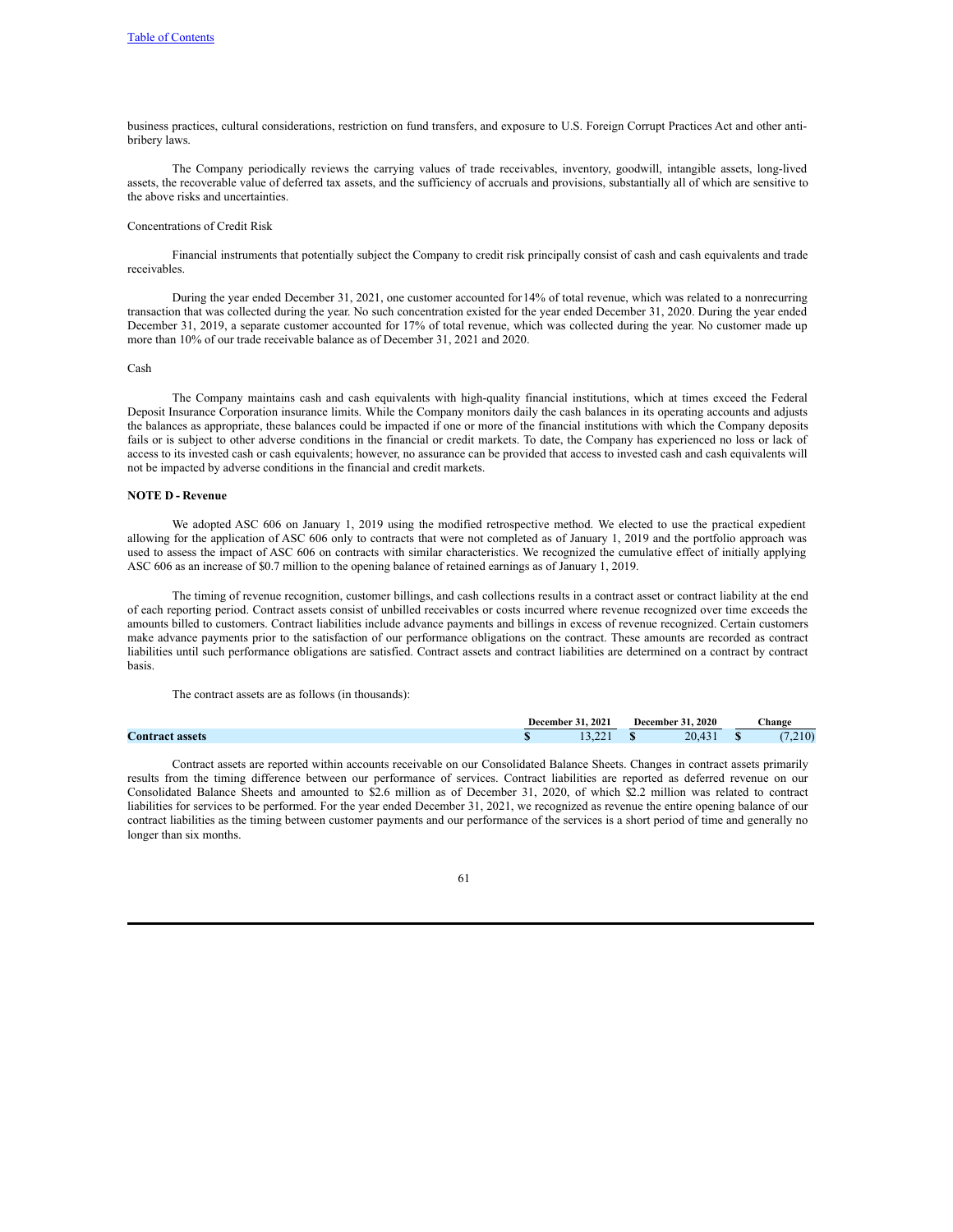business practices, cultural considerations, restriction on fund transfers, and exposure to U.S. Foreign Corrupt Practices Act and other antibribery laws.

The Company periodically reviews the carrying values of trade receivables, inventory, goodwill, intangible assets, long-lived assets, the recoverable value of deferred tax assets, and the sufficiency of accruals and provisions, substantially all of which are sensitive to the above risks and uncertainties.

### Concentrations of Credit Risk

Financial instruments that potentially subject the Company to credit risk principally consist of cash and cash equivalents and trade receivables.

During the year ended December 31, 2021, one customer accounted for14% of total revenue, which was related to a nonrecurring transaction that was collected during the year. No such concentration existed for the year ended December 31, 2020. During the year ended December 31, 2019, a separate customer accounted for 17% of total revenue, which was collected during the year. No customer made up more than 10% of our trade receivable balance as of December 31, 2021 and 2020.

# Cash

The Company maintains cash and cash equivalents with high-quality financial institutions, which at times exceed the Federal Deposit Insurance Corporation insurance limits. While the Company monitors daily the cash balances in its operating accounts and adjusts the balances as appropriate, these balances could be impacted if one or more of the financial institutions with which the Company deposits fails or is subject to other adverse conditions in the financial or credit markets. To date, the Company has experienced no loss or lack of access to its invested cash or cash equivalents; however, no assurance can be provided that access to invested cash and cash equivalents will not be impacted by adverse conditions in the financial and credit markets.

## **NOTE D - Revenue**

We adopted ASC 606 on January 1, 2019 using the modified retrospective method. We elected to use the practical expedient allowing for the application of ASC 606 only to contracts that were not completed as of January 1, 2019 and the portfolio approach was used to assess the impact of ASC 606 on contracts with similar characteristics. We recognized the cumulative effect of initially applying ASC 606 as an increase of \$0.7 million to the opening balance of retained earnings as of January 1, 2019.

The timing of revenue recognition, customer billings, and cash collections results in a contract asset or contract liability at the end of each reporting period. Contract assets consist of unbilled receivables or costs incurred where revenue recognized over time exceeds the amounts billed to customers. Contract liabilities include advance payments and billings in excess of revenue recognized. Certain customers make advance payments prior to the satisfaction of our performance obligations on the contract. These amounts are recorded as contract liabilities until such performance obligations are satisfied. Contract assets and contract liabilities are determined on a contract by contract basis.

The contract assets are as follows (in thousands):

|                                                 | 2021<br>December |                      | 2020<br>December |      |    |      | . hange |
|-------------------------------------------------|------------------|----------------------|------------------|------|----|------|---------|
| $\sim$<br>$\mathbf{\cup on}^{\prime}$<br>assets |                  | $\sim$<br>. <i>.</i> |                  | 20.4 | ٠п | (10) |         |

Contract assets are reported within accounts receivable on our Consolidated Balance Sheets. Changes in contract assets primarily results from the timing difference between our performance of services. Contract liabilities are reported as deferred revenue on our Consolidated Balance Sheets and amounted to \$2.6 million as of December 31, 2020, of which \$2.2 million was related to contract liabilities for services to be performed. For the year ended December 31, 2021, we recognized as revenue the entire opening balance of our contract liabilities as the timing between customer payments and our performance of the services is a short period of time and generally no longer than six months.

| v                  |  |
|--------------------|--|
| ×<br>۰.<br>×<br>۰. |  |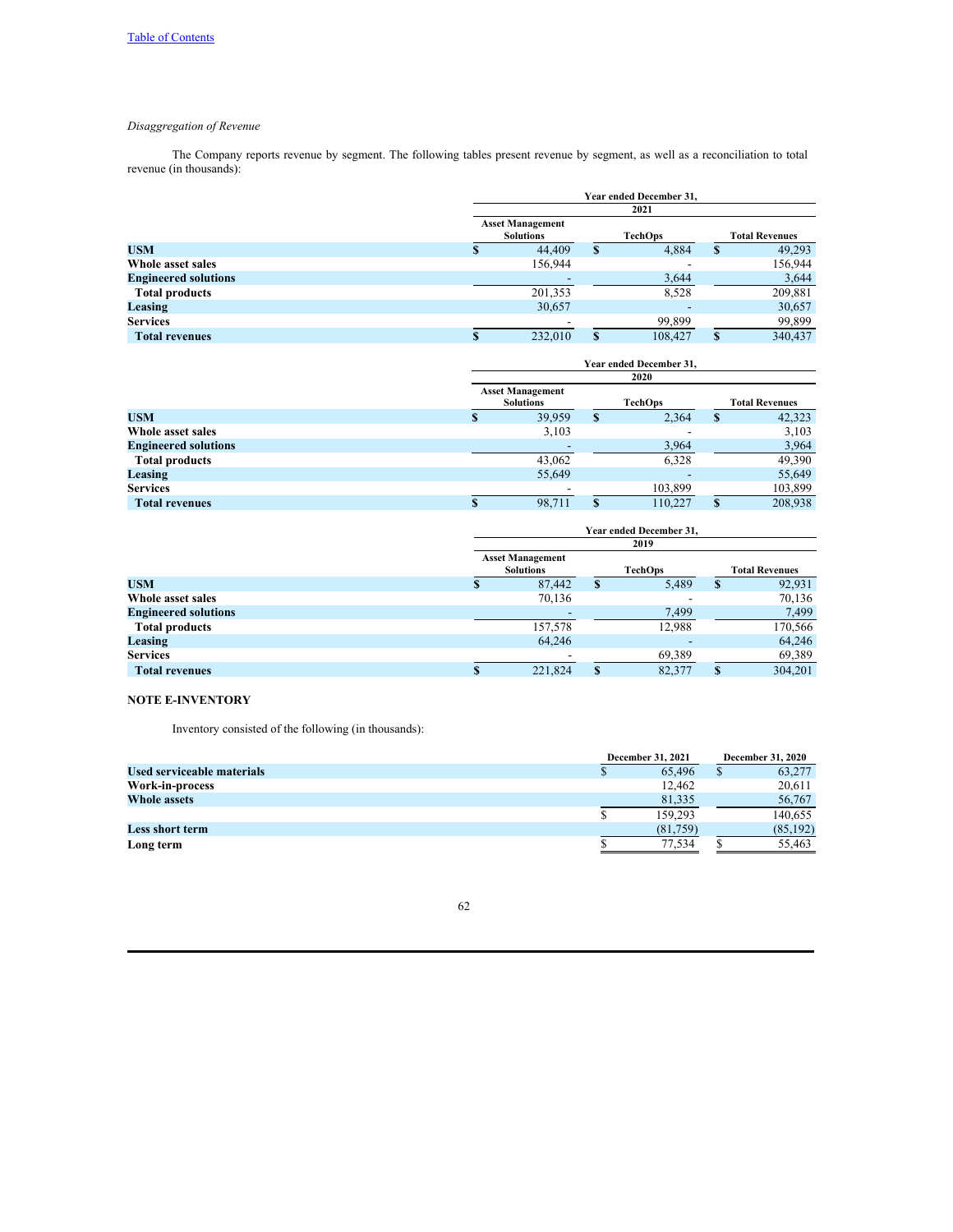# *Disaggregation of Revenue*

The Company reports revenue by segment. The following tables present revenue by segment, as well as a reconciliation to total revenue (in thousands):

|                             | Year ended December 31,                     |   |                |                       |         |  |  |  |
|-----------------------------|---------------------------------------------|---|----------------|-----------------------|---------|--|--|--|
|                             | 2021                                        |   |                |                       |         |  |  |  |
|                             | <b>Asset Management</b><br><b>Solutions</b> |   | <b>TechOps</b> | <b>Total Revenues</b> |         |  |  |  |
| <b>USM</b>                  | 44,409                                      | S | 4,884          | S                     | 49,293  |  |  |  |
| Whole asset sales           | 156,944                                     |   |                |                       | 156,944 |  |  |  |
| <b>Engineered solutions</b> |                                             |   | 3,644          |                       | 3,644   |  |  |  |
| <b>Total products</b>       | 201,353                                     |   | 8,528          |                       | 209,881 |  |  |  |
| Leasing                     | 30,657                                      |   |                |                       | 30,657  |  |  |  |
| <b>Services</b>             |                                             |   | 99,899         |                       | 99,899  |  |  |  |
| <b>Total revenues</b>       | 232,010                                     |   | 108,427        | S                     | 340,437 |  |  |  |

|                             |   | Year ended December 31. |   |         |                       |         |  |
|-----------------------------|---|-------------------------|---|---------|-----------------------|---------|--|
|                             |   | 2020                    |   |         |                       |         |  |
|                             |   | <b>Asset Management</b> |   |         |                       |         |  |
|                             |   | <b>Solutions</b>        |   | TechOps | <b>Total Revenues</b> |         |  |
| <b>USM</b>                  | Ф | 39,959                  | S | 2.364   | S                     | 42,323  |  |
| Whole asset sales           |   | 3,103                   |   |         |                       | 3,103   |  |
| <b>Engineered solutions</b> |   |                         |   | 3,964   |                       | 3,964   |  |
| <b>Total products</b>       |   | 43,062                  |   | 6,328   |                       | 49,390  |  |
| Leasing                     |   | 55,649                  |   |         |                       | 55,649  |  |
| <b>Services</b>             |   |                         |   | 103,899 |                       | 103,899 |  |
| <b>Total revenues</b>       |   | 98.711                  | œ | 110.227 | S                     | 208,938 |  |

|                             |   | Year ended December 31.                     |                       |        |    |         |  |  |
|-----------------------------|---|---------------------------------------------|-----------------------|--------|----|---------|--|--|
|                             |   | 2019                                        |                       |        |    |         |  |  |
|                             |   | <b>Asset Management</b><br><b>Solutions</b> | <b>Total Revenues</b> |        |    |         |  |  |
| <b>USM</b>                  | æ | 87.442                                      | S                     | 5,489  | \$ | 92,931  |  |  |
| Whole asset sales           |   | 70,136                                      |                       |        |    | 70,136  |  |  |
| <b>Engineered solutions</b> |   |                                             |                       | 7,499  |    | 7,499   |  |  |
| <b>Total products</b>       |   | 157,578                                     |                       | 12,988 |    | 170,566 |  |  |
| Leasing                     |   | 64,246                                      |                       |        |    | 64,246  |  |  |
| <b>Services</b>             |   |                                             |                       | 69,389 |    | 69,389  |  |  |
| <b>Total revenues</b>       |   | 221,824                                     |                       | 82,377 |    | 304.201 |  |  |

# **NOTE E-INVENTORY**

Inventory consisted of the following (in thousands):

|                            | <b>December 31, 2021</b> |          | December 31, 2020 |           |
|----------------------------|--------------------------|----------|-------------------|-----------|
| Used serviceable materials |                          | 65,496   | S                 | 63,277    |
| Work-in-process            |                          | 12.462   |                   | 20,611    |
| <b>Whole assets</b>        |                          | 81,335   |                   | 56,767    |
|                            |                          | 159.293  |                   | 140.655   |
| <b>Less short term</b>     |                          | (81.759) |                   | (85, 192) |
| Long term                  |                          | 77.534   |                   | 55.463    |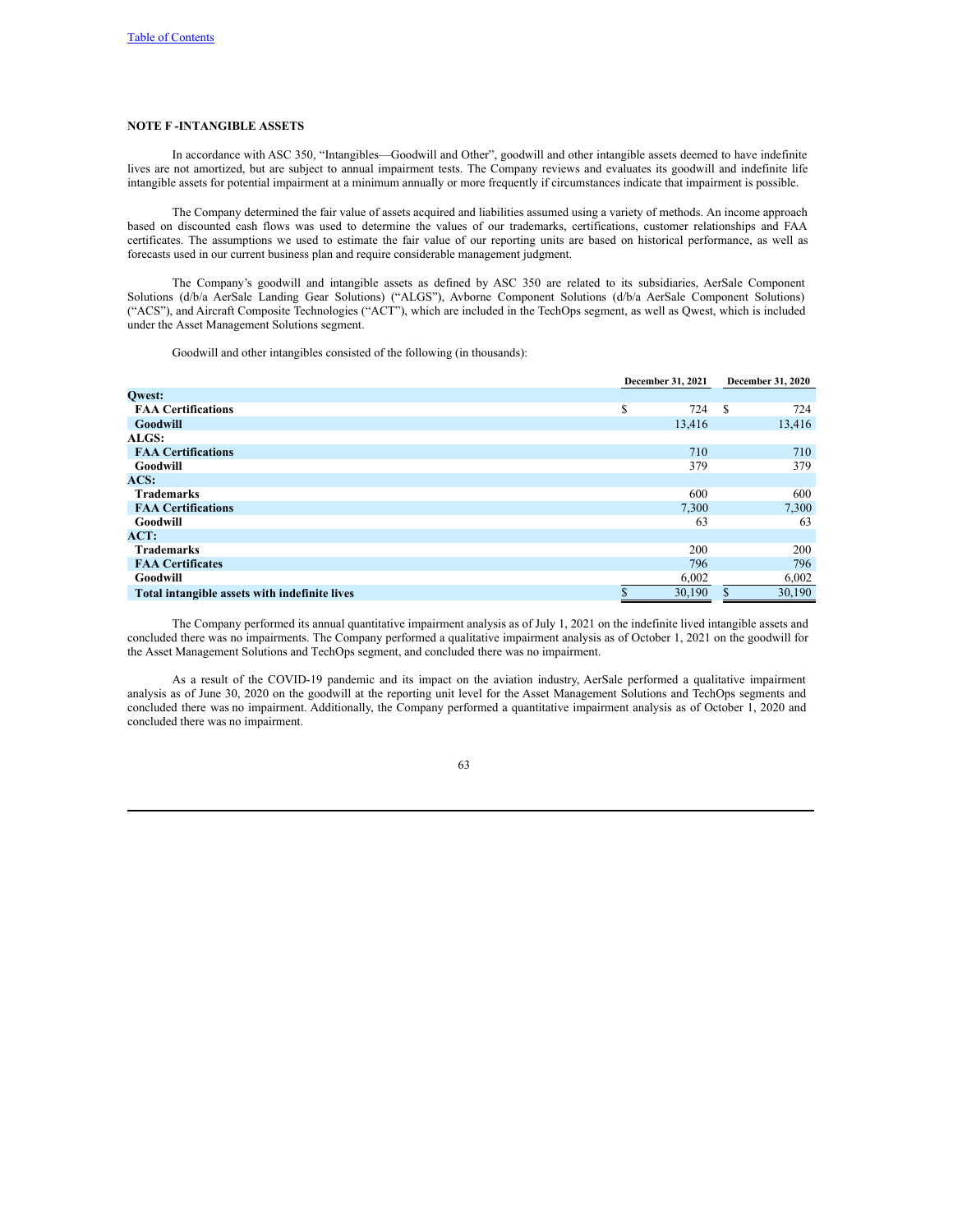## **NOTE F -INTANGIBLE ASSETS**

In accordance with ASC 350, "Intangibles—Goodwill and Other", goodwill and other intangible assets deemed to have indefinite lives are not amortized, but are subject to annual impairment tests. The Company reviews and evaluates its goodwill and indefinite life intangible assets for potential impairment at a minimum annually or more frequently if circumstances indicate that impairment is possible.

The Company determined the fair value of assets acquired and liabilities assumed using a variety of methods. An income approach based on discounted cash flows was used to determine the values of our trademarks, certifications, customer relationships and FAA certificates. The assumptions we used to estimate the fair value of our reporting units are based on historical performance, as well as forecasts used in our current business plan and require considerable management judgment.

The Company's goodwill and intangible assets as defined by ASC 350 are related to its subsidiaries, AerSale Component Solutions (d/b/a AerSale Landing Gear Solutions) ("ALGS"), Avborne Component Solutions (d/b/a AerSale Component Solutions) ("ACS"), and Aircraft Composite Technologies ("ACT"), which are included in the TechOps segment, as well as Qwest, which is included under the Asset Management Solutions segment.

Goodwill and other intangibles consisted of the following (in thousands):

|                                               | December 31, 2021 | December 31, 2020 |
|-----------------------------------------------|-------------------|-------------------|
| <b>Owest:</b>                                 |                   |                   |
| <b>FAA Certifications</b>                     | \$<br>724         | S<br>724          |
| Goodwill                                      | 13,416            | 13,416            |
| ALGS:                                         |                   |                   |
| <b>FAA Certifications</b>                     | 710               | 710               |
| Goodwill                                      | 379               | 379               |
| ACS:                                          |                   |                   |
| <b>Trademarks</b>                             | 600               | 600               |
| <b>FAA Certifications</b>                     | 7,300             | 7,300             |
| Goodwill                                      | 63                | 63                |
| ACT:                                          |                   |                   |
| <b>Trademarks</b>                             | 200               | 200               |
| <b>FAA Certificates</b>                       | 796               | 796               |
| Goodwill                                      | 6.002             | 6,002             |
| Total intangible assets with indefinite lives | 30,190            | 30,190            |

The Company performed its annual quantitative impairment analysis as of July 1, 2021 on the indefinite lived intangible assets and concluded there was no impairments. The Company performed a qualitative impairment analysis as of October 1, 2021 on the goodwill for the Asset Management Solutions and TechOps segment, and concluded there was no impairment.

As a result of the COVID-19 pandemic and its impact on the aviation industry, AerSale performed a qualitative impairment analysis as of June 30, 2020 on the goodwill at the reporting unit level for the Asset Management Solutions and TechOps segments and concluded there was no impairment. Additionally, the Company performed a quantitative impairment analysis as of October 1, 2020 and concluded there was no impairment.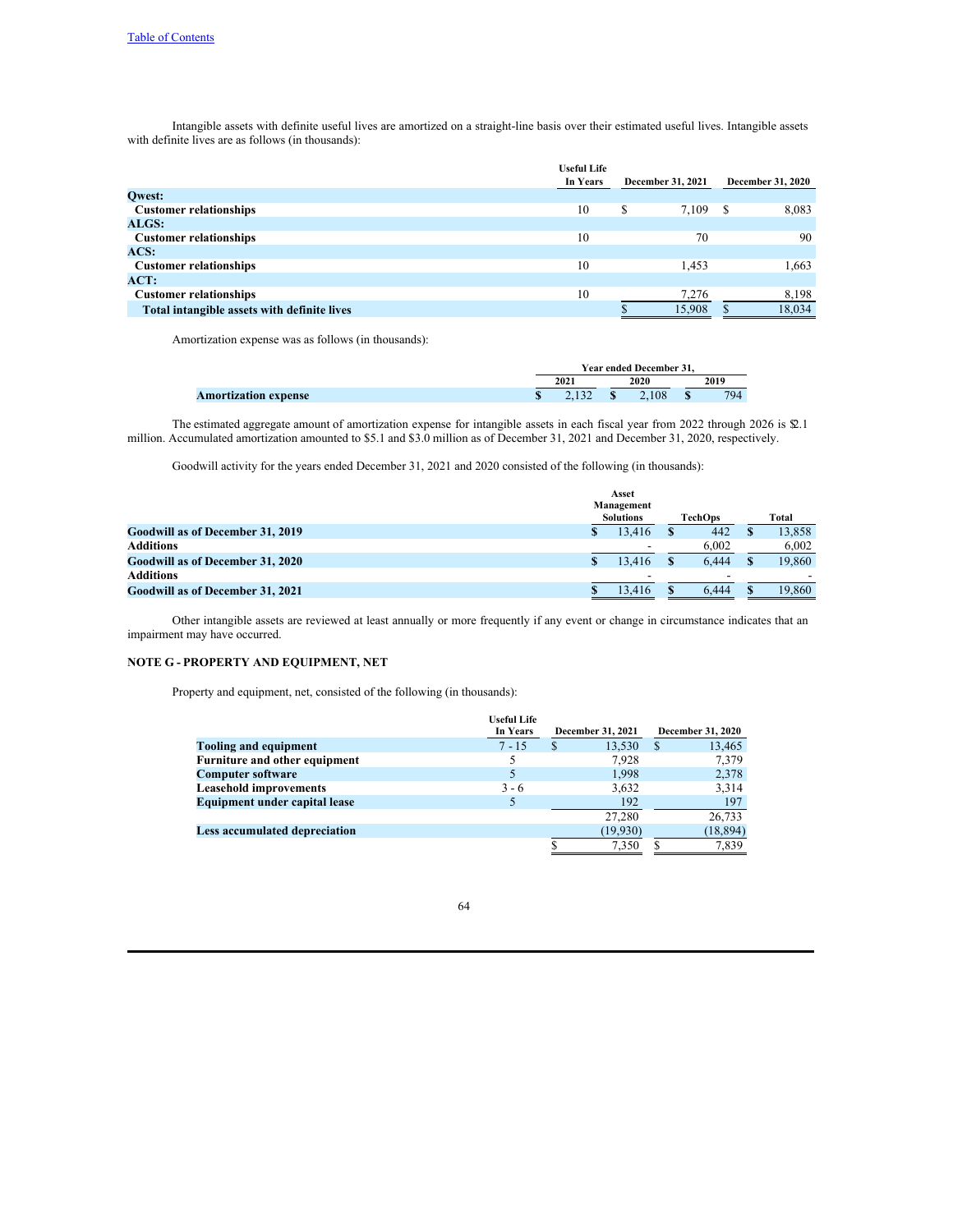Intangible assets with definite useful lives are amortized on a straight-line basis over their estimated useful lives. Intangible assets with definite lives are as follows (in thousands):

| In Years<br>December 31, 2021<br><b>December 31, 2020</b> |
|-----------------------------------------------------------|
|                                                           |
| \$<br>10<br>7.109<br>8,083<br>S                           |
|                                                           |
| 90<br>10<br>70                                            |
|                                                           |
| 10<br>1,663<br>1.453                                      |
|                                                           |
| 10<br>7.276<br>8,198                                      |
| 18,034<br>15.908                                          |
|                                                           |

Amortization expense was as follows (in thousands):

|                             | Year ended December 31. |  |       |      |     |  |
|-----------------------------|-------------------------|--|-------|------|-----|--|
|                             | 2021<br>2020            |  |       | 2019 |     |  |
| <b>Amortization expense</b> |                         |  | 2.108 |      | 794 |  |

The estimated aggregate amount of amortization expense for intangible assets in each fiscal year from 2022 through 2026 is \$2.1 million. Accumulated amortization amounted to \$5.1 and \$3.0 million as of December 31, 2021 and December 31, 2020, respectively.

Goodwill activity for the years ended December 31, 2021 and 2020 consisted of the following (in thousands):

|            | Asset                    |                  |       |       |        |
|------------|--------------------------|------------------|-------|-------|--------|
| Management |                          |                  |       |       |        |
|            | <b>TechOps</b>           |                  |       | Total |        |
|            | 13.416                   |                  | 442   |       | 13.858 |
|            |                          |                  | 6.002 |       | 6.002  |
|            | 13.416                   |                  | 6.444 |       | 19,860 |
|            | $\overline{\phantom{0}}$ |                  | -     |       |        |
|            | 13.416                   |                  | 6.444 |       | 19.860 |
|            |                          | <b>Solutions</b> |       |       |        |

Other intangible assets are reviewed at least annually or more frequently if any event or change in circumstance indicates that an impairment may have occurred.

# **NOTE G - PROPERTY AND EQUIPMENT, NET**

Property and equipment, net, consisted of the following (in thousands):

|                                      | <b>Useful Life</b><br>In Years | December 31, 2021 |     | December 31, 2020 |
|--------------------------------------|--------------------------------|-------------------|-----|-------------------|
|                                      |                                |                   |     |                   |
| <b>Tooling and equipment</b>         | $7 - 15$                       | 13,530<br>S       |     | 13,465<br>\$      |
| Furniture and other equipment        |                                | 7.928             |     | 7,379             |
| <b>Computer software</b>             |                                | 1.998             |     | 2,378             |
| <b>Leasehold improvements</b>        | $3 - 6$                        | 3,632             |     | 3,314             |
| <b>Equipment under capital lease</b> |                                |                   | 192 | 197               |
|                                      |                                | 27.280            |     | 26,733            |
| <b>Less accumulated depreciation</b> |                                | (19,930)          |     | (18, 894)         |
|                                      |                                | 7,350             |     | 7,839             |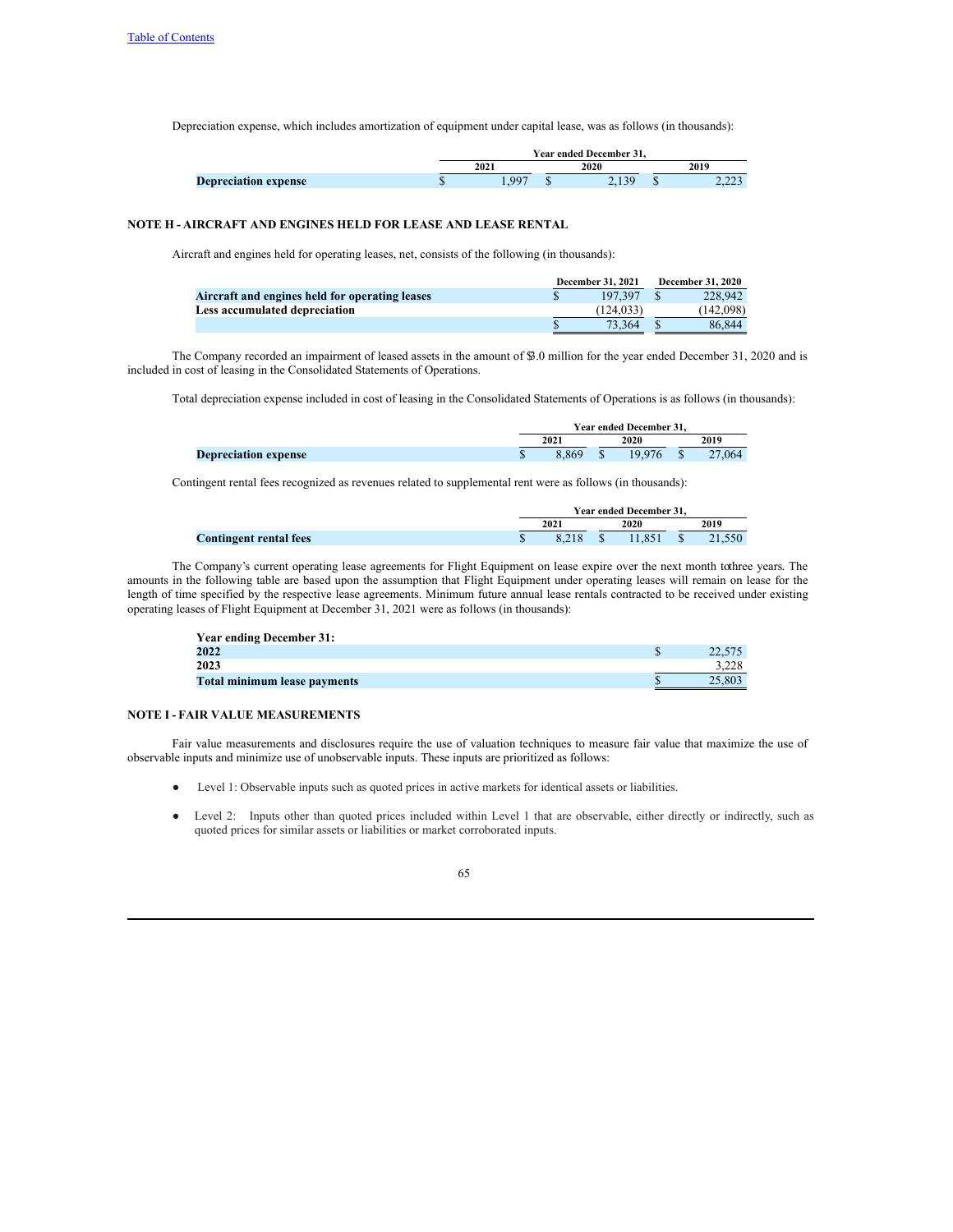Depreciation expense, which includes amortization of equipment under capital lease, was as follows (in thousands):

|                             | Year ended December 31. |  |        |  |         |  |  |
|-----------------------------|-------------------------|--|--------|--|---------|--|--|
|                             | 2021                    |  | 2020   |  | 2019    |  |  |
| <b>Depreciation expense</b> | 00 <sup>7</sup>         |  | $-139$ |  | د عدد ک |  |  |

### **NOTE H - AIRCRAFT AND ENGINES HELD FOR LEASE AND LEASE RENTAL**

Aircraft and engines held for operating leases, net, consists of the following (in thousands):

|                                                | <b>December 31, 2021</b> | <b>December 31, 2020</b> |           |  |  |
|------------------------------------------------|--------------------------|--------------------------|-----------|--|--|
| Aircraft and engines held for operating leases | 197.397                  |                          | 228,942   |  |  |
| Less accumulated depreciation                  | (124.033)                |                          | (142.098) |  |  |
|                                                | 73.364                   |                          | 86.844    |  |  |

The Company recorded an impairment of leased assets in the amount of \$3.0 million for the year ended December 31, 2020 and is included in cost of leasing in the Consolidated Statements of Operations.

Total depreciation expense included in cost of leasing in the Consolidated Statements of Operations is as follows (in thousands):

|                             | Year ended December 31. |  |        |      |        |  |
|-----------------------------|-------------------------|--|--------|------|--------|--|
|                             | 2021                    |  | 2020   | 2019 |        |  |
| <b>Depreciation expense</b> | <b>869</b>              |  | 19.976 |      | 27,064 |  |

Contingent rental fees recognized as revenues related to supplemental rent were as follows (in thousands):

|                               | Year ended December 31. |  |        |      |  |  |
|-------------------------------|-------------------------|--|--------|------|--|--|
|                               | 2020<br>2021            |  |        | 2019 |  |  |
| <b>Contingent rental fees</b> | 8.218                   |  | 11.851 |      |  |  |

The Company's current operating lease agreements for Flight Equipment on lease expire over the next month tothree years. The amounts in the following table are based upon the assumption that Flight Equipment under operating leases will remain on lease for the length of time specified by the respective lease agreements. Minimum future annual lease rentals contracted to be received under existing operating leases of Flight Equipment at December 31, 2021 were as follows (in thousands):

| <b>Year ending December 31:</b>     |        |
|-------------------------------------|--------|
| 2022                                | 22.575 |
| 2023                                | 3.228  |
| <b>Total minimum lease payments</b> | 25.803 |

## **NOTE I - FAIR VALUE MEASUREMENTS**

Fair value measurements and disclosures require the use of valuation techniques to measure fair value that maximize the use of observable inputs and minimize use of unobservable inputs. These inputs are prioritized as follows:

- Level 1: Observable inputs such as quoted prices in active markets for identical assets or liabilities.
- Level 2: Inputs other than quoted prices included within Level 1 that are observable, either directly or indirectly, such as quoted prices for similar assets or liabilities or market corroborated inputs.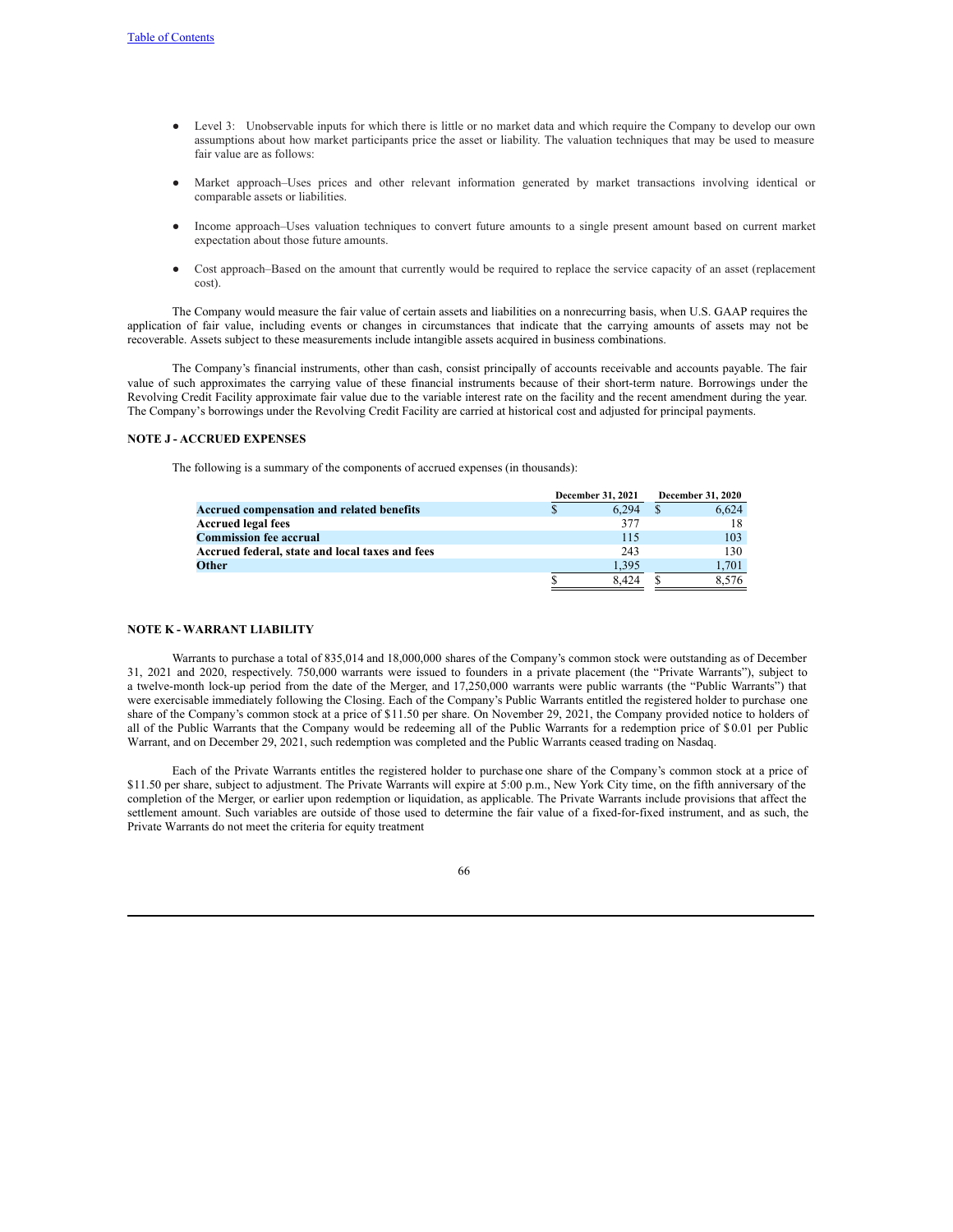- Level 3: Unobservable inputs for which there is little or no market data and which require the Company to develop our own assumptions about how market participants price the asset or liability. The valuation techniques that may be used to measure fair value are as follows:
- Market approach–Uses prices and other relevant information generated by market transactions involving identical or comparable assets or liabilities.
- Income approach–Uses valuation techniques to convert future amounts to a single present amount based on current market expectation about those future amounts.
- Cost approach–Based on the amount that currently would be required to replace the service capacity of an asset (replacement cost).

The Company would measure the fair value of certain assets and liabilities on a nonrecurring basis, when U.S. GAAP requires the application of fair value, including events or changes in circumstances that indicate that the carrying amounts of assets may not be recoverable. Assets subject to these measurements include intangible assets acquired in business combinations.

The Company's financial instruments, other than cash, consist principally of accounts receivable and accounts payable. The fair value of such approximates the carrying value of these financial instruments because of their short-term nature. Borrowings under the Revolving Credit Facility approximate fair value due to the variable interest rate on the facility and the recent amendment during the year. The Company's borrowings under the Revolving Credit Facility are carried at historical cost and adjusted for principal payments.

# **NOTE J - ACCRUED EXPENSES**

The following is a summary of the components of accrued expenses (in thousands):

|                                                 | December 31, 2021 |  |       |  |
|-------------------------------------------------|-------------------|--|-------|--|
| Accrued compensation and related benefits       | 6.294             |  | 6.624 |  |
| <b>Accrued legal fees</b>                       | 377               |  | 18    |  |
| <b>Commission fee accrual</b>                   | 115               |  | 103   |  |
| Accrued federal, state and local taxes and fees | 243               |  | 130   |  |
| Other                                           | 1.395             |  | 1.701 |  |
|                                                 | 8424              |  | 8.576 |  |

# **NOTE K - WARRANT LIABILITY**

Warrants to purchase a total of 835,014 and 18,000,000 shares of the Company's common stock were outstanding as of December 31, 2021 and 2020, respectively. 750,000 warrants were issued to founders in a private placement (the "Private Warrants"), subject to a twelve-month lock-up period from the date of the Merger, and 17,250,000 warrants were public warrants (the "Public Warrants") that were exercisable immediately following the Closing. Each of the Company's Public Warrants entitled the registered holder to purchase one share of the Company's common stock at a price of \$11.50 per share. On November 29, 2021, the Company provided notice to holders of all of the Public Warrants that the Company would be redeeming all of the Public Warrants for a redemption price of \$ 0.01 per Public Warrant, and on December 29, 2021, such redemption was completed and the Public Warrants ceased trading on Nasdaq.

Each of the Private Warrants entitles the registered holder to purchase one share of the Company's common stock at a price of \$11.50 per share, subject to adjustment. The Private Warrants will expire at 5:00 p.m., New York City time, on the fifth anniversary of the completion of the Merger, or earlier upon redemption or liquidation, as applicable. The Private Warrants include provisions that affect the settlement amount. Such variables are outside of those used to determine the fair value of a fixed-for-fixed instrument, and as such, the Private Warrants do not meet the criteria for equity treatment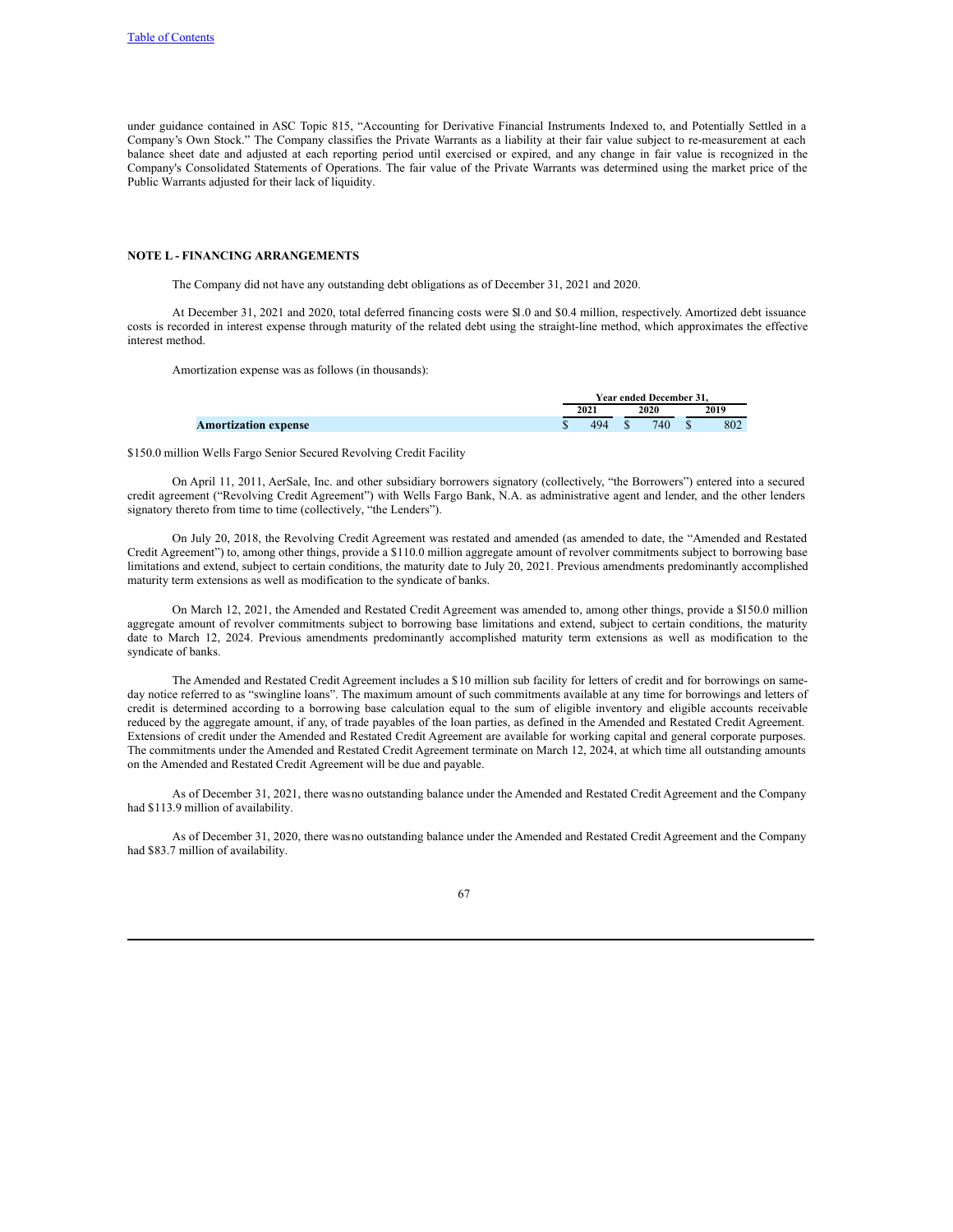under guidance contained in ASC Topic 815, "Accounting for Derivative Financial Instruments Indexed to, and Potentially Settled in a Company's Own Stock." The Company classifies the Private Warrants as a liability at their fair value subject to re-measurement at each balance sheet date and adjusted at each reporting period until exercised or expired, and any change in fair value is recognized in the Company's Consolidated Statements of Operations. The fair value of the Private Warrants was determined using the market price of the Public Warrants adjusted for their lack of liquidity.

# **NOTE L - FINANCING ARRANGEMENTS**

The Company did not have any outstanding debt obligations as of December 31, 2021 and 2020.

At December 31, 2021 and 2020, total deferred financing costs were \$1.0 and \$0.4 million, respectively. Amortized debt issuance costs is recorded in interest expense through maturity of the related debt using the straight-line method, which approximates the effective interest method.

Amortization expense was as follows (in thousands):

|                             | Year ended December 31. |  |     |      |     |  |
|-----------------------------|-------------------------|--|-----|------|-----|--|
|                             | 2021<br>2020            |  |     | 2019 |     |  |
| <b>Amortization expense</b> | 494                     |  | 740 |      | 802 |  |

\$150.0 million Wells Fargo Senior Secured Revolving Credit Facility

On April 11, 2011, AerSale, Inc. and other subsidiary borrowers signatory (collectively, "the Borrowers") entered into a secured credit agreement ("Revolving Credit Agreement") with Wells Fargo Bank, N.A. as administrative agent and lender, and the other lenders signatory thereto from time to time (collectively, "the Lenders").

On July 20, 2018, the Revolving Credit Agreement was restated and amended (as amended to date, the "Amended and Restated Credit Agreement") to, among other things, provide a \$110.0 million aggregate amount of revolver commitments subject to borrowing base limitations and extend, subject to certain conditions, the maturity date to July 20, 2021. Previous amendments predominantly accomplished maturity term extensions as well as modification to the syndicate of banks.

On March 12, 2021, the Amended and Restated Credit Agreement was amended to, among other things, provide a \$150.0 million aggregate amount of revolver commitments subject to borrowing base limitations and extend, subject to certain conditions, the maturity date to March 12, 2024. Previous amendments predominantly accomplished maturity term extensions as well as modification to the syndicate of banks.

The Amended and Restated Credit Agreement includes a \$10 million sub facility for letters of credit and for borrowings on sameday notice referred to as "swingline loans". The maximum amount of such commitments available at any time for borrowings and letters of credit is determined according to a borrowing base calculation equal to the sum of eligible inventory and eligible accounts receivable reduced by the aggregate amount, if any, of trade payables of the loan parties, as defined in the Amended and Restated Credit Agreement. Extensions of credit under the Amended and Restated Credit Agreement are available for working capital and general corporate purposes. The commitments under the Amended and Restated Credit Agreement terminate on March 12, 2024, at which time all outstanding amounts on the Amended and Restated Credit Agreement will be due and payable.

As of December 31, 2021, there wasno outstanding balance under the Amended and Restated Credit Agreement and the Company had \$113.9 million of availability.

As of December 31, 2020, there wasno outstanding balance under the Amended and Restated Credit Agreement and the Company had \$83.7 million of availability.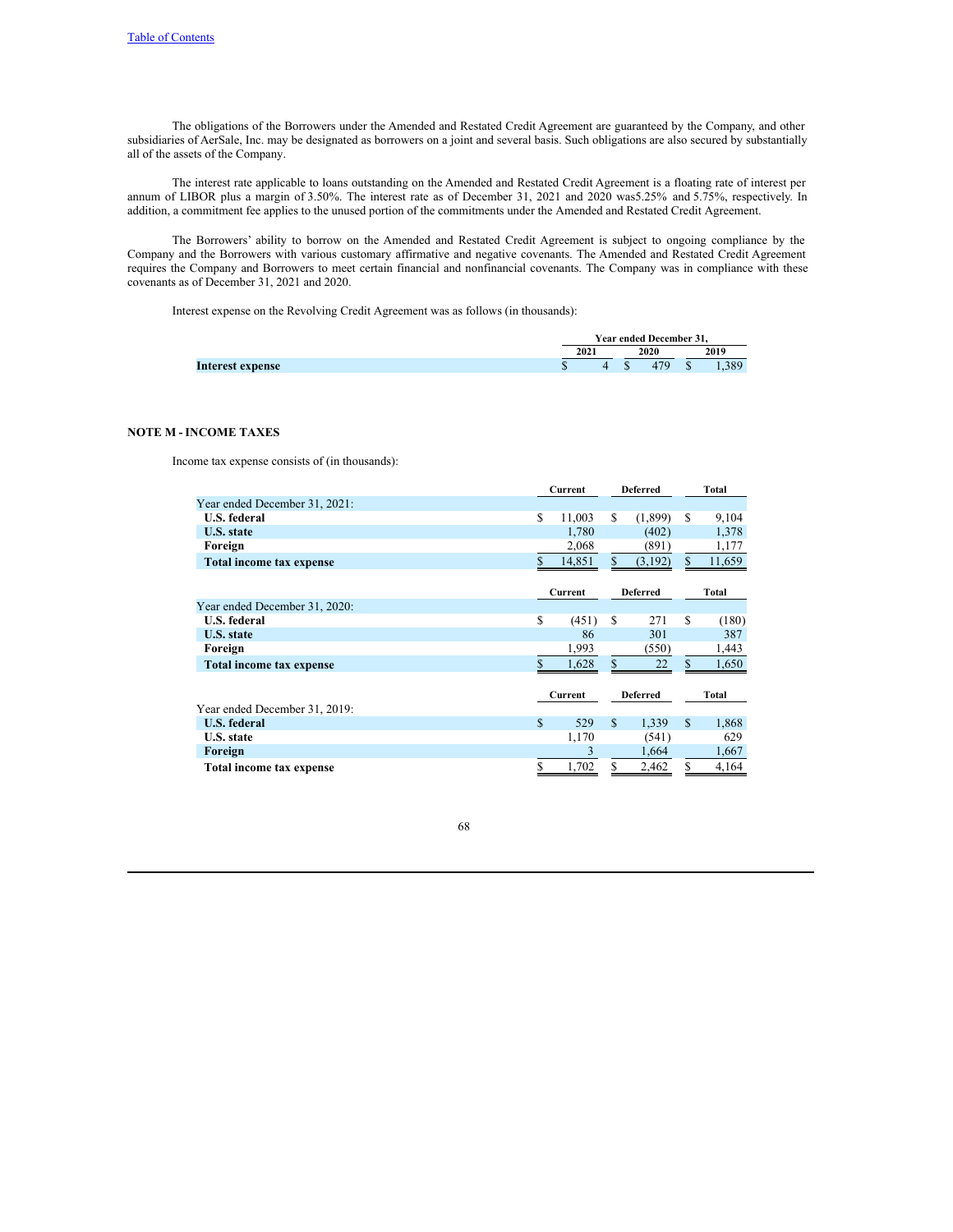The obligations of the Borrowers under the Amended and Restated Credit Agreement are guaranteed by the Company, and other subsidiaries of AerSale, Inc. may be designated as borrowers on a joint and several basis. Such obligations are also secured by substantially all of the assets of the Company.

The interest rate applicable to loans outstanding on the Amended and Restated Credit Agreement is a floating rate of interest per annum of LIBOR plus a margin of 3.50%. The interest rate as of December 31, 2021 and 2020 was5.25% and 5.75%, respectively. In addition, a commitment fee applies to the unused portion of the commitments under the Amended and Restated Credit Agreement.

The Borrowers' ability to borrow on the Amended and Restated Credit Agreement is subject to ongoing compliance by the Company and the Borrowers with various customary affirmative and negative covenants. The Amended and Restated Credit Agreement requires the Company and Borrowers to meet certain financial and nonfinancial covenants. The Company was in compliance with these covenants as of December 31, 2021 and 2020.

Interest expense on the Revolving Credit Agreement was as follows (in thousands):

|                  | Year ended December 31. |  |      |  |      |  |
|------------------|-------------------------|--|------|--|------|--|
|                  | $202^{\circ}$           |  | 2020 |  | 2019 |  |
| Interest expense |                         |  |      |  | .389 |  |

# **NOTE M - INCOME TAXES**

Income tax expense consists of (in thousands):

|                               |    | Current |             | <b>Deferred</b> |              | Total  |  |
|-------------------------------|----|---------|-------------|-----------------|--------------|--------|--|
| Year ended December 31, 2021: |    |         |             |                 |              |        |  |
| <b>U.S.</b> federal           | S  | 11,003  | S           | (1,899)         | \$           | 9,104  |  |
| <b>U.S. state</b>             |    | 1,780   |             | (402)           |              | 1,378  |  |
| Foreign                       |    | 2,068   |             | (891)           |              | 1,177  |  |
| Total income tax expense      |    | 14,851  | \$          | (3,192)         | \$           | 11,659 |  |
|                               |    | Current |             | <b>Deferred</b> |              | Total  |  |
| Year ended December 31, 2020: |    |         |             |                 |              |        |  |
| <b>U.S.</b> federal           | S  | (451)   | S           | 271             | \$           | (180)  |  |
| U.S. state                    |    | 86      |             | 301             |              | 387    |  |
| Foreign                       |    | 1,993   |             | (550)           |              | 1,443  |  |
| Total income tax expense      | S  | 1,628   | \$          | 22              | \$           | 1,650  |  |
|                               |    | Current |             | <b>Deferred</b> |              | Total  |  |
| Year ended December 31, 2019: |    |         |             |                 |              |        |  |
| <b>U.S.</b> federal           | \$ | 529     | $\mathbf S$ | 1,339           | $\mathbb{S}$ | 1,868  |  |
| <b>U.S. state</b>             |    | 1,170   |             | (541)           |              | 629    |  |
| Foreign                       |    | 3       |             | 1,664           |              | 1,667  |  |
| Total income tax expense      | \$ | 1,702   | S           | 2,462           | \$           | 4,164  |  |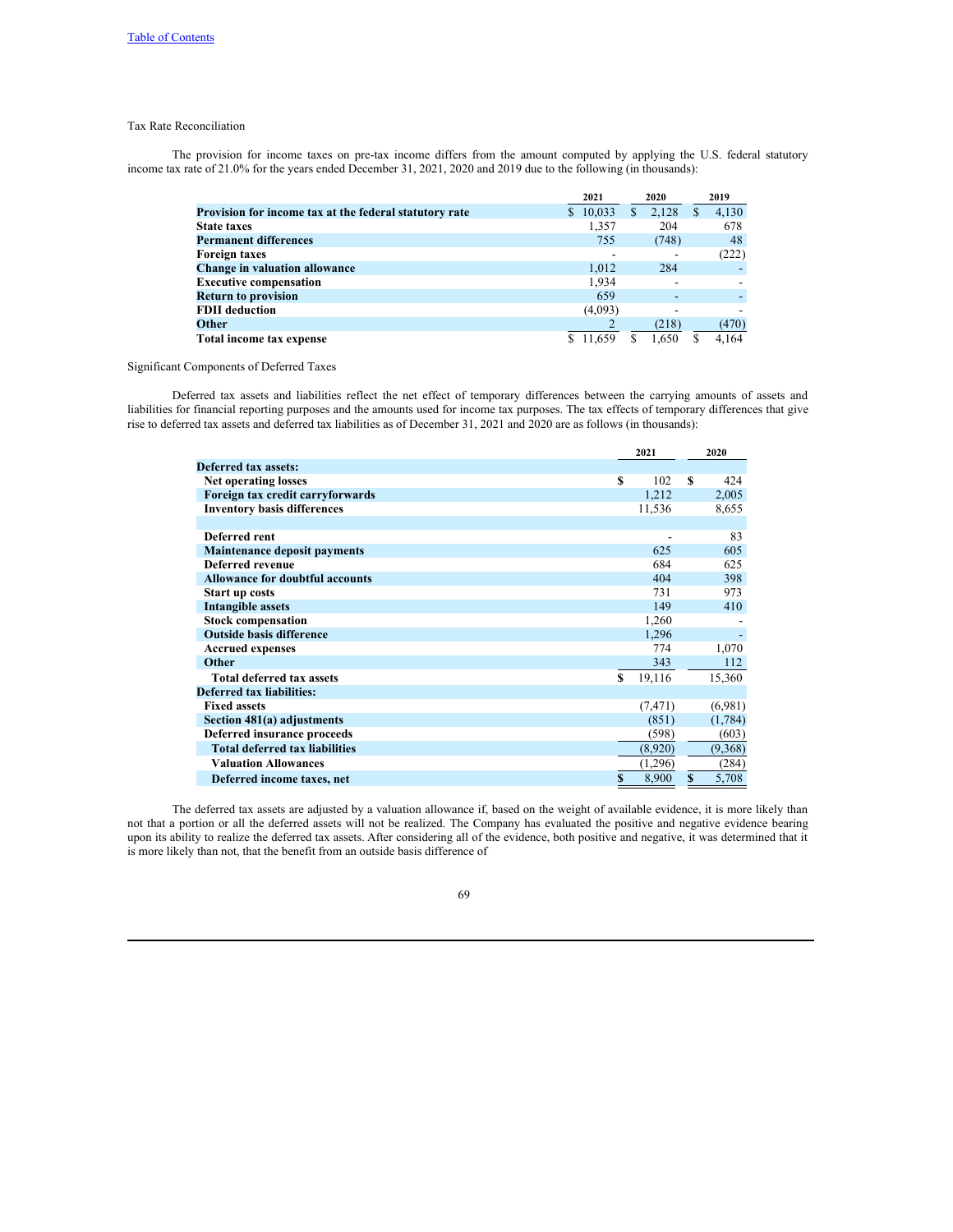# Tax Rate Reconciliation

The provision for income taxes on pre-tax income differs from the amount computed by applying the U.S. federal statutory income tax rate of 21.0% for the years ended December 31, 2021, 2020 and 2019 due to the following (in thousands):

|                                                        | 2021 |         | 2020 |       | 2019 |       |
|--------------------------------------------------------|------|---------|------|-------|------|-------|
| Provision for income tax at the federal statutory rate | S.   | 10,033  | S    | 2,128 | S    | 4,130 |
| <b>State taxes</b>                                     |      | 1,357   |      | 204   |      | 678   |
| <b>Permanent differences</b>                           |      | 755     |      | (748) |      | 48    |
| <b>Foreign taxes</b>                                   |      |         |      |       |      | (222) |
| <b>Change in valuation allowance</b>                   |      | 1.012   |      | 284   |      |       |
| <b>Executive compensation</b>                          |      | 1.934   |      |       |      |       |
| <b>Return to provision</b>                             |      | 659     |      |       |      |       |
| <b>FDII</b> deduction                                  |      | (4,093) |      |       |      |       |
| <b>Other</b>                                           |      |         |      | (218) |      | (470) |
| Total income tax expense                               |      | 11.659  |      | 1.650 |      | 4.164 |

Significant Components of Deferred Taxes

Deferred tax assets and liabilities reflect the net effect of temporary differences between the carrying amounts of assets and liabilities for financial reporting purposes and the amounts used for income tax purposes. The tax effects of temporary differences that give rise to deferred tax assets and deferred tax liabilities as of December 31, 2021 and 2020 are as follows (in thousands):

|                                        |    | 2021     |    | 2020    |  |
|----------------------------------------|----|----------|----|---------|--|
| Deferred tax assets:                   |    |          |    |         |  |
| <b>Net operating losses</b>            | S  | 102      | S  | 424     |  |
| Foreign tax credit carryforwards       |    | 1,212    |    | 2,005   |  |
| <b>Inventory basis differences</b>     |    | 11,536   |    | 8,655   |  |
|                                        |    |          |    |         |  |
| Deferred rent                          |    |          |    | 83      |  |
| <b>Maintenance deposit payments</b>    |    | 625      |    | 605     |  |
| <b>Deferred revenue</b>                |    | 684      |    | 625     |  |
| <b>Allowance for doubtful accounts</b> |    | 404      |    | 398     |  |
| Start up costs                         |    | 731      |    | 973     |  |
| <b>Intangible assets</b>               |    | 149      |    | 410     |  |
| <b>Stock compensation</b>              |    | 1,260    |    |         |  |
| <b>Outside basis difference</b>        |    | 1,296    |    |         |  |
| <b>Accrued expenses</b>                |    | 774      |    | 1,070   |  |
| Other                                  |    | 343      |    | 112     |  |
| <b>Total deferred tax assets</b>       | \$ | 19,116   |    | 15,360  |  |
| <b>Deferred tax liabilities:</b>       |    |          |    |         |  |
| <b>Fixed assets</b>                    |    | (7, 471) |    | (6,981) |  |
| Section 481(a) adjustments             |    | (851)    |    | (1,784) |  |
| Deferred insurance proceeds            |    | (598)    |    | (603)   |  |
| <b>Total deferred tax liabilities</b>  |    | (8,920)  |    | (9,368) |  |
| <b>Valuation Allowances</b>            |    | (1,296)  |    | (284)   |  |
| Deferred income taxes, net             | \$ | 8,900    | \$ | 5,708   |  |

The deferred tax assets are adjusted by a valuation allowance if, based on the weight of available evidence, it is more likely than not that a portion or all the deferred assets will not be realized. The Company has evaluated the positive and negative evidence bearing upon its ability to realize the deferred tax assets. After considering all of the evidence, both positive and negative, it was determined that it is more likely than not, that the benefit from an outside basis difference of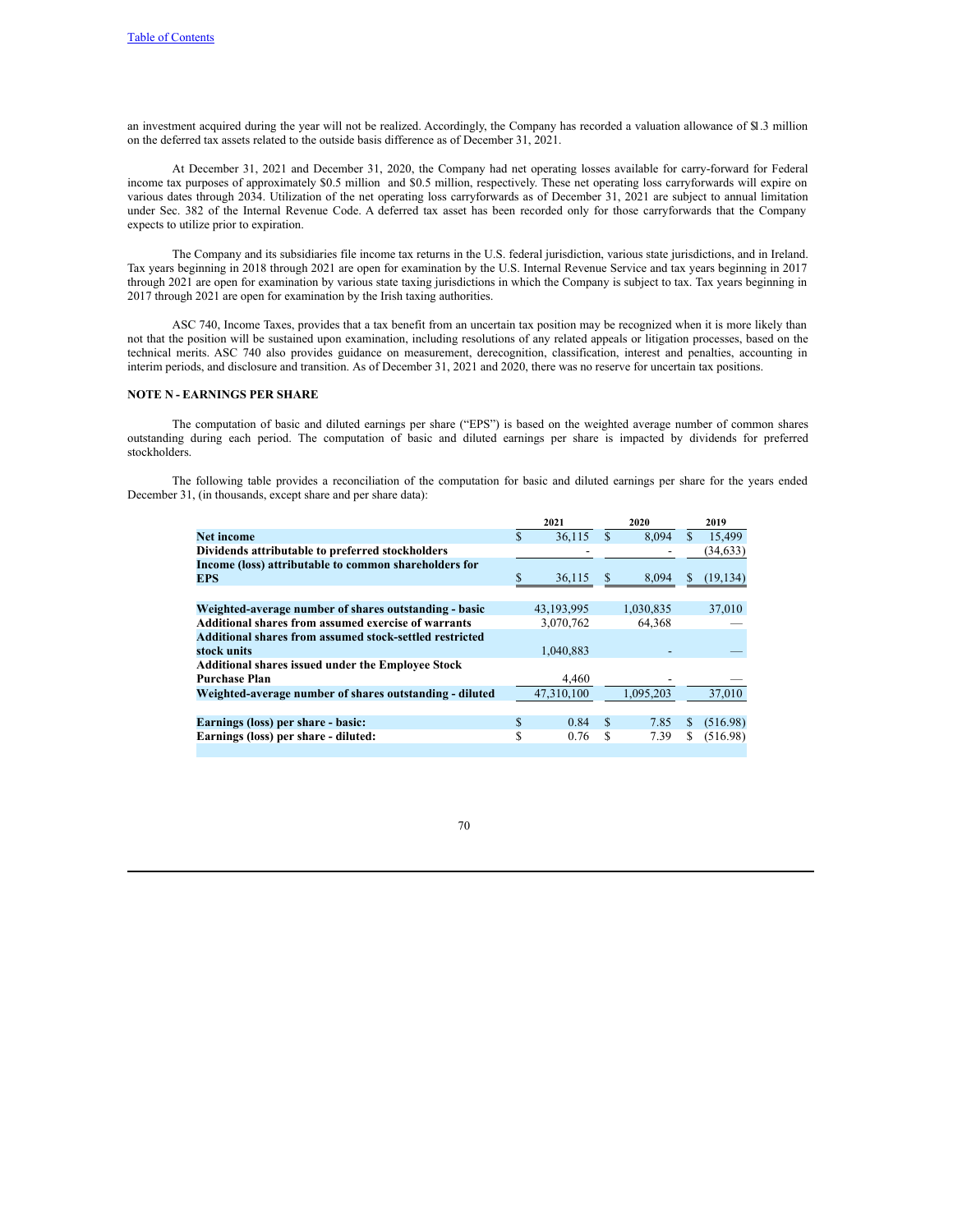an investment acquired during the year will not be realized. Accordingly, the Company has recorded a valuation allowance of \$1.3 million on the deferred tax assets related to the outside basis difference as of December 31, 2021.

At December 31, 2021 and December 31, 2020, the Company had net operating losses available for carry-forward for Federal income tax purposes of approximately \$0.5 million and \$0.5 million, respectively. These net operating loss carryforwards will expire on various dates through 2034. Utilization of the net operating loss carryforwards as of December 31, 2021 are subject to annual limitation under Sec. 382 of the Internal Revenue Code. A deferred tax asset has been recorded only for those carryforwards that the Company expects to utilize prior to expiration.

The Company and its subsidiaries file income tax returns in the U.S. federal jurisdiction, various state jurisdictions, and in Ireland. Tax years beginning in 2018 through 2021 are open for examination by the U.S. Internal Revenue Service and tax years beginning in 2017 through 2021 are open for examination by various state taxing jurisdictions in which the Company is subject to tax. Tax years beginning in 2017 through 2021 are open for examination by the Irish taxing authorities.

ASC 740, Income Taxes, provides that a tax benefit from an uncertain tax position may be recognized when it is more likely than not that the position will be sustained upon examination, including resolutions of any related appeals or litigation processes, based on the technical merits. ASC 740 also provides guidance on measurement, derecognition, classification, interest and penalties, accounting in interim periods, and disclosure and transition. As of December 31, 2021 and 2020, there was no reserve for uncertain tax positions.

# **NOTE N - EARNINGS PER SHARE**

The computation of basic and diluted earnings per share ("EPS") is based on the weighted average number of common shares outstanding during each period. The computation of basic and diluted earnings per share is impacted by dividends for preferred stockholders.

The following table provides a reconciliation of the computation for basic and diluted earnings per share for the years ended December 31, (in thousands, except share and per share data):

|                                                          | 2021 |            |               | 2020      |     | 2019      |
|----------------------------------------------------------|------|------------|---------------|-----------|-----|-----------|
| <b>Net income</b>                                        |      | 36,115     | S             | 8.094     |     | 15.499    |
| Dividends attributable to preferred stockholders         |      |            |               |           |     | (34, 633) |
| Income (loss) attributable to common shareholders for    |      |            |               |           |     |           |
| <b>EPS</b>                                               |      | 36,115     | S             | 8,094     | \$. | (19, 134) |
|                                                          |      |            |               |           |     |           |
| Weighted-average number of shares outstanding - basic    |      | 43,193,995 |               | 1,030,835 |     | 37,010    |
| Additional shares from assumed exercise of warrants      |      | 3,070,762  |               | 64,368    |     |           |
| Additional shares from assumed stock-settled restricted  |      |            |               |           |     |           |
| stock units                                              |      | 1,040,883  |               |           |     |           |
| <b>Additional shares issued under the Employee Stock</b> |      |            |               |           |     |           |
| <b>Purchase Plan</b>                                     |      | 4,460      |               |           |     |           |
| Weighted-average number of shares outstanding - diluted  |      | 47,310,100 |               | 1.095.203 |     | 37,010    |
|                                                          |      |            |               |           |     |           |
| Earnings (loss) per share - basic:                       | S    | 0.84       | <sup>\$</sup> | 7.85      | S.  | (516.98)  |
| Earnings (loss) per share - diluted:                     | S    | 0.76       | S             | 7.39      |     | (516.98)  |
|                                                          |      |            |               |           |     |           |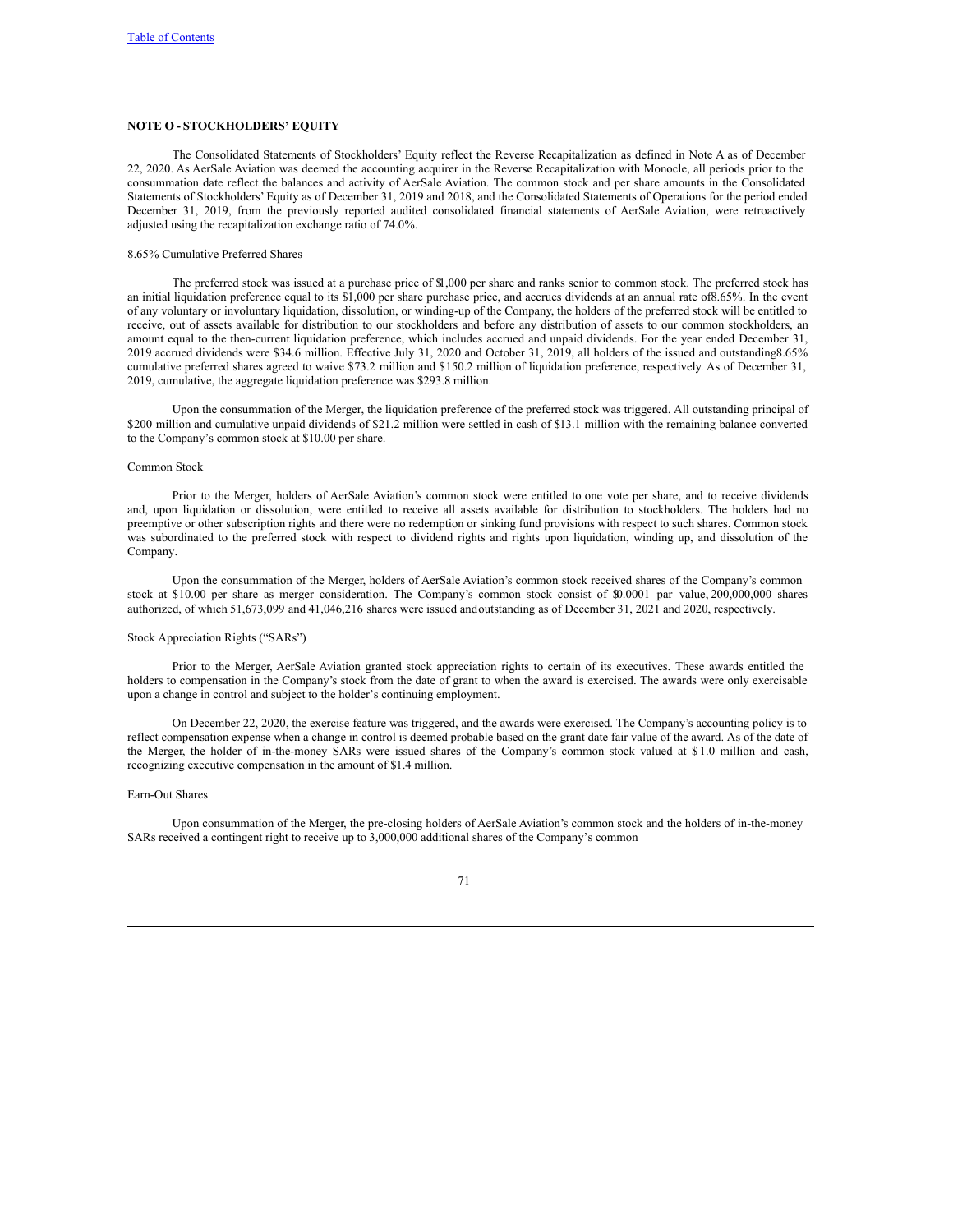## **NOTE O - STOCKHOLDERS' EQUITY**

The Consolidated Statements of Stockholders' Equity reflect the Reverse Recapitalization as defined in Note A as of December 22, 2020. As AerSale Aviation was deemed the accounting acquirer in the Reverse Recapitalization with Monocle, all periods prior to the consummation date reflect the balances and activity of AerSale Aviation. The common stock and per share amounts in the Consolidated Statements of Stockholders' Equity as of December 31, 2019 and 2018, and the Consolidated Statements of Operations for the period ended December 31, 2019, from the previously reported audited consolidated financial statements of AerSale Aviation, were retroactively adjusted using the recapitalization exchange ratio of 74.0%.

# 8.65% Cumulative Preferred Shares

The preferred stock was issued at a purchase price of \$1,000 per share and ranks senior to common stock. The preferred stock has an initial liquidation preference equal to its \$1,000 per share purchase price, and accrues dividends at an annual rate of8.65%. In the event of any voluntary or involuntary liquidation, dissolution, or winding-up of the Company, the holders of the preferred stock will be entitled to receive, out of assets available for distribution to our stockholders and before any distribution of assets to our common stockholders, an amount equal to the then-current liquidation preference, which includes accrued and unpaid dividends. For the year ended December 31, 2019 accrued dividends were \$34.6 million. Effective July 31, 2020 and October 31, 2019, all holders of the issued and outstanding8.65% cumulative preferred shares agreed to waive \$73.2 million and \$150.2 million of liquidation preference, respectively. As of December 31, 2019, cumulative, the aggregate liquidation preference was \$293.8 million.

Upon the consummation of the Merger, the liquidation preference of the preferred stock was triggered. All outstanding principal of \$200 million and cumulative unpaid dividends of \$21.2 million were settled in cash of \$13.1 million with the remaining balance converted to the Company's common stock at \$10.00 per share.

#### Common Stock

Prior to the Merger, holders of AerSale Aviation's common stock were entitled to one vote per share, and to receive dividends and, upon liquidation or dissolution, were entitled to receive all assets available for distribution to stockholders. The holders had no preemptive or other subscription rights and there were no redemption or sinking fund provisions with respect to such shares. Common stock was subordinated to the preferred stock with respect to dividend rights and rights upon liquidation, winding up, and dissolution of the Company.

Upon the consummation of the Merger, holders of AerSale Aviation's common stock received shares of the Company's common stock at \$10.00 per share as merger consideration. The Company's common stock consist of \$0.0001 par value, 200,000,000 shares authorized, of which 51,673,099 and 41,046,216 shares were issued andoutstanding as of December 31, 2021 and 2020, respectively.

### Stock Appreciation Rights ("SARs")

Prior to the Merger, AerSale Aviation granted stock appreciation rights to certain of its executives. These awards entitled the holders to compensation in the Company's stock from the date of grant to when the award is exercised. The awards were only exercisable upon a change in control and subject to the holder's continuing employment.

On December 22, 2020, the exercise feature was triggered, and the awards were exercised. The Company's accounting policy is to reflect compensation expense when a change in control is deemed probable based on the grant date fair value of the award. As of the date of the Merger, the holder of in-the-money SARs were issued shares of the Company's common stock valued at \$ 1.0 million and cash, recognizing executive compensation in the amount of \$1.4 million.

# Earn-Out Shares

Upon consummation of the Merger, the pre-closing holders of AerSale Aviation's common stock and the holders of in-the-money SARs received a contingent right to receive up to 3,000,000 additional shares of the Company's common

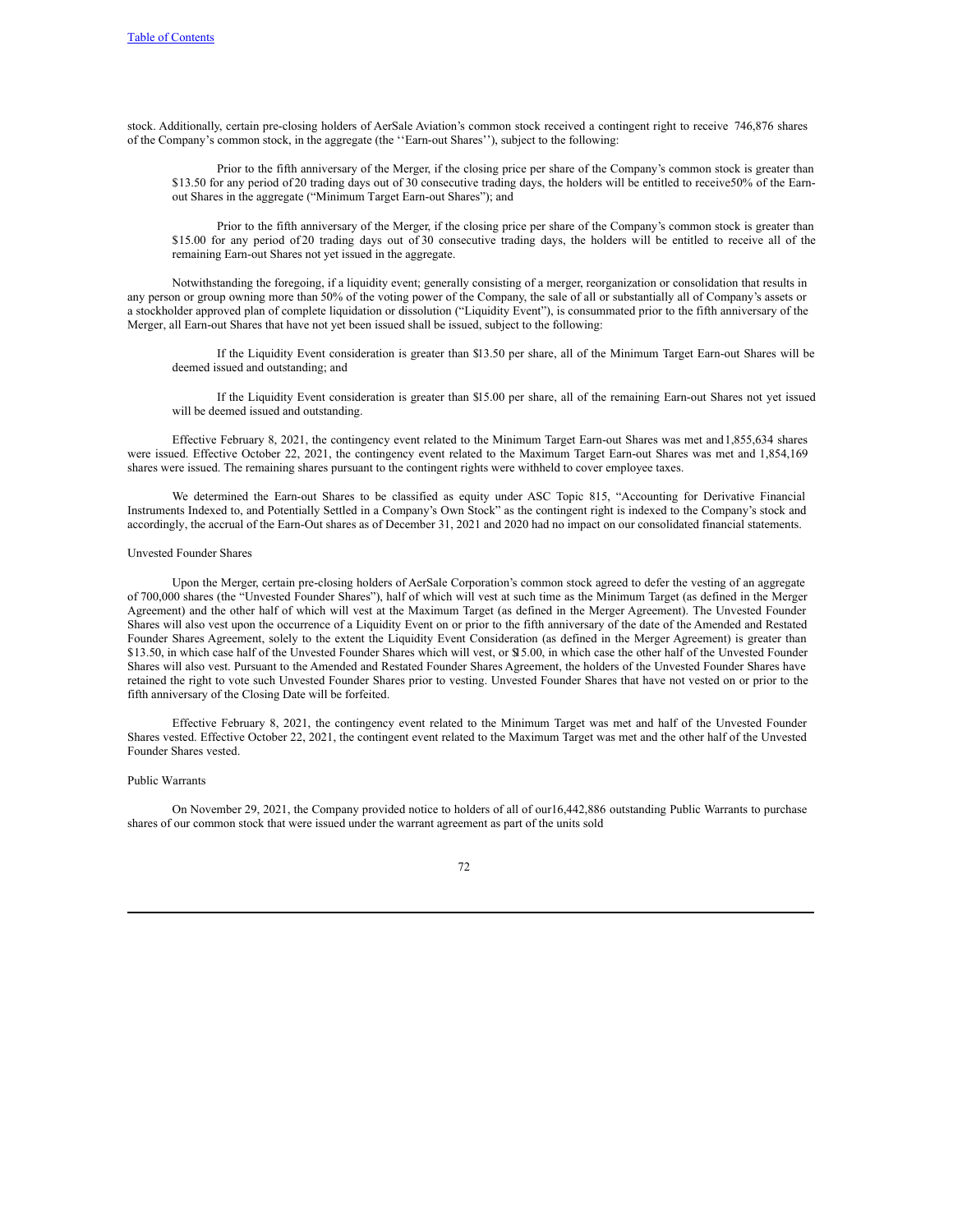stock. Additionally, certain pre-closing holders of AerSale Aviation's common stock received a contingent right to receive 746,876 shares of the Company's common stock, in the aggregate (the ''Earn-out Shares''), subject to the following:

Prior to the fifth anniversary of the Merger, if the closing price per share of the Company's common stock is greater than \$13.50 for any period of 20 trading days out of 30 consecutive trading days, the holders will be entitled to receive50% of the Earnout Shares in the aggregate ("Minimum Target Earn-out Shares"); and

Prior to the fifth anniversary of the Merger, if the closing price per share of the Company's common stock is greater than \$15.00 for any period of 20 trading days out of 30 consecutive trading days, the holders will be entitled to receive all of the remaining Earn-out Shares not yet issued in the aggregate.

Notwithstanding the foregoing, if a liquidity event; generally consisting of a merger, reorganization or consolidation that results in any person or group owning more than 50% of the voting power of the Company, the sale of all or substantially all of Company's assets or a stockholder approved plan of complete liquidation or dissolution ("Liquidity Event"), is consummated prior to the fifth anniversary of the Merger, all Earn-out Shares that have not yet been issued shall be issued, subject to the following:

If the Liquidity Event consideration is greater than \$13.50 per share, all of the Minimum Target Earn-out Shares will be deemed issued and outstanding; and

If the Liquidity Event consideration is greater than \$15.00 per share, all of the remaining Earn-out Shares not yet issued will be deemed issued and outstanding.

Effective February 8, 2021, the contingency event related to the Minimum Target Earn-out Shares was met and1,855,634 shares were issued. Effective October 22, 2021, the contingency event related to the Maximum Target Earn-out Shares was met and 1,854,169 shares were issued. The remaining shares pursuant to the contingent rights were withheld to cover employee taxes.

We determined the Earn-out Shares to be classified as equity under ASC Topic 815, "Accounting for Derivative Financial Instruments Indexed to, and Potentially Settled in a Company's Own Stock" as the contingent right is indexed to the Company's stock and accordingly, the accrual of the Earn-Out shares as of December 31, 2021 and 2020 had no impact on our consolidated financial statements.

### Unvested Founder Shares

Upon the Merger, certain pre-closing holders of AerSale Corporation's common stock agreed to defer the vesting of an aggregate of 700,000 shares (the "Unvested Founder Shares"), half of which will vest at such time as the Minimum Target (as defined in the Merger Agreement) and the other half of which will vest at the Maximum Target (as defined in the Merger Agreement). The Unvested Founder Shares will also vest upon the occurrence of a Liquidity Event on or prior to the fifth anniversary of the date of the Amended and Restated Founder Shares Agreement, solely to the extent the Liquidity Event Consideration (as defined in the Merger Agreement) is greater than \$13.50, in which case half of the Unvested Founder Shares which will vest, or \$15.00, in which case the other half of the Unvested Founder Shares will also vest. Pursuant to the Amended and Restated Founder Shares Agreement, the holders of the Unvested Founder Shares have retained the right to vote such Unvested Founder Shares prior to vesting. Unvested Founder Shares that have not vested on or prior to the fifth anniversary of the Closing Date will be forfeited.

Effective February 8, 2021, the contingency event related to the Minimum Target was met and half of the Unvested Founder Shares vested. Effective October 22, 2021, the contingent event related to the Maximum Target was met and the other half of the Unvested Founder Shares vested.

# Public Warrants

On November 29, 2021, the Company provided notice to holders of all of our16,442,886 outstanding Public Warrants to purchase shares of our common stock that were issued under the warrant agreement as part of the units sold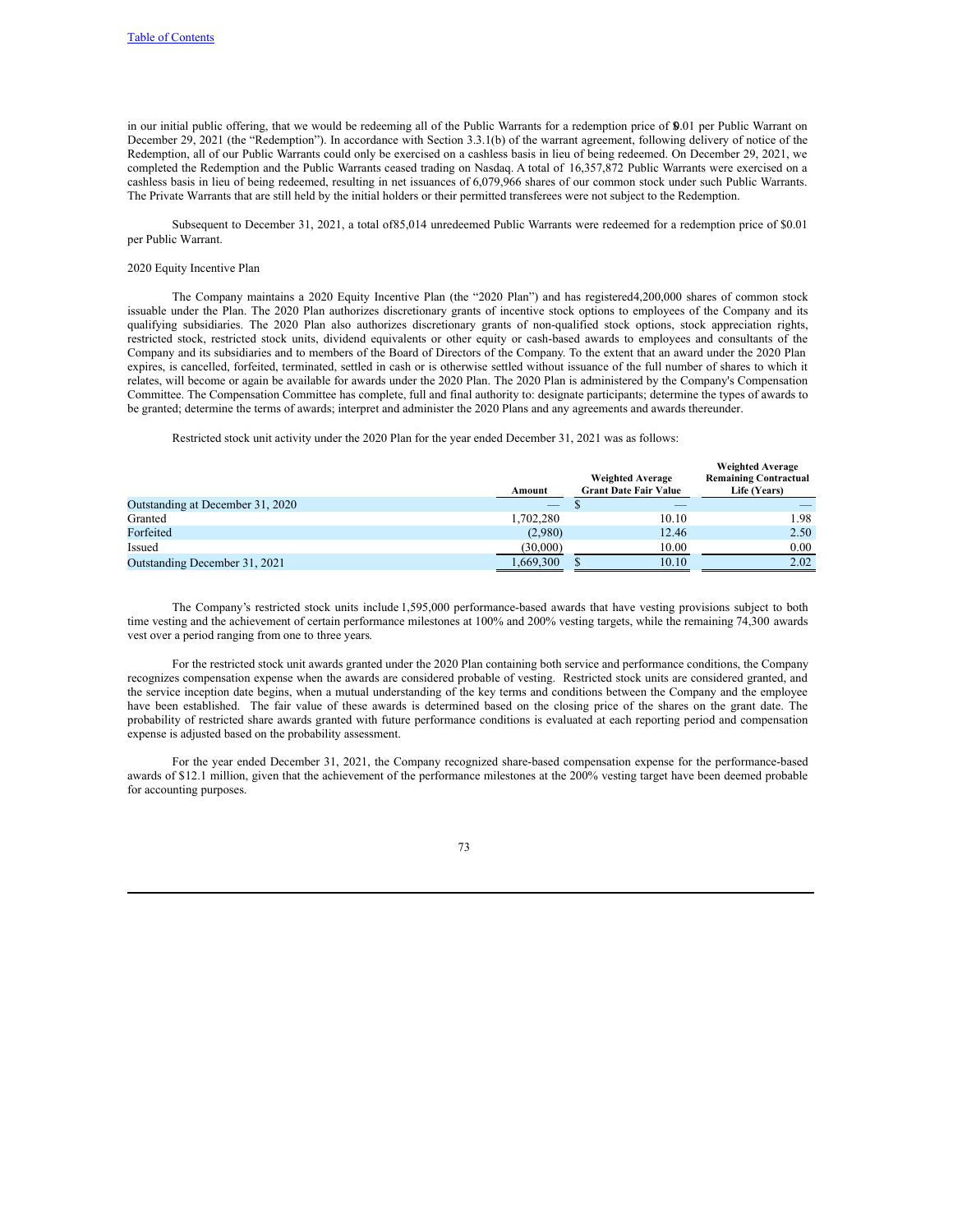in our initial public offering, that we would be redeeming all of the Public Warrants for a redemption price of \$0.01 per Public Warrant on December 29, 2021 (the "Redemption"). In accordance with Section 3.3.1(b) of the warrant agreement, following delivery of notice of the Redemption, all of our Public Warrants could only be exercised on a cashless basis in lieu of being redeemed. On December 29, 2021, we completed the Redemption and the Public Warrants ceased trading on Nasdaq. A total of 16,357,872 Public Warrants were exercised on a cashless basis in lieu of being redeemed, resulting in net issuances of 6,079,966 shares of our common stock under such Public Warrants. The Private Warrants that are still held by the initial holders or their permitted transferees were not subject to the Redemption.

Subsequent to December 31, 2021, a total of85,014 unredeemed Public Warrants were redeemed for a redemption price of \$0.01 per Public Warrant.

### 2020 Equity Incentive Plan

The Company maintains a 2020 Equity Incentive Plan (the "2020 Plan") and has registered4,200,000 shares of common stock issuable under the Plan. The 2020 Plan authorizes discretionary grants of incentive stock options to employees of the Company and its qualifying subsidiaries. The 2020 Plan also authorizes discretionary grants of non-qualified stock options, stock appreciation rights, restricted stock, restricted stock units, dividend equivalents or other equity or cash-based awards to employees and consultants of the Company and its subsidiaries and to members of the Board of Directors of the Company. To the extent that an award under the 2020 Plan expires, is cancelled, forfeited, terminated, settled in cash or is otherwise settled without issuance of the full number of shares to which it relates, will become or again be available for awards under the 2020 Plan. The 2020 Plan is administered by the Company's Compensation Committee. The Compensation Committee has complete, full and final authority to: designate participants; determine the types of awards to be granted; determine the terms of awards; interpret and administer the 2020 Plans and any agreements and awards thereunder.

Restricted stock unit activity under the 2020 Plan for the year ended December 31, 2021 was as follows:

|                                  |           |                              | <b>Weighted Average</b>      |
|----------------------------------|-----------|------------------------------|------------------------------|
|                                  |           | <b>Weighted Average</b>      | <b>Remaining Contractual</b> |
|                                  | Amount    | <b>Grant Date Fair Value</b> | Life (Years)                 |
| Outstanding at December 31, 2020 |           |                              |                              |
| Granted                          | 1,702,280 | 10.10                        | 1.98                         |
| Forfeited                        | (2,980)   | 12.46                        | 2.50                         |
| Issued                           | (30,000)  | 10.00                        | 0.00                         |
| Outstanding December 31, 2021    | 1,669,300 | 10.10                        | 2.02                         |

The Company's restricted stock units include 1,595,000 performance-based awards that have vesting provisions subject to both time vesting and the achievement of certain performance milestones at 100% and 200% vesting targets, while the remaining 74,300 awards vest over a period ranging from one to three years.

For the restricted stock unit awards granted under the 2020 Plan containing both service and performance conditions, the Company recognizes compensation expense when the awards are considered probable of vesting. Restricted stock units are considered granted, and the service inception date begins, when a mutual understanding of the key terms and conditions between the Company and the employee have been established. The fair value of these awards is determined based on the closing price of the shares on the grant date. The probability of restricted share awards granted with future performance conditions is evaluated at each reporting period and compensation expense is adjusted based on the probability assessment.

For the year ended December 31, 2021, the Company recognized share-based compensation expense for the performance-based awards of \$12.1 million, given that the achievement of the performance milestones at the 200% vesting target have been deemed probable for accounting purposes.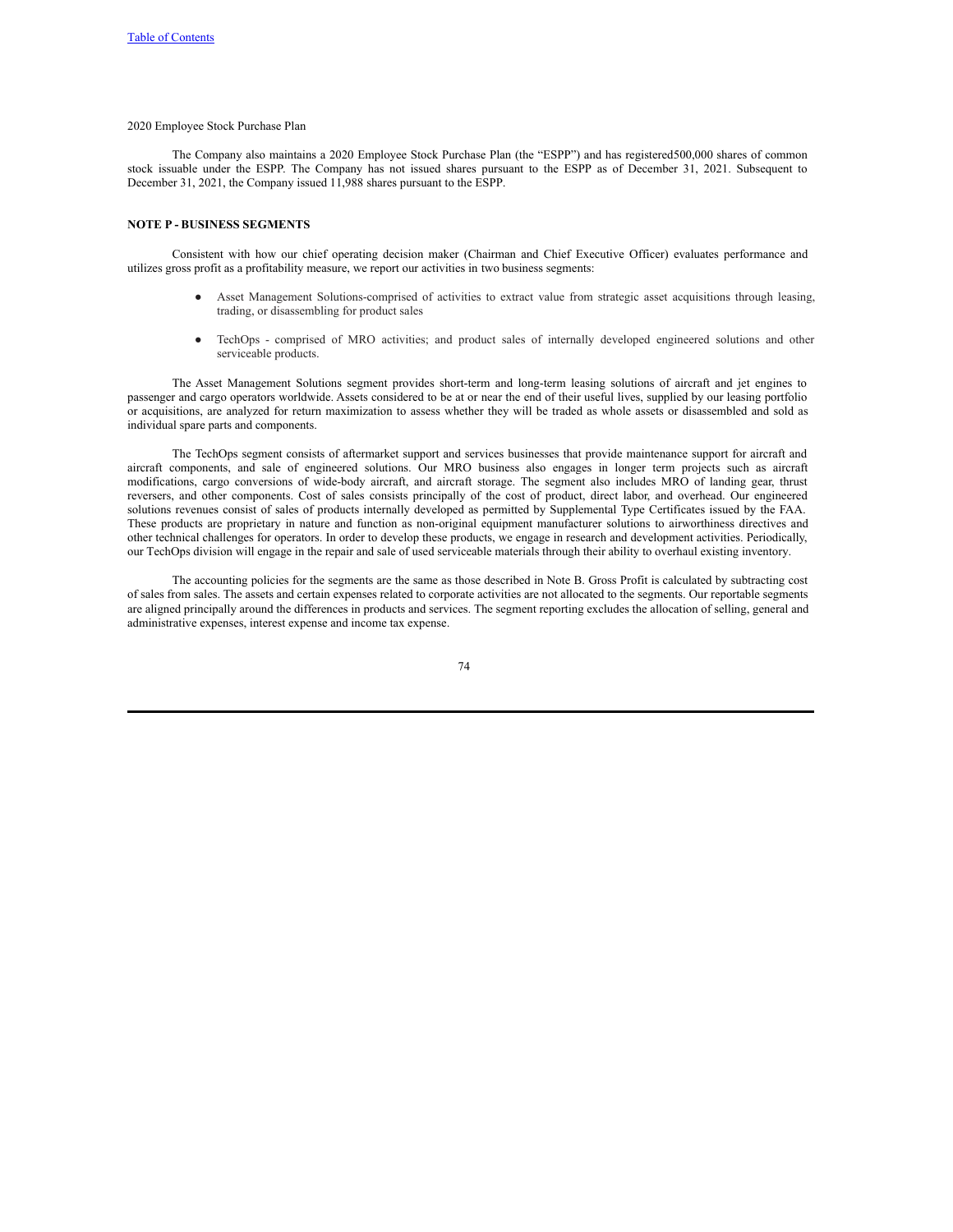### 2020 Employee Stock Purchase Plan

The Company also maintains a 2020 Employee Stock Purchase Plan (the "ESPP") and has registered500,000 shares of common stock issuable under the ESPP. The Company has not issued shares pursuant to the ESPP as of December 31, 2021. Subsequent to December 31, 2021, the Company issued 11,988 shares pursuant to the ESPP.

### **NOTE P - BUSINESS SEGMENTS**

Consistent with how our chief operating decision maker (Chairman and Chief Executive Officer) evaluates performance and utilizes gross profit as a profitability measure, we report our activities in two business segments:

- Asset Management Solutions-comprised of activities to extract value from strategic asset acquisitions through leasing, trading, or disassembling for product sales
- TechOps comprised of MRO activities; and product sales of internally developed engineered solutions and other serviceable products.

The Asset Management Solutions segment provides short-term and long-term leasing solutions of aircraft and jet engines to passenger and cargo operators worldwide. Assets considered to be at or near the end of their useful lives, supplied by our leasing portfolio or acquisitions, are analyzed for return maximization to assess whether they will be traded as whole assets or disassembled and sold as individual spare parts and components.

The TechOps segment consists of aftermarket support and services businesses that provide maintenance support for aircraft and aircraft components, and sale of engineered solutions. Our MRO business also engages in longer term projects such as aircraft modifications, cargo conversions of wide-body aircraft, and aircraft storage. The segment also includes MRO of landing gear, thrust reversers, and other components. Cost of sales consists principally of the cost of product, direct labor, and overhead. Our engineered solutions revenues consist of sales of products internally developed as permitted by Supplemental Type Certificates issued by the FAA. These products are proprietary in nature and function as non-original equipment manufacturer solutions to airworthiness directives and other technical challenges for operators. In order to develop these products, we engage in research and development activities. Periodically, our TechOps division will engage in the repair and sale of used serviceable materials through their ability to overhaul existing inventory.

The accounting policies for the segments are the same as those described in Note B. Gross Profit is calculated by subtracting cost of sales from sales. The assets and certain expenses related to corporate activities are not allocated to the segments. Our reportable segments are aligned principally around the differences in products and services. The segment reporting excludes the allocation of selling, general and administrative expenses, interest expense and income tax expense.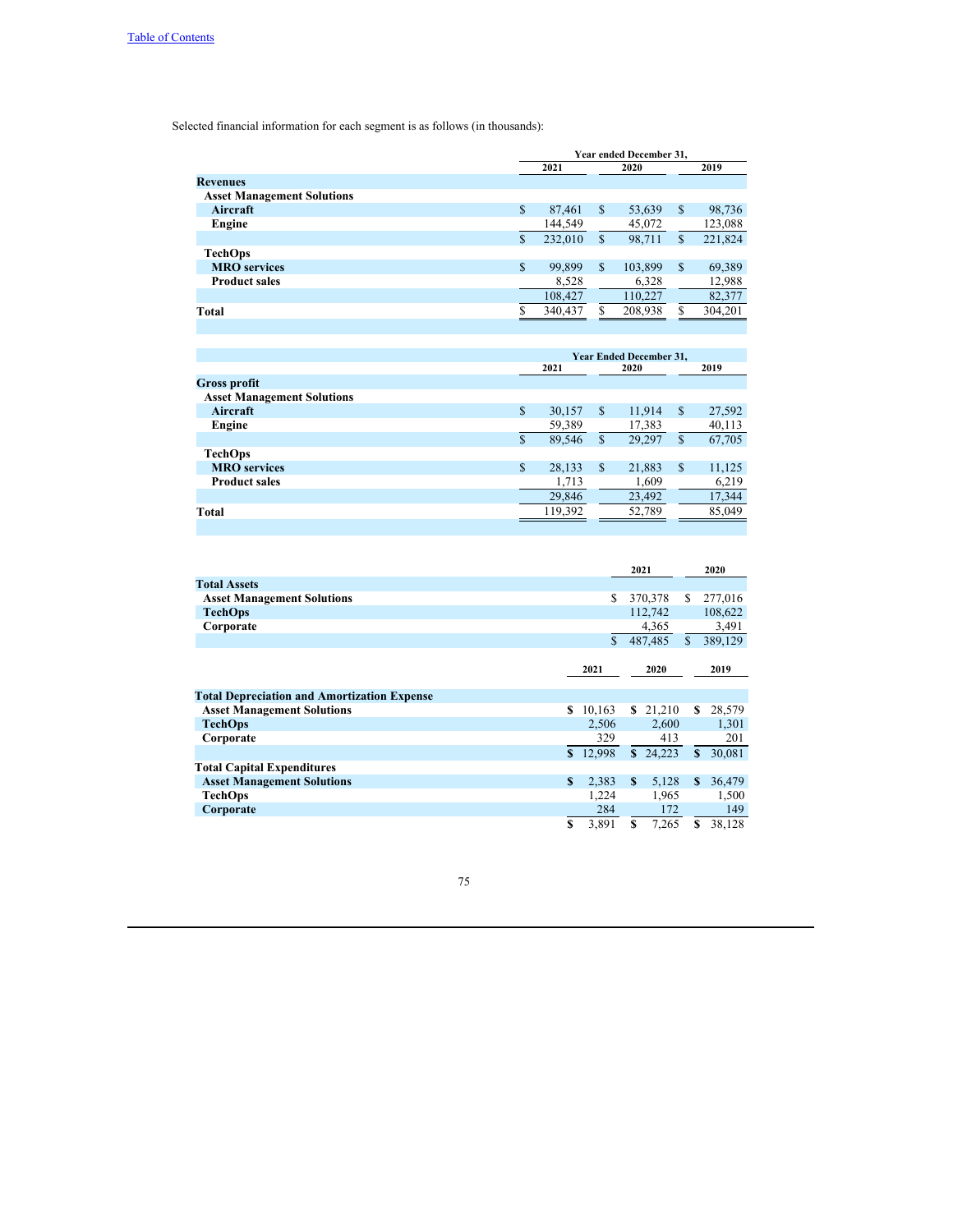Selected financial information for each segment is as follows (in thousands):

|                                   |    | Year ended December 31. |               |         |              |         |  |  |
|-----------------------------------|----|-------------------------|---------------|---------|--------------|---------|--|--|
|                                   |    | 2021                    | 2020          |         |              | 2019    |  |  |
| <b>Revenues</b>                   |    |                         |               |         |              |         |  |  |
| <b>Asset Management Solutions</b> |    |                         |               |         |              |         |  |  |
| Aircraft                          | \$ | 87,461                  | <sup>\$</sup> | 53,639  | $\mathbb{S}$ | 98,736  |  |  |
| Engine                            |    | 144.549                 |               | 45,072  |              | 123,088 |  |  |
|                                   | \$ | 232,010                 | \$            | 98,711  | \$           | 221,824 |  |  |
| <b>TechOps</b>                    |    |                         |               |         |              |         |  |  |
| <b>MRO</b> services               | \$ | 99.899                  | \$            | 103,899 | $\mathbb{S}$ | 69,389  |  |  |
| <b>Product sales</b>              |    | 8,528                   |               | 6,328   |              | 12,988  |  |  |
|                                   |    | 108,427                 |               | 110,227 |              | 82,377  |  |  |
| Total                             | ጦ  | 340,437                 |               | 208,938 | \$           | 304,201 |  |  |
|                                   |    |                         |               |         |              |         |  |  |

|                                   | <b>Year Ended December 31,</b> |               |        |               |        |  |  |  |  |  |  |  |  |  |  |  |  |  |  |  |  |      |  |
|-----------------------------------|--------------------------------|---------------|--------|---------------|--------|--|--|--|--|--|--|--|--|--|--|--|--|--|--|--|--|------|--|
|                                   | 2021                           | 2020          |        |               |        |  |  |  |  |  |  |  |  |  |  |  |  |  |  |  |  | 2019 |  |
| <b>Gross profit</b>               |                                |               |        |               |        |  |  |  |  |  |  |  |  |  |  |  |  |  |  |  |  |      |  |
| <b>Asset Management Solutions</b> |                                |               |        |               |        |  |  |  |  |  |  |  |  |  |  |  |  |  |  |  |  |      |  |
| Aircraft                          | \$<br>30,157                   | <sup>\$</sup> | 11,914 | <sup>\$</sup> | 27,592 |  |  |  |  |  |  |  |  |  |  |  |  |  |  |  |  |      |  |
| <b>Engine</b>                     | 59,389                         |               | 17,383 |               | 40,113 |  |  |  |  |  |  |  |  |  |  |  |  |  |  |  |  |      |  |
|                                   | \$<br>89,546                   | \$            | 29,297 | \$            | 67,705 |  |  |  |  |  |  |  |  |  |  |  |  |  |  |  |  |      |  |
| <b>TechOps</b>                    |                                |               |        |               |        |  |  |  |  |  |  |  |  |  |  |  |  |  |  |  |  |      |  |
| <b>MRO</b> services               | \$<br>28,133                   | <sup>\$</sup> | 21,883 | <sup>\$</sup> | 11,125 |  |  |  |  |  |  |  |  |  |  |  |  |  |  |  |  |      |  |
| <b>Product sales</b>              | 1,713                          |               | 1,609  |               | 6,219  |  |  |  |  |  |  |  |  |  |  |  |  |  |  |  |  |      |  |
|                                   | 29,846                         |               | 23,492 |               | 17,344 |  |  |  |  |  |  |  |  |  |  |  |  |  |  |  |  |      |  |
| Total                             | 119,392                        |               | 52,789 |               | 85,049 |  |  |  |  |  |  |  |  |  |  |  |  |  |  |  |  |      |  |
|                                   |                                |               |        |               |        |  |  |  |  |  |  |  |  |  |  |  |  |  |  |  |  |      |  |

|                                                    |              |        | 2021    |        |              | 2020    |
|----------------------------------------------------|--------------|--------|---------|--------|--------------|---------|
| <b>Total Assets</b>                                |              |        |         |        |              |         |
| <b>Asset Management Solutions</b>                  |              | S      | 370,378 |        | S            | 277,016 |
| <b>TechOps</b>                                     |              |        | 112,742 |        |              | 108,622 |
| Corporate                                          |              |        | 4,365   |        |              | 3,491   |
|                                                    |              | \$.    | 487,485 |        | $\mathbb{S}$ | 389,129 |
|                                                    |              |        |         |        |              |         |
|                                                    |              | 2021   |         | 2020   |              | 2019    |
|                                                    |              |        |         |        |              |         |
| <b>Total Depreciation and Amortization Expense</b> |              |        |         |        |              |         |
| <b>Asset Management Solutions</b>                  | S            | 10,163 | S.      | 21,210 | S            | 28,579  |
| <b>TechOps</b>                                     |              | 2,506  |         | 2,600  |              | 1,301   |
| Corporate                                          |              | 329    |         | 413    |              | 201     |
|                                                    | $\mathbf{s}$ | 12,998 | S.      | 24,223 | S.           | 30,081  |
| <b>Total Capital Expenditures</b>                  |              |        |         |        |              |         |
| <b>Asset Management Solutions</b>                  | S            | 2,383  | \$.     | 5,128  | \$.          | 36,479  |
| <b>TechOps</b>                                     |              | 1,224  |         | 1,965  |              | 1,500   |
| Corporate                                          |              | 284    |         | 172    |              | 149     |
|                                                    | \$           | 3,891  | \$      | 7,265  | \$           | 38,128  |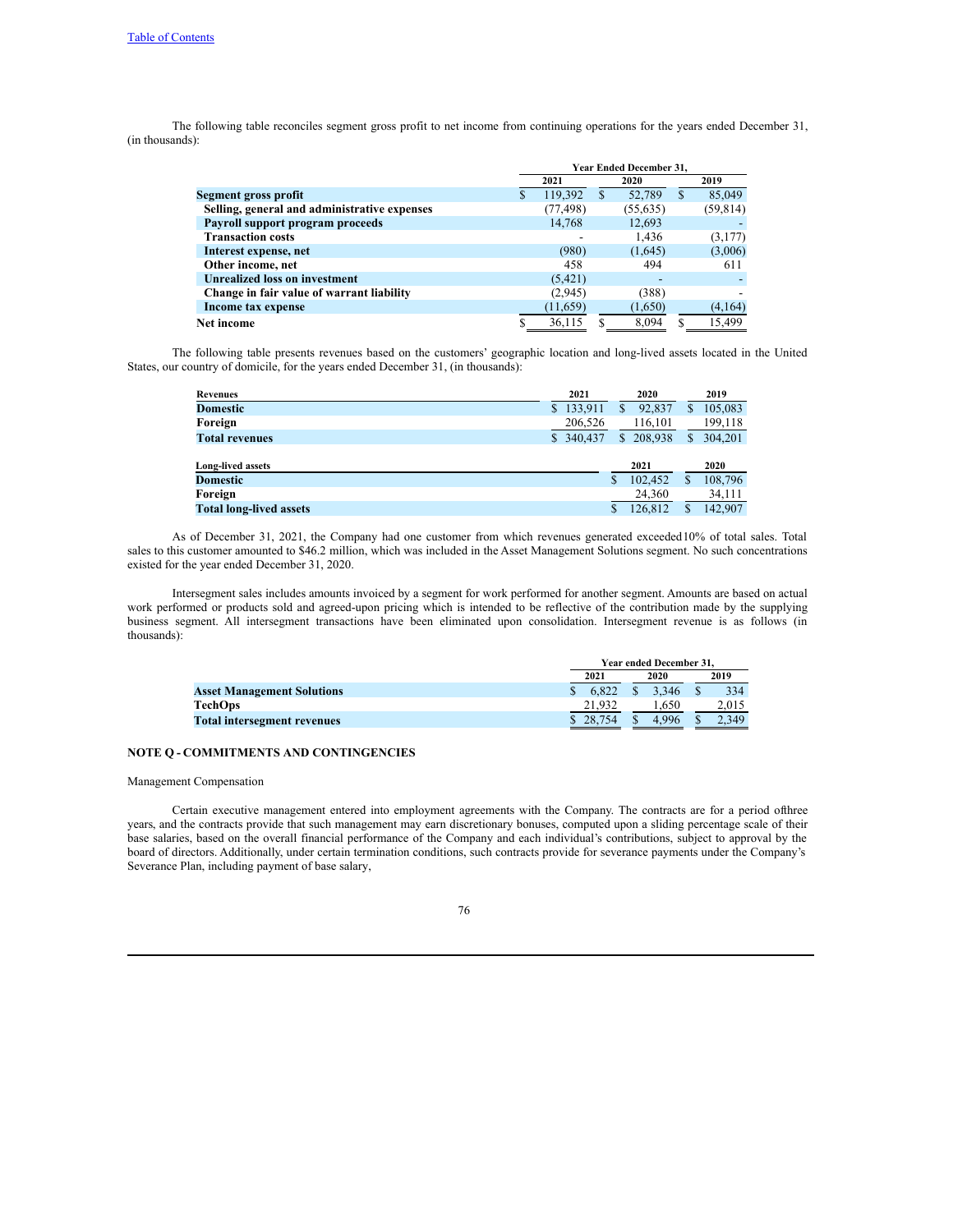The following table reconciles segment gross profit to net income from continuing operations for the years ended December 31, (in thousands):

|                                              |    | <b>Year Ended December 31.</b> |    |           |               |           |  |
|----------------------------------------------|----|--------------------------------|----|-----------|---------------|-----------|--|
|                                              |    | 2021                           |    | 2020      |               | 2019      |  |
| Segment gross profit                         | S. | 119,392                        | S. | 52,789    | <sup>\$</sup> | 85,049    |  |
| Selling, general and administrative expenses |    | (77, 498)                      |    | (55, 635) |               | (59, 814) |  |
| Payroll support program proceeds             |    | 14,768                         |    | 12,693    |               |           |  |
| <b>Transaction costs</b>                     |    |                                |    | 1,436     |               | (3,177)   |  |
| Interest expense, net                        |    | (980)                          |    | (1,645)   |               | (3,006)   |  |
| Other income, net                            |    | 458                            |    | 494       |               | 611       |  |
| <b>Unrealized loss on investment</b>         |    | (5, 421)                       |    |           |               |           |  |
| Change in fair value of warrant liability    |    | (2,945)                        |    | (388)     |               |           |  |
| Income tax expense                           |    | (11, 659)                      |    | (1,650)   |               | (4,164)   |  |
| Net income                                   |    | 36.115                         |    | 8.094     | \$            | 15.499    |  |

The following table presents revenues based on the customers' geographic location and long-lived assets located in the United States, our country of domicile, for the years ended December 31, (in thousands):

| Revenues                       | 2021          | 2020         |   | 2019    |
|--------------------------------|---------------|--------------|---|---------|
| <b>Domestic</b>                | 133,911<br>S. | 92,837<br>S  | S | 105,083 |
| Foreign                        | 206,526       | 116,101      |   | 199,118 |
| <b>Total revenues</b>          | \$ 340,437    | \$208,938    | S | 304,201 |
|                                |               |              |   |         |
| Long-lived assets              |               | 2021         |   | 2020    |
|                                |               |              |   |         |
| <b>Domestic</b>                |               | 102,452<br>S |   | 108,796 |
| Foreign                        |               | 24,360       |   | 34,111  |
| <b>Total long-lived assets</b> |               | 126,812      |   | 142,907 |

As of December 31, 2021, the Company had one customer from which revenues generated exceeded10% of total sales. Total sales to this customer amounted to \$46.2 million, which was included in the Asset Management Solutions segment. No such concentrations existed for the year ended December 31, 2020.

Intersegment sales includes amounts invoiced by a segment for work performed for another segment. Amounts are based on actual work performed or products sold and agreed-upon pricing which is intended to be reflective of the contribution made by the supplying business segment. All intersegment transactions have been eliminated upon consolidation. Intersegment revenue is as follows (in thousands):

|                                    |          | Year ended December 31. |       |      |       |  |  |
|------------------------------------|----------|-------------------------|-------|------|-------|--|--|
|                                    | 2021     |                         | 2020  | 2019 |       |  |  |
| <b>Asset Management Solutions</b>  | 6.822    |                         | 3.346 |      | 334   |  |  |
| <b>TechOps</b>                     | 21.932   |                         | .650  |      | 2.015 |  |  |
| <b>Total intersegment revenues</b> | \$28,754 |                         | 4.996 |      | 2.349 |  |  |

# **NOTE Q - COMMITMENTS AND CONTINGENCIES**

Management Compensation

Certain executive management entered into employment agreements with the Company. The contracts are for a period ofthree years, and the contracts provide that such management may earn discretionary bonuses, computed upon a sliding percentage scale of their base salaries, based on the overall financial performance of the Company and each individual's contributions, subject to approval by the board of directors. Additionally, under certain termination conditions, such contracts provide for severance payments under the Company's Severance Plan, including payment of base salary,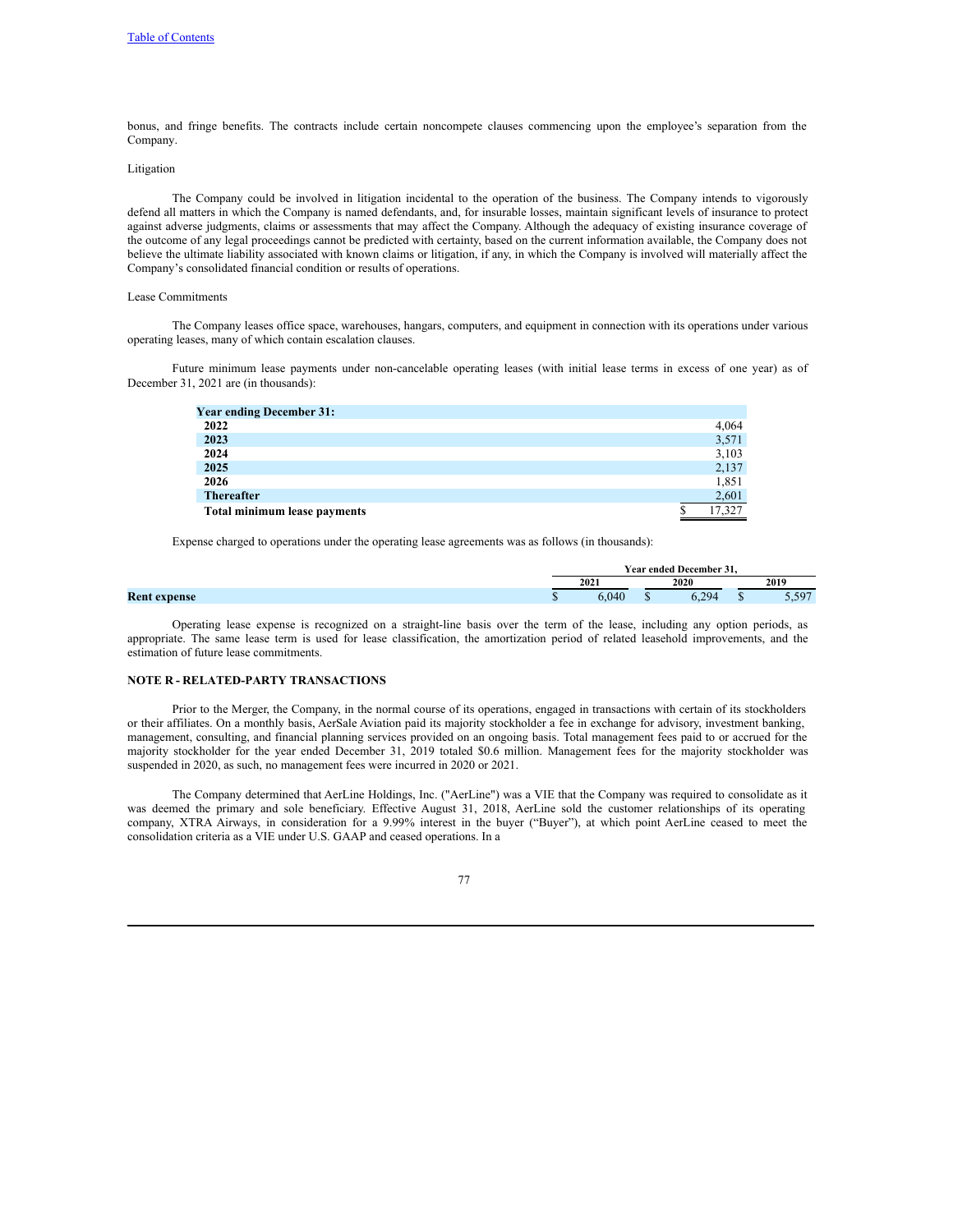bonus, and fringe benefits. The contracts include certain noncompete clauses commencing upon the employee's separation from the Company.

### Litigation

The Company could be involved in litigation incidental to the operation of the business. The Company intends to vigorously defend all matters in which the Company is named defendants, and, for insurable losses, maintain significant levels of insurance to protect against adverse judgments, claims or assessments that may affect the Company. Although the adequacy of existing insurance coverage of the outcome of any legal proceedings cannot be predicted with certainty, based on the current information available, the Company does not believe the ultimate liability associated with known claims or litigation, if any, in which the Company is involved will materially affect the Company's consolidated financial condition or results of operations.

### Lease Commitments

The Company leases office space, warehouses, hangars, computers, and equipment in connection with its operations under various operating leases, many of which contain escalation clauses.

Future minimum lease payments under non-cancelable operating leases (with initial lease terms in excess of one year) as of December 31, 2021 are (in thousands):

| <b>Year ending December 31:</b> |        |
|---------------------------------|--------|
| 2022                            | 4,064  |
| 2023                            | 3,571  |
| 2024                            | 3,103  |
| 2025                            | 2,137  |
| 2026                            | 1,851  |
| <b>Thereafter</b>               | 2,601  |
| Total minimum lease payments    | 17,327 |

Expense charged to operations under the operating lease agreements was as follows (in thousands):

|                 |   | $\sim$<br>Year ended December 31<br>-21. |  |            |  |                     |  |
|-----------------|---|------------------------------------------|--|------------|--|---------------------|--|
|                 |   | 2021                                     |  | 2020       |  | 2019                |  |
| Rent<br>expense | w | $\Omega$                                 |  | 994<br>∪.∠ |  | $\epsilon$ 07<br>-- |  |

Operating lease expense is recognized on a straight-line basis over the term of the lease, including any option periods, as appropriate. The same lease term is used for lease classification, the amortization period of related leasehold improvements, and the estimation of future lease commitments.

#### **NOTE R - RELATED-PARTY TRANSACTIONS**

Prior to the Merger, the Company, in the normal course of its operations, engaged in transactions with certain of its stockholders or their affiliates. On a monthly basis, AerSale Aviation paid its majority stockholder a fee in exchange for advisory, investment banking, management, consulting, and financial planning services provided on an ongoing basis. Total management fees paid to or accrued for the majority stockholder for the year ended December 31, 2019 totaled \$0.6 million. Management fees for the majority stockholder was suspended in 2020, as such, no management fees were incurred in 2020 or 2021.

The Company determined that AerLine Holdings, Inc. ("AerLine") was a VIE that the Company was required to consolidate as it was deemed the primary and sole beneficiary. Effective August 31, 2018, AerLine sold the customer relationships of its operating company, XTRA Airways, in consideration for a 9.99% interest in the buyer ("Buyer"), at which point AerLine ceased to meet the consolidation criteria as a VIE under U.S. GAAP and ceased operations. In a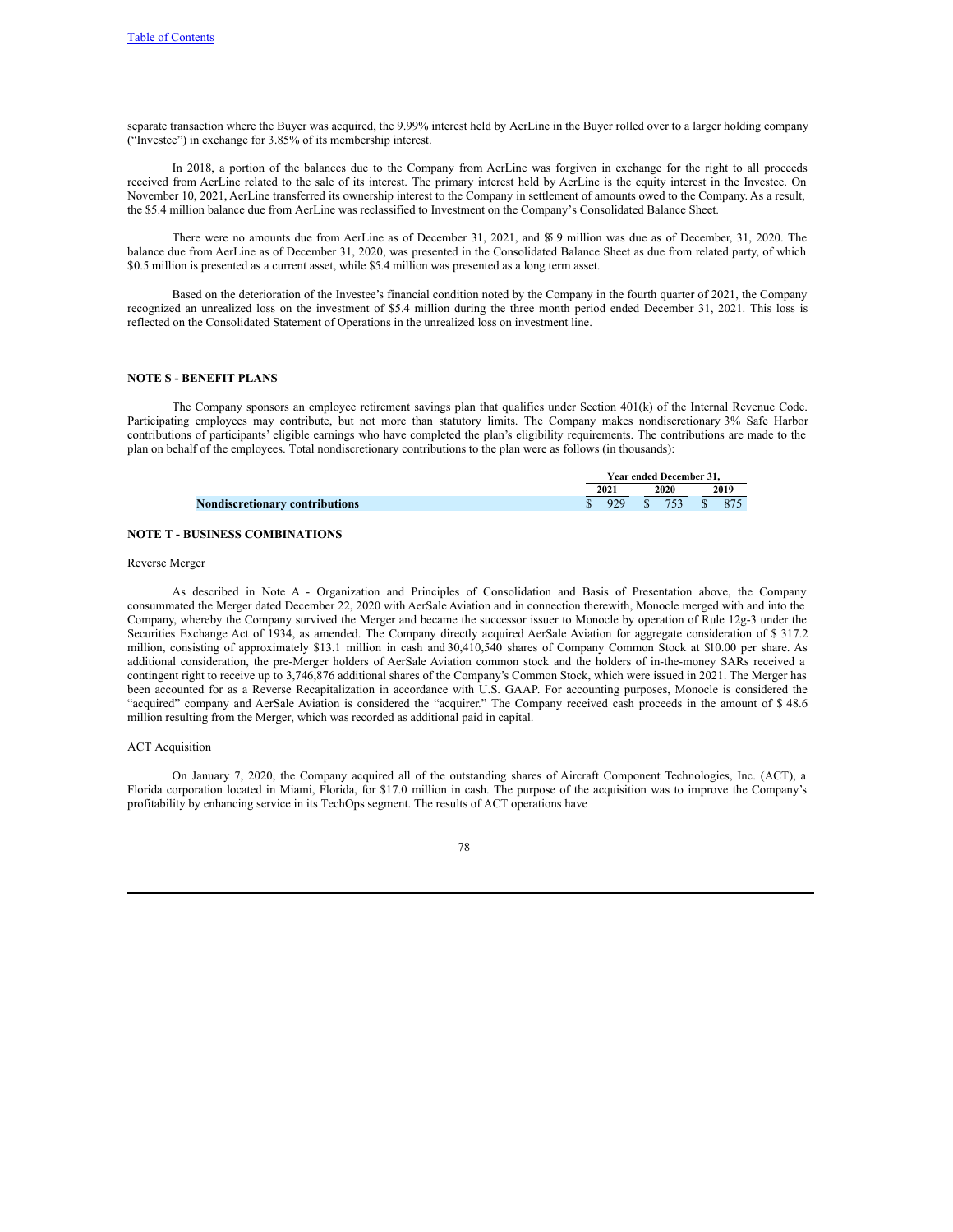separate transaction where the Buyer was acquired, the 9.99% interest held by AerLine in the Buyer rolled over to a larger holding company ("Investee") in exchange for 3.85% of its membership interest.

In 2018, a portion of the balances due to the Company from AerLine was forgiven in exchange for the right to all proceeds received from AerLine related to the sale of its interest. The primary interest held by AerLine is the equity interest in the Investee. On November 10, 2021, AerLine transferred its ownership interest to the Company in settlement of amounts owed to the Company. As a result, the \$5.4 million balance due from AerLine was reclassified to Investment on the Company's Consolidated Balance Sheet.

There were no amounts due from AerLine as of December 31, 2021, and \$5.9 million was due as of December, 31, 2020. The balance due from AerLine as of December 31, 2020, was presented in the Consolidated Balance Sheet as due from related party, of which \$0.5 million is presented as a current asset, while \$5.4 million was presented as a long term asset.

Based on the deterioration of the Investee's financial condition noted by the Company in the fourth quarter of 2021, the Company recognized an unrealized loss on the investment of \$5.4 million during the three month period ended December 31, 2021. This loss is reflected on the Consolidated Statement of Operations in the unrealized loss on investment line.

### **NOTE S - BENEFIT PLANS**

The Company sponsors an employee retirement savings plan that qualifies under Section 401(k) of the Internal Revenue Code. Participating employees may contribute, but not more than statutory limits. The Company makes nondiscretionary 3% Safe Harbor contributions of participants' eligible earnings who have completed the plan's eligibility requirements. The contributions are made to the plan on behalf of the employees. Total nondiscretionary contributions to the plan were as follows (in thousands):

|                                       | Year ended December 31. |                      |  |      |  |      |
|---------------------------------------|-------------------------|----------------------|--|------|--|------|
|                                       |                         | 2021                 |  | 2020 |  | 2019 |
| <b>Nondiscretionary contributions</b> |                         | \$ 929 \$ 753 \$ 875 |  |      |  |      |

#### **NOTE T - BUSINESS COMBINATIONS**

Reverse Merger

As described in Note A - Organization and Principles of Consolidation and Basis of Presentation above, the Company consummated the Merger dated December 22, 2020 with AerSale Aviation and in connection therewith, Monocle merged with and into the Company, whereby the Company survived the Merger and became the successor issuer to Monocle by operation of Rule 12g-3 under the Securities Exchange Act of 1934, as amended. The Company directly acquired AerSale Aviation for aggregate consideration of \$ 317.2 million, consisting of approximately \$13.1 million in cash and 30,410,540 shares of Company Common Stock at \$10.00 per share. As additional consideration, the pre-Merger holders of AerSale Aviation common stock and the holders of in-the-money SARs received a contingent right to receive up to 3,746,876 additional shares of the Company's Common Stock, which were issued in 2021. The Merger has been accounted for as a Reverse Recapitalization in accordance with U.S. GAAP. For accounting purposes, Monocle is considered the "acquired" company and AerSale Aviation is considered the "acquirer." The Company received cash proceeds in the amount of \$ 48.6 million resulting from the Merger, which was recorded as additional paid in capital.

#### ACT Acquisition

On January 7, 2020, the Company acquired all of the outstanding shares of Aircraft Component Technologies, Inc. (ACT), a Florida corporation located in Miami, Florida, for \$17.0 million in cash. The purpose of the acquisition was to improve the Company's profitability by enhancing service in its TechOps segment. The results of ACT operations have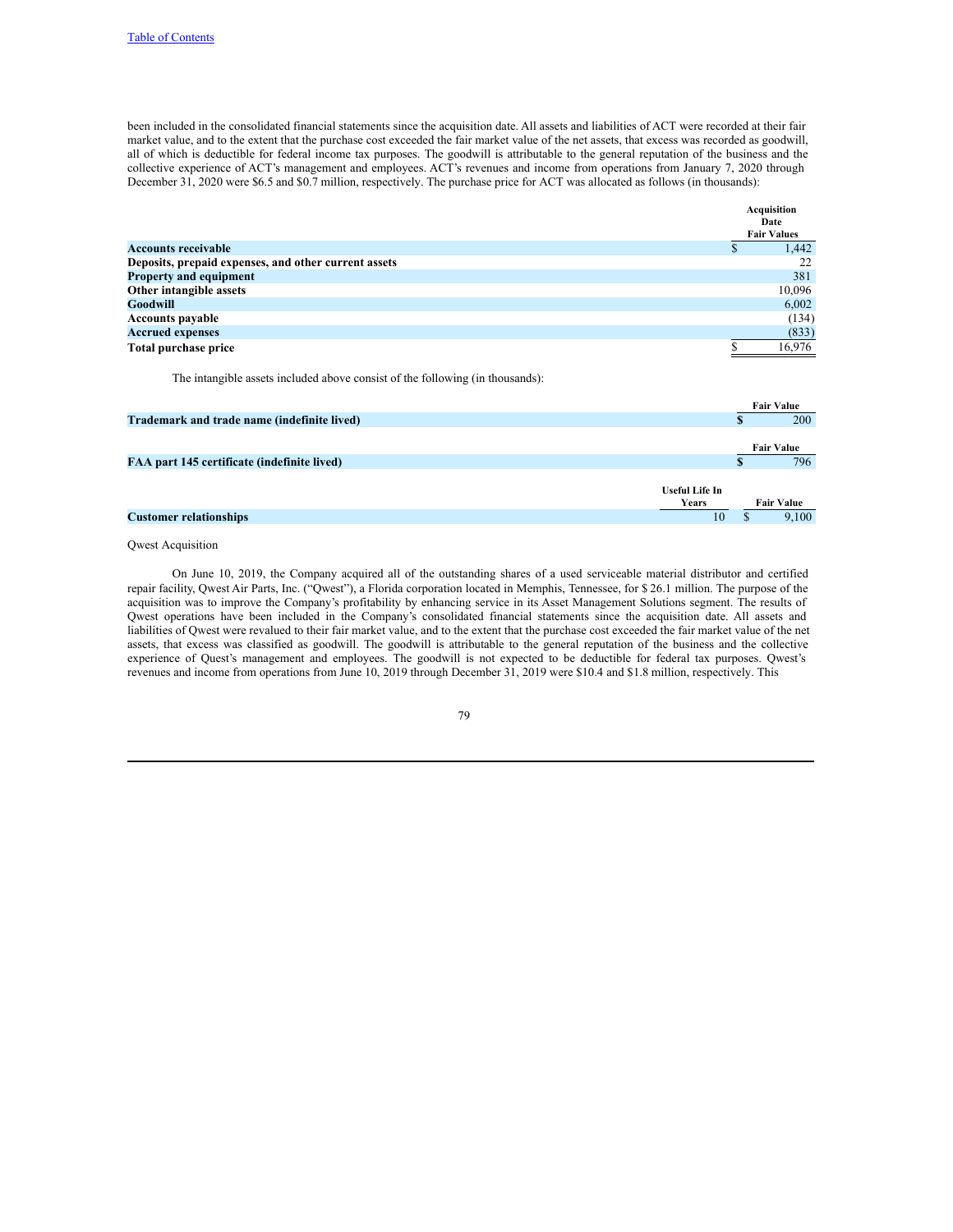been included in the consolidated financial statements since the acquisition date. All assets and liabilities of ACT were recorded at their fair market value, and to the extent that the purchase cost exceeded the fair market value of the net assets, that excess was recorded as goodwill, all of which is deductible for federal income tax purposes. The goodwill is attributable to the general reputation of the business and the collective experience of ACT's management and employees. ACT's revenues and income from operations from January 7, 2020 through December 31, 2020 were \$6.5 and \$0.7 million, respectively. The purchase price for ACT was allocated as follows (in thousands):

|                                                      |   | Acquisition<br>Date |
|------------------------------------------------------|---|---------------------|
|                                                      |   | <b>Fair Values</b>  |
| <b>Accounts receivable</b>                           | S | 1,442               |
| Deposits, prepaid expenses, and other current assets |   | 22                  |
| <b>Property and equipment</b>                        |   | 381                 |
| Other intangible assets                              |   | 10,096              |
| Goodwill                                             |   | 6,002               |
| <b>Accounts payable</b>                              |   | (134)               |
| <b>Accrued expenses</b>                              |   | (833)               |
| Total purchase price                                 |   | 16.976              |

The intangible assets included above consist of the following (in thousands):

|                                             |       | <b>Fair Value</b> |
|---------------------------------------------|-------|-------------------|
| Trademark and trade name (indefinite lived) | æ     | <b>200</b>        |
|                                             |       |                   |
|                                             |       | <b>Fair Value</b> |
| FAA part 145 certificate (indefinite lived) | æ     | 796               |
|                                             |       |                   |
| Useful Life In                              |       |                   |
|                                             | Years | <b>Fair Value</b> |
| <b>Customer relationships</b>               | 10    | 9.100             |

Qwest Acquisition

On June 10, 2019, the Company acquired all of the outstanding shares of a used serviceable material distributor and certified repair facility, Qwest Air Parts, Inc. ("Qwest"), a Florida corporation located in Memphis, Tennessee, for \$ 26.1 million. The purpose of the acquisition was to improve the Company's profitability by enhancing service in its Asset Management Solutions segment. The results of Qwest operations have been included in the Company's consolidated financial statements since the acquisition date. All assets and liabilities of Qwest were revalued to their fair market value, and to the extent that the purchase cost exceeded the fair market value of the net assets, that excess was classified as goodwill. The goodwill is attributable to the general reputation of the business and the collective experience of Quest's management and employees. The goodwill is not expected to be deductible for federal tax purposes. Qwest's revenues and income from operations from June 10, 2019 through December 31, 2019 were \$10.4 and \$1.8 million, respectively. This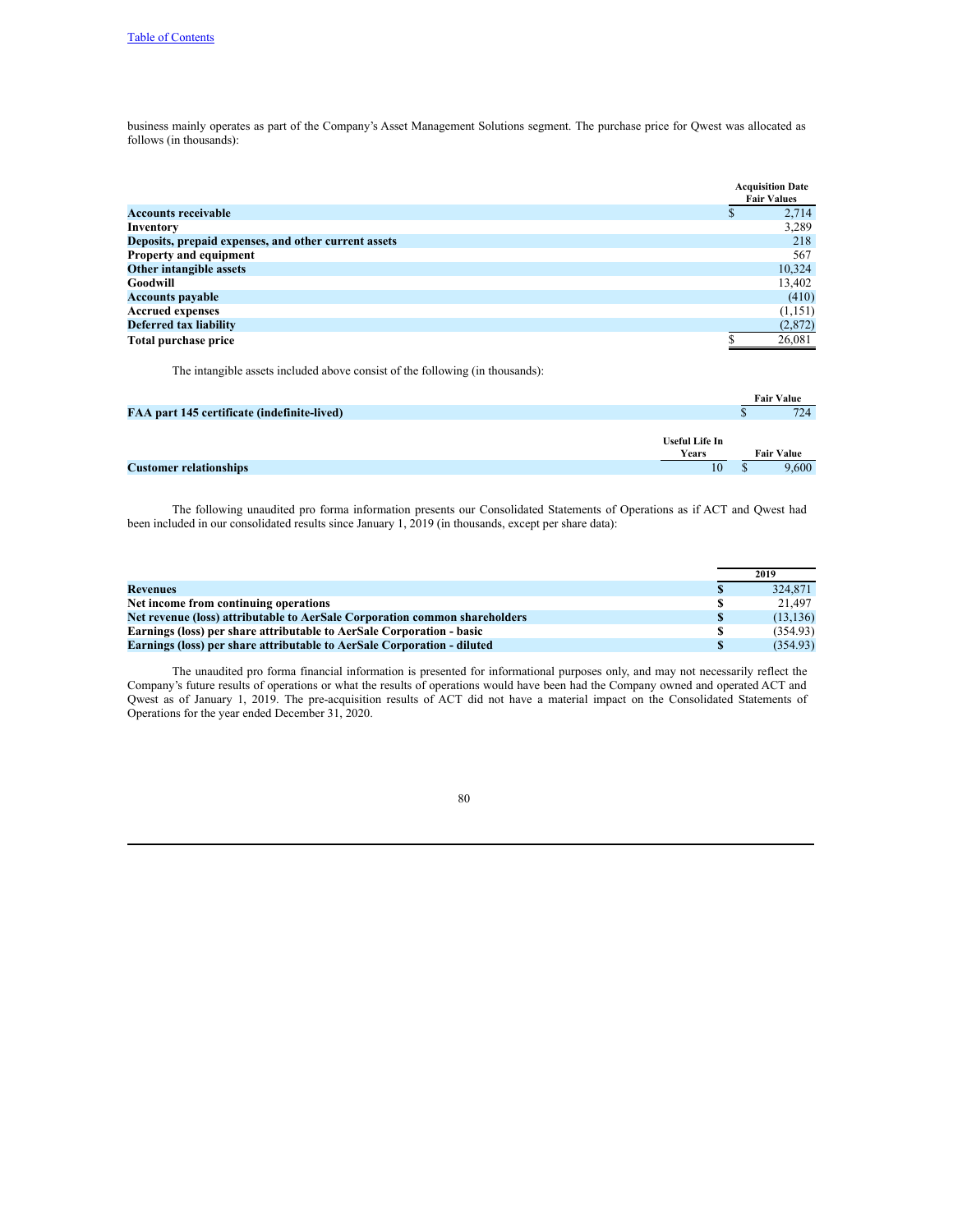business mainly operates as part of the Company's Asset Management Solutions segment. The purchase price for Qwest was allocated as follows (in thousands):

|                                                      |   | <b>Acquisition Date</b><br><b>Fair Values</b> |
|------------------------------------------------------|---|-----------------------------------------------|
| <b>Accounts receivable</b>                           | D | 2,714                                         |
| Inventory                                            |   | 3,289                                         |
| Deposits, prepaid expenses, and other current assets |   | 218                                           |
| <b>Property and equipment</b>                        |   | 567                                           |
| Other intangible assets                              |   | 10.324                                        |
| Goodwill                                             |   | 13,402                                        |
| <b>Accounts payable</b>                              |   | (410)                                         |
| <b>Accrued expenses</b>                              |   | (1,151)                                       |
| <b>Deferred tax liability</b>                        |   | (2,872)                                       |
| Total purchase price                                 |   | 26,081                                        |

The intangible assets included above consist of the following (in thousands):

|                                             |                | <b>Fair Value</b> |
|---------------------------------------------|----------------|-------------------|
| FAA part 145 certificate (indefinite-lived) |                | 724               |
|                                             |                |                   |
|                                             | Useful Life In |                   |
|                                             | Years          | <b>Fair Value</b> |
| <b>Customer relationships</b>               | 10             | 9.600             |

The following unaudited pro forma information presents our Consolidated Statements of Operations as if ACT and Qwest had been included in our consolidated results since January 1, 2019 (in thousands, except per share data):

|                                                                                |    | 2019     |
|--------------------------------------------------------------------------------|----|----------|
| <b>Revenues</b>                                                                |    | 324.871  |
| Net income from continuing operations                                          |    | 21.497   |
| Net revenue (loss) attributable to AerSale Corporation common shareholders     | S. | (13.136) |
| Earnings (loss) per share attributable to AerSale Corporation - basic          |    | (354.93) |
| <b>Earnings (loss) per share attributable to AerSale Corporation - diluted</b> | S. | (354.93) |

The unaudited pro forma financial information is presented for informational purposes only, and may not necessarily reflect the Company's future results of operations or what the results of operations would have been had the Company owned and operated ACT and Qwest as of January 1, 2019. The pre-acquisition results of ACT did not have a material impact on the Consolidated Statements of Operations for the year ended December 31, 2020.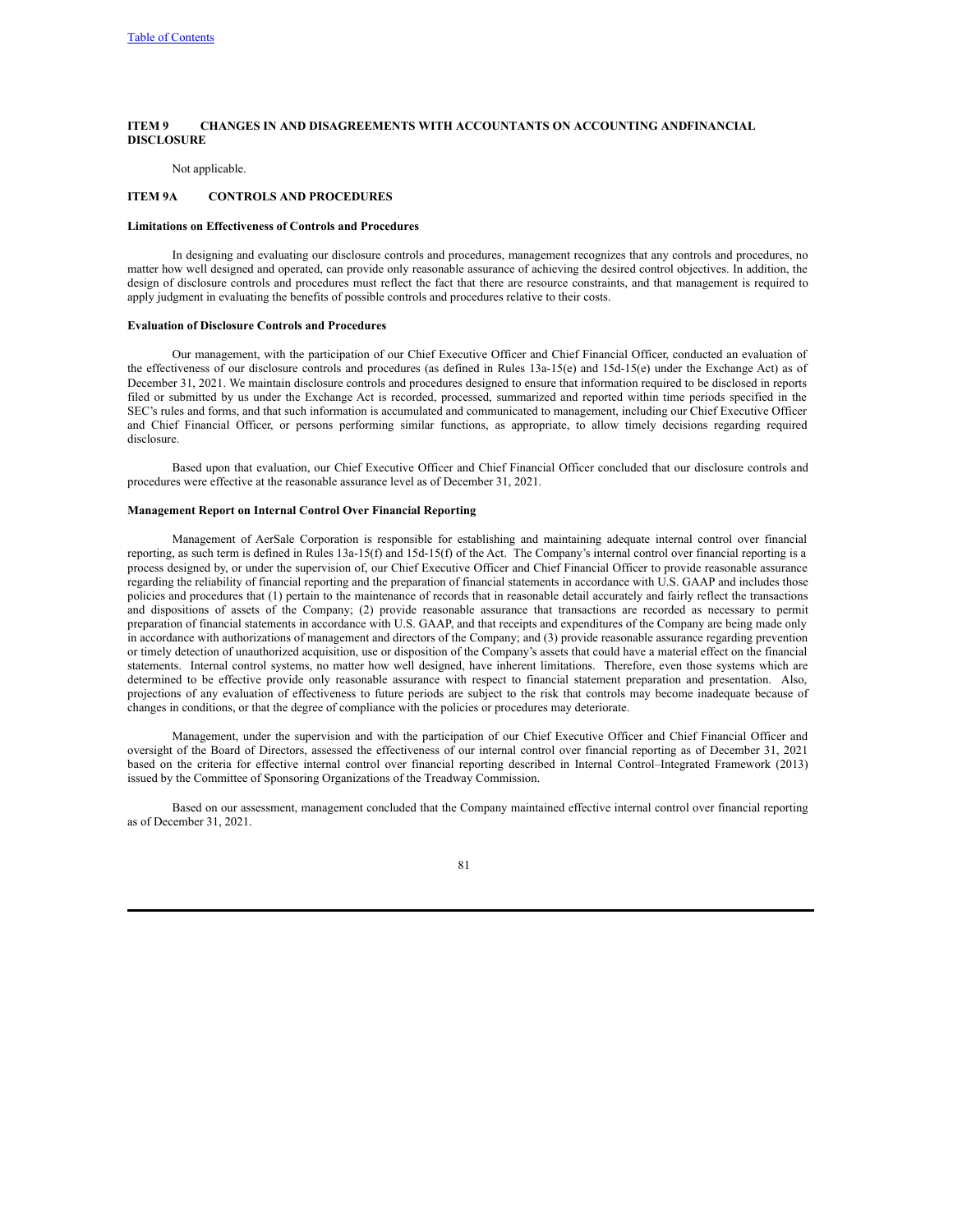### **ITEM 9 CHANGES IN AND DISAGREEMENTS WITH ACCOUNTANTS ON ACCOUNTING ANDFINANCIAL DISCLOSURE**

Not applicable.

### **ITEM 9A CONTROLS AND PROCEDURES**

#### **Limitations on Effectiveness of Controls and Procedures**

In designing and evaluating our disclosure controls and procedures, management recognizes that any controls and procedures, no matter how well designed and operated, can provide only reasonable assurance of achieving the desired control objectives. In addition, the design of disclosure controls and procedures must reflect the fact that there are resource constraints, and that management is required to apply judgment in evaluating the benefits of possible controls and procedures relative to their costs.

#### **Evaluation of Disclosure Controls and Procedures**

Our management, with the participation of our Chief Executive Officer and Chief Financial Officer, conducted an evaluation of the effectiveness of our disclosure controls and procedures (as defined in Rules 13a-15(e) and 15d-15(e) under the Exchange Act) as of December 31, 2021. We maintain disclosure controls and procedures designed to ensure that information required to be disclosed in reports filed or submitted by us under the Exchange Act is recorded, processed, summarized and reported within time periods specified in the SEC's rules and forms, and that such information is accumulated and communicated to management, including our Chief Executive Officer and Chief Financial Officer, or persons performing similar functions, as appropriate, to allow timely decisions regarding required disclosure.

Based upon that evaluation, our Chief Executive Officer and Chief Financial Officer concluded that our disclosure controls and procedures were effective at the reasonable assurance level as of December 31, 2021.

### **Management Report on Internal Control Over Financial Reporting**

Management of AerSale Corporation is responsible for establishing and maintaining adequate internal control over financial reporting, as such term is defined in Rules 13a-15(f) and 15d-15(f) of the Act. The Company's internal control over financial reporting is a process designed by, or under the supervision of, our Chief Executive Officer and Chief Financial Officer to provide reasonable assurance regarding the reliability of financial reporting and the preparation of financial statements in accordance with U.S. GAAP and includes those policies and procedures that (1) pertain to the maintenance of records that in reasonable detail accurately and fairly reflect the transactions and dispositions of assets of the Company; (2) provide reasonable assurance that transactions are recorded as necessary to permit preparation of financial statements in accordance with U.S. GAAP, and that receipts and expenditures of the Company are being made only in accordance with authorizations of management and directors of the Company; and (3) provide reasonable assurance regarding prevention or timely detection of unauthorized acquisition, use or disposition of the Company's assets that could have a material effect on the financial statements. Internal control systems, no matter how well designed, have inherent limitations. Therefore, even those systems which are determined to be effective provide only reasonable assurance with respect to financial statement preparation and presentation. Also, projections of any evaluation of effectiveness to future periods are subject to the risk that controls may become inadequate because of changes in conditions, or that the degree of compliance with the policies or procedures may deteriorate.

Management, under the supervision and with the participation of our Chief Executive Officer and Chief Financial Officer and oversight of the Board of Directors, assessed the effectiveness of our internal control over financial reporting as of December 31, 2021 based on the criteria for effective internal control over financial reporting described in Internal Control–Integrated Framework (2013) issued by the Committee of Sponsoring Organizations of the Treadway Commission.

Based on our assessment, management concluded that the Company maintained effective internal control over financial reporting as of December 31, 2021.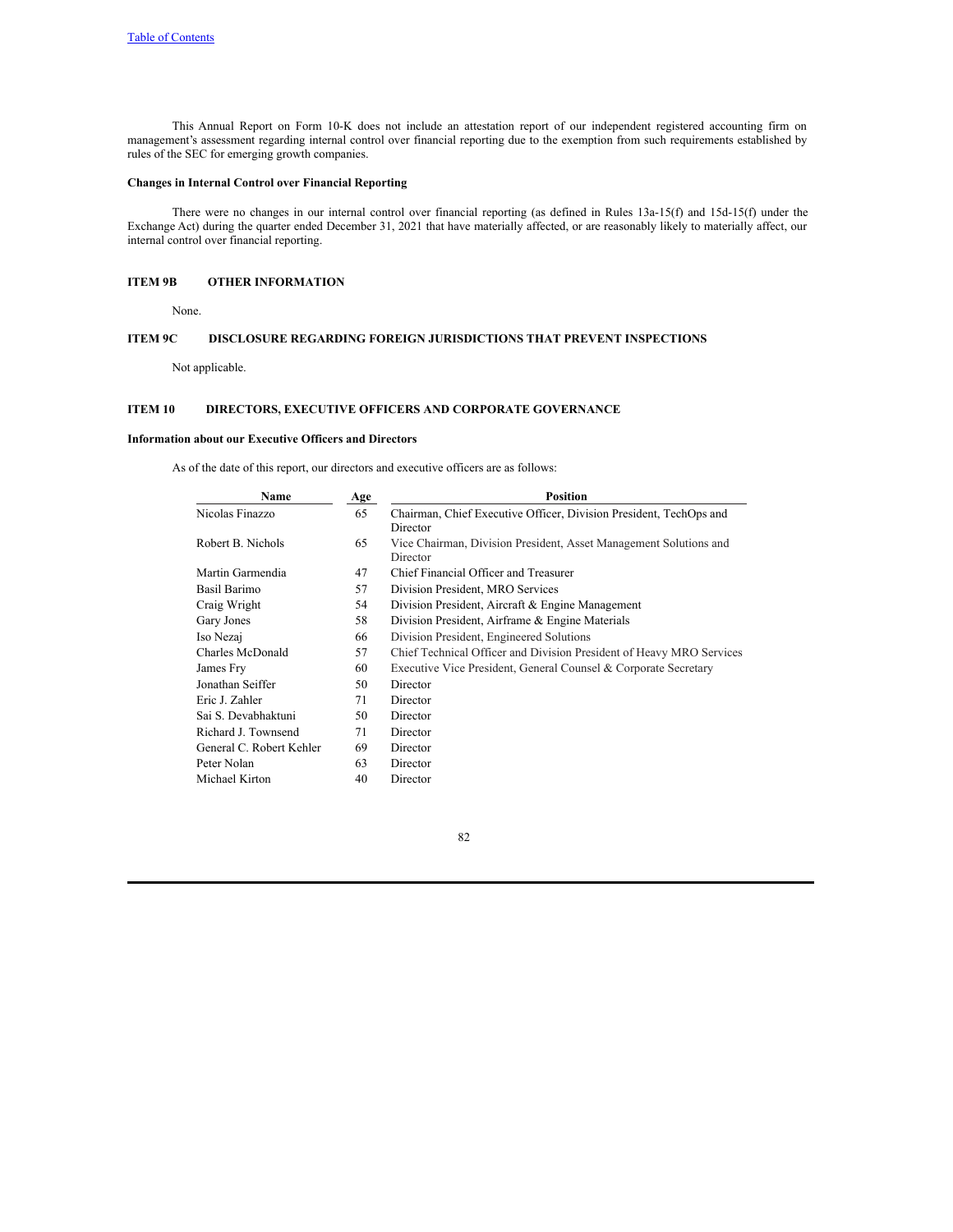This Annual Report on Form 10-K does not include an attestation report of our independent registered accounting firm on management's assessment regarding internal control over financial reporting due to the exemption from such requirements established by rules of the SEC for emerging growth companies.

### **Changes in Internal Control over Financial Reporting**

There were no changes in our internal control over financial reporting (as defined in Rules 13a-15(f) and 15d-15(f) under the Exchange Act) during the quarter ended December 31, 2021 that have materially affected, or are reasonably likely to materially affect, our internal control over financial reporting.

# **ITEM 9B OTHER INFORMATION**

None.

# **ITEM 9C DISCLOSURE REGARDING FOREIGN JURISDICTIONS THAT PREVENT INSPECTIONS**

Not applicable.

# **ITEM 10 DIRECTORS, EXECUTIVE OFFICERS AND CORPORATE GOVERNANCE**

## **Information about our Executive Officers and Directors**

As of the date of this report, our directors and executive officers are as follows:

| Name                     | Age | <b>Position</b>                                                                |
|--------------------------|-----|--------------------------------------------------------------------------------|
| Nicolas Finazzo          | 65  | Chairman, Chief Executive Officer, Division President, TechOps and<br>Director |
| Robert B. Nichols        | 65  | Vice Chairman, Division President, Asset Management Solutions and<br>Director  |
| Martin Garmendia         | 47  | Chief Financial Officer and Treasurer                                          |
| Basil Barimo             | 57  | Division President, MRO Services                                               |
| Craig Wright             | 54  | Division President, Aircraft & Engine Management                               |
| Gary Jones               | 58  | Division President, Airframe & Engine Materials                                |
| Iso Nezaj                | 66  | Division President, Engineered Solutions                                       |
| Charles McDonald         | 57  | Chief Technical Officer and Division President of Heavy MRO Services           |
| James Fry                | 60  | Executive Vice President, General Counsel & Corporate Secretary                |
| Jonathan Seiffer         | 50  | Director                                                                       |
| Eric J. Zahler           | 71  | Director                                                                       |
| Sai S. Devabhaktuni      | 50  | Director                                                                       |
| Richard J. Townsend      | 71  | Director                                                                       |
| General C. Robert Kehler | 69  | Director                                                                       |
| Peter Nolan              | 63  | Director                                                                       |
| Michael Kirton           | 40  | Director                                                                       |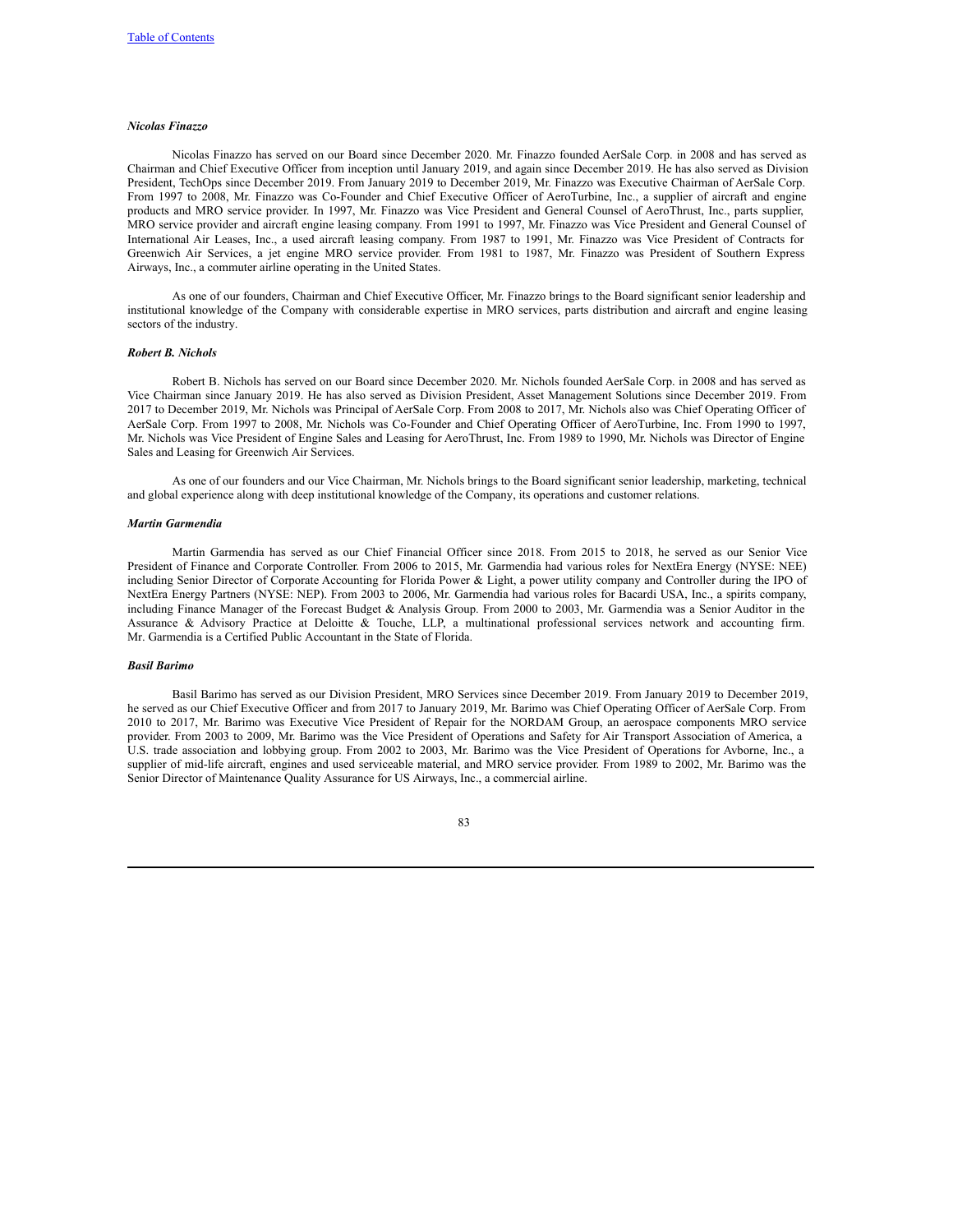### *Nicolas Finazzo*

Nicolas Finazzo has served on our Board since December 2020. Mr. Finazzo founded AerSale Corp. in 2008 and has served as Chairman and Chief Executive Officer from inception until January 2019, and again since December 2019. He has also served as Division President, TechOps since December 2019. From January 2019 to December 2019, Mr. Finazzo was Executive Chairman of AerSale Corp. From 1997 to 2008, Mr. Finazzo was Co-Founder and Chief Executive Officer of AeroTurbine, Inc., a supplier of aircraft and engine products and MRO service provider. In 1997, Mr. Finazzo was Vice President and General Counsel of AeroThrust, Inc., parts supplier, MRO service provider and aircraft engine leasing company. From 1991 to 1997, Mr. Finazzo was Vice President and General Counsel of International Air Leases, Inc., a used aircraft leasing company. From 1987 to 1991, Mr. Finazzo was Vice President of Contracts for Greenwich Air Services, a jet engine MRO service provider. From 1981 to 1987, Mr. Finazzo was President of Southern Express Airways, Inc., a commuter airline operating in the United States.

As one of our founders, Chairman and Chief Executive Officer, Mr. Finazzo brings to the Board significant senior leadership and institutional knowledge of the Company with considerable expertise in MRO services, parts distribution and aircraft and engine leasing sectors of the industry.

### *Robert B. Nichols*

Robert B. Nichols has served on our Board since December 2020. Mr. Nichols founded AerSale Corp. in 2008 and has served as Vice Chairman since January 2019. He has also served as Division President, Asset Management Solutions since December 2019. From 2017 to December 2019, Mr. Nichols was Principal of AerSale Corp. From 2008 to 2017, Mr. Nichols also was Chief Operating Officer of AerSale Corp. From 1997 to 2008, Mr. Nichols was Co-Founder and Chief Operating Officer of AeroTurbine, Inc. From 1990 to 1997, Mr. Nichols was Vice President of Engine Sales and Leasing for AeroThrust, Inc. From 1989 to 1990, Mr. Nichols was Director of Engine Sales and Leasing for Greenwich Air Services.

As one of our founders and our Vice Chairman, Mr. Nichols brings to the Board significant senior leadership, marketing, technical and global experience along with deep institutional knowledge of the Company, its operations and customer relations.

#### *Martin Garmendia*

Martin Garmendia has served as our Chief Financial Officer since 2018. From 2015 to 2018, he served as our Senior Vice President of Finance and Corporate Controller. From 2006 to 2015, Mr. Garmendia had various roles for NextEra Energy (NYSE: NEE) including Senior Director of Corporate Accounting for Florida Power & Light, a power utility company and Controller during the IPO of NextEra Energy Partners (NYSE: NEP). From 2003 to 2006, Mr. Garmendia had various roles for Bacardi USA, Inc., a spirits company, including Finance Manager of the Forecast Budget & Analysis Group. From 2000 to 2003, Mr. Garmendia was a Senior Auditor in the Assurance & Advisory Practice at Deloitte & Touche, LLP, a multinational professional services network and accounting firm. Mr. Garmendia is a Certified Public Accountant in the State of Florida.

### *Basil Barimo*

Basil Barimo has served as our Division President, MRO Services since December 2019. From January 2019 to December 2019, he served as our Chief Executive Officer and from 2017 to January 2019, Mr. Barimo was Chief Operating Officer of AerSale Corp. From 2010 to 2017, Mr. Barimo was Executive Vice President of Repair for the NORDAM Group, an aerospace components MRO service provider. From 2003 to 2009, Mr. Barimo was the Vice President of Operations and Safety for Air Transport Association of America, a U.S. trade association and lobbying group. From 2002 to 2003, Mr. Barimo was the Vice President of Operations for Avborne, Inc., a supplier of mid-life aircraft, engines and used serviceable material, and MRO service provider. From 1989 to 2002, Mr. Barimo was the Senior Director of Maintenance Quality Assurance for US Airways, Inc., a commercial airline.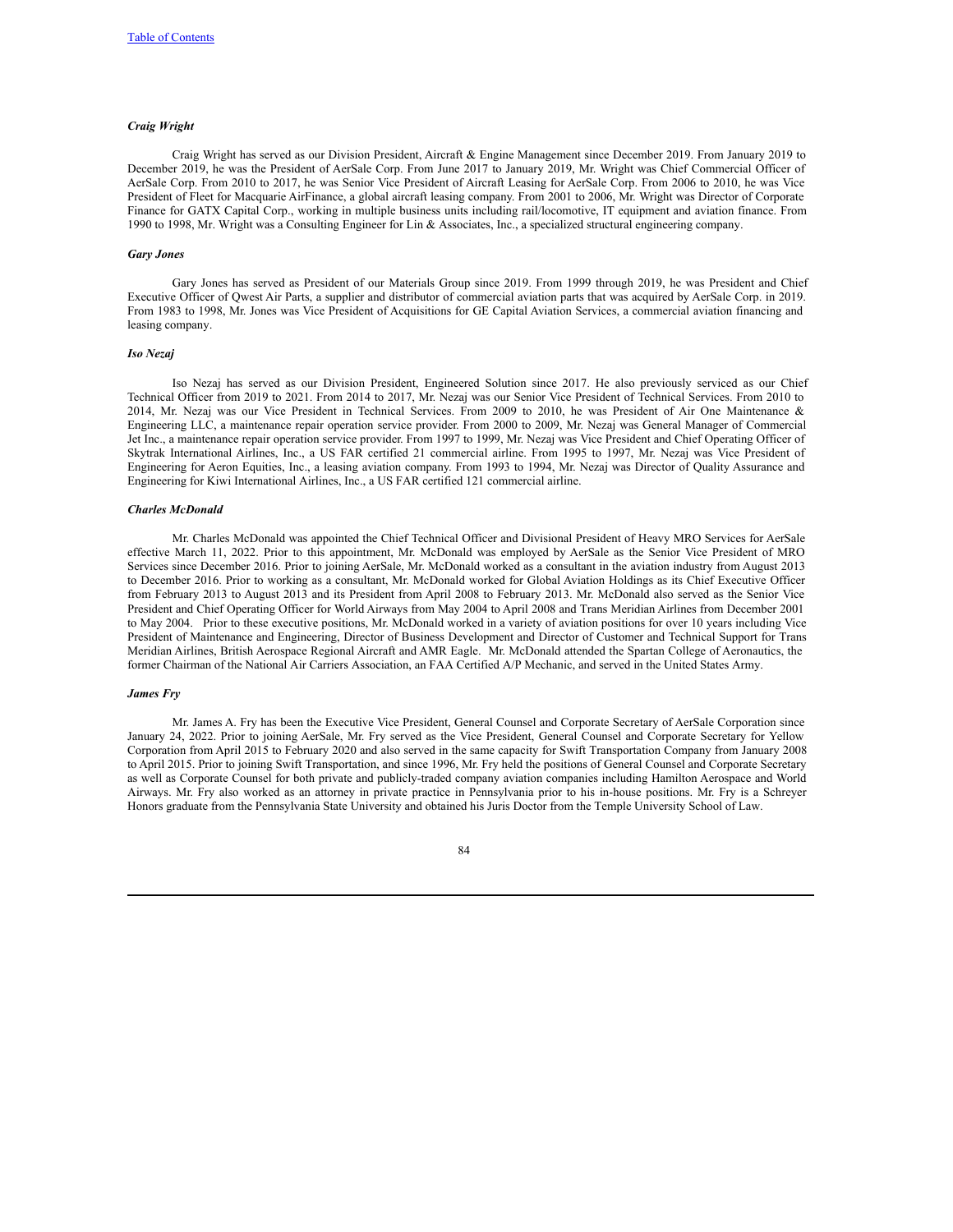### *Craig Wright*

Craig Wright has served as our Division President, Aircraft & Engine Management since December 2019. From January 2019 to December 2019, he was the President of AerSale Corp. From June 2017 to January 2019, Mr. Wright was Chief Commercial Officer of AerSale Corp. From 2010 to 2017, he was Senior Vice President of Aircraft Leasing for AerSale Corp. From 2006 to 2010, he was Vice President of Fleet for Macquarie AirFinance, a global aircraft leasing company. From 2001 to 2006, Mr. Wright was Director of Corporate Finance for GATX Capital Corp., working in multiple business units including rail/locomotive, IT equipment and aviation finance. From 1990 to 1998, Mr. Wright was a Consulting Engineer for Lin & Associates, Inc., a specialized structural engineering company.

#### *Gary Jones*

Gary Jones has served as President of our Materials Group since 2019. From 1999 through 2019, he was President and Chief Executive Officer of Qwest Air Parts, a supplier and distributor of commercial aviation parts that was acquired by AerSale Corp. in 2019. From 1983 to 1998, Mr. Jones was Vice President of Acquisitions for GE Capital Aviation Services, a commercial aviation financing and leasing company.

#### *Iso Nezaj*

Iso Nezaj has served as our Division President, Engineered Solution since 2017. He also previously serviced as our Chief Technical Officer from 2019 to 2021. From 2014 to 2017, Mr. Nezaj was our Senior Vice President of Technical Services. From 2010 to 2014, Mr. Nezaj was our Vice President in Technical Services. From 2009 to 2010, he was President of Air One Maintenance & Engineering LLC, a maintenance repair operation service provider. From 2000 to 2009, Mr. Nezaj was General Manager of Commercial Jet Inc., a maintenance repair operation service provider. From 1997 to 1999, Mr. Nezaj was Vice President and Chief Operating Officer of Skytrak International Airlines, Inc., a US FAR certified 21 commercial airline. From 1995 to 1997, Mr. Nezaj was Vice President of Engineering for Aeron Equities, Inc., a leasing aviation company. From 1993 to 1994, Mr. Nezaj was Director of Quality Assurance and Engineering for Kiwi International Airlines, Inc., a US FAR certified 121 commercial airline.

#### *Charles McDonald*

Mr. Charles McDonald was appointed the Chief Technical Officer and Divisional President of Heavy MRO Services for AerSale effective March 11, 2022. Prior to this appointment, Mr. McDonald was employed by AerSale as the Senior Vice President of MRO Services since December 2016. Prior to joining AerSale, Mr. McDonald worked as a consultant in the aviation industry from August 2013 to December 2016. Prior to working as a consultant, Mr. McDonald worked for Global Aviation Holdings as its Chief Executive Officer from February 2013 to August 2013 and its President from April 2008 to February 2013. Mr. McDonald also served as the Senior Vice President and Chief Operating Officer for World Airways from May 2004 to April 2008 and Trans Meridian Airlines from December 2001 to May 2004. Prior to these executive positions, Mr. McDonald worked in a variety of aviation positions for over 10 years including Vice President of Maintenance and Engineering, Director of Business Development and Director of Customer and Technical Support for Trans Meridian Airlines, British Aerospace Regional Aircraft and AMR Eagle. Mr. McDonald attended the Spartan College of Aeronautics, the former Chairman of the National Air Carriers Association, an FAA Certified A/P Mechanic, and served in the United States Army.

#### *James Fry*

Mr. James A. Fry has been the Executive Vice President, General Counsel and Corporate Secretary of AerSale Corporation since January 24, 2022. Prior to joining AerSale, Mr. Fry served as the Vice President, General Counsel and Corporate Secretary for Yellow Corporation from April 2015 to February 2020 and also served in the same capacity for Swift Transportation Company from January 2008 to April 2015. Prior to joining Swift Transportation, and since 1996, Mr. Fry held the positions of General Counsel and Corporate Secretary as well as Corporate Counsel for both private and publicly-traded company aviation companies including Hamilton Aerospace and World Airways. Mr. Fry also worked as an attorney in private practice in Pennsylvania prior to his in-house positions. Mr. Fry is a Schreyer Honors graduate from the Pennsylvania State University and obtained his Juris Doctor from the Temple University School of Law.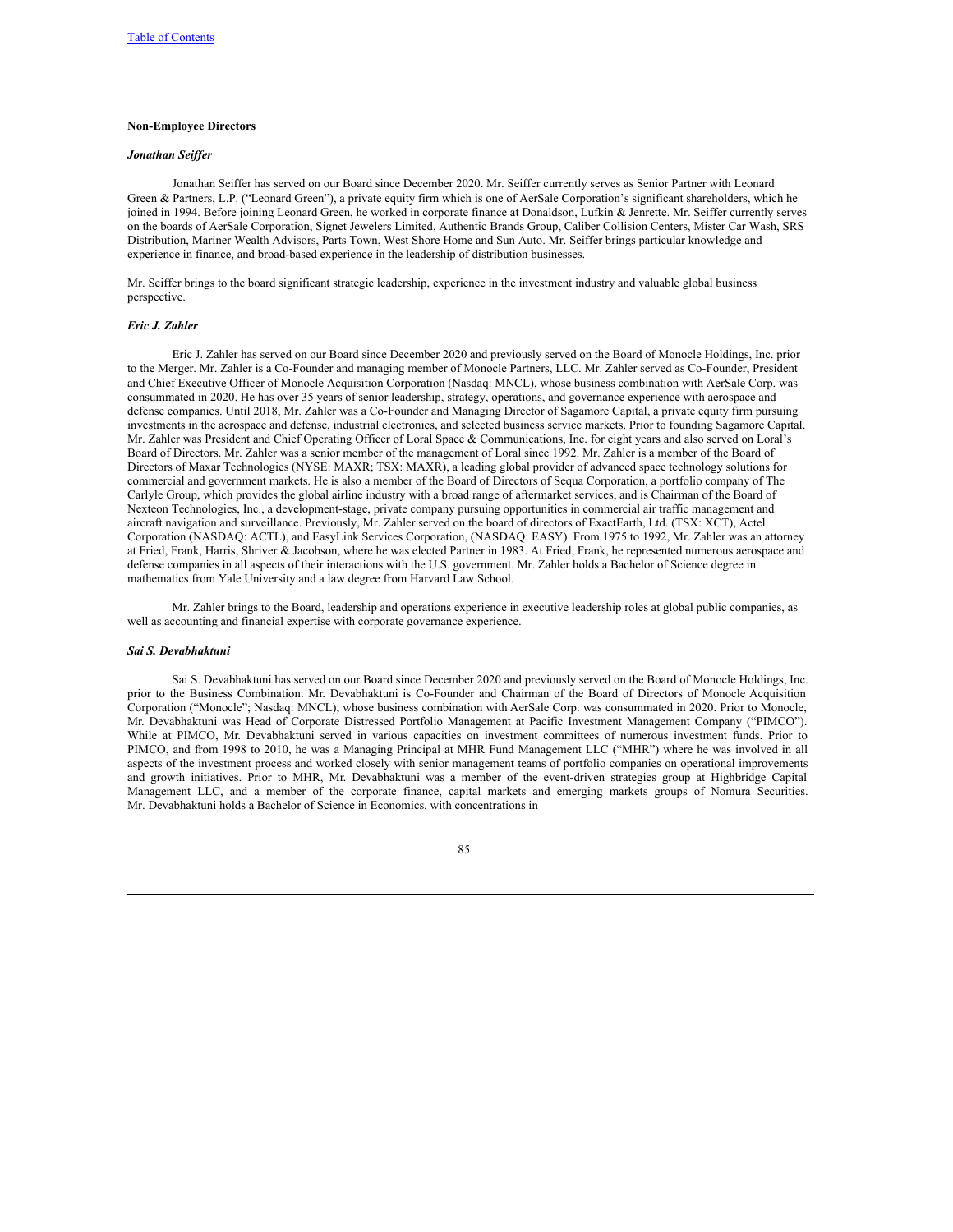### **Non-Employee Directors**

#### *Jonathan Seif er*

Jonathan Seiffer has served on our Board since December 2020. Mr. Seiffer currently serves as Senior Partner with Leonard Green & Partners, L.P. ("Leonard Green"), a private equity firm which is one of AerSale Corporation's significant shareholders, which he joined in 1994. Before joining Leonard Green, he worked in corporate finance at Donaldson, Lufkin & Jenrette. Mr. Seiffer currently serves on the boards of AerSale Corporation, Signet Jewelers Limited, Authentic Brands Group, Caliber Collision Centers, Mister Car Wash, SRS Distribution, Mariner Wealth Advisors, Parts Town, West Shore Home and Sun Auto. Mr. Seiffer brings particular knowledge and experience in finance, and broad-based experience in the leadership of distribution businesses.

Mr. Seiffer brings to the board significant strategic leadership, experience in the investment industry and valuable global business perspective.

#### *Eric J. Zahler*

Eric J. Zahler has served on our Board since December 2020 and previously served on the Board of Monocle Holdings, Inc. prior to the Merger. Mr. Zahler is a Co-Founder and managing member of Monocle Partners, LLC. Mr. Zahler served as Co-Founder, President and Chief Executive Officer of Monocle Acquisition Corporation (Nasdaq: MNCL), whose business combination with AerSale Corp. was consummated in 2020. He has over 35 years of senior leadership, strategy, operations, and governance experience with aerospace and defense companies. Until 2018, Mr. Zahler was a Co-Founder and Managing Director of Sagamore Capital, a private equity firm pursuing investments in the aerospace and defense, industrial electronics, and selected business service markets. Prior to founding Sagamore Capital. Mr. Zahler was President and Chief Operating Officer of Loral Space & Communications, Inc. for eight years and also served on Loral's Board of Directors. Mr. Zahler was a senior member of the management of Loral since 1992. Mr. Zahler is a member of the Board of Directors of Maxar Technologies (NYSE: MAXR; TSX: MAXR), a leading global provider of advanced space technology solutions for commercial and government markets. He is also a member of the Board of Directors of Sequa Corporation, a portfolio company of The Carlyle Group, which provides the global airline industry with a broad range of aftermarket services, and is Chairman of the Board of Nexteon Technologies, Inc., a development-stage, private company pursuing opportunities in commercial air traffic management and aircraft navigation and surveillance. Previously, Mr. Zahler served on the board of directors of ExactEarth, Ltd. (TSX: XCT), Actel Corporation (NASDAQ: ACTL), and EasyLink Services Corporation, (NASDAQ: EASY). From 1975 to 1992, Mr. Zahler was an attorney at Fried, Frank, Harris, Shriver & Jacobson, where he was elected Partner in 1983. At Fried, Frank, he represented numerous aerospace and defense companies in all aspects of their interactions with the U.S. government. Mr. Zahler holds a Bachelor of Science degree in mathematics from Yale University and a law degree from Harvard Law School.

Mr. Zahler brings to the Board, leadership and operations experience in executive leadership roles at global public companies, as well as accounting and financial expertise with corporate governance experience.

#### *Sai S. Devabhaktuni*

Sai S. Devabhaktuni has served on our Board since December 2020 and previously served on the Board of Monocle Holdings, Inc. prior to the Business Combination. Mr. Devabhaktuni is Co-Founder and Chairman of the Board of Directors of Monocle Acquisition Corporation ("Monocle"; Nasdaq: MNCL), whose business combination with AerSale Corp. was consummated in 2020. Prior to Monocle, Mr. Devabhaktuni was Head of Corporate Distressed Portfolio Management at Pacific Investment Management Company ("PIMCO"). While at PIMCO, Mr. Devabhaktuni served in various capacities on investment committees of numerous investment funds. Prior to PIMCO, and from 1998 to 2010, he was a Managing Principal at MHR Fund Management LLC ("MHR") where he was involved in all aspects of the investment process and worked closely with senior management teams of portfolio companies on operational improvements and growth initiatives. Prior to MHR, Mr. Devabhaktuni was a member of the event-driven strategies group at Highbridge Capital Management LLC, and a member of the corporate finance, capital markets and emerging markets groups of Nomura Securities. Mr. Devabhaktuni holds a Bachelor of Science in Economics, with concentrations in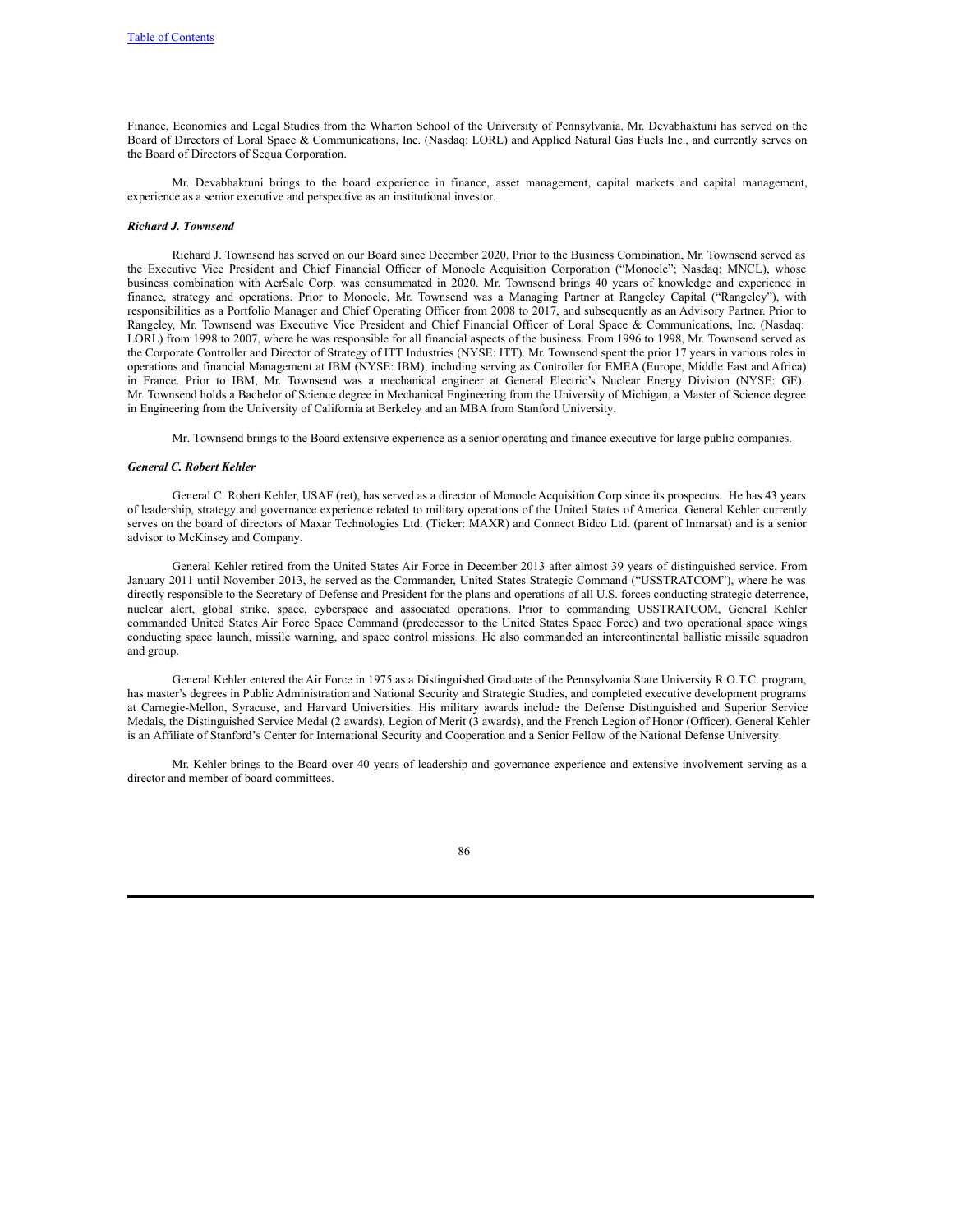Finance, Economics and Legal Studies from the Wharton School of the University of Pennsylvania. Mr. Devabhaktuni has served on the Board of Directors of Loral Space & Communications, Inc. (Nasdaq: LORL) and Applied Natural Gas Fuels Inc., and currently serves on the Board of Directors of Sequa Corporation.

Mr. Devabhaktuni brings to the board experience in finance, asset management, capital markets and capital management, experience as a senior executive and perspective as an institutional investor.

#### *Richard J. Townsend*

Richard J. Townsend has served on our Board since December 2020. Prior to the Business Combination, Mr. Townsend served as the Executive Vice President and Chief Financial Officer of Monocle Acquisition Corporation ("Monocle"; Nasdaq: MNCL), whose business combination with AerSale Corp. was consummated in 2020. Mr. Townsend brings 40 years of knowledge and experience in finance, strategy and operations. Prior to Monocle, Mr. Townsend was a Managing Partner at Rangeley Capital ("Rangeley"), with responsibilities as a Portfolio Manager and Chief Operating Officer from 2008 to 2017, and subsequently as an Advisory Partner. Prior to Rangeley, Mr. Townsend was Executive Vice President and Chief Financial Officer of Loral Space & Communications, Inc. (Nasdaq: LORL) from 1998 to 2007, where he was responsible for all financial aspects of the business. From 1996 to 1998, Mr. Townsend served as the Corporate Controller and Director of Strategy of ITT Industries (NYSE: ITT). Mr. Townsend spent the prior 17 years in various roles in operations and financial Management at IBM (NYSE: IBM), including serving as Controller for EMEA (Europe, Middle East and Africa) in France. Prior to IBM, Mr. Townsend was a mechanical engineer at General Electric's Nuclear Energy Division (NYSE: GE). Mr. Townsend holds a Bachelor of Science degree in Mechanical Engineering from the University of Michigan, a Master of Science degree in Engineering from the University of California at Berkeley and an MBA from Stanford University.

Mr. Townsend brings to the Board extensive experience as a senior operating and finance executive for large public companies.

#### *General C. Robert Kehler*

General C. Robert Kehler, USAF (ret), has served as a director of Monocle Acquisition Corp since its prospectus. He has 43 years of leadership, strategy and governance experience related to military operations of the United States of America. General Kehler currently serves on the board of directors of Maxar Technologies Ltd. (Ticker: MAXR) and Connect Bidco Ltd. (parent of Inmarsat) and is a senior advisor to McKinsey and Company.

General Kehler retired from the United States Air Force in December 2013 after almost 39 years of distinguished service. From January 2011 until November 2013, he served as the Commander, United States Strategic Command ("USSTRATCOM"), where he was directly responsible to the Secretary of Defense and President for the plans and operations of all U.S. forces conducting strategic deterrence, nuclear alert, global strike, space, cyberspace and associated operations. Prior to commanding USSTRATCOM, General Kehler commanded United States Air Force Space Command (predecessor to the United States Space Force) and two operational space wings conducting space launch, missile warning, and space control missions. He also commanded an intercontinental ballistic missile squadron and group.

General Kehler entered the Air Force in 1975 as a Distinguished Graduate of the Pennsylvania State University R.O.T.C. program, has master's degrees in Public Administration and National Security and Strategic Studies, and completed executive development programs at Carnegie-Mellon, Syracuse, and Harvard Universities. His military awards include the Defense Distinguished and Superior Service Medals, the Distinguished Service Medal (2 awards), Legion of Merit (3 awards), and the French Legion of Honor (Officer). General Kehler is an Affiliate of Stanford's Center for International Security and Cooperation and a Senior Fellow of the National Defense University.

Mr. Kehler brings to the Board over 40 years of leadership and governance experience and extensive involvement serving as a director and member of board committees.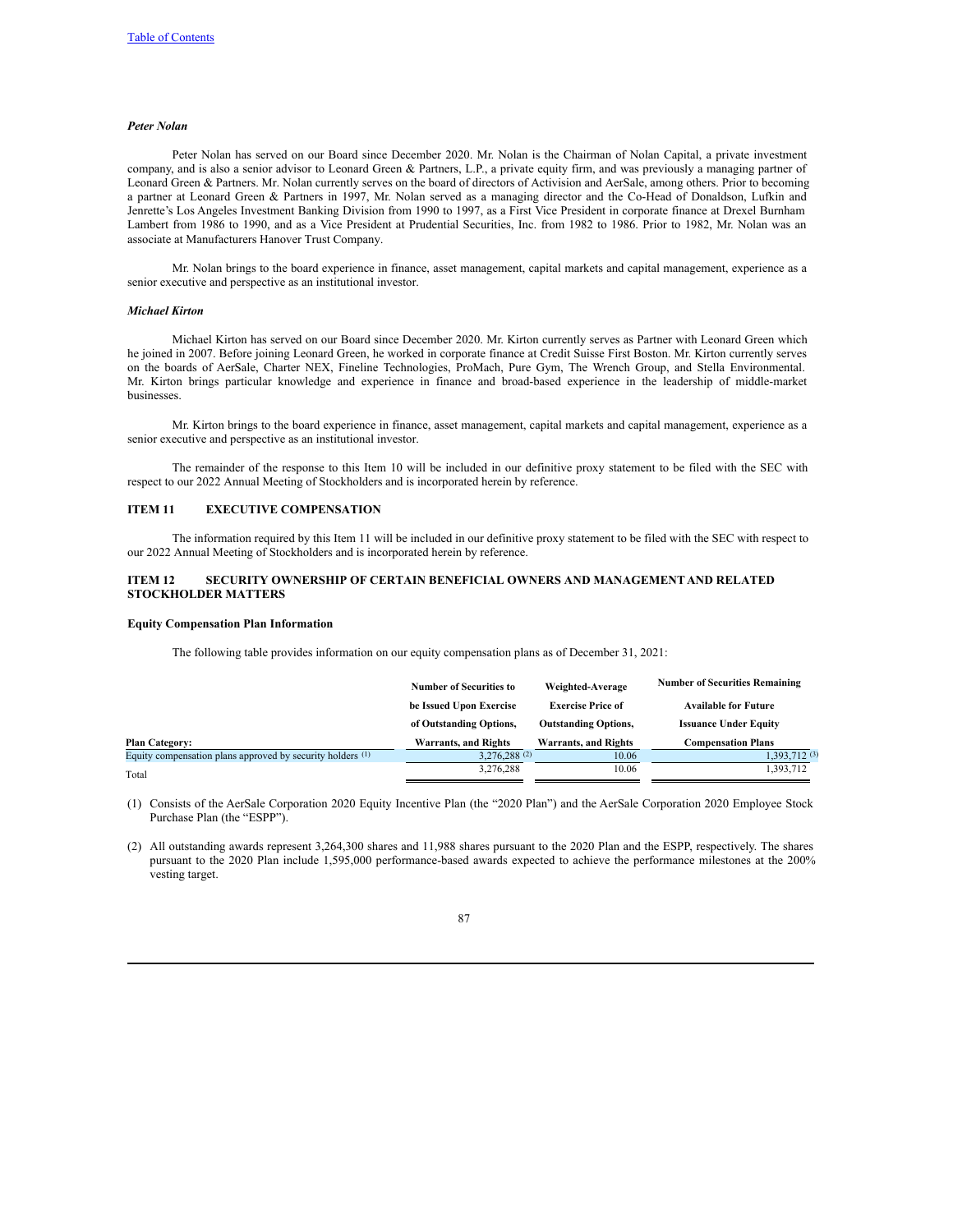### *Peter Nolan*

Peter Nolan has served on our Board since December 2020. Mr. Nolan is the Chairman of Nolan Capital, a private investment company, and is also a senior advisor to Leonard Green & Partners, L.P., a private equity firm, and was previously a managing partner of Leonard Green & Partners. Mr. Nolan currently serves on the board of directors of Activision and AerSale, among others. Prior to becoming a partner at Leonard Green & Partners in 1997, Mr. Nolan served as a managing director and the Co-Head of Donaldson, Lufkin and Jenrette's Los Angeles Investment Banking Division from 1990 to 1997, as a First Vice President in corporate finance at Drexel Burnham Lambert from 1986 to 1990, and as a Vice President at Prudential Securities, Inc. from 1982 to 1986. Prior to 1982, Mr. Nolan was an associate at Manufacturers Hanover Trust Company.

Mr. Nolan brings to the board experience in finance, asset management, capital markets and capital management, experience as a senior executive and perspective as an institutional investor.

#### *Michael Kirton*

Michael Kirton has served on our Board since December 2020. Mr. Kirton currently serves as Partner with Leonard Green which he joined in 2007. Before joining Leonard Green, he worked in corporate finance at Credit Suisse First Boston. Mr. Kirton currently serves on the boards of AerSale, Charter NEX, Fineline Technologies, ProMach, Pure Gym, The Wrench Group, and Stella Environmental. Mr. Kirton brings particular knowledge and experience in finance and broad-based experience in the leadership of middle-market businesses.

Mr. Kirton brings to the board experience in finance, asset management, capital markets and capital management, experience as a senior executive and perspective as an institutional investor.

The remainder of the response to this Item 10 will be included in our definitive proxy statement to be filed with the SEC with respect to our 2022 Annual Meeting of Stockholders and is incorporated herein by reference.

### **ITEM 11 EXECUTIVE COMPENSATION**

The information required by this Item 11 will be included in our definitive proxy statement to be filed with the SEC with respect to our 2022 Annual Meeting of Stockholders and is incorporated herein by reference.

## **ITEM 12 SECURITY OWNERSHIP OF CERTAIN BENEFICIAL OWNERS AND MANAGEMENT AND RELATED STOCKHOLDER MATTERS**

### **Equity Compensation Plan Information**

The following table provides information on our equity compensation plans as of December 31, 2021:

|                                                              | <b>Number of Securities to</b> | Weighted-Average            | <b>Number of Securities Remaining</b> |
|--------------------------------------------------------------|--------------------------------|-----------------------------|---------------------------------------|
|                                                              | be Issued Upon Exercise        | <b>Exercise Price of</b>    | <b>Available for Future</b>           |
|                                                              | of Outstanding Options,        | <b>Outstanding Options,</b> | <b>Issuance Under Equity</b>          |
| <b>Plan Category:</b>                                        | Warrants, and Rights           | <b>Warrants, and Rights</b> | <b>Compensation Plans</b>             |
| Equity compensation plans approved by security holders $(1)$ | 3.276.288(2)                   | 10.06                       | 1,393,712 (3)                         |
| Total                                                        | 3,276,288                      | 10.06                       | 1,393,712                             |

(1) Consists of the AerSale Corporation 2020 Equity Incentive Plan (the "2020 Plan") and the AerSale Corporation 2020 Employee Stock Purchase Plan (the "ESPP").

(2) All outstanding awards represent 3,264,300 shares and 11,988 shares pursuant to the 2020 Plan and the ESPP, respectively. The shares pursuant to the 2020 Plan include 1,595,000 performance-based awards expected to achieve the performance milestones at the 200% vesting target.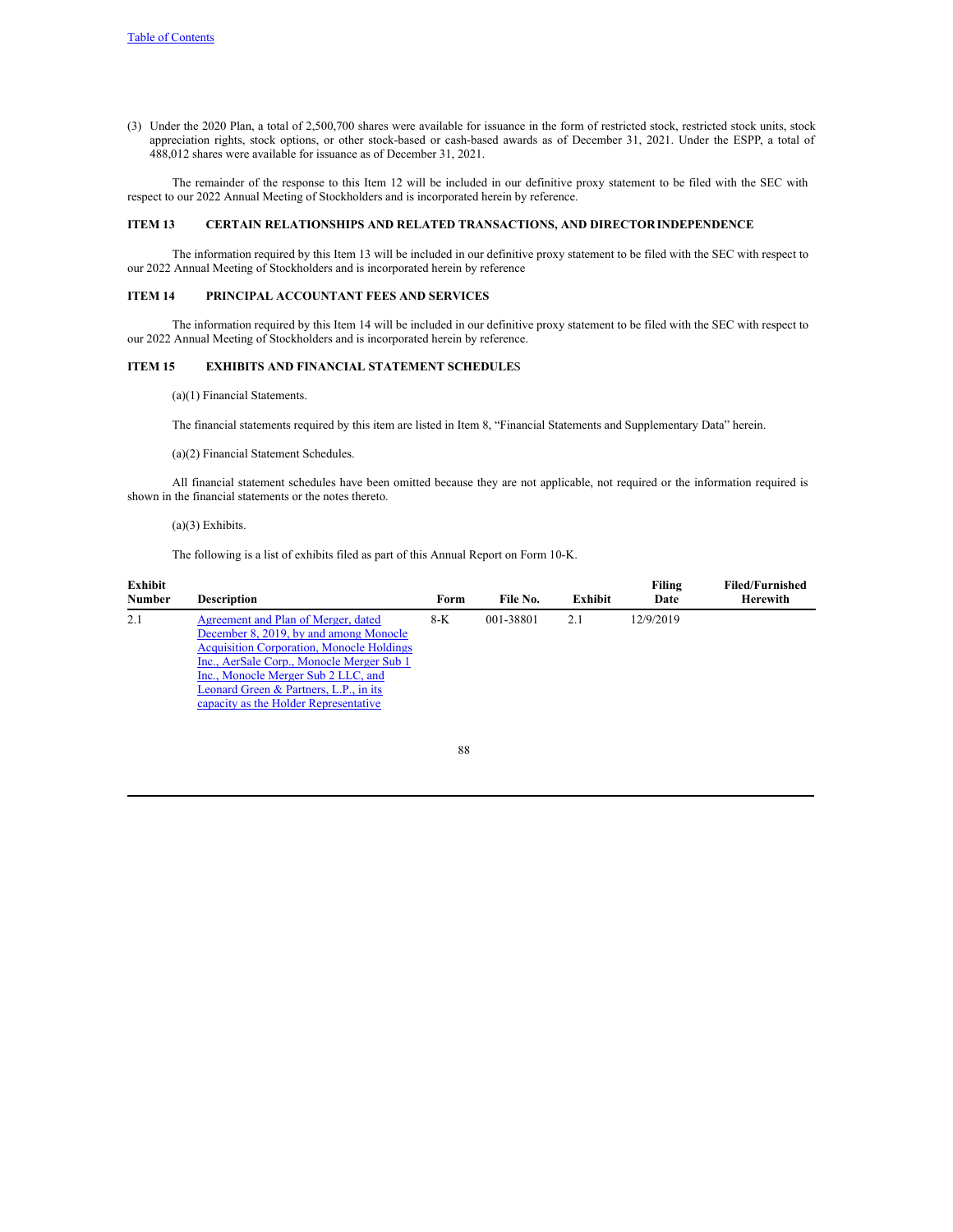(3) Under the 2020 Plan, a total of 2,500,700 shares were available for issuance in the form of restricted stock, restricted stock units, stock appreciation rights, stock options, or other stock-based or cash-based awards as of December 31, 2021. Under the ESPP, a total of 488,012 shares were available for issuance as of December 31, 2021.

The remainder of the response to this Item 12 will be included in our definitive proxy statement to be filed with the SEC with respect to our 2022 Annual Meeting of Stockholders and is incorporated herein by reference.

### **ITEM 13 CERTAIN RELATIONSHIPS AND RELATED TRANSACTIONS, AND DIRECTORINDEPENDENCE**

The information required by this Item 13 will be included in our definitive proxy statement to be filed with the SEC with respect to our 2022 Annual Meeting of Stockholders and is incorporated herein by reference

#### **ITEM 14 PRINCIPAL ACCOUNTANT FEES AND SERVICES**

The information required by this Item 14 will be included in our definitive proxy statement to be filed with the SEC with respect to our 2022 Annual Meeting of Stockholders and is incorporated herein by reference.

# **ITEM 15 EXHIBITS AND FINANCIAL STATEMENT SCHEDULE**S

(a)(1) Financial Statements.

The financial statements required by this item are listed in Item 8, "Financial Statements and Supplementary Data" herein.

(a)(2) Financial Statement Schedules.

All financial statement schedules have been omitted because they are not applicable, not required or the information required is shown in the financial statements or the notes thereto.

#### (a)(3) Exhibits.

The following is a list of exhibits filed as part of this Annual Report on Form 10-K.

| Exhibit<br><b>Number</b> | <b>Description</b>                                                                                                                                                                                                                                                                                       | Form | File No.  | Exhibit | Filing<br>Date | <b>Filed/Furnished</b><br><b>Herewith</b> |
|--------------------------|----------------------------------------------------------------------------------------------------------------------------------------------------------------------------------------------------------------------------------------------------------------------------------------------------------|------|-----------|---------|----------------|-------------------------------------------|
| 2.1                      | Agreement and Plan of Merger, dated<br>December 8, 2019, by and among Monocle<br><b>Acquisition Corporation, Monocle Holdings</b><br>Inc., AerSale Corp., Monocle Merger Sub 1<br>Inc., Monocle Merger Sub 2 LLC, and<br>Leonard Green & Partners, L.P., in its<br>capacity as the Holder Representative | 8-K  | 001-38801 | 2.1     | 12/9/2019      |                                           |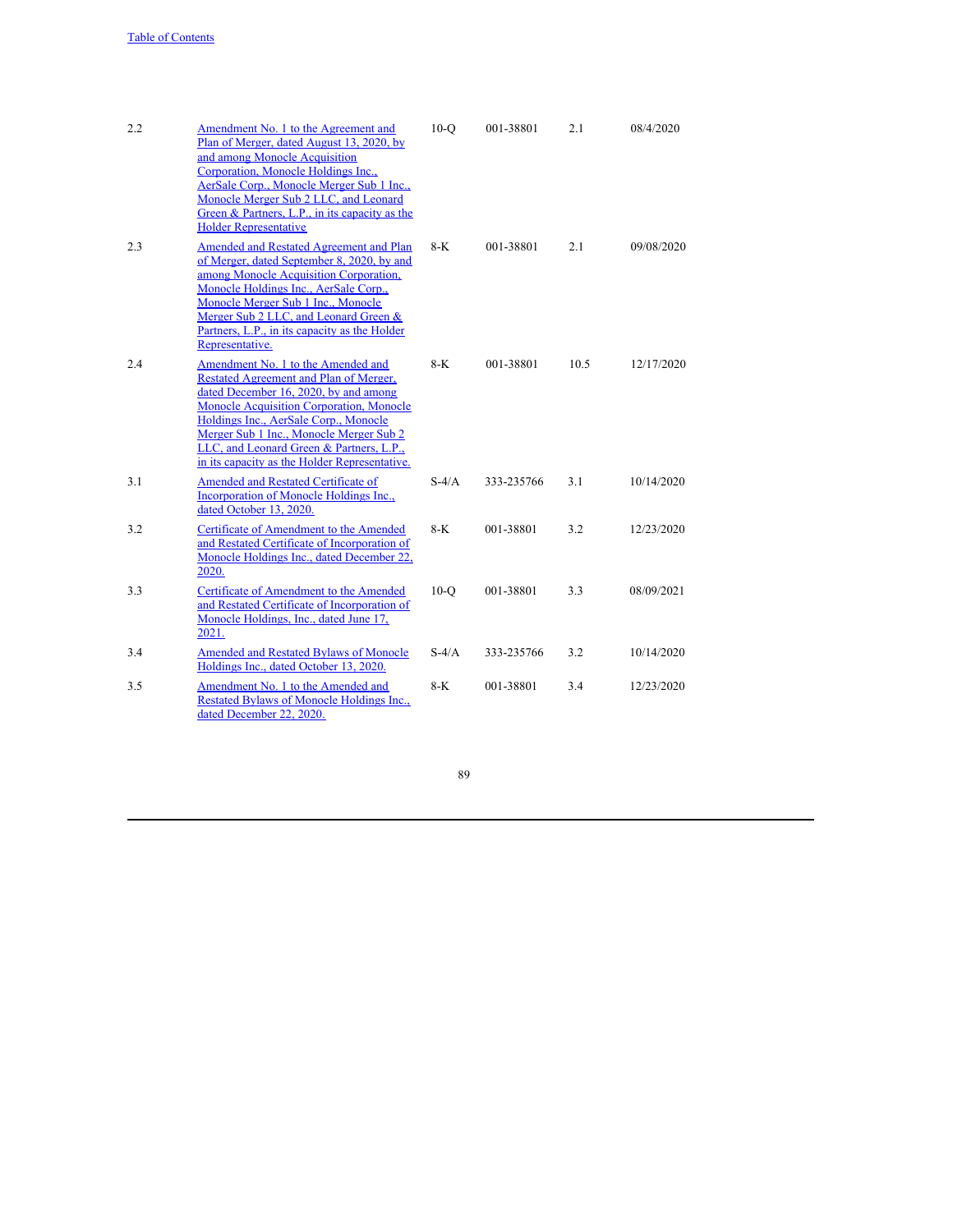| 2.2 | Amendment No. 1 to the Agreement and<br>Plan of Merger, dated August 13, 2020, by<br>and among Monocle Acquisition<br>Corporation, Monocle Holdings Inc.,<br>AerSale Corp., Monocle Merger Sub 1 Inc.,<br>Monocle Merger Sub 2 LLC, and Leonard<br>Green & Partners, L.P., in its capacity as the<br><b>Holder Representative</b>                         | $10-Q$  | 001-38801  | 2.1  | 08/4/2020  |
|-----|-----------------------------------------------------------------------------------------------------------------------------------------------------------------------------------------------------------------------------------------------------------------------------------------------------------------------------------------------------------|---------|------------|------|------------|
| 2.3 | <b>Amended and Restated Agreement and Plan</b><br>of Merger, dated September 8, 2020, by and<br>among Monocle Acquisition Corporation,<br>Monocle Holdings Inc., AerSale Corp.,<br>Monocle Merger Sub 1 Inc., Monocle<br>Merger Sub 2 LLC, and Leonard Green &<br>Partners, L.P., in its capacity as the Holder<br>Representative.                        | 8-K     | 001-38801  | 2.1  | 09/08/2020 |
| 2.4 | Amendment No. 1 to the Amended and<br>Restated Agreement and Plan of Merger,<br>dated December 16, 2020, by and among<br><b>Monocle Acquisition Corporation, Monocle</b><br>Holdings Inc., AerSale Corp., Monocle<br>Merger Sub 1 Inc., Monocle Merger Sub 2<br>LLC, and Leonard Green & Partners, L.P.,<br>in its capacity as the Holder Representative. | $8-K$   | 001-38801  | 10.5 | 12/17/2020 |
| 3.1 | <b>Amended and Restated Certificate of</b><br>Incorporation of Monocle Holdings Inc.,<br>dated October 13, 2020.                                                                                                                                                                                                                                          | $S-4/A$ | 333-235766 | 3.1  | 10/14/2020 |
| 3.2 | Certificate of Amendment to the Amended<br>and Restated Certificate of Incorporation of<br>Monocle Holdings Inc., dated December 22,<br>2020.                                                                                                                                                                                                             | 8-K     | 001-38801  | 3.2  | 12/23/2020 |
| 3.3 | Certificate of Amendment to the Amended<br>and Restated Certificate of Incorporation of<br>Monocle Holdings, Inc., dated June 17,<br>2021.                                                                                                                                                                                                                | $10-o$  | 001-38801  | 3.3  | 08/09/2021 |
| 3.4 | <b>Amended and Restated Bylaws of Monocle</b><br>Holdings Inc., dated October 13, 2020.                                                                                                                                                                                                                                                                   | $S-4/A$ | 333-235766 | 3.2  | 10/14/2020 |
| 3.5 | Amendment No. 1 to the Amended and<br>Restated Bylaws of Monocle Holdings Inc.,<br>dated December 22, 2020.                                                                                                                                                                                                                                               | 8-K     | 001-38801  | 3.4  | 12/23/2020 |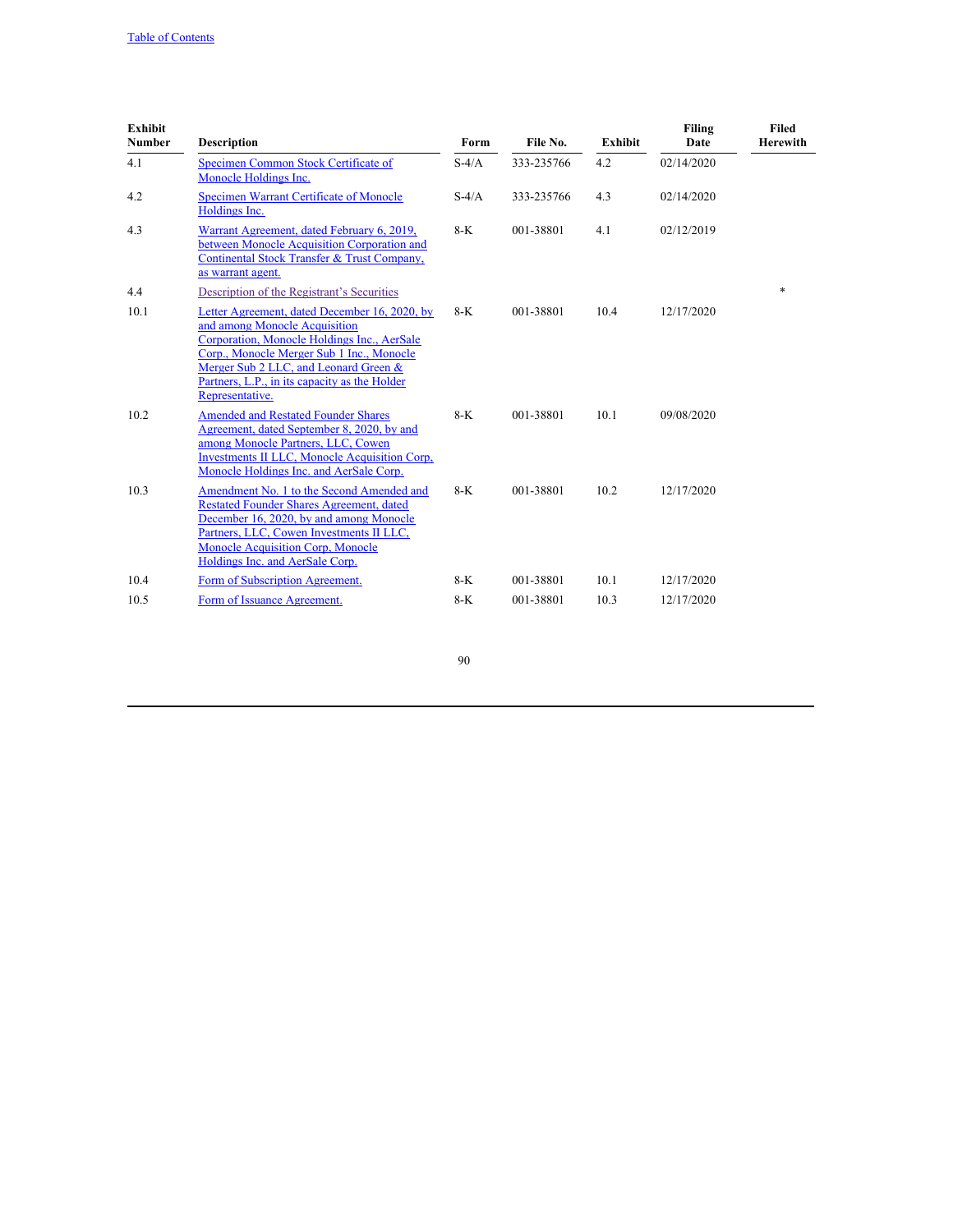| <b>Exhibit</b><br><b>Number</b> | <b>Description</b>                                                                                                                                                                                                                                                                      | Form    | File No.   | <b>Exhibit</b> | Filing<br>Date | Filed<br><b>Herewith</b> |
|---------------------------------|-----------------------------------------------------------------------------------------------------------------------------------------------------------------------------------------------------------------------------------------------------------------------------------------|---------|------------|----------------|----------------|--------------------------|
| 4.1                             | Specimen Common Stock Certificate of<br>Monocle Holdings Inc.                                                                                                                                                                                                                           | $S-4/A$ | 333-235766 | 4.2            | 02/14/2020     |                          |
| 4.2                             | Specimen Warrant Certificate of Monocle<br>Holdings Inc.                                                                                                                                                                                                                                | $S-4/A$ | 333-235766 | 4.3            | 02/14/2020     |                          |
| 4.3                             | Warrant Agreement, dated February 6, 2019,<br>between Monocle Acquisition Corporation and<br>Continental Stock Transfer & Trust Company,<br>as warrant agent.                                                                                                                           | $8-K$   | 001-38801  | 4.1            | 02/12/2019     |                          |
| 4.4                             | Description of the Registrant's Securities                                                                                                                                                                                                                                              |         |            |                |                | $\ast$                   |
| 10.1                            | Letter Agreement, dated December 16, 2020, by<br>and among Monocle Acquisition<br>Corporation, Monocle Holdings Inc., AerSale<br>Corp., Monocle Merger Sub 1 Inc., Monocle<br>Merger Sub 2 LLC, and Leonard Green &<br>Partners, L.P., in its capacity as the Holder<br>Representative. | $8-K$   | 001-38801  | 10.4           | 12/17/2020     |                          |
| 10.2                            | <b>Amended and Restated Founder Shares</b><br>Agreement, dated September 8, 2020, by and<br>among Monocle Partners, LLC, Cowen<br>Investments II LLC, Monocle Acquisition Corp.<br>Monocle Holdings Inc. and AerSale Corp.                                                              | $8-K$   | 001-38801  | 10.1           | 09/08/2020     |                          |
| 10.3                            | Amendment No. 1 to the Second Amended and<br><b>Restated Founder Shares Agreement, dated</b><br>December 16, 2020, by and among Monocle<br>Partners, LLC, Cowen Investments II LLC,<br><b>Monocle Acquisition Corp, Monocle</b><br>Holdings Inc. and AerSale Corp.                      | $8-K$   | 001-38801  | 10.2           | 12/17/2020     |                          |
| 10.4                            | Form of Subscription Agreement.                                                                                                                                                                                                                                                         | $8-K$   | 001-38801  | 10.1           | 12/17/2020     |                          |
| 10.5                            | Form of Issuance Agreement.                                                                                                                                                                                                                                                             | $8-K$   | 001-38801  | 10.3           | 12/17/2020     |                          |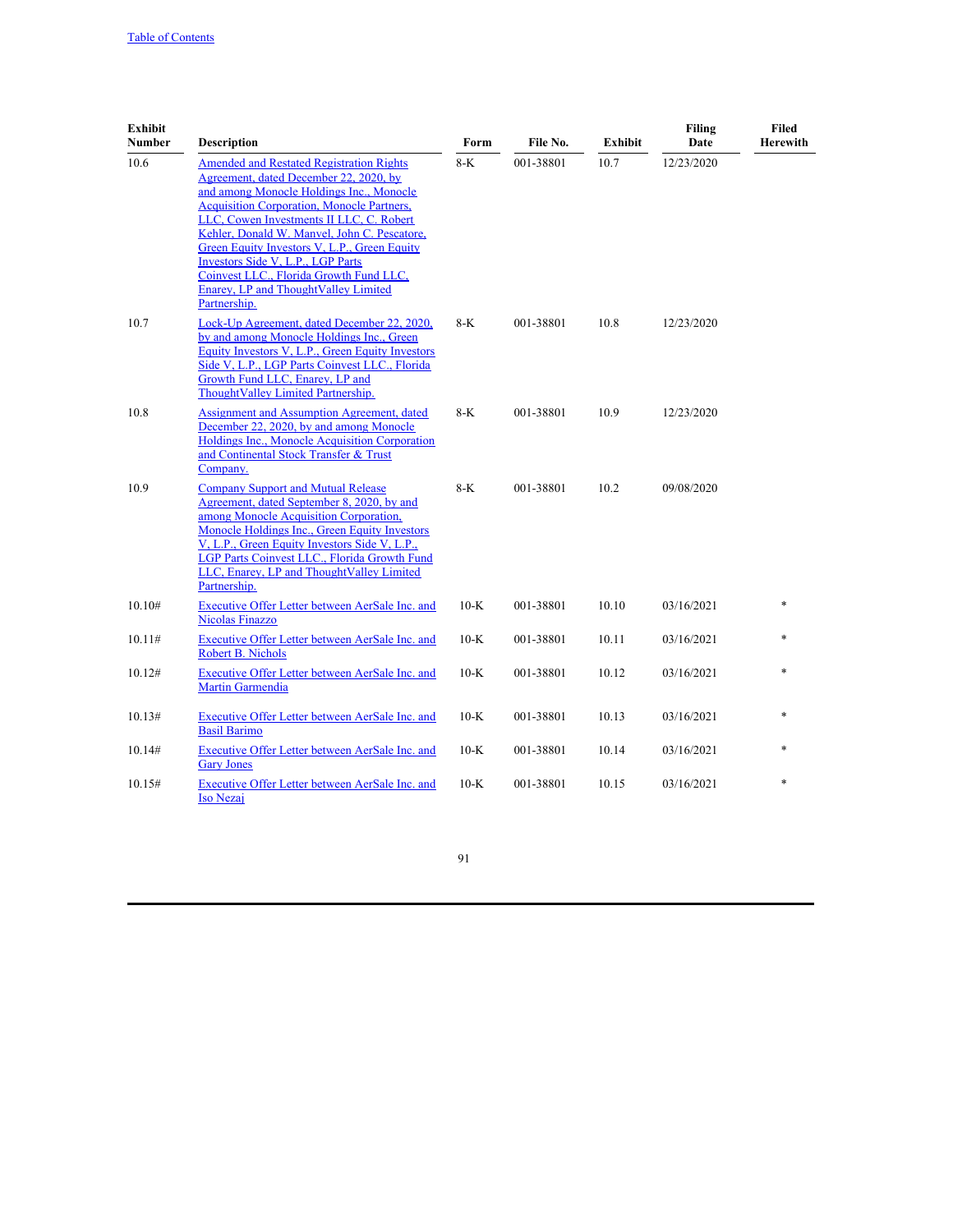| <b>Exhibit</b><br><b>Number</b> | <b>Description</b>                                                                                                                                                                                                                                                                                                                                                                                                                                                             | Form   | File No.  | <b>Exhibit</b> | <b>Filing</b><br>Date | Filed<br><b>Herewith</b> |
|---------------------------------|--------------------------------------------------------------------------------------------------------------------------------------------------------------------------------------------------------------------------------------------------------------------------------------------------------------------------------------------------------------------------------------------------------------------------------------------------------------------------------|--------|-----------|----------------|-----------------------|--------------------------|
| 10.6                            | <b>Amended and Restated Registration Rights</b><br>Agreement, dated December 22, 2020, by<br>and among Monocle Holdings Inc., Monocle<br><b>Acquisition Corporation, Monocle Partners,</b><br>LLC, Cowen Investments II LLC, C. Robert<br>Kehler, Donald W. Manvel, John C. Pescatore,<br>Green Equity Investors V, L.P., Green Equity<br>Investors Side V, L.P., LGP Parts<br>Coinvest LLC., Florida Growth Fund LLC,<br>Enarey, LP and ThoughtValley Limited<br>Partnership. | $8-K$  | 001-38801 | 10.7           | 12/23/2020            |                          |
| 10.7                            | Lock-Up Agreement, dated December 22, 2020,<br>by and among Monocle Holdings Inc., Green<br>Equity Investors V, L.P., Green Equity Investors<br>Side V, L.P., LGP Parts Coinvest LLC., Florida<br>Growth Fund LLC, Enarey, LP and<br>ThoughtValley Limited Partnership.                                                                                                                                                                                                        | 8-K    | 001-38801 | 10.8           | 12/23/2020            |                          |
| 10.8                            | Assignment and Assumption Agreement, dated<br>December 22, 2020, by and among Monocle<br>Holdings Inc., Monocle Acquisition Corporation<br>and Continental Stock Transfer & Trust<br>Company.                                                                                                                                                                                                                                                                                  | $8-K$  | 001-38801 | 10.9           | 12/23/2020            |                          |
| 10.9                            | <b>Company Support and Mutual Release</b><br>Agreement, dated September 8, 2020, by and<br>among Monocle Acquisition Corporation,<br>Monocle Holdings Inc., Green Equity Investors<br>V, L.P., Green Equity Investors Side V, L.P.,<br>LGP Parts Coinvest LLC., Florida Growth Fund<br>LLC, Enarey, LP and ThoughtValley Limited<br>Partnership.                                                                                                                               | $8-K$  | 001-38801 | 10.2           | 09/08/2020            |                          |
| 10.10#                          | Executive Offer Letter between AerSale Inc. and<br><b>Nicolas Finazzo</b>                                                                                                                                                                                                                                                                                                                                                                                                      | $10-K$ | 001-38801 | 10.10          | 03/16/2021            |                          |
| 10.11#                          | Executive Offer Letter between AerSale Inc. and<br>Robert B. Nichols                                                                                                                                                                                                                                                                                                                                                                                                           | $10-K$ | 001-38801 | 10.11          | 03/16/2021            |                          |
| 10.12#                          | Executive Offer Letter between AerSale Inc. and<br>Martin Garmendia                                                                                                                                                                                                                                                                                                                                                                                                            | $10-K$ | 001-38801 | 10.12          | 03/16/2021            |                          |
| 10.13#                          | Executive Offer Letter between AerSale Inc. and<br><b>Basil Barimo</b>                                                                                                                                                                                                                                                                                                                                                                                                         | $10-K$ | 001-38801 | 10.13          | 03/16/2021            |                          |
| 10.14#                          | Executive Offer Letter between AerSale Inc. and<br><b>Gary Jones</b>                                                                                                                                                                                                                                                                                                                                                                                                           | $10-K$ | 001-38801 | 10.14          | 03/16/2021            |                          |
| 10.15#                          | Executive Offer Letter between AerSale Inc. and<br><b>Iso Nezaj</b>                                                                                                                                                                                                                                                                                                                                                                                                            | $10-K$ | 001-38801 | 10.15          | 03/16/2021            | $\ast$                   |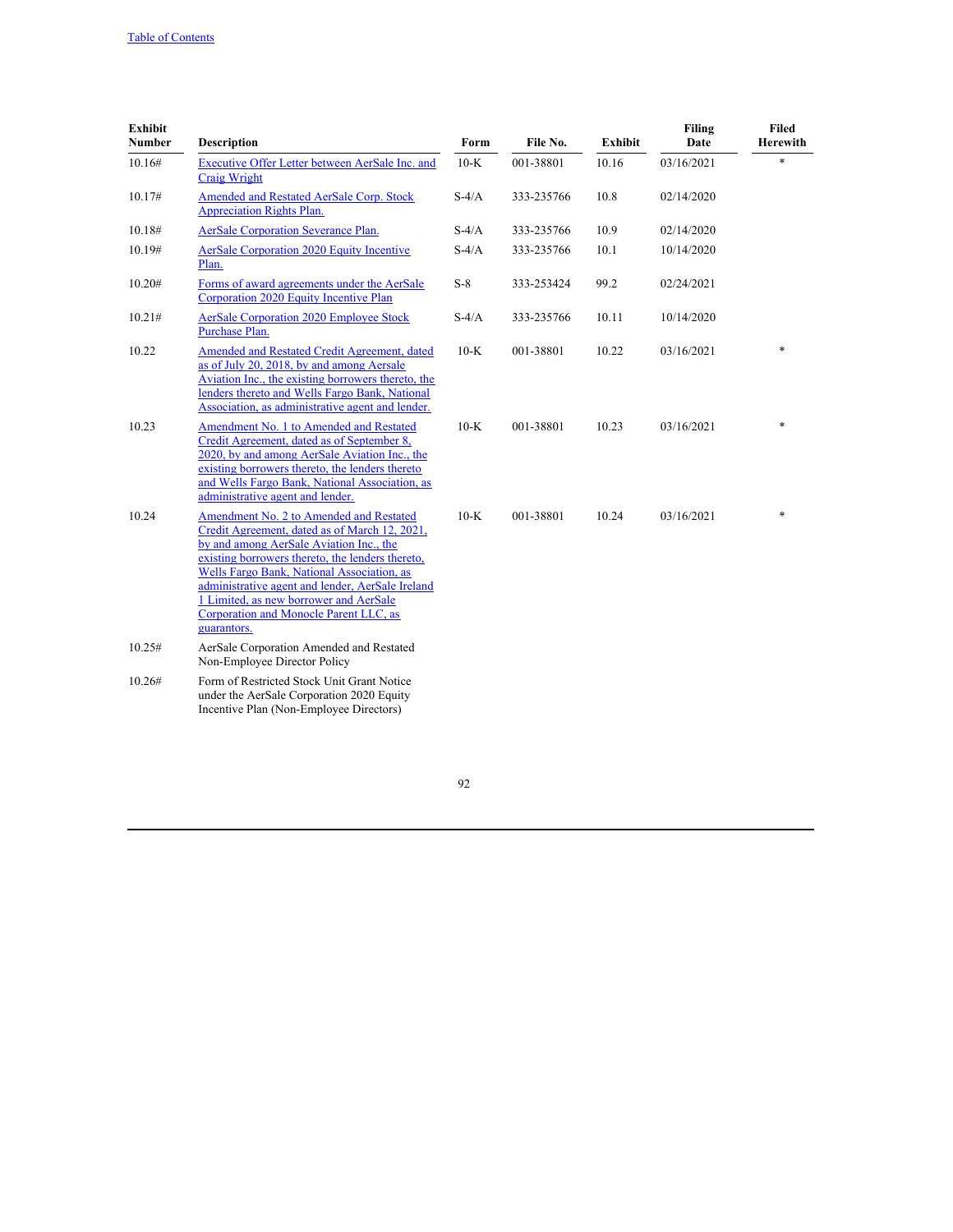| <b>Exhibit</b><br><b>Number</b> | <b>Description</b>                                                                                                                                                                                                                                                                                                                                                                           | Form    | File No.   | <b>Exhibit</b> | <b>Filing</b><br>Date | <b>Filed</b><br><b>Herewith</b> |
|---------------------------------|----------------------------------------------------------------------------------------------------------------------------------------------------------------------------------------------------------------------------------------------------------------------------------------------------------------------------------------------------------------------------------------------|---------|------------|----------------|-----------------------|---------------------------------|
| 10.16#                          | Executive Offer Letter between AerSale Inc. and<br><b>Craig Wright</b>                                                                                                                                                                                                                                                                                                                       | $10-K$  | 001-38801  | 10.16          | 03/16/2021            | $\ast$                          |
| 10.17#                          | Amended and Restated AerSale Corp. Stock<br><b>Appreciation Rights Plan.</b>                                                                                                                                                                                                                                                                                                                 | $S-4/A$ | 333-235766 | 10.8           | 02/14/2020            |                                 |
| 10.18#                          | AerSale Corporation Severance Plan.                                                                                                                                                                                                                                                                                                                                                          | $S-4/A$ | 333-235766 | 10.9           | 02/14/2020            |                                 |
| 10.19#                          | <b>AerSale Corporation 2020 Equity Incentive</b><br>Plan.                                                                                                                                                                                                                                                                                                                                    | $S-4/A$ | 333-235766 | 10.1           | 10/14/2020            |                                 |
| 10.20#                          | Forms of award agreements under the AerSale<br>Corporation 2020 Equity Incentive Plan                                                                                                                                                                                                                                                                                                        | $S-8$   | 333-253424 | 99.2           | 02/24/2021            |                                 |
| 10.21#                          | <b>AerSale Corporation 2020 Employee Stock</b><br>Purchase Plan.                                                                                                                                                                                                                                                                                                                             | $S-4/A$ | 333-235766 | 10.11          | 10/14/2020            |                                 |
| 10.22                           | Amended and Restated Credit Agreement, dated<br>as of July 20, 2018, by and among Aersale<br>Aviation Inc., the existing borrowers thereto, the<br>lenders thereto and Wells Fargo Bank, National<br>Association, as administrative agent and lender.                                                                                                                                        | $10-K$  | 001-38801  | 10.22          | 03/16/2021            | $\ast$                          |
| 10.23                           | Amendment No. 1 to Amended and Restated<br>Credit Agreement, dated as of September 8,<br>2020, by and among AerSale Aviation Inc., the<br>existing borrowers thereto, the lenders thereto<br>and Wells Fargo Bank, National Association, as<br>administrative agent and lender.                                                                                                              | $10-K$  | 001-38801  | 10.23          | 03/16/2021            | $\ast$                          |
| 10.24                           | Amendment No. 2 to Amended and Restated<br>Credit Agreement, dated as of March 12, 2021,<br>by and among AerSale Aviation Inc., the<br>existing borrowers thereto, the lenders thereto,<br>Wells Fargo Bank, National Association, as<br>administrative agent and lender, AerSale Ireland<br>1 Limited, as new borrower and AerSale<br>Corporation and Monocle Parent LLC, as<br>guarantors. | $10-K$  | 001-38801  | 10.24          | 03/16/2021            | *                               |
| 10.25#                          | AerSale Corporation Amended and Restated<br>Non-Employee Director Policy                                                                                                                                                                                                                                                                                                                     |         |            |                |                       |                                 |
| 10.26#                          | Form of Restricted Stock Unit Grant Notice<br>under the AerSale Corporation 2020 Equity<br>Incentive Plan (Non-Employee Directors)                                                                                                                                                                                                                                                           |         |            |                |                       |                                 |
|                                 |                                                                                                                                                                                                                                                                                                                                                                                              |         |            |                |                       |                                 |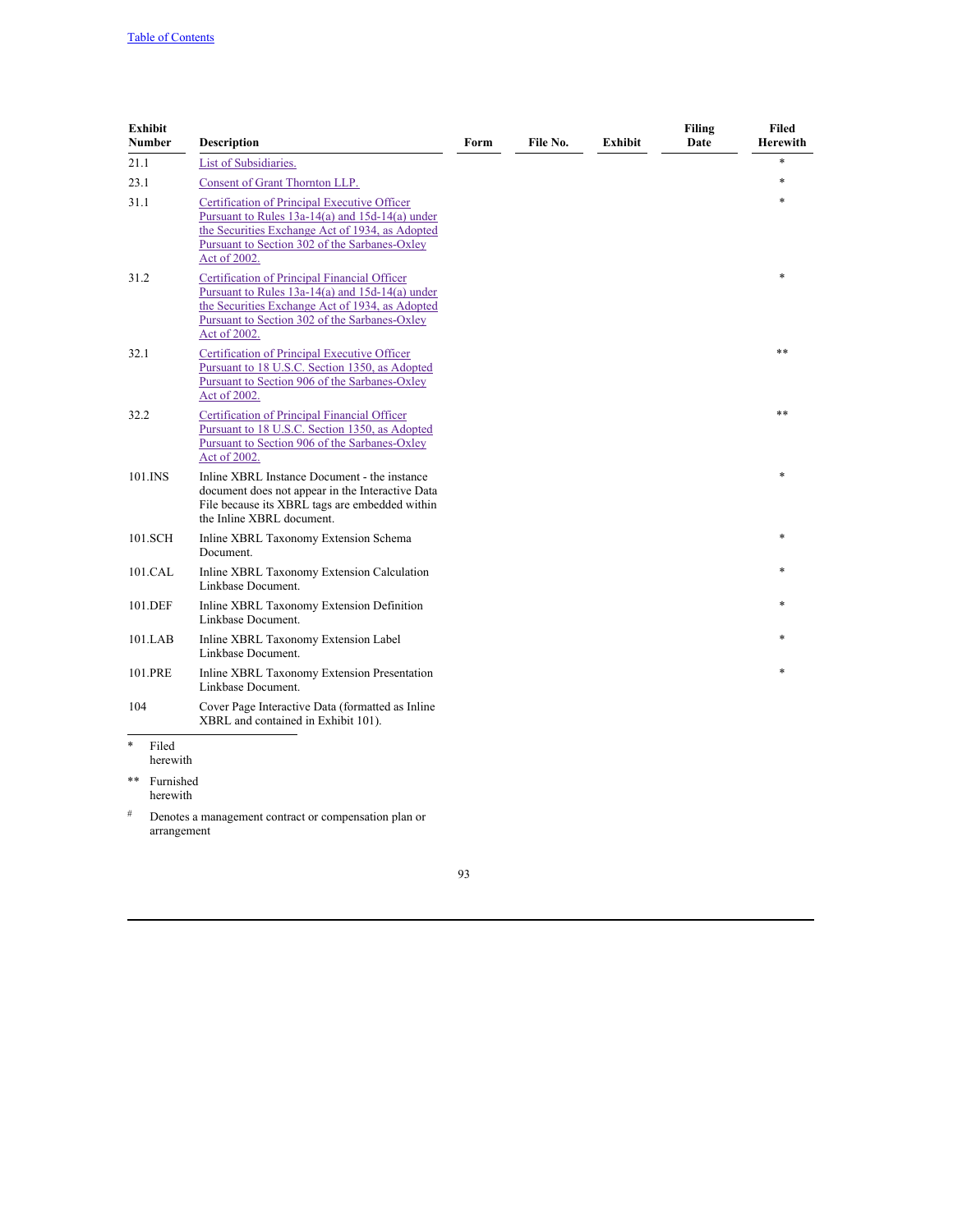| <b>Exhibit</b><br><b>Number</b> | <b>Description</b>                                                                                                                                                                                                  | Form | File No. | Exhibit | Filing<br>Date | Filed<br><b>Herewith</b> |
|---------------------------------|---------------------------------------------------------------------------------------------------------------------------------------------------------------------------------------------------------------------|------|----------|---------|----------------|--------------------------|
| 21.1                            | List of Subsidiaries.                                                                                                                                                                                               |      |          |         |                | $\ast$                   |
| 23.1                            | Consent of Grant Thornton LLP.                                                                                                                                                                                      |      |          |         |                | $\ast$                   |
| 31.1                            | Certification of Principal Executive Officer<br>Pursuant to Rules 13a-14(a) and 15d-14(a) under<br>the Securities Exchange Act of 1934, as Adopted<br>Pursuant to Section 302 of the Sarbanes-Oxley<br>Act of 2002. |      |          |         |                | $\ast$                   |
| 31.2                            | Certification of Principal Financial Officer<br>Pursuant to Rules 13a-14(a) and 15d-14(a) under<br>the Securities Exchange Act of 1934, as Adopted<br>Pursuant to Section 302 of the Sarbanes-Oxley<br>Act of 2002. |      |          |         |                | $\ast$                   |
| 32.1                            | Certification of Principal Executive Officer<br>Pursuant to 18 U.S.C. Section 1350, as Adopted<br>Pursuant to Section 906 of the Sarbanes-Oxley<br>Act of 2002.                                                     |      |          |         |                | $**$                     |
| 32.2                            | Certification of Principal Financial Officer<br>Pursuant to 18 U.S.C. Section 1350, as Adopted<br>Pursuant to Section 906 of the Sarbanes-Oxley<br>Act of 2002.                                                     |      |          |         |                | **                       |
| 101.INS                         | Inline XBRL Instance Document - the instance<br>document does not appear in the Interactive Data<br>File because its XBRL tags are embedded within<br>the Inline XBRL document.                                     |      |          |         |                | $\ast$                   |
| 101.SCH                         | Inline XBRL Taxonomy Extension Schema<br>Document.                                                                                                                                                                  |      |          |         |                |                          |
| 101.CAL                         | Inline XBRL Taxonomy Extension Calculation<br>Linkbase Document.                                                                                                                                                    |      |          |         |                |                          |
| 101.DEF                         | Inline XBRL Taxonomy Extension Definition<br>Linkbase Document.                                                                                                                                                     |      |          |         |                |                          |
| 101.LAB                         | Inline XBRL Taxonomy Extension Label<br>Linkbase Document.                                                                                                                                                          |      |          |         |                |                          |
| 101.PRE                         | Inline XBRL Taxonomy Extension Presentation<br>Linkbase Document.                                                                                                                                                   |      |          |         |                |                          |
| 104                             | Cover Page Interactive Data (formatted as Inline<br>XBRL and contained in Exhibit 101).                                                                                                                             |      |          |         |                |                          |
| $\ast$<br>Filed<br>herewith     |                                                                                                                                                                                                                     |      |          |         |                |                          |
| **<br>Furnished<br>herewith     |                                                                                                                                                                                                                     |      |          |         |                |                          |
| $\#$                            | Denotes a management contract or compensation plan or                                                                                                                                                               |      |          |         |                |                          |

arrangement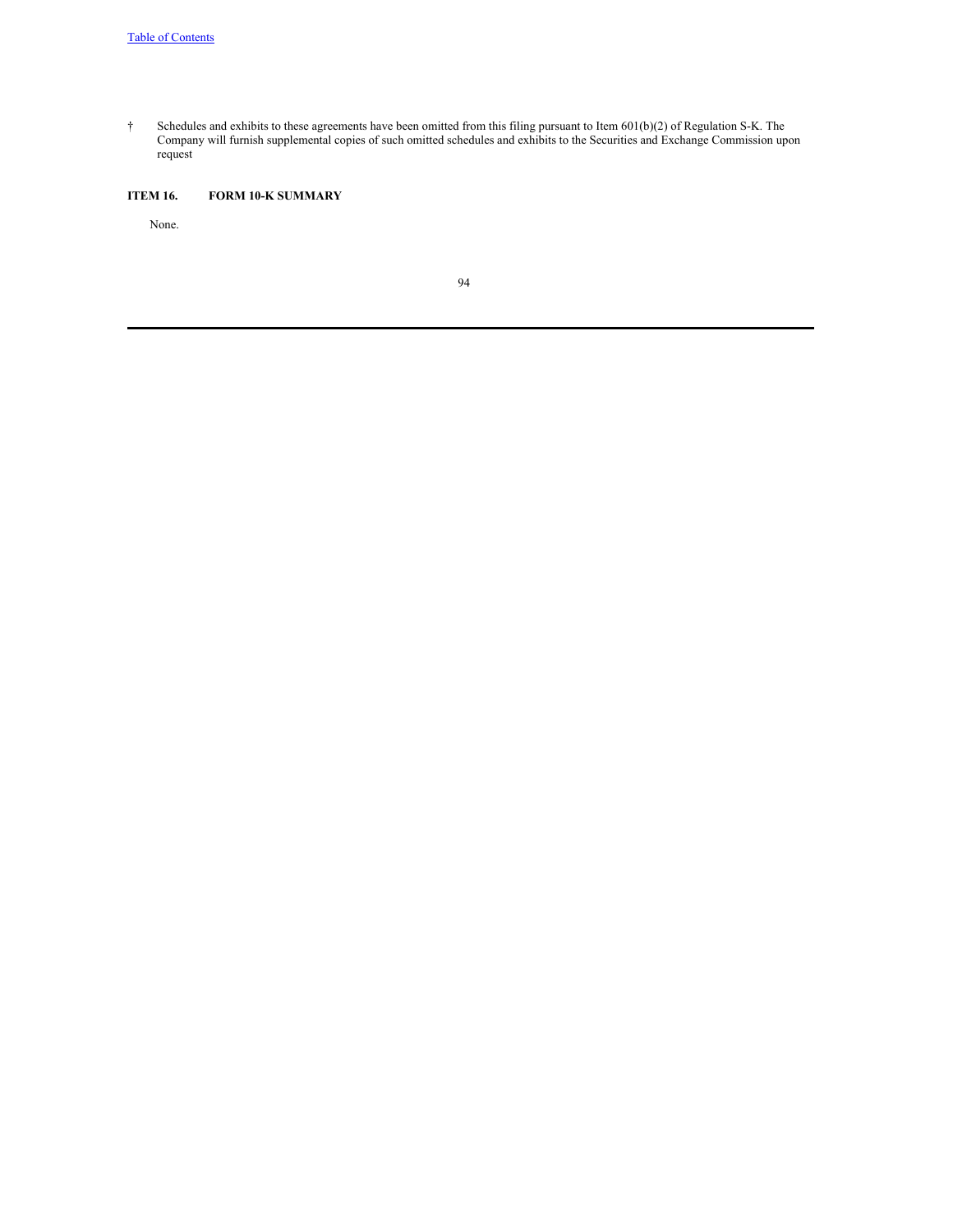† Schedules and exhibits to these agreements have been omitted from this filing pursuant to Item 601(b)(2) of Regulation S-K. The Company will furnish supplemental copies of such omitted schedules and exhibits to the Securities and Exchange Commission upon request

# **ITEM 16. FORM 10-K SUMMARY**

None.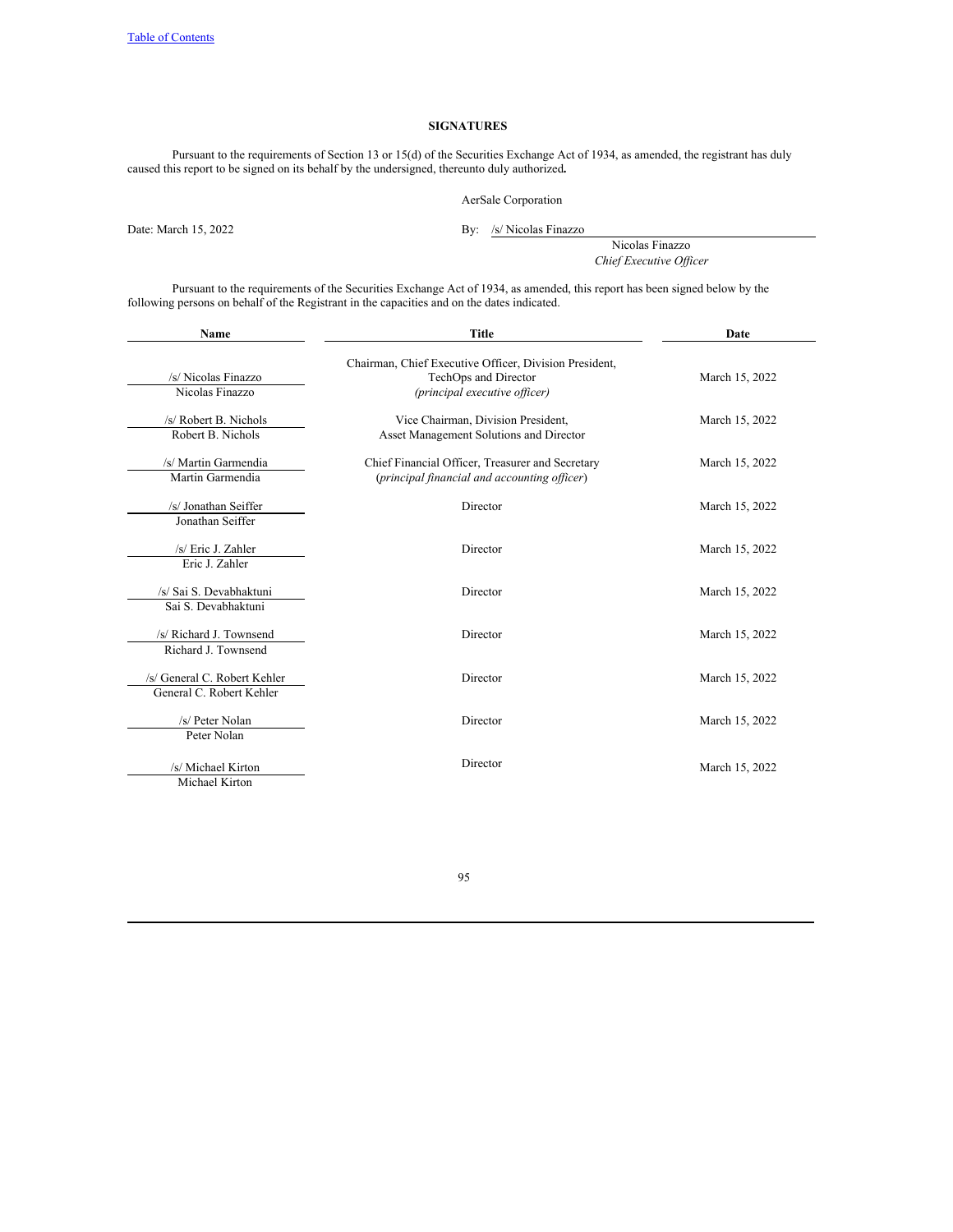## **SIGNATURES**

Pursuant to the requirements of Section 13 or 15(d) of the Securities Exchange Act of 1934, as amended, the registrant has duly caused this report to be signed on its behalf by the undersigned, thereunto duly authorized**.**

AerSale Corporation

Date: March 15, 2022 By: /s/ Nicolas Finazzo

Nicolas Finazzo

*Chief Executive Of icer*

Pursuant to the requirements of the Securities Exchange Act of 1934, as amended, this report has been signed below by the following persons on behalf of the Registrant in the capacities and on the dates indicated.

| <b>Title</b><br>Name                                     |                                                                                                                 | Date           |
|----------------------------------------------------------|-----------------------------------------------------------------------------------------------------------------|----------------|
| /s/ Nicolas Finazzo<br>Nicolas Finazzo                   | Chairman, Chief Executive Officer, Division President,<br>TechOps and Director<br>(principal executive officer) | March 15, 2022 |
| /s/ Robert B. Nichols<br>Robert B. Nichols               | Vice Chairman, Division President,<br>Asset Management Solutions and Director                                   | March 15, 2022 |
| /s/ Martin Garmendia<br>Martin Garmendia                 | Chief Financial Officer, Treasurer and Secretary<br>(principal financial and accounting officer)                | March 15, 2022 |
| /s/ Jonathan Seiffer<br>Jonathan Seiffer                 | Director                                                                                                        | March 15, 2022 |
| /s/ Eric J. Zahler<br>Eric J. Zahler                     | Director                                                                                                        | March 15, 2022 |
| /s/ Sai S. Devabhaktuni<br>Sai S. Devabhaktuni           | Director                                                                                                        | March 15, 2022 |
| /s/ Richard J. Townsend<br>Richard J. Townsend           | Director                                                                                                        | March 15, 2022 |
| /s/ General C. Robert Kehler<br>General C. Robert Kehler | Director                                                                                                        | March 15, 2022 |
| /s/ Peter Nolan<br>Peter Nolan                           | Director                                                                                                        | March 15, 2022 |
| /s/ Michael Kirton<br>Michael Kirton                     | Director                                                                                                        | March 15, 2022 |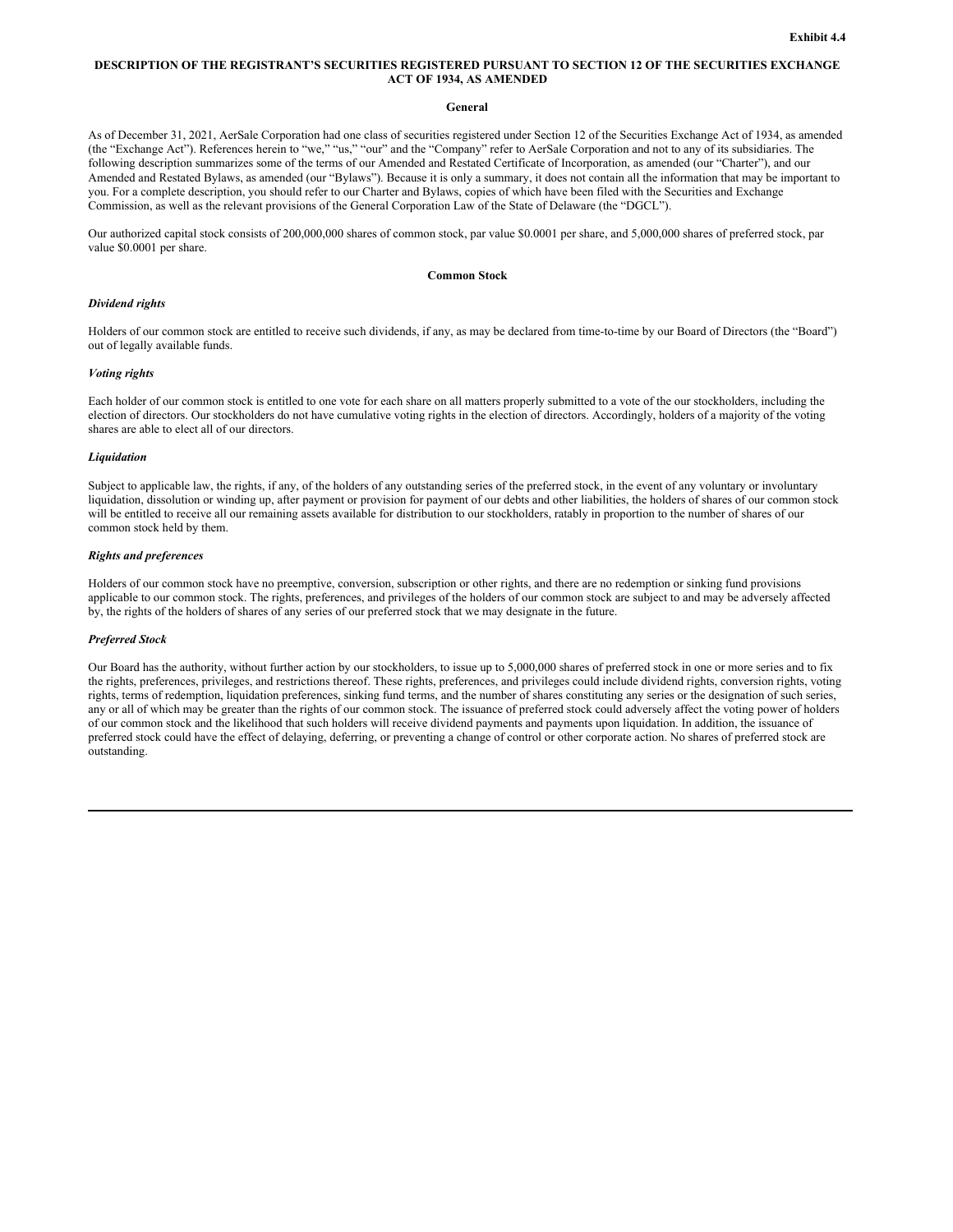### **DESCRIPTION OF THE REGISTRANT'S SECURITIES REGISTERED PURSUANT TO SECTION 12 OF THE SECURITIES EXCHANGE ACT OF 1934, AS AMENDED**

#### **General**

As of December 31, 2021, AerSale Corporation had one class of securities registered under Section 12 of the Securities Exchange Act of 1934, as amended (the "Exchange Act"). References herein to "we," "us," "our" and the "Company" refer to AerSale Corporation and not to any of its subsidiaries. The following description summarizes some of the terms of our Amended and Restated Certificate of Incorporation, as amended (our "Charter"), and our Amended and Restated Bylaws, as amended (our "Bylaws"). Because it is only a summary, it does not contain all the information that may be important to you. For a complete description, you should refer to our Charter and Bylaws, copies of which have been filed with the Securities and Exchange Commission, as well as the relevant provisions of the General Corporation Law of the State of Delaware (the "DGCL").

Our authorized capital stock consists of 200,000,000 shares of common stock, par value \$0.0001 per share, and 5,000,000 shares of preferred stock, par value \$0.0001 per share.

#### **Common Stock**

#### *Dividend rights*

Holders of our common stock are entitled to receive such dividends, if any, as may be declared from time-to-time by our Board of Directors (the "Board") out of legally available funds.

#### *Voting rights*

Each holder of our common stock is entitled to one vote for each share on all matters properly submitted to a vote of the our stockholders, including the election of directors. Our stockholders do not have cumulative voting rights in the election of directors. Accordingly, holders of a majority of the voting shares are able to elect all of our directors.

#### *Liquidation*

Subject to applicable law, the rights, if any, of the holders of any outstanding series of the preferred stock, in the event of any voluntary or involuntary liquidation, dissolution or winding up, after payment or provision for payment of our debts and other liabilities, the holders of shares of our common stock will be entitled to receive all our remaining assets available for distribution to our stockholders, ratably in proportion to the number of shares of our common stock held by them.

#### *Rights and preferences*

Holders of our common stock have no preemptive, conversion, subscription or other rights, and there are no redemption or sinking fund provisions applicable to our common stock. The rights, preferences, and privileges of the holders of our common stock are subject to and may be adversely affected by, the rights of the holders of shares of any series of our preferred stock that we may designate in the future.

### *Preferred Stock*

Our Board has the authority, without further action by our stockholders, to issue up to 5,000,000 shares of preferred stock in one or more series and to fix the rights, preferences, privileges, and restrictions thereof. These rights, preferences, and privileges could include dividend rights, conversion rights, voting rights, terms of redemption, liquidation preferences, sinking fund terms, and the number of shares constituting any series or the designation of such series, any or all of which may be greater than the rights of our common stock. The issuance of preferred stock could adversely affect the voting power of holders of our common stock and the likelihood that such holders will receive dividend payments and payments upon liquidation. In addition, the issuance of preferred stock could have the effect of delaying, deferring, or preventing a change of control or other corporate action. No shares of preferred stock are outstanding.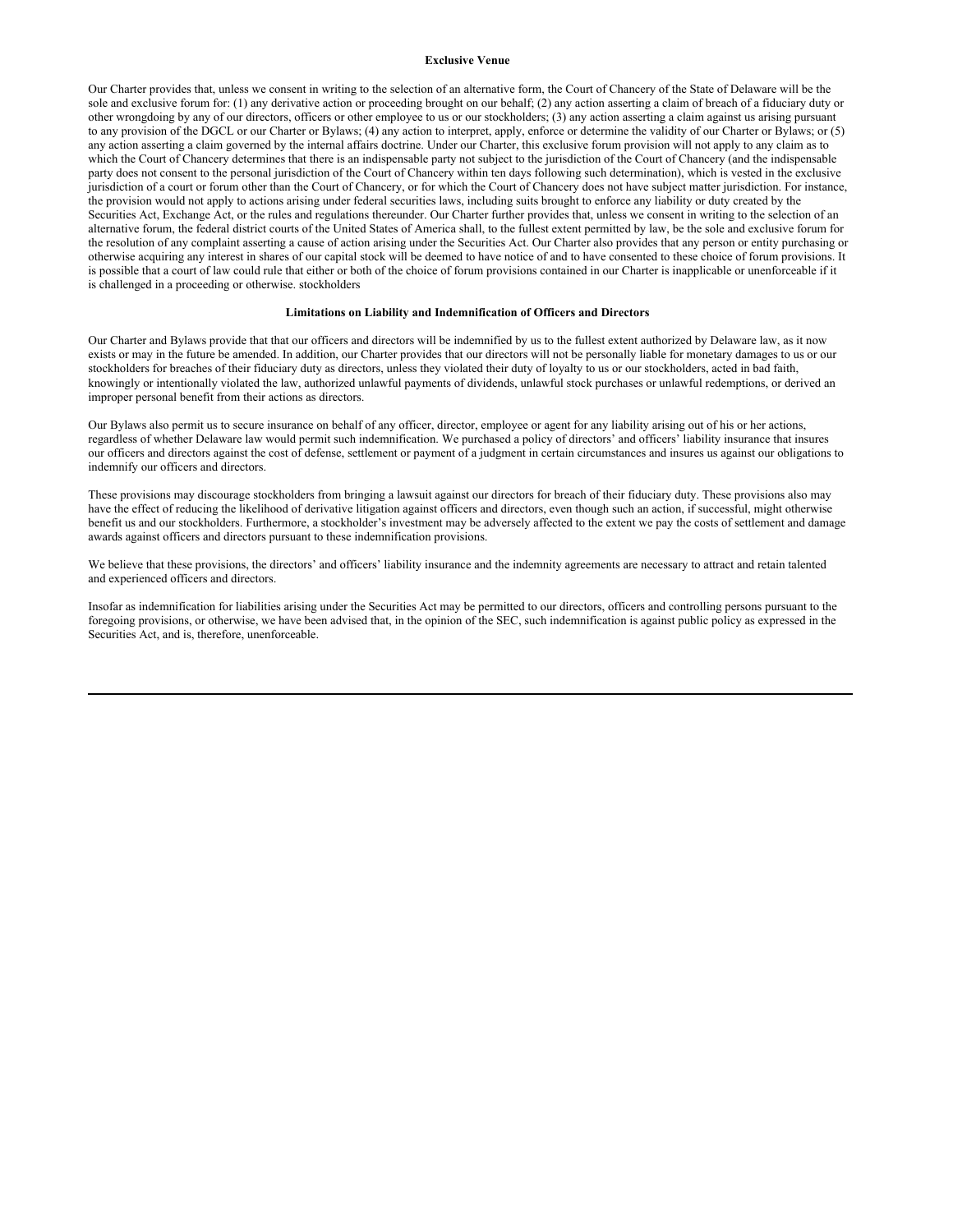### **Exclusive Venue**

<span id="page-96-0"></span>Our Charter provides that, unless we consent in writing to the selection of an alternative form, the Court of Chancery of the State of Delaware will be the sole and exclusive forum for: (1) any derivative action or proceeding brought on our behalf; (2) any action asserting a claim of breach of a fiduciary duty or other wrongdoing by any of our directors, officers or other employee to us or our stockholders; (3) any action asserting a claim against us arising pursuant to any provision of the DGCL or our Charter or Bylaws; (4) any action to interpret, apply, enforce or determine the validity of our Charter or Bylaws; or (5) any action asserting a claim governed by the internal affairs doctrine. Under our Charter, this exclusive forum provision will not apply to any claim as to which the Court of Chancery determines that there is an indispensable party not subject to the jurisdiction of the Court of Chancery (and the indispensable party does not consent to the personal jurisdiction of the Court of Chancery within ten days following such determination), which is vested in the exclusive jurisdiction of a court or forum other than the Court of Chancery, or for which the Court of Chancery does not have subject matter jurisdiction. For instance, the provision would not apply to actions arising under federal securities laws, including suits brought to enforce any liability or duty created by the Securities Act, Exchange Act, or the rules and regulations thereunder. Our Charter further provides that, unless we consent in writing to the selection of an alternative forum, the federal district courts of the United States of America shall, to the fullest extent permitted by law, be the sole and exclusive forum for the resolution of any complaint asserting a cause of action arising under the Securities Act. Our Charter also provides that any person or entity purchasing or otherwise acquiring any interest in shares of our capital stock will be deemed to have notice of and to have consented to these choice of forum provisions. It is possible that a court of law could rule that either or both of the choice of forum provisions contained in our Charter is inapplicable or unenforceable if it is challenged in a proceeding or otherwise. stockholders

### **Limitations on Liability and Indemnification of Officers and Directors**

Our Charter and Bylaws provide that that our officers and directors will be indemnified by us to the fullest extent authorized by Delaware law, as it now exists or may in the future be amended. In addition, our Charter provides that our directors will not be personally liable for monetary damages to us or our stockholders for breaches of their fiduciary duty as directors, unless they violated their duty of loyalty to us or our stockholders, acted in bad faith, knowingly or intentionally violated the law, authorized unlawful payments of dividends, unlawful stock purchases or unlawful redemptions, or derived an improper personal benefit from their actions as directors.

Our Bylaws also permit us to secure insurance on behalf of any officer, director, employee or agent for any liability arising out of his or her actions, regardless of whether Delaware law would permit such indemnification. We purchased a policy of directors' and officers' liability insurance that insures our officers and directors against the cost of defense, settlement or payment of a judgment in certain circumstances and insures us against our obligations to indemnify our officers and directors.

These provisions may discourage stockholders from bringing a lawsuit against our directors for breach of their fiduciary duty. These provisions also may have the effect of reducing the likelihood of derivative litigation against officers and directors, even though such an action, if successful, might otherwise benefit us and our stockholders. Furthermore, a stockholder's investment may be adversely affected to the extent we pay the costs of settlement and damage awards against officers and directors pursuant to these indemnification provisions.

We believe that these provisions, the directors' and officers' liability insurance and the indemnity agreements are necessary to attract and retain talented and experienced officers and directors.

Insofar as indemnification for liabilities arising under the Securities Act may be permitted to our directors, officers and controlling persons pursuant to the foregoing provisions, or otherwise, we have been advised that, in the opinion of the SEC, such indemnification is against public policy as expressed in the Securities Act, and is, therefore, unenforceable.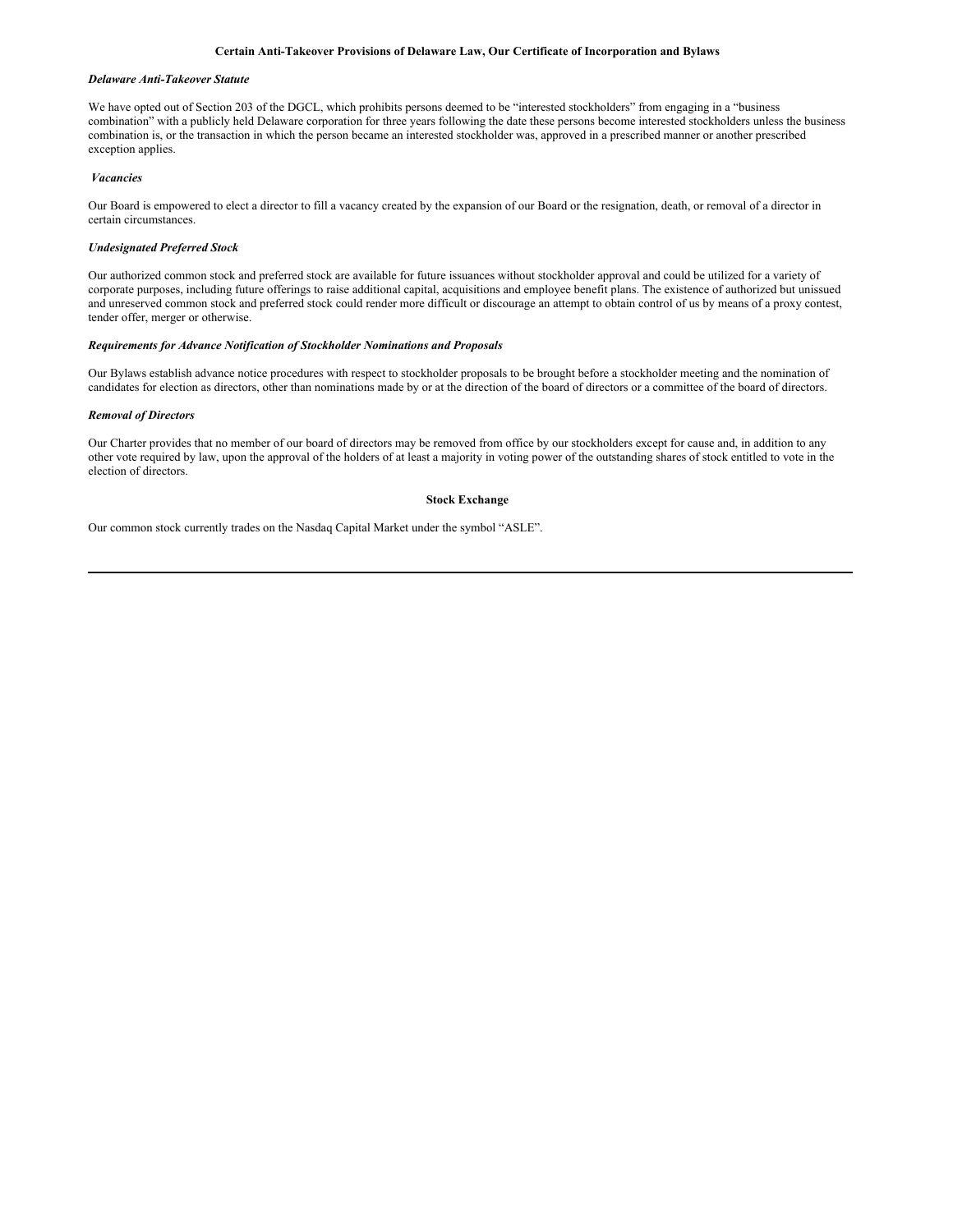### **Certain Anti-Takeover Provisions of Delaware Law, Our Certificate of Incorporation and Bylaws**

### *Delaware Anti-Takeover Statute*

We have opted out of Section 203 of the DGCL, which prohibits persons deemed to be "interested stockholders" from engaging in a "business combination" with a publicly held Delaware corporation for three years following the date these persons become interested stockholders unless the business combination is, or the transaction in which the person became an interested stockholder was, approved in a prescribed manner or another prescribed exception applies.

### *Vacancies*

Our Board is empowered to elect a director to fill a vacancy created by the expansion of our Board or the resignation, death, or removal of a director in certain circumstances.

### *Undesignated Preferred Stock*

Our authorized common stock and preferred stock are available for future issuances without stockholder approval and could be utilized for a variety of corporate purposes, including future offerings to raise additional capital, acquisitions and employee benefit plans. The existence of authorized but unissued and unreserved common stock and preferred stock could render more difficult or discourage an attempt to obtain control of us by means of a proxy contest, tender offer, merger or otherwise.

### *Requirements for Advance Notification of Stockholder Nominations and Proposals*

Our Bylaws establish advance notice procedures with respect to stockholder proposals to be brought before a stockholder meeting and the nomination of candidates for election as directors, other than nominations made by or at the direction of the board of directors or a committee of the board of directors.

#### *Removal of Directors*

Our Charter provides that no member of our board of directors may be removed from office by our stockholders except for cause and, in addition to any other vote required by law, upon the approval of the holders of at least a majority in voting power of the outstanding shares of stock entitled to vote in the election of directors.

#### **Stock Exchange**

Our common stock currently trades on the Nasdaq Capital Market under the symbol "ASLE".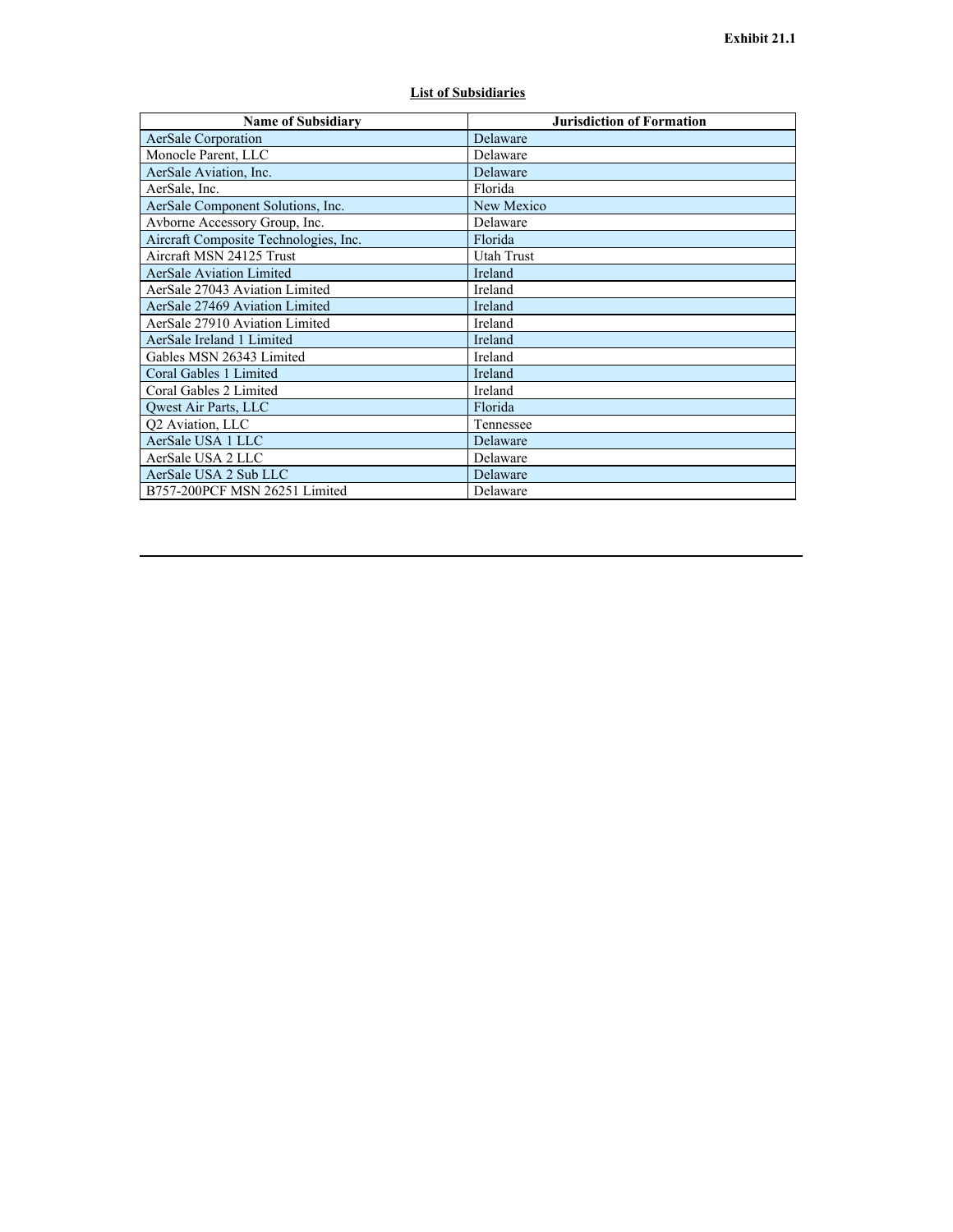<span id="page-98-0"></span>

| <b>Name of Subsidiary</b>             | <b>Jurisdiction of Formation</b> |
|---------------------------------------|----------------------------------|
| AerSale Corporation                   | Delaware                         |
| Monocle Parent, LLC                   | Delaware                         |
| AerSale Aviation, Inc.                | Delaware                         |
| AerSale, Inc.                         | Florida                          |
| AerSale Component Solutions, Inc.     | New Mexico                       |
| Avborne Accessory Group, Inc.         | Delaware                         |
| Aircraft Composite Technologies, Inc. | Florida                          |
| Aircraft MSN 24125 Trust              | Utah Trust                       |
| <b>AerSale Aviation Limited</b>       | Ireland                          |
| AerSale 27043 Aviation Limited        | Ireland                          |
| AerSale 27469 Aviation Limited        | Ireland                          |
| AerSale 27910 Aviation Limited        | Ireland                          |
| AerSale Ireland 1 Limited             | Ireland                          |
| Gables MSN 26343 Limited              | Ireland                          |
| Coral Gables 1 Limited                | Ireland                          |
| Coral Gables 2 Limited                | Ireland                          |
| Qwest Air Parts, LLC                  | Florida                          |
| Q2 Aviation, LLC                      | Tennessee                        |
| AerSale USA 1 LLC                     | Delaware                         |
| AerSale USA 2 LLC                     | Delaware                         |
| AerSale USA 2 Sub LLC                 | Delaware                         |
| B757-200PCF MSN 26251 Limited         | Delaware                         |

# **List of Subsidiaries**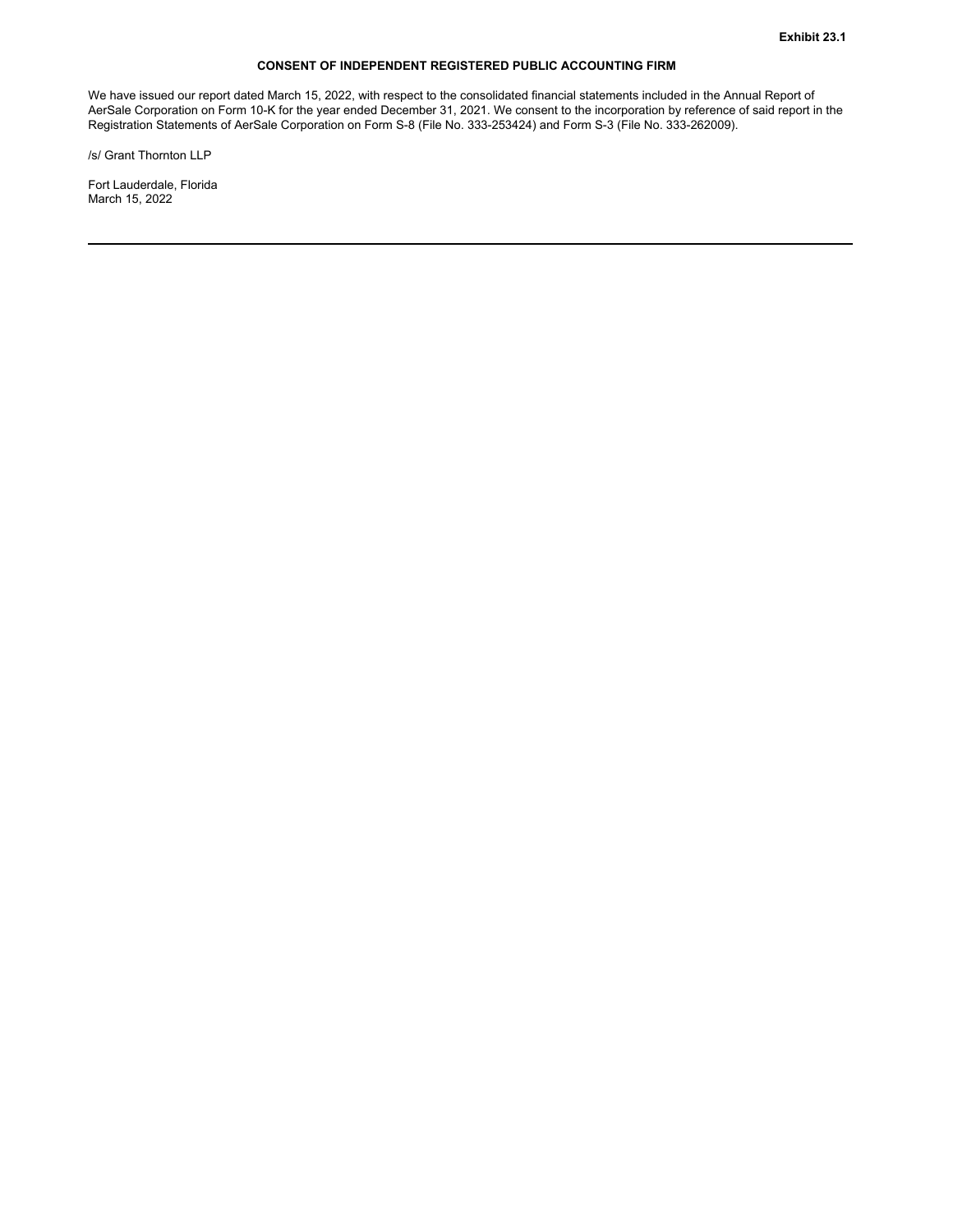# **CONSENT OF INDEPENDENT REGISTERED PUBLIC ACCOUNTING FIRM**

<span id="page-99-0"></span>We have issued our report dated March 15, 2022, with respect to the consolidated financial statements included in the Annual Report of AerSale Corporation on Form 10-K for the year ended December 31, 2021. We consent to the incorporation by reference of said report in the Registration Statements of AerSale Corporation on Form S-8 (File No. 333-253424) and Form S-3 (File No. 333-262009).

/s/ Grant Thornton LLP

Fort Lauderdale, Florida March 15, 2022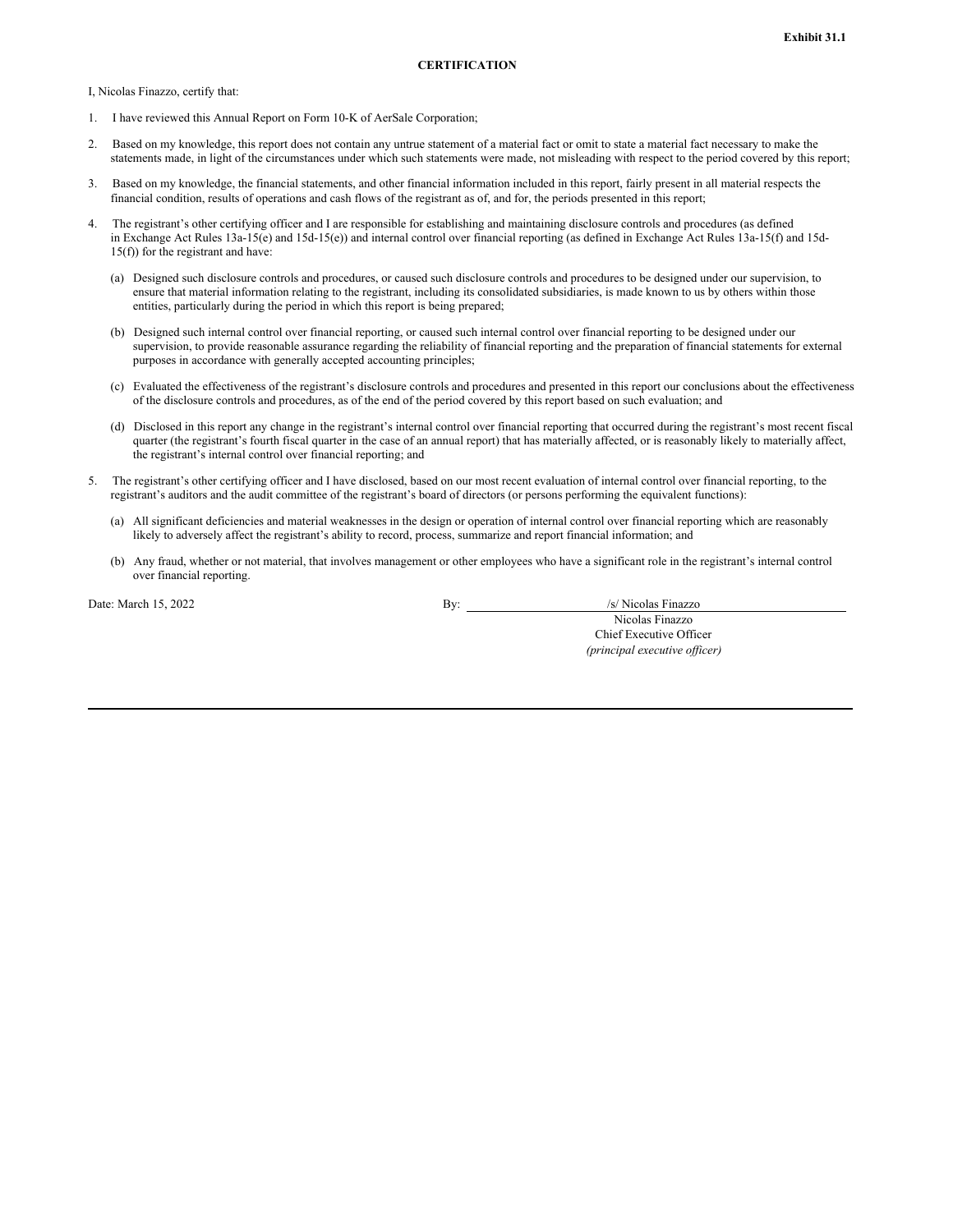<span id="page-100-0"></span>I, Nicolas Finazzo, certify that:

- 1. I have reviewed this Annual Report on Form 10-K of AerSale Corporation;
- 2. Based on my knowledge, this report does not contain any untrue statement of a material fact or omit to state a material fact necessary to make the statements made, in light of the circumstances under which such statements were made, not misleading with respect to the period covered by this report;
- 3. Based on my knowledge, the financial statements, and other financial information included in this report, fairly present in all material respects the financial condition, results of operations and cash flows of the registrant as of, and for, the periods presented in this report;
- 4. The registrant's other certifying officer and I are responsible for establishing and maintaining disclosure controls and procedures (as defined in Exchange Act Rules 13a-15(e) and 15d-15(e)) and internal control over financial reporting (as defined in Exchange Act Rules 13a-15(f) and 15d-15(f)) for the registrant and have:
	- (a) Designed such disclosure controls and procedures, or caused such disclosure controls and procedures to be designed under our supervision, to ensure that material information relating to the registrant, including its consolidated subsidiaries, is made known to us by others within those entities, particularly during the period in which this report is being prepared;
	- (b) Designed such internal control over financial reporting, or caused such internal control over financial reporting to be designed under our supervision, to provide reasonable assurance regarding the reliability of financial reporting and the preparation of financial statements for external purposes in accordance with generally accepted accounting principles;
	- (c) Evaluated the effectiveness of the registrant's disclosure controls and procedures and presented in this report our conclusions about the effectiveness of the disclosure controls and procedures, as of the end of the period covered by this report based on such evaluation; and
	- (d) Disclosed in this report any change in the registrant's internal control over financial reporting that occurred during the registrant's most recent fiscal quarter (the registrant's fourth fiscal quarter in the case of an annual report) that has materially affected, or is reasonably likely to materially affect, the registrant's internal control over financial reporting; and
- 5. The registrant's other certifying officer and I have disclosed, based on our most recent evaluation of internal control over financial reporting, to the registrant's auditors and the audit committee of the registrant's board of directors (or persons performing the equivalent functions):
	- (a) All significant deficiencies and material weaknesses in the design or operation of internal control over financial reporting which are reasonably likely to adversely affect the registrant's ability to record, process, summarize and report financial information; and
	- (b) Any fraud, whether or not material, that involves management or other employees who have a significant role in the registrant's internal control over financial reporting.

Date: March 15, 2022 By: /s/ Nicolas Finazzo

Nicolas Finazzo Chief Executive Officer *(principal executive of icer)*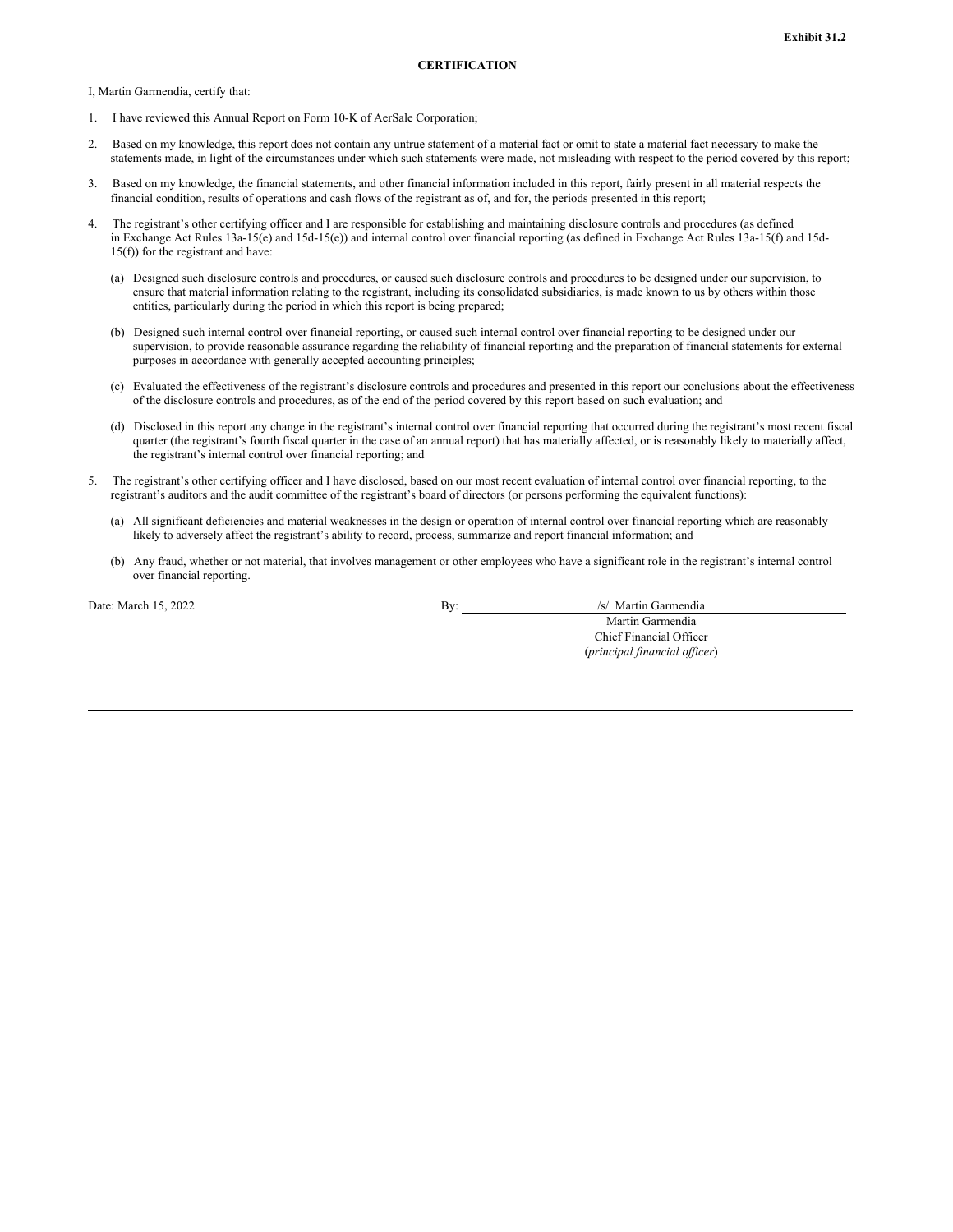<span id="page-101-0"></span>I, Martin Garmendia, certify that:

- 1. I have reviewed this Annual Report on Form 10-K of AerSale Corporation;
- 2. Based on my knowledge, this report does not contain any untrue statement of a material fact or omit to state a material fact necessary to make the statements made, in light of the circumstances under which such statements were made, not misleading with respect to the period covered by this report;
- 3. Based on my knowledge, the financial statements, and other financial information included in this report, fairly present in all material respects the financial condition, results of operations and cash flows of the registrant as of, and for, the periods presented in this report;
- 4. The registrant's other certifying officer and I are responsible for establishing and maintaining disclosure controls and procedures (as defined in Exchange Act Rules 13a-15(e) and 15d-15(e)) and internal control over financial reporting (as defined in Exchange Act Rules 13a-15(f) and 15d-15(f)) for the registrant and have:
	- (a) Designed such disclosure controls and procedures, or caused such disclosure controls and procedures to be designed under our supervision, to ensure that material information relating to the registrant, including its consolidated subsidiaries, is made known to us by others within those entities, particularly during the period in which this report is being prepared;
	- (b) Designed such internal control over financial reporting, or caused such internal control over financial reporting to be designed under our supervision, to provide reasonable assurance regarding the reliability of financial reporting and the preparation of financial statements for external purposes in accordance with generally accepted accounting principles;
	- (c) Evaluated the effectiveness of the registrant's disclosure controls and procedures and presented in this report our conclusions about the effectiveness of the disclosure controls and procedures, as of the end of the period covered by this report based on such evaluation; and
	- (d) Disclosed in this report any change in the registrant's internal control over financial reporting that occurred during the registrant's most recent fiscal quarter (the registrant's fourth fiscal quarter in the case of an annual report) that has materially affected, or is reasonably likely to materially affect, the registrant's internal control over financial reporting; and
- 5. The registrant's other certifying officer and I have disclosed, based on our most recent evaluation of internal control over financial reporting, to the registrant's auditors and the audit committee of the registrant's board of directors (or persons performing the equivalent functions):
	- (a) All significant deficiencies and material weaknesses in the design or operation of internal control over financial reporting which are reasonably likely to adversely affect the registrant's ability to record, process, summarize and report financial information; and
	- (b) Any fraud, whether or not material, that involves management or other employees who have a significant role in the registrant's internal control over financial reporting.

Date: March 15, 2022 By: *By: By: /s/ Martin Garmendia* 

Martin Garmendia Chief Financial Officer (*principal financial of icer*)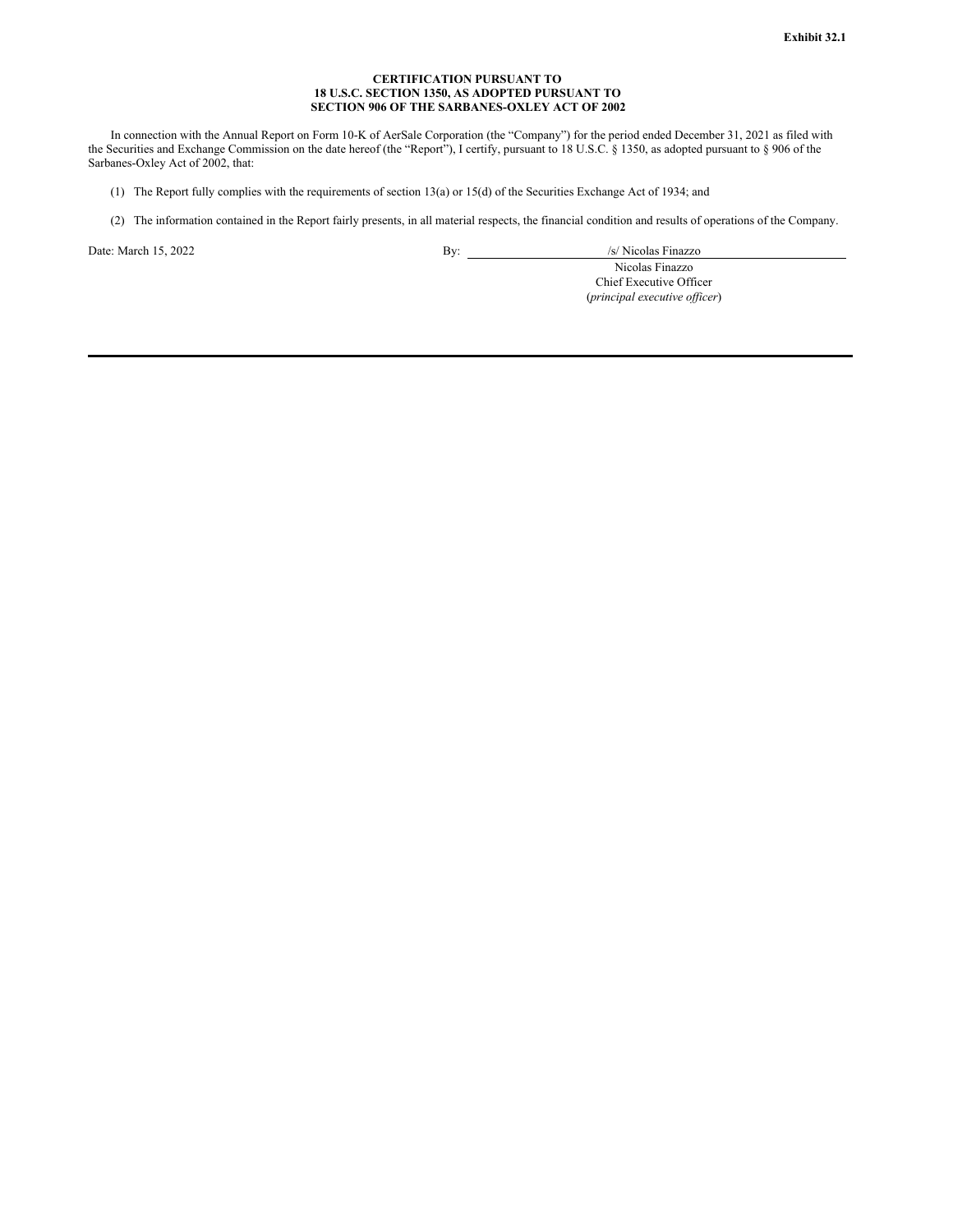### **CERTIFICATION PURSUANT TO 18 U.S.C. SECTION 1350, AS ADOPTED PURSUANT TO SECTION 906 OF THE SARBANES-OXLEY ACT OF 2002**

<span id="page-102-0"></span>In connection with the Annual Report on Form 10-K of AerSale Corporation (the "Company") for the period ended December 31, 2021 as filed with the Securities and Exchange Commission on the date hereof (the "Report"), I certify, pursuant to 18 U.S.C. § 1350, as adopted pursuant to § 906 of the Sarbanes-Oxley Act of 2002, that:

- (1) The Report fully complies with the requirements of section 13(a) or 15(d) of the Securities Exchange Act of 1934; and
- (2) The information contained in the Report fairly presents, in all material respects, the financial condition and results of operations of the Company.

Date: March 15, 2022 By: /s/ Nicolas Finazzo

Nicolas Finazzo Chief Executive Officer (*principal executive of icer*)